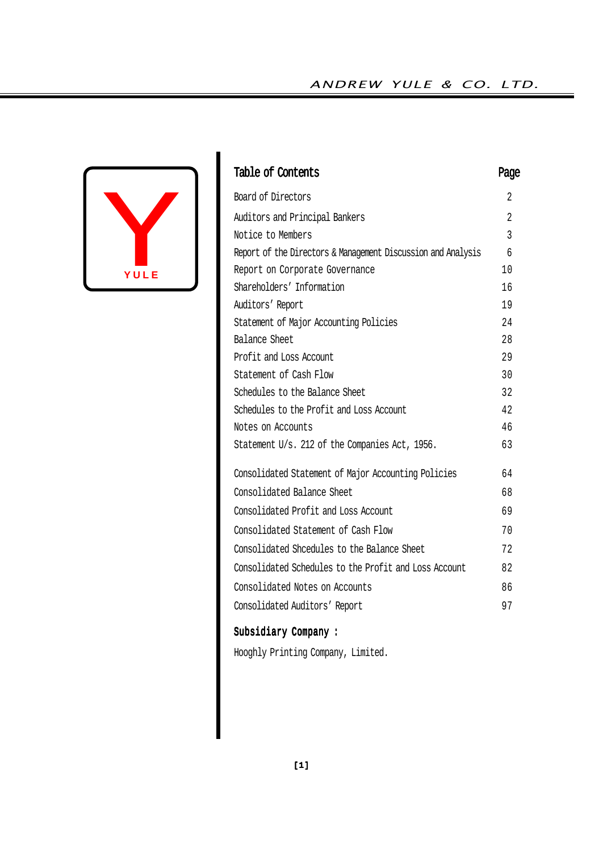# ANDREW YULE & CO. LTD.



| Table of Contents                                            | Page           |
|--------------------------------------------------------------|----------------|
| Board of Directors                                           | 2              |
| Auditors and Principal Bankers                               | $\overline{2}$ |
| Notice to Members                                            | 3              |
| Report of the Directors & Management Discussion and Analysis | 6              |
| Report on Corporate Governance                               | 10             |
| Shareholders' Information                                    | 16             |
| Auditors' Report                                             | 19             |
| Statement of Major Accounting Policies                       | 24             |
| Balance Sheet                                                | 28             |
| Profit and Loss Account                                      | 29             |
| Statement of Cash Flow                                       | 30             |
| Schedules to the Balance Sheet                               | 32             |
| Schedules to the Profit and Loss Account                     | 42             |
| Notes on Accounts                                            | 46             |
| Statement U/s. 212 of the Companies Act, 1956.               | 63             |
| Consolidated Statement of Major Accounting Policies          | 64             |
| Consolidated Balance Sheet                                   | 68             |
| Consolidated Profit and Loss Account                         | 69             |
| Consolidated Statement of Cash Flow                          | 70             |
| Consolidated Shcedules to the Balance Sheet                  | 72             |
| Consolidated Schedules to the Profit and Loss Account        | 82             |
| Consolidated Notes on Accounts                               | 86             |
| Consolidated Auditors' Report                                | 97             |

# Subsidiary Company :

Hooghly Printing Company, Limited.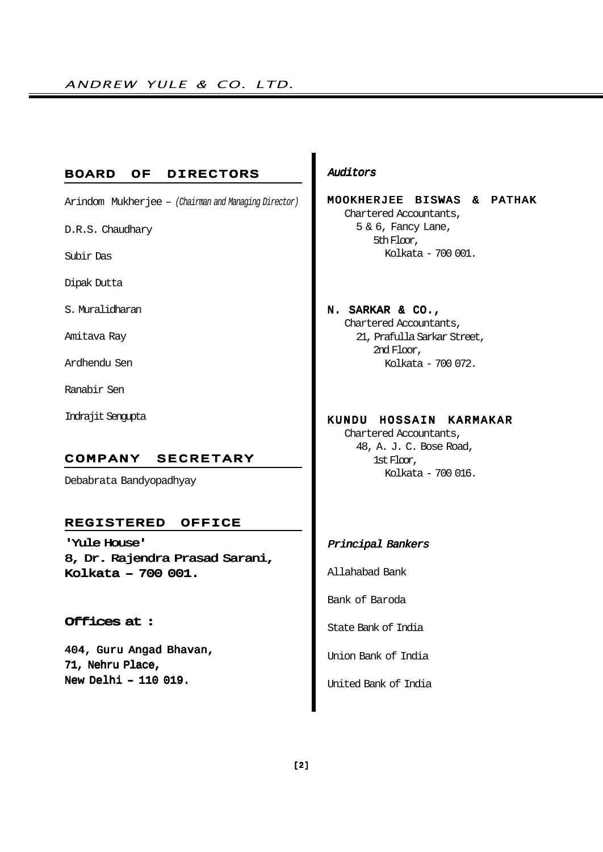#### BOARD OF DIRECTORS

Arindom Mukherjee – (Chairman and Managing Director)

D.R.S. Chaudhary

Subir Das

Dipak Dutta

S. Muralidharan

Amitava Ray

Ardhendu Sen

Ranabir Sen

Indrajit Sengupta

#### COMPANY SECRETARY

Debabrata Bandyopadhyay

#### REGISTERED OFFICE

'Yule House' 8, Dr. Rajendra Prasad Sarani, Kolkata – 700 001.

## Offices at :

404, Guru Angad Bhavan, 71, Nehru Place, New Delhi – 110 019.

# Auditors

MOOKHERJEE BISWAS & PATHAK Chartered Accountants, 5 & 6, Fancy Lane,

> 5th Floor, Kolkata - 700 001.

# N. SARKAR & CO.,

Chartered Accountants, 21, Prafulla Sarkar Street, 2nd Floor, Kolkata - 700 072.

# KUNDU HOSSAIN KARMAKAR

Chartered Accountants, 48, A. J. C. Bose Road, 1st Floor, Kolkata - 700 016.

# Principal Bankers

Allahabad Bank

Bank of Baroda

State Bank of India

Union Bank of India

United Bank of India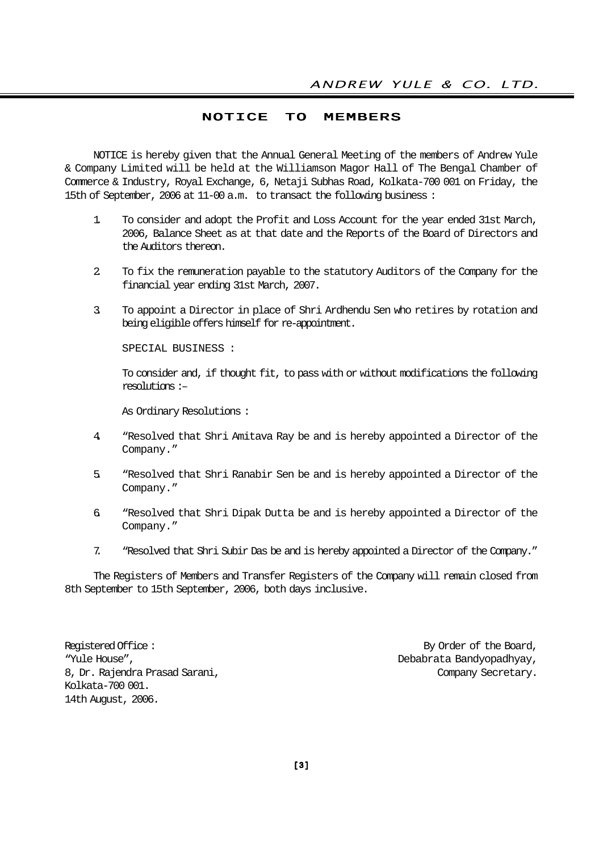## NOTICE TO MEMBERS

NOTICE is hereby given that the Annual General Meeting of the members of Andrew Yule & Company Limited will be held at the Williamson Magor Hall of The Bengal Chamber of Commerce & Industry, Royal Exchange, 6, Netaji Subhas Road, Kolkata-700 001 on Friday, the 15th of September, 2006 at 11-00 a.m. to transact the following business :

- 1. To consider and adopt the Profit and Loss Account for the year ended 31st March, 2006, Balance Sheet as at that date and the Reports of the Board of Directors and the Auditors thereon.
- 2. To fix the remuneration payable to the statutory Auditors of the Company for the financial year ending 31st March, 2007.
- 3. To appoint a Director in place of Shri Ardhendu Sen who retires by rotation and being eligible offers himself for re-appointment.

SPECIAL BUSINESS :

To consider and, if thought fit, to pass with or without modifications the following resolutions :–

As Ordinary Resolutions :

- 4. "Resolved that Shri Amitava Ray be and is hereby appointed a Director of the Company."
- 5. "Resolved that Shri Ranabir Sen be and is hereby appointed a Director of the Company."
- 6. "Resolved that Shri Dipak Dutta be and is hereby appointed a Director of the Company."
- 7. "Resolved that Shri Subir Das be and is hereby appointed a Director of the Company."

The Registers of Members and Transfer Registers of the Company will remain closed from 8th September to 15th September, 2006, both days inclusive.

Registered Office :  $\qquad \qquad$  By Order of the Board, "Yule House", Debabrata Bandyopadhyay, 8, Dr. Rajendra Prasad Sarani, Company Secretary. Kolkata-700 001. 14th August, 2006.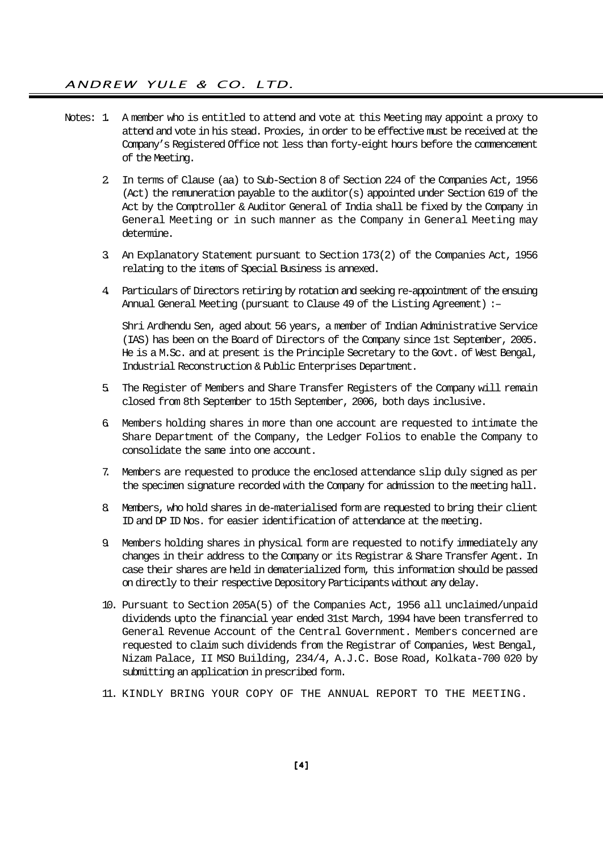- Notes: 1. A member who is entitled to attend and vote at this Meeting may appoint a proxy to attend and vote in his stead. Proxies, in order to be effective must be received at the Company's Registered Office not less than forty-eight hours before the commencement of the Meeting.
	- 2. In terms of Clause (aa) to Sub-Section 8 of Section 224 of the Companies Act, 1956 (Act) the remuneration payable to the auditor(s) appointed under Section 619 of the Act by the Comptroller & Auditor General of India shall be fixed by the Company in General Meeting or in such manner as the Company in General Meeting may determine.
	- 3. An Explanatory Statement pursuant to Section 173(2) of the Companies Act, 1956 relating to the items of Special Business is annexed.
	- 4. Particulars of Directors retiring by rotation and seeking re-appointment of the ensuing Annual General Meeting (pursuant to Clause 49 of the Listing Agreement) :–

Shri Ardhendu Sen, aged about 56 years, a member of Indian Administrative Service (IAS) has been on the Board of Directors of the Company since 1st September, 2005. He is a M.Sc. and at present is the Principle Secretary to the Govt. of West Bengal, Industrial Reconstruction & Public Enterprises Department.

- 5. The Register of Members and Share Transfer Registers of the Company will remain closed from 8th September to 15th September, 2006, both days inclusive.
- 6. Members holding shares in more than one account are requested to intimate the Share Department of the Company, the Ledger Folios to enable the Company to consolidate the same into one account.
- 7. Members are requested to produce the enclosed attendance slip duly signed as per the specimen signature recorded with the Company for admission to the meeting hall.
- 8. Members, who hold shares in de-materialised form are requested to bring their client ID and DP ID Nos. for easier identification of attendance at the meeting.
- 9. Members holding shares in physical form are requested to notify immediately any changes in their address to the Company or its Registrar & Share Transfer Agent. In case their shares are held in dematerialized form, this information should be passed on directly to their respective Depository Participants without any delay.
- 10. Pursuant to Section 205A(5) of the Companies Act, 1956 all unclaimed/unpaid dividends upto the financial year ended 31st March, 1994 have been transferred to General Revenue Account of the Central Government. Members concerned are requested to claim such dividends from the Registrar of Companies, West Bengal, Nizam Palace, II MSO Building, 234/4, A.J.C. Bose Road, Kolkata-700 020 by submitting an application in prescribed form.
- 11. KINDLY BRING YOUR COPY OF THE ANNUAL REPORT TO THE MEETING.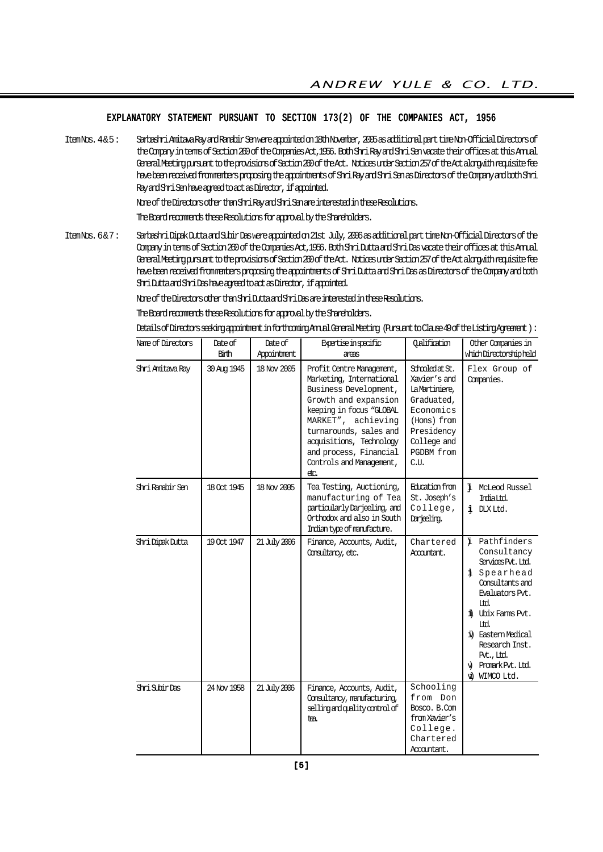#### EXPLANATORY STATEMENT PURSUANT TO SECTION 173(2) OF THE COMPANIES ACT, 1956

Item Nos. 4 & 5 : Sarbashri Amitava Ray and Ranabir Sen were appointed on 18th November, 2005 as additional part time Non-Official Directors of the Company in terms of Section 260 of the Companies Act,1956. Both Shri Ray and Shri Sen vacate their offices at this Annual General Meeting pursuant to the provisions of Section 260 of the Act. Notices under Section 257 of the Act alongwith requisite fee have been received from members proposing the appointments of Shri Ray and Shri Sen as Directors of the Company and both Shri Ray and Shri Sen have agreed to act as Director, if appointed.

None of the Directors other than Shri Ray and Shri Sen are interested in these Resolutions.

The Board recommends these Resolutions for approval by the Shareholders.

Item Nos. 6 & 7 : Sarbashri Dipak Dutta and Subir Das were appointed on 21st July, 2006 as additional part time Non-Official Directors of the Company in terms of Section 260 of the Companies Act,1956. Both Shri Dutta and Shri Das vacate their offices at this Annual General Meeting pursuant to the provisions of Section 260 of the Act. Notices under Section 257 of the Act alongwith requisite fee have been received from members proposing the appointments of Shri Dutta and Shri Das as Directors of the Company and both Shri Dutta and Shri Das have agreed to act as Director, if appointed.

None of the Directors other than Shri Dutta and Shri Das are interested in these Resolutions.

The Board recomments these Resolutions for approval by the Shareholders.

Details of Directors seeking appointment in forthcoming Annual General Meeting (Pursuant to Clause 49 of the Listing Agreement ) :

| Name of Directors | Date of<br>Birth | Date of<br>Appointment | Expertise inspecific<br>areas                                                                                                                                                                                                                                                | Qalification                                                                                                                                   | Other Companies in<br>which Directorship held                                                                                                                                                                                                        |
|-------------------|------------------|------------------------|------------------------------------------------------------------------------------------------------------------------------------------------------------------------------------------------------------------------------------------------------------------------------|------------------------------------------------------------------------------------------------------------------------------------------------|------------------------------------------------------------------------------------------------------------------------------------------------------------------------------------------------------------------------------------------------------|
| Shri Amitava Ray  | 30 Aug 1945      | 18 Nov 2005            | Profit Centre Management,<br>Marketing, International<br>Business Development,<br>Growth and expansion<br>keeping in focus "GLOBAL<br>MARKET", achieving<br>turnarounds, sales and<br>acquisitions, Technology<br>and process, Financial<br>Controls and Management,<br>etc. | Schooled at St.<br>Xavier's and<br>La Martiniere,<br>Graduated,<br>Economics<br>(Hons) from<br>Presidency<br>College and<br>PGDBM from<br>C.U. | Flex Group of<br>Companies.                                                                                                                                                                                                                          |
| Shri Ranabir Sen  | 18 Oct 1945      | 18 Nov 2005            | Tea Testing, Auctioning,<br>manufacturing of Tea<br>particularly Darjeeling, and<br>Orthodox and also in South<br>Indian type of manufacture.                                                                                                                                | Education from<br>St. Joseph's<br>College,<br>Darjeling.                                                                                       | i McLeod Russel<br>IrdiaLtd.<br>i DIXItd.                                                                                                                                                                                                            |
| Shri Dipak Dutta  | 19 Oct 1947      | 21 July 2006           | Finance, Accounts, Audit,<br>Consultancy, etc.                                                                                                                                                                                                                               | Chartered<br>Accountant.                                                                                                                       | i Pathfinders<br>Consultancy<br>Services Pvt. Ltd.<br>i Spearhead<br>Consultants and<br>Evaluators Pvt.,<br>Itd.<br>il Ubix Farms Pvt.<br>Itd.<br>it Eastern Medical<br>Research Inst.<br>Pvt., Ltd.<br>Promark Pvt. Ltd.<br>ΛÒ,<br>ΨÙ<br>WIMCO Ltd. |
| Shri Subir Das    | 24 Nov 1958      | 21 July 2006           | Finance, Accounts, Audit,<br>Consultancy, manufacturing,<br>selling and quality control of<br>tea.                                                                                                                                                                           | Schooling<br>from Don<br>Bosco. B.Com<br>from Xavier's<br>College.<br>Chartered<br>Accountant.                                                 |                                                                                                                                                                                                                                                      |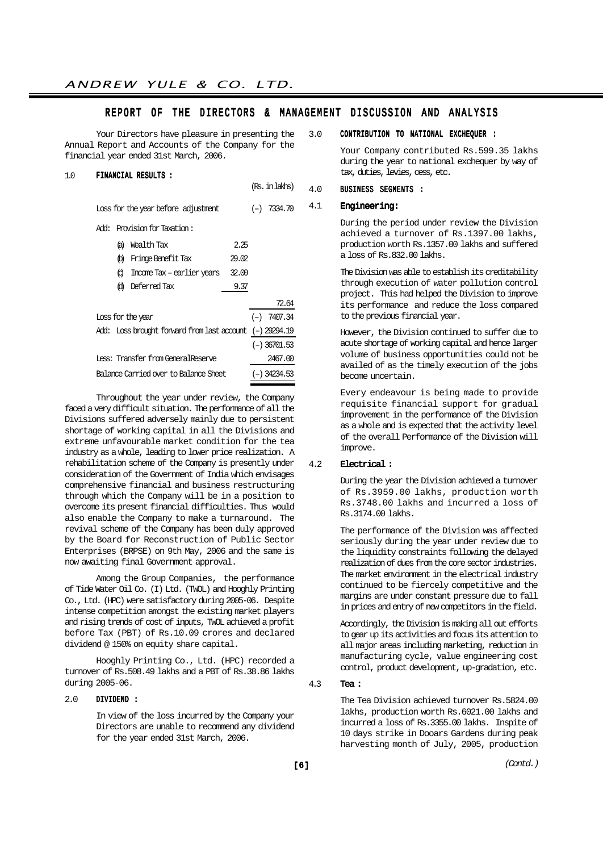#### REPORT OF THE DIRECTORS & MANAGEMENT DISCUSSION AND ANALYSIS

(Rs. in lakhs)

Your Directors have pleasure in presenting the Annual Report and Accounts of the Company for the financial year ended 31st March, 2006.

#### 1.0 FINANCIAL RESULTS :

Loss for the year before adjustment (-) 7334.70 Add: Provision for Taxation: (a) Wealth Tax 2.25 (b) Fringe Benefit Tax 29.02 (c) Income Tax – earlier years 32.00 (d) Deferred Tax 9.37 72.64 Loss for the year  $(-)$  7407.34 Add: Loss brought forward from last account (–) 29294.19 (–) 36701.53 Less: Transfer from GeneralReserve 2467.00 Balance Carried over to Balance Sheet (–) 34234.53

Throughout the year under review, the Company faced a very difficult situation. The performance of all the Divisions suffered adversely mainly due to persistent shortage of working capital in all the Divisions and extreme unfavourable market condition for the tea industry as a whole, leading to lower price realization. A rehabilitation scheme of the Company is presently under consideration of the Government of India which envisages comprehensive financial and business restructuring through which the Company will be in a position to overcome its present financial difficulties. Thus would also enable the Company to make a turnaround. The revival scheme of the Company has been duly approved by the Board for Reconstruction of Public Sector Enterprises (BRPSE) on 9th May, 2006 and the same is now awaiting final Government approval.

Among the Group Companies, the performance of Tide Water Oil Co. (I) Ltd. (TWOL) and Hooghly Printing Co., Ltd. (HPC) were satisfactory during 2005-06. Despite intense competition amongst the existing market players and rising trends of cost of inputs, TWOL achieved a profit before Tax (PBT) of Rs.10.09 crores and declared dividend @ 150% on equity share capital.

Hooghly Printing Co., Ltd. (HPC) recorded a turnover of Rs.508.49 lakhs and a PBT of Rs.38.86 lakhs during 2005-06.

#### 2.0 DIVIDEND :

In view of the loss incurred by the Company your Directors are unable to recommend any dividend for the year ended 31st March, 2006.

#### 3.0 CONTRIBUTION TO NATIONAL EXCHEQUER :

Your Company contributed Rs.599.35 lakhs during the year to national exchequer by way of tax, duties, levies, cess, etc.

#### 4.0 BUSINESS SEGMENTS :

#### 4.1 Engineering:

During the period under review the Division achieved a turnover of Rs.1397.00 lakhs, production worth Rs.1357.00 lakhs and suffered a loss of Rs.832.00 lakhs.

The Division was able to establish its creditability through execution of water pollution control project. This had helped the Division to improve its performance and reduce the loss compared to the previous financial year.

However, the Division continued to suffer due to acute shortage of working capital and hence larger volume of business opportunities could not be availed of as the timely execution of the jobs become uncertain.

Every endeavour is being made to provide requisite financial support for gradual improvement in the performance of the Division as a whole and is expected that the activity level of the overall Performance of the Division will improve.

#### 4.2 Electrical :

During the year the Division achieved a turnover of Rs.3959.00 lakhs, production worth Rs.3748.00 lakhs and incurred a loss of Rs.3174.00 lakhs.

The performance of the Division was affected seriously during the year under review due to the liquidity constraints following the delayed realization of dues from the core sector industries. The market environment in the electrical industry continued to be fiercely competitive and the margins are under constant pressure due to fall in prices and entry of new competitors in the field.

Accordingly, the Division is making all out efforts to gear up its activities and focus its attention to all major areas including marketing, reduction in manufacturing cycle, value engineering cost control, product development, up-gradation, etc.

#### 4.3 Tea :

The Tea Division achieved turnover Rs.5824.00 lakhs, production worth Rs.6021.00 lakhs and incurred a loss of Rs.3355.00 lakhs. Inspite of 10 days strike in Dooars Gardens during peak harvesting month of July, 2005, production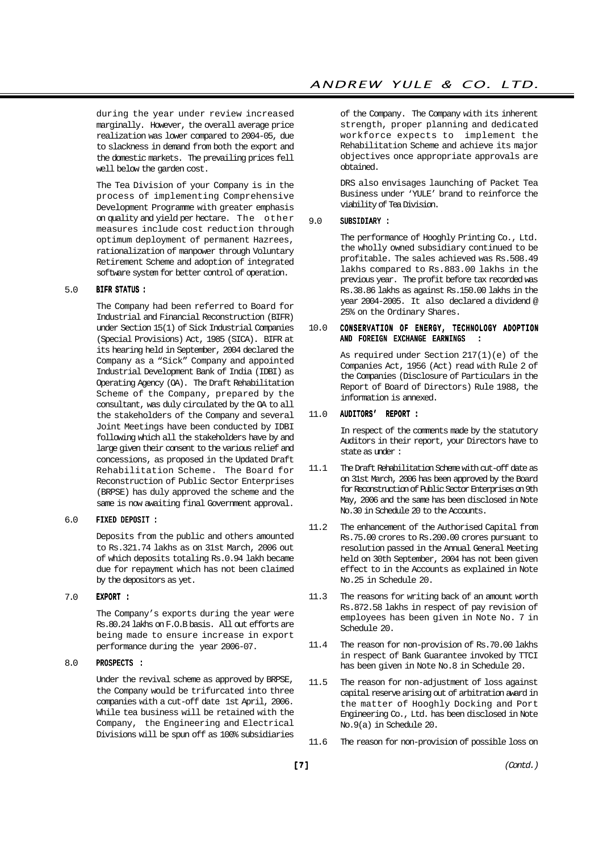during the year under review increased marginally. However, the overall average price realization was lower compared to 2004-05, due to slackness in demand from both the export and the domestic markets. The prevailing prices fell well below the garden cost.

The Tea Division of your Company is in the process of implementing Comprehensive Development Programme with greater emphasis on quality and yield per hectare. The other measures include cost reduction through optimum deployment of permanent Hazrees, rationalization of manpower through Voluntary Retirement Scheme and adoption of integrated software system for better control of operation.

#### 5.0 BIFR STATUS :

The Company had been referred to Board for Industrial and Financial Reconstruction (BIFR) under Section 15(1) of Sick Industrial Companies (Special Provisions) Act, 1985 (SICA). BIFR at its hearing held in September, 2004 declared the Company as a "Sick" Company and appointed Industrial Development Bank of India (IDBI) as Operating Agency (OA). The Draft Rehabilitation Scheme of the Company, prepared by the consultant, was duly circulated by the OA to all the stakeholders of the Company and several Joint Meetings have been conducted by IDBI following which all the stakeholders have by and large given their consent to the various relief and concessions, as proposed in the Updated Draft Rehabilitation Scheme. The Board for Reconstruction of Public Sector Enterprises (BRPSE) has duly approved the scheme and the same is now awaiting final Government approval.

#### 6.0 FIXED DEPOSIT :

Deposits from the public and others amounted to Rs.321.74 lakhs as on 31st March, 2006 out of which deposits totaling Rs.0.94 lakh became due for repayment which has not been claimed by the depositors as yet.

#### 7.0 EXPORT :

The Company's exports during the year were Rs.80.24 lakhs on F.O.B basis. All out efforts are being made to ensure increase in export performance during the year 2006-07.

#### 8.0 PROSPECTS :

Under the revival scheme as approved by BRPSE, the Company would be trifurcated into three companies with a cut-off date 1st April, 2006. While tea business will be retained with the Company, the Engineering and Electrical Divisions will be spun off as 100% subsidiaries of the Company. The Company with its inherent strength, proper planning and dedicated workforce expects to implement the Rehabilitation Scheme and achieve its major objectives once appropriate approvals are obtained.

DRS also envisages launching of Packet Tea Business under 'YULE' brand to reinforce the viability of Tea Division.

#### 9.0 SUBSIDIARY :

The performance of Hooghly Printing Co., Ltd. the wholly owned subsidiary continued to be profitable. The sales achieved was Rs.508.49 lakhs compared to Rs.883.00 lakhs in the previous year. The profit before tax recorded was Rs.38.86 lakhs as against Rs.150.00 lakhs in the year 2004-2005. It also declared a dividend @ 25% on the Ordinary Shares.

#### 10.0 CONSERVATION OF ENERGY, TECHNOLOGY ADOPTION AND FOREIGN EXCHANGE EARNINGS

As required under Section 217(1)(e) of the Companies Act, 1956 (Act) read with Rule 2 of the Companies (Disclosure of Particulars in the Report of Board of Directors) Rule 1988, the information is annexed.

#### 11.0 AUDITORS' REPORT :

In respect of the comments made by the statutory Auditors in their report, your Directors have to state as under :

- 11.1 The Draft Rehabilitation Scheme with cut-off date as on 31st March, 2006 has been approved by the Board for Reconstruction of Public Sector Enterprises on 9th May, 2006 and the same has been disclosed in Note No.30 in Schedule 20 to the Accounts.
- 11.2 The enhancement of the Authorised Capital from Rs.75.00 crores to Rs.200.00 crores pursuant to resolution passed in the Annual General Meeting held on 30th September, 2004 has not been given effect to in the Accounts as explained in Note No.25 in Schedule 20.
- 11.3 The reasons for writing back of an amount worth Rs.872.58 lakhs in respect of pay revision of employees has been given in Note No. 7 in Schedule 20.
- 11.4 The reason for non-provision of Rs.70.00 lakhs in respect of Bank Guarantee invoked by TTCI has been given in Note No.8 in Schedule 20.
- 11.5 The reason for non-adjustment of loss against capital reserve arising out of arbitration award in the matter of Hooghly Docking and Port Engineering Co., Ltd. has been disclosed in Note No.9(a) in Schedule 20.
- 11.6 The reason for non-provision of possible loss on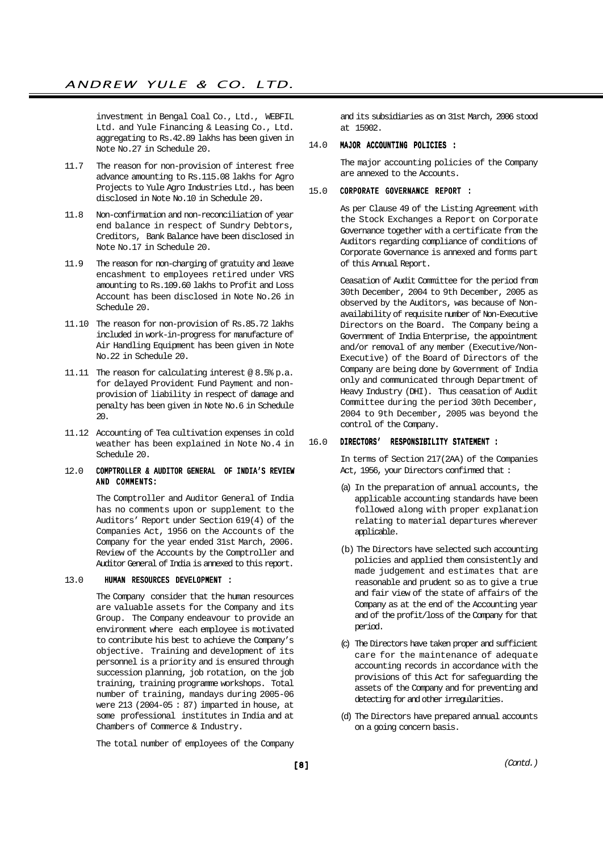investment in Bengal Coal Co., Ltd., WEBFIL Ltd. and Yule Financing & Leasing Co., Ltd. aggregating to Rs.42.89 lakhs has been given in Note No.27 in Schedule 20.

- 11.7 The reason for non-provision of interest free advance amounting to Rs.115.08 lakhs for Agro Projects to Yule Agro Industries Ltd., has been disclosed in Note No.10 in Schedule 20.
- 11.8 Non-confirmation and non-reconciliation of year end balance in respect of Sundry Debtors, Creditors, Bank Balance have been disclosed in Note No.17 in Schedule 20.
- 11.9 The reason for non-charging of gratuity and leave encashment to employees retired under VRS amounting to Rs.109.60 lakhs to Profit and Loss Account has been disclosed in Note No.26 in Schedule 20.
- 11.10 The reason for non-provision of Rs.85.72 lakhs included in work-in-progress for manufacture of Air Handling Equipment has been given in Note No.22 in Schedule 20.
- 11.11 The reason for calculating interest @ 8.5% p.a. for delayed Provident Fund Payment and nonprovision of liability in respect of damage and penalty has been given in Note No.6 in Schedule 20.
- 11.12 Accounting of Tea cultivation expenses in cold weather has been explained in Note No.4 in Schedule 20.

#### 12.0 COMPTROLLER & AUDITOR GENERAL OF INDIA'S REVIEW AND COMMENTS:

The Comptroller and Auditor General of India has no comments upon or supplement to the Auditors' Report under Section 619(4) of the Companies Act, 1956 on the Accounts of the Company for the year ended 31st March, 2006. Review of the Accounts by the Comptroller and Auditor General of India is annexed to this report.

#### 13.0 HUMAN RESOURCES DEVELOPMENT :

The Company consider that the human resources are valuable assets for the Company and its Group. The Company endeavour to provide an environment where each employee is motivated to contribute his best to achieve the Company's objective. Training and development of its personnel is a priority and is ensured through succession planning, job rotation, on the job training, training programme workshops. Total number of training, mandays during 2005-06 were 213 (2004-05 : 87) imparted in house, at some professional institutes in India and at Chambers of Commerce & Industry.

The total number of employees of the Company

and its subsidiaries as on 31st March, 2006 stood at 15902.

#### 14.0 MAJOR ACCOUNTING POLICIES :

The major accounting policies of the Company are annexed to the Accounts.

#### 15.0 CORPORATE GOVERNANCE REPORT :

As per Clause 49 of the Listing Agreement with the Stock Exchanges a Report on Corporate Governance together with a certificate from the Auditors regarding compliance of conditions of Corporate Governance is annexed and forms part of this Annual Report.

Ceasation of Audit Committee for the period from 30th December, 2004 to 9th December, 2005 as observed by the Auditors, was because of Nonavailability of requisite number of Non-Executive Directors on the Board. The Company being a Government of India Enterprise, the appointment and/or removal of any member (Executive/Non-Executive) of the Board of Directors of the Company are being done by Government of India only and communicated through Department of Heavy Industry (DHI). Thus ceasation of Audit Committee during the period 30th December, 2004 to 9th December, 2005 was beyond the control of the Company.

#### 16.0 DIRECTORS' RESPONSIBILITY STATEMENT :

In terms of Section 217(2AA) of the Companies Act, 1956, your Directors confirmed that:

- (a) In the preparation of annual accounts, the applicable accounting standards have been followed along with proper explanation relating to material departures wherever applicable.
- (b) The Directors have selected such accounting policies and applied them consistently and made judgement and estimates that are reasonable and prudent so as to give a true and fair view of the state of affairs of the Company as at the end of the Accounting year and of the profit/loss of the Company for that period.
- (c) The Directors have taken proper and sufficient care for the maintenance of adequate accounting records in accordance with the provisions of this Act for safeguarding the assets of the Company and for preventing and detecting for and other irregularities.
- (d) The Directors have prepared annual accounts on a going concern basis.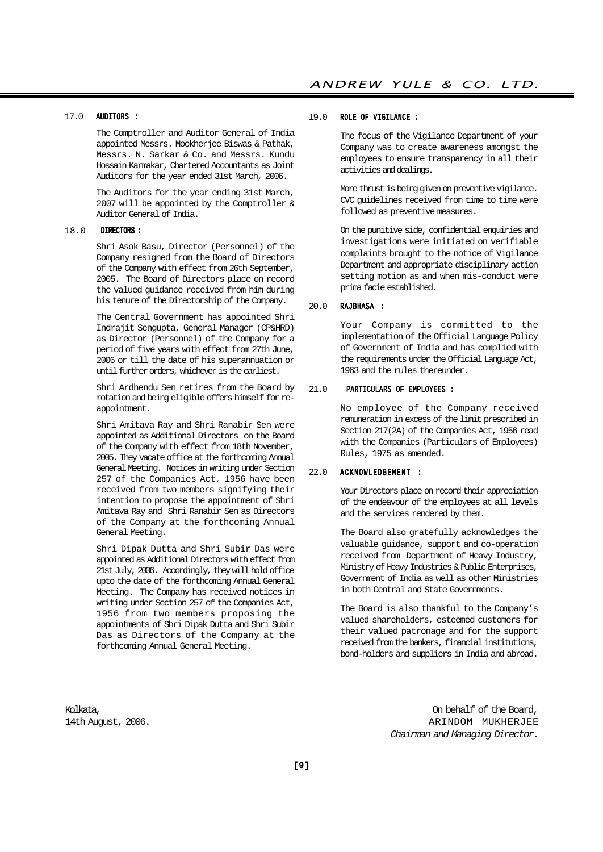#### 17.0 AUDITORS :

The Comptroller and Auditor General of India appointed Messrs. Mookherjee Biswas & Pathak, Messrs. N. Sarkar & Co. and Messrs. Kundu Hossain Karmakar, Chartered Accountants as Joint Auditors for the year ended 31st March, 2006.

The Auditors for the year ending 31st March, 2007 will be appointed by the Comptroller & Auditor General of India.

#### 18.0 DIRECTORS :

Shri Asok Basu, Director (Personnel) of the Company resigned from the Board of Directors of the Company with effect from 26th September, 2005. The Board of Directors place on record the valued guidance received from him during his tenure of the Directorship of the Company.

The Central Government has appointed Shri Indrajit Sengupta, General Manager (CP&HRD) as Director (Personnel) of the Company for a period of five years with effect from 27th June, 2006 or till the date of his superannuation or until further orders, whichever is the earliest.

Shri Ardhendu Sen retires from the Board by rotation and being eligible offers himself for reappointment.

Shri Amitava Ray and Shri Ranabir Sen were appointed as Additional Directors on the Board of the Company with effect from 18th November, 2005. They vacate office at the forthcoming Annual General Meeting. Notices in writing under Section 257 of the Companies Act, 1956 have been received from two members signifying their intention to propose the appointment of Shri Amitava Ray and Shri Ranabir Sen as Directors of the Company at the forthcoming Annual General Meeting.

Shri Dipak Dutta and Shri Subir Das were appointed as Additional Directors with effect from 21st July, 2006. Accordingly, they will hold office upto the date of the forthcoming Annual General Meeting. The Company has received notices in writing under Section 257 of the Companies Act, 1956 from two members proposing the appointments of Shri Dipak Dutta and Shri Subir Das as Directors of the Company at the forthcoming Annual General Meeting.

#### 19.0 ROLE OF VIGILANCE :

The focus of the Vigilance Department of your Company was to create awareness amongst the employees to ensure transparency in all their activities and dealings.

More thrust is being given on preventive vigilance. CVC guidelines received from time to time were followed as preventive measures.

On the punitive side, confidential enquiries and investigations were initiated on verifiable complaints brought to the notice of Vigilance Department and appropriate disciplinary action setting motion as and when mis-conduct were prima facie established.

#### 20.0 RAJBHASA :

Your Company is committed to the implementation of the Official Language Policy of Government of India and has complied with the requirements under the Official Language Act, 1963 and the rules thereunder.

#### 21.0 PARTICULARS OF EMPLOYEES :

No employee of the Company received remuneration in excess of the limit prescribed in Section 217(2A) of the Companies Act, 1956 read with the Companies (Particulars of Employees) Rules, 1975 as amended.

#### 22.0 ACKNOWLEDGEMENT :

Your Directors place on record their appreciation of the endeavour of the employees at all levels and the services rendered by them.

The Board also gratefully acknowledges the valuable guidance, support and co-operation received from Department of Heavy Industry, Ministry of Heavy Industries & Public Enterprises, Government of India as well as other Ministries in both Central and State Governments.

The Board is also thankful to the Company's valued shareholders, esteemed customers for their valued patronage and for the support received from the bankers, financial institutions, bond-holders and suppliers in India and abroad.

Kolkata, On behalf of the Board, 14th August, 2006. ARINDOM MUKHERJEE Chairman and Managing Director.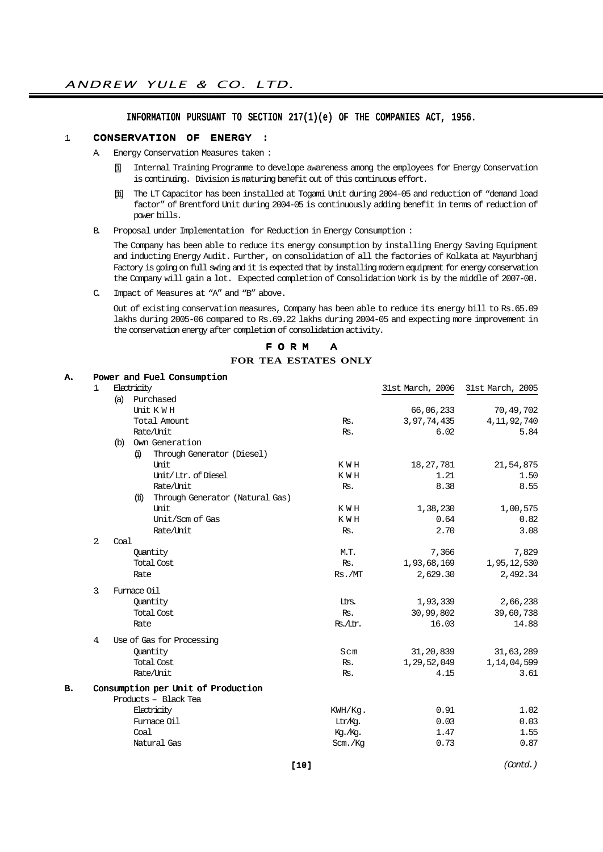### INFORMATION PURSUANT TO SECTION 217(1)(e) OF THE COMPANIES ACT, 1956.

#### 1. CONSERVATION OF ENERGY :

- A. Energy Conservation Measures taken :
	- [i] Internal Training Programme to develope awareness among the employees for Energy Conservation is continuing. Division is maturing benefit out of this continuous effort.
	- [ii] The LT Capacitor has been installed at Togami Unit during 2004-05 and reduction of "demand load factor" of Brentford Unit during 2004-05 is continuously adding benefit in terms of reduction of power bills.
- B. Proposal under Implementation for Reduction in Energy Consumption :

The Company has been able to reduce its energy consumption by installing Energy Saving Equipment and inducting Energy Audit. Further, on consolidation of all the factories of Kolkata at Mayurbhanj Factory is going on full swing and it is expected that by installing modern equipment for energy conservation the Company will gain a lot. Expected completion of Consolidation Work is by the middle of 2007-08.

C. Impact of Measures at "A" and "B" above.

Out of existing conservation measures, Company has been able to reduce its energy bill to Rs.65.09 lakhs during 2005-06 compared to Rs.69.22 lakhs during 2004-05 and expecting more improvement in the conservation energy after completion of consolidation activity.

#### F O R M A **FOR TEA ESTATES ONLY**

| 1.             |     |    |                                 |                                                                                                                                                                                                                                                                                                                                                                                                                      | 31st March, 2006 | 31st March, 2005 |
|----------------|-----|----|---------------------------------|----------------------------------------------------------------------------------------------------------------------------------------------------------------------------------------------------------------------------------------------------------------------------------------------------------------------------------------------------------------------------------------------------------------------|------------------|------------------|
|                | (a) |    |                                 |                                                                                                                                                                                                                                                                                                                                                                                                                      |                  |                  |
|                |     |    |                                 |                                                                                                                                                                                                                                                                                                                                                                                                                      | 66,06,233        | 70,49,702        |
|                |     |    |                                 | Rs.                                                                                                                                                                                                                                                                                                                                                                                                                  | 3,97,74,435      | 4, 11, 92, 740   |
|                |     |    |                                 | Rs.                                                                                                                                                                                                                                                                                                                                                                                                                  | 6.02             | 5.84             |
|                |     |    |                                 |                                                                                                                                                                                                                                                                                                                                                                                                                      |                  |                  |
|                |     | G) | Through Generator (Diesel)      |                                                                                                                                                                                                                                                                                                                                                                                                                      |                  |                  |
|                |     |    | Unit                            | K W H                                                                                                                                                                                                                                                                                                                                                                                                                | 18,27,781        | 21,54,875        |
|                |     |    | Unit/Ltr. of Diesel             | K W H                                                                                                                                                                                                                                                                                                                                                                                                                | 1.21             | 1.50             |
|                |     |    | Rate/Unit                       | Rs.                                                                                                                                                                                                                                                                                                                                                                                                                  | 8.38             | 8.55             |
|                |     | Ш  | Through Generator (Natural Gas) |                                                                                                                                                                                                                                                                                                                                                                                                                      |                  |                  |
|                |     |    | Unit                            | K W H                                                                                                                                                                                                                                                                                                                                                                                                                | 1,38,230         | 1,00,575         |
|                |     |    | Unit/Scm of Gas                 | K W H                                                                                                                                                                                                                                                                                                                                                                                                                | 0.64             | 0.82             |
|                |     |    | Rate/Unit                       | Rs.                                                                                                                                                                                                                                                                                                                                                                                                                  | 2.70             | 3.08             |
| $\overline{2}$ |     |    |                                 |                                                                                                                                                                                                                                                                                                                                                                                                                      |                  |                  |
|                |     |    |                                 | M.T.                                                                                                                                                                                                                                                                                                                                                                                                                 | 7,366            | 7,829            |
|                |     |    |                                 | Rs.                                                                                                                                                                                                                                                                                                                                                                                                                  | 1,93,68,169      | 1,95,12,530      |
|                |     |    |                                 | Rs./MT                                                                                                                                                                                                                                                                                                                                                                                                               | 2,629.30         | 2,492.34         |
| $\mathbf{R}$   |     |    |                                 |                                                                                                                                                                                                                                                                                                                                                                                                                      |                  |                  |
|                |     |    |                                 | Ins.                                                                                                                                                                                                                                                                                                                                                                                                                 | 1,93,339         | 2,66,238         |
|                |     |    |                                 | Rs.                                                                                                                                                                                                                                                                                                                                                                                                                  | 30,99,802        | 39,60,738        |
|                |     |    |                                 | Rs./Itr.                                                                                                                                                                                                                                                                                                                                                                                                             | 16.03            | 14.88            |
| $\overline{4}$ |     |    |                                 |                                                                                                                                                                                                                                                                                                                                                                                                                      |                  |                  |
|                |     |    |                                 | Scm                                                                                                                                                                                                                                                                                                                                                                                                                  | 31,20,839        | 31,63,289        |
|                |     |    |                                 | Rs.                                                                                                                                                                                                                                                                                                                                                                                                                  | 1,29,52,049      | 1, 14, 04, 599   |
|                |     |    |                                 | Rs.                                                                                                                                                                                                                                                                                                                                                                                                                  | 4.15             | 3.61             |
|                |     |    |                                 |                                                                                                                                                                                                                                                                                                                                                                                                                      |                  |                  |
|                |     |    |                                 |                                                                                                                                                                                                                                                                                                                                                                                                                      |                  |                  |
|                |     |    |                                 | KWH/Kq.                                                                                                                                                                                                                                                                                                                                                                                                              | 0.91             | 1.02             |
|                |     |    |                                 | Ltr/Kg.                                                                                                                                                                                                                                                                                                                                                                                                              | 0.03             | 0.03             |
|                |     |    |                                 | Kg./Kg.                                                                                                                                                                                                                                                                                                                                                                                                              | 1.47             | 1.55             |
|                |     |    |                                 | Scm./Kg                                                                                                                                                                                                                                                                                                                                                                                                              | 0.73             | 0.87             |
|                |     |    | Coal                            | Power and Fuel Consumption<br>Electricity<br>Purchased<br>Unit KWH<br>Total Amount<br>Rate/Unit<br>(b) Own Generation<br>Quantity<br><b>Total Cost</b><br>Rate<br>Furnace Oil<br>Quantity<br><b>Total Cost</b><br>Rate<br>Use of Gas for Processing<br>Quantity<br><b>Total Cost</b><br>Rate/Unit<br>Consumption per Unit of Production<br>Products - Black Tea<br>Electricity<br>Furnace Oil<br>Coal<br>Natural Gas |                  |                  |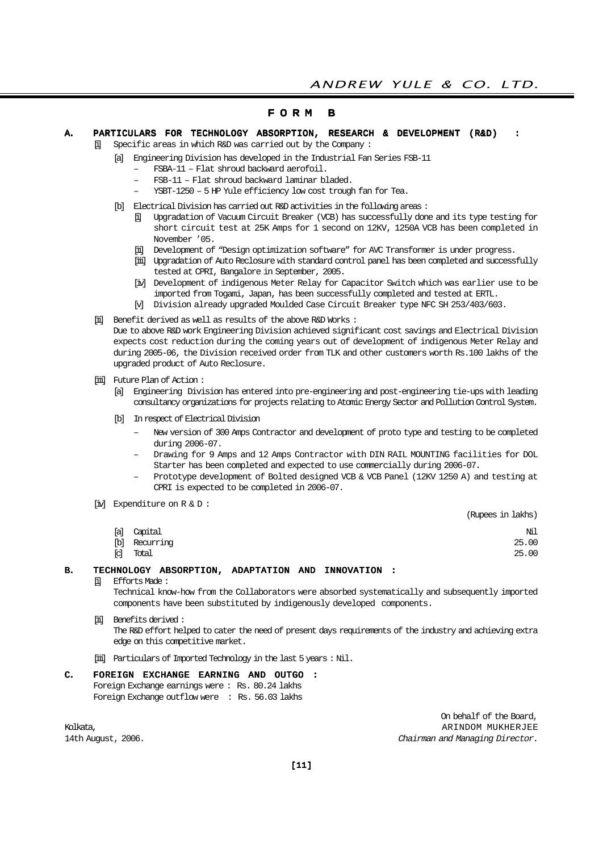#### F O R M B

A. PARTICULARS FOR TECHNOLOGY ABSORPTION, RESEARCH & DEVELOPMENT (R&D) :

Specific areas in which R&D was carried out by the Company :

- [a] Engineering Division has developed in the Industrial Fan Series FSB-11
	- FSBA-11 Flat shroud backward aerofoil.
	- FSB-11 Flat shroud backward laminar bladed.
	- YSBT-1250 5 HP Yule efficiency low cost trough fan for Tea.
- [b] Electrical Division has carried out R&D activities in the following areas :
	- [i] Upgradation of Vacuum Circuit Breaker (VCB) has successfully done and its type testing for short circuit test at 25K Amps for 1 second on 12KV, 1250A VCB has been completed in November '05.
	- [ii] Development of "Design optimization software" for AVC Transformer is under progress.
	- [iii] Upgradation of Auto Reclosure with standard control panel has been completed and successfully tested at CPRI, Bangalore in September, 2005.
	- [iv] Development of indigenous Meter Relay for Capacitor Switch which was earlier use to be imported from Togami, Japan, has been successfully completed and tested at ERTL.
	- [v] Division already upgraded Moulded Case Circuit Breaker type NFC SH 253/403/603.
- [ii] Benefit derived as well as results of the above R&D Works :

Due to above R&D work Engineering Division achieved significant cost savings and Electrical Division expects cost reduction during the coming years out of development of indigenous Meter Relay and during 2005-06, the Division received order from TLK and other customers worth Rs.100 lakhs of the upgraded product of Auto Reclosure.

- [iii] Future Plan of Action:
	- [a] Engineering Division has entered into pre-engineering and post-engineering tie-ups with leading consultancy organizations for projects relating to Atomic Energy Sector and Pollution Control System.
	- [b] In respect of Electrical Division
		- New version of 300 Amps Contractor and development of proto type and testing to be completed during 2006-07.
		- Drawing for 9 Amps and 12 Amps Contractor with DIN RAIL MOUNTING facilities for DOL Starter has been completed and expected to use commercially during 2006-07.
		- Prototype development of Bolted designed VCB & VCB Panel (12KV 1250 A) and testing at CPRI is expected to be completed in 2006-07.
- [iv] Expenditure on R & D :

|     |           | (Rupees in lakhs) |
|-----|-----------|-------------------|
| [a] | Capital   | Νil               |
| [b] | Recurring | 25.00             |
| [c] | Total     | 25.00             |

#### B. TECHNOLOGY ABSORPTION, ADAPTATION AND INNOVATION :

[i] Efforts Made :

Technical know-how from the Collaborators were absorbed systematically and subsequently imported components have been substituted by indigenously developed components.

[ii] Benefits derived : The R&D effort helped to cater the need of present days requirements of the industry and achieving extra

edge on this competitive market.

[iii] Particulars of Imported Technology in the last 5 years : Nil.

#### C. FOREIGN EXCHANGE EARNING AND OUTGO : Foreign Exchange earnings were : Rs. 80.24 lakhs Foreign Exchange outflow were : Rs. 56.03 lakhs

On behalf of the Board, Kolkata, ARINDOM MUKHERJEE GALAA KOLKATA KOLKATA KOLKATA KOLKATA KOLKATA KOLKATA KOLKATA KOLKATA KOLKATA KOLKATA KOLKATA KOLKATA KOLKATA KOLKATA KOLKATA KOLKATA KOLKATA KOLKATA KOLKATA KOLKATA KOLKATA KOLKATA KOLKATA KOLKA 14th August, 2006. 2006. Chairman and Managing Director.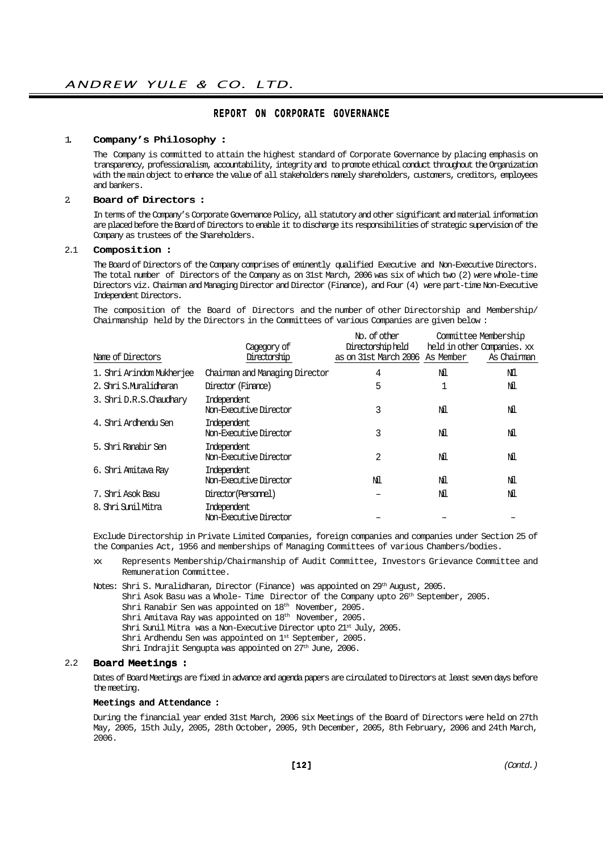#### REPORT ON CORPORATE GOVERNANCE

#### 1. Company's Philosophy :

The Company is committed to attain the highest standard of Corporate Governance by placing emphasis on transparency, professionalism, accountability, integrity and to promote ethical conduct throughout the Organization with the main object to enhance the value of all stakeholders namely shareholders, customers, creditors, employees and bankers.

#### 2. Board of Directors :

In terms of the Company's Corporate Governance Policy, all statutory and other significant and material information are placed before the Board of Directors to enable it to discharge its responsibilities of strategic supervision of the Company as trustees of the Shareholders.

#### 2.1 Composition :

The Board of Directors of the Company comprises of eminently qualified Executive and Non-Executive Directors. The total number of Directors of the Company as on 31st March, 2006 was six of which two (2) were whole-time Directors viz. Chairman and Managing Director and Director (Finance), and Four (4) were part-time Non-Executive Independent Directors.

The composition of the Board of Directors and the number of other Directorship and Membership/ Chairmanship held by the Directors in the Committees of various Companies are given below :

|                           |                                       | No. of other                    |    | Committee Membership        |
|---------------------------|---------------------------------------|---------------------------------|----|-----------------------------|
|                           | Cagegory of                           | Directorship held               |    | held in other Companies. xx |
| Name of Directors         | Directorship                          | as on 31st March 2006 As Member |    | As Chairman                 |
| 1. Shri Arindom Mukherjee | Chairman and Managing Director        | 4                               | Νl | Νĺ                          |
| 2. Shri S.Muralidharan    | Director (Finance)                    | 5                               |    | Νl                          |
| 3. Shri D.R.S. Chaudhary  | Independent<br>Non-Executive Director | 3                               | Νl | Νl                          |
| 4. Shri Ardhendu Sen      | Independent<br>Non-Executive Director | 3                               | Νl | Νl                          |
| 5. Shri Ranabir Sen       | Independent<br>Non-Executive Director | 2                               | ΝĪ | Νl                          |
| 6. Shri Amitava Ray       | Independent<br>Non-Executive Director | ΝĪ                              | ΝĪ | Νl                          |
| 7. Shri Asok Basu         | Director(Personnel)                   |                                 | ΝĪ | Νl                          |
| 8. Shri Sunil Mitra       | Independent<br>Non-Executive Director |                                 |    |                             |

Exclude Directorship in Private Limited Companies, foreign companies and companies under Section 25 of the Companies Act, 1956 and memberships of Managing Committees of various Chambers/bodies.

xx Represents Membership/Chairmanship of Audit Committee, Investors Grievance Committee and Remuneration Committee.

Notes: Shri S. Muralidharan, Director (Finance) was appointed on 29<sup>th</sup> August, 2005.

Shri Asok Basu was a Whole- Time Director of the Company upto  $26<sup>th</sup>$  September,  $2005$ .

Shri Ranabir Sen was appointed on 18th November, 2005.

Shri Amitava Ray was appointed on 18th November, 2005.

Shri Sunil Mitra was a Non-Executive Director upto 21st July, 2005.

Shri Ardhendu Sen was appointed on 1st September, 2005.

Shri Indrajit Sengupta was appointed on 27<sup>th</sup> June, 2006.

#### 2.2 Board Meetings :

Dates of Board Meetings are fixed in advance and agenda papers are circulated to Directors at least seven days before the meeting.

#### Meetings and Attendance :

During the financial year ended 31st March, 2006 six Meetings of the Board of Directors were held on 27th May, 2005, 15th July, 2005, 28th October, 2005, 9th December, 2005, 8th February, 2006 and 24th March, 2006.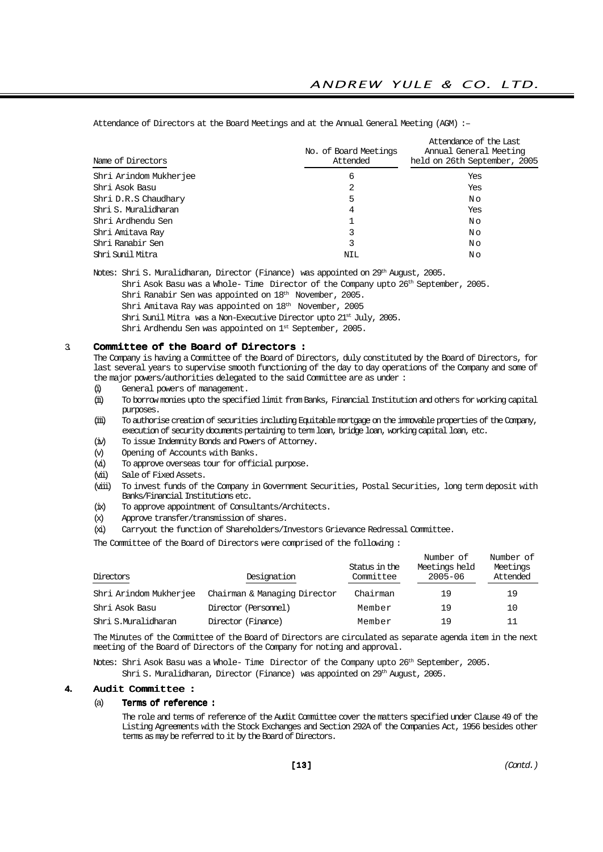Attendance of the Last No. of Board Meetings Annual General Meeting Name of Directors and the Market Attended held on 26th September, 2005 Shri Arindom Mukherjee 6 Yes Shri Asok Basu 2 Yes Shri D.R.S Chaudhary No. No. 2014. The Shri D.R.S Chaudhary No. 2014. The Shri D.R.S Chaudhary No. 2014. The Shri D Shri S. Muralidharan 4 Yes Shri Ardhendu Sen 1 N o Shri Amitava Ray No Constants and the Shri Amitava Ray No Constants and the Shri Amitava Ray No Constants and M Shri Ranabir Sen 3 N o Shri Sunil Mitra Nil No. (1986) Nil No. (1986) Nil No. (1986) Nil No. (1986) Nil No. (1986) Nil No. (1986) Nil N

Attendance of Directors at the Board Meetings and at the Annual General Meeting (AGM) :–

Notes: Shri S. Muralidharan, Director (Finance) was appointed on 29th August, 2005.

Shri Asok Basu was a Whole- Time Director of the Company upto 26th September, 2005.

Shri Ranabir Sen was appointed on 18<sup>th</sup> November, 2005.

Shri Amitava Ray was appointed on 18<sup>th</sup> November, 2005

Shri Sunil Mitra was a Non-Executive Director upto 21st July, 2005.

Shri Ardhendu Sen was appointed on 1st September, 2005.

#### 3. Committee of the Board of Directors :

The Company is having a Committee of the Board of Directors, duly constituted by the Board of Directors, for last several years to supervise smooth functioning of the day to day operations of the Company and some of the major powers/authorities delegated to the said Committee are as under:

- (i) General powers of management.
- (ii) To borrow monies upto the specified limit from Banks, Financial Institution and others for working capital purposes.
- (iii) To authorise creation of securities including Equitable mortgage on the immovable properties of the Company, execution of security documents pertaining to term loan, bridge loan, working capital loan, etc.
- (iv) To issue Indemnity Bonds and Powers of Attorney.
- (v) Opening of Accounts with Banks.
- (vi) To approve overseas tour for official purpose.
- (vii) Sale of Fixed Assets.
- (viii) To invest funds of the Company in Government Securities, Postal Securities, long term deposit with Banks/Financial Institutions etc.
- (ix) To approve appointment of Consultants/Architects.
- (x) Approve transfer/transmission of shares.
- (xi) Carryout the function of Shareholders/Investors Grievance Redressal Committee.

The Committee of the Board of Directors were comprised of the following :

| Directors              | Designation                  | Status in the<br>Committee | Number of<br>Meetings held<br>$2005 - 06$ | Number of<br>Meetings<br>Attended |
|------------------------|------------------------------|----------------------------|-------------------------------------------|-----------------------------------|
| Shri Arindom Mukherjee | Chairman & Managing Director | Chairman                   | 19                                        | 19                                |
| Shri Asok Basu         | Director (Personnel)         | Member                     | 19                                        | 10                                |
| Shri S.Muralidharan    | Director (Finance)           | Member                     | 19                                        | 11                                |

The Minutes of the Committee of the Board of Directors are circulated as separate agenda item in the next meeting of the Board of Directors of the Company for noting and approval.

Notes: Shri Asok Basu was a Whole- Time Director of the Company upto 26<sup>th</sup> September, 2005.

Shri S. Muralidharan, Director (Finance) was appointed on 29<sup>th</sup> August, 2005.

#### 4. Audit Committee :

#### (a) Terms of reference :

The role and terms of reference of the Audit Committee cover the matters specified under Clause 49 of the Listing Agreements with the Stock Exchanges and Section 292A of the Companies Act, 1956 besides other terms as may be referred to it by the Board of Directors.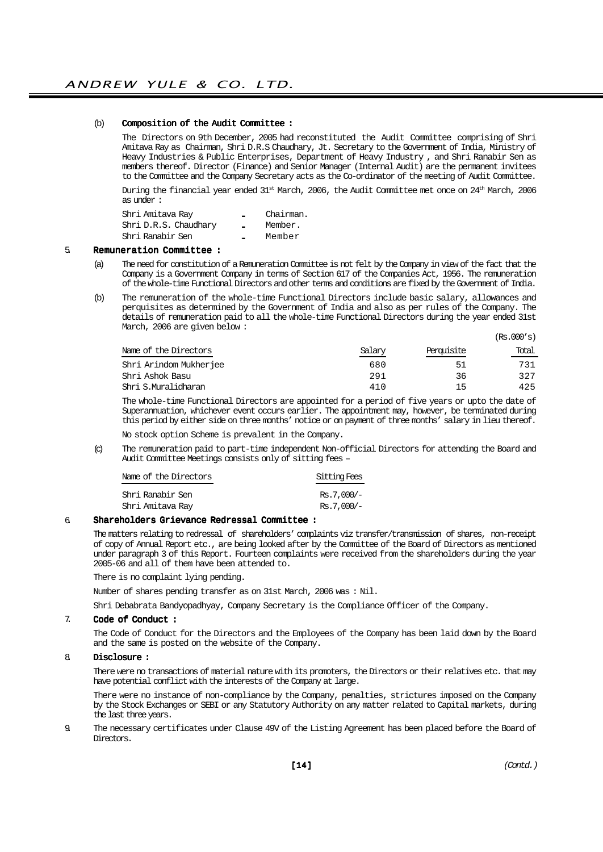#### (b) Composition of the Audit Committee :

The Directors on 9th December, 2005 had reconstituted the Audit Committee comprising of Shri Amitava Ray as Chairman, Shri D.R.S Chaudhary, Jt. Secretary to the Government of India, Ministry of Heavy Industries & Public Enterprises, Department of Heavy Industry , and Shri Ranabir Sen as members thereof. Director (Finance) and Senior Manager (Internal Audit) are the permanent invitees to the Committee and the Company Secretary acts as the Co-ordinator of the meeting of Audit Committee.

During the financial year ended 31st March, 2006, the Audit Committee met once on 24th March, 2006 as under :

| Shri Amitava Ray      |         | Chairman. |
|-----------------------|---------|-----------|
| Shri D.R.S. Chaudhary | <b></b> | Member.   |
| Shri Ranabir Sen      | <b></b> | Member    |

#### 5. Remuneration Committee :

- (a) The need for constitution of a Remuneration Committee is not felt by the Company in view of the fact that the Company is a Government Company in terms of Section 617 of the Companies Act, 1956. The remuneration of the whole-time Functional Directors and other terms and conditions are fixed by the Government of India.
- (b) The remuneration of the whole-time Functional Directors include basic salary, allowances and perquisites as determined by the Government of India and also as per rules of the Company. The details of remuneration paid to all the whole-time Functional Directors during the year ended 31st March, 2006 are given below :  $(P<sub>c</sub>, 000′<sub>c</sub>)$

|        |            | ,     |
|--------|------------|-------|
| Salary | Perquisite | Total |
| 680    | 51         | 731   |
| 291    | 36         | 327   |
| 410    | 15         | 425   |
|        |            |       |

The whole-time Functional Directors are appointed for a period of five years or upto the date of Superannuation, whichever event occurs earlier. The appointment may, however, be terminated during this period by either side on three months' notice or on payment of three months' salary in lieu thereof.

No stock option Scheme is prevalent in the Company.

(c) The remuneration paid to part-time independent Non-official Directors for attending the Board and Audit Committee Meetings consists only of sitting fees –

| Name of the Directors | Sitting Fees |
|-----------------------|--------------|
| Shri Ranabir Sen      | $Rs.7.000/-$ |
| Shri Amitava Ray      | $Rs.7.000/-$ |

#### 6. Shareholders Grievance Redressal Committee :

The matters relating to redressal of shareholders' complaints viz transfer/transmission of shares, non-receipt of copy of Annual Report etc., are being looked after by the Committee of the Board of Directors as mentioned under paragraph 3 of this Report. Fourteen complaints were received from the shareholders during the year 2005-06 and all of them have been attended to.

There is no complaint lying pending.

Number of shares pending transfer as on 31st March, 2006 was : Nil.

Shri Debabrata Bandyopadhyay, Company Secretary is the Compliance Officer of the Company.

#### 7. Code of Conduct :

The Code of Conduct for the Directors and the Employees of the Company has been laid down by the Board and the same is posted on the website of the Company.

#### 8. Disclosure :

There were no transactions of material nature with its promoters, the Directors or their relatives etc. that may have potential conflict with the interests of the Company at large.

There were no instance of non-compliance by the Company, penalties, strictures imposed on the Company by the Stock Exchanges or SEBI or any Statutory Authority on any matter related to Capital markets, during the last three years.

9. The necessary certificates under Clause 49V of the Listing Agreement has been placed before the Board of Directors.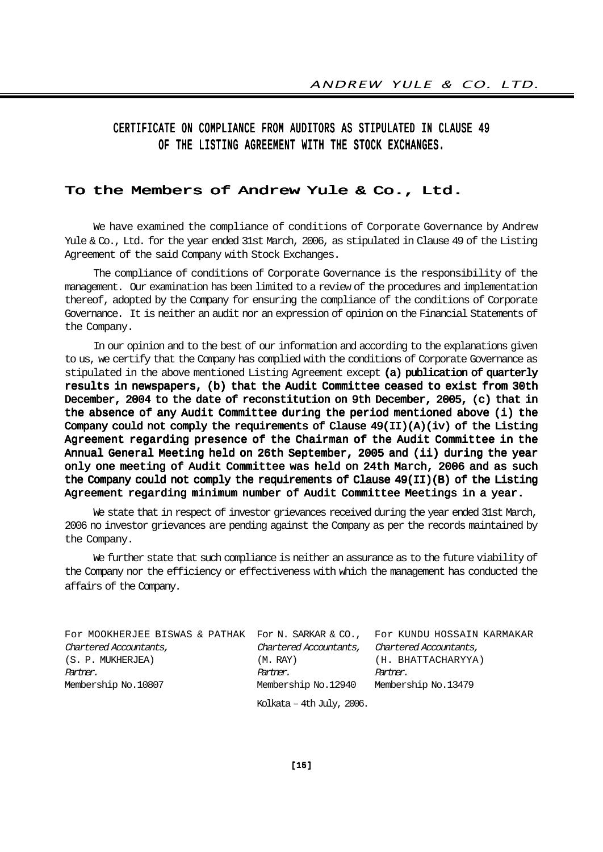# CERTIFICATE ON COMPLIANCE FROM AUDITORS AS STIPULATED IN CLAUSE 49 OF THE LISTING AGREEMENT WITH THE STOCK EXCHANGES.

## To the Members of Andrew Yule & Co., Ltd.

We have examined the compliance of conditions of Corporate Governance by Andrew Yule & Co., Ltd. for the year ended 31st March, 2006, as stipulated in Clause 49 of the Listing Agreement of the said Company with Stock Exchanges.

The compliance of conditions of Corporate Governance is the responsibility of the management. Our examination has been limited to a review of the procedures and implementation thereof, adopted by the Company for ensuring the compliance of the conditions of Corporate Governance. It is neither an audit nor an expression of opinion on the Financial Statements of the Company.

In our opinion and to the best of our information and according to the explanations given to us, we certify that the Company has complied with the conditions of Corporate Governance as stipulated in the above mentioned Listing Agreement except (a) publication of quarterly results in newspapers, (b) that the Audit Committee ceased to exist from 30th December, 2004 to the date of reconstitution on 9th December, 2005, (c) that in the absence of any Audit Committee during the period mentioned above (i) the Company could not comply the requirements of Clause  $49(II)(A)(iv)$  of the Listing Agreement regarding presence of the Chairman of the Audit Committee in the Annual General Meeting held on 26th September, 2005 and (ii) during the year only one meeting of Audit Committee was held on 24th March, 2006 and as such the Company could not comply the requirements of Clause 49(II)(B) of the Listing Agreement regarding minimum number of Audit Committee Meetings in a year.

We state that in respect of investor grievances received during the year ended 31st March, 2006 no investor grievances are pending against the Company as per the records maintained by the Company.

We further state that such compliance is neither an assurance as to the future viability of the Company nor the efficiency or effectiveness with which the management has conducted the affairs of the Company.

For MOOKHERJEE BISWAS & PATHAK For N. SARKAR & CO., For KUNDU HOSSAIN KARMAKAR Chartered Accountants, Chartered Accountants, Chartered Accountants, (S. P. MUKHERJEA) (M. RAY) (H. BHATTACHARYYA) Partner. Partner. Partner. Membership No.10807 Membership No.12940 Membership No.13479

Kolkata – 4th July, 2006.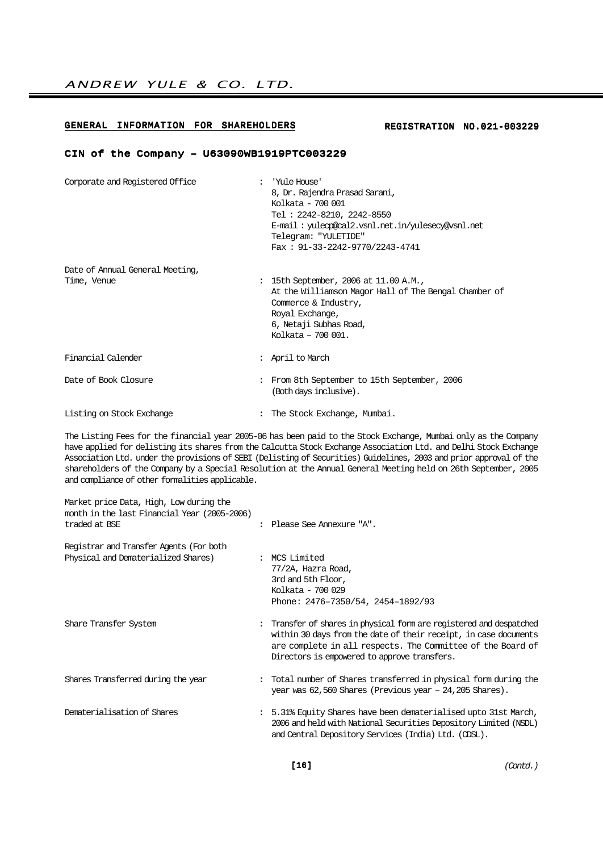### GENERAL INFORMATION FOR SHAREHOLDERS

#### REGISTRATION NO.021-003229

#### CIN of the Company – U63090WB1919PTC003229

| Corporate and Registered Office                | : 'Yule House'<br>8, Dr. Rajendra Prasad Sarani,<br>Kolkata - 700 001<br>Tel: 2242-8210, 2242-8550<br>E-mail: yuleop@cal2.vsnl.net.in/yulesecy@vsnl.net<br>Telegram: "YULETIDE"<br>Fax: $91-33-2242-9770/2243-4741$ |
|------------------------------------------------|---------------------------------------------------------------------------------------------------------------------------------------------------------------------------------------------------------------------|
| Date of Annual General Meeting,<br>Time, Venue | : 15th September, 2006 at 11.00 A.M.,<br>At the Williamson Magor Hall of The Bengal Chamber of<br>Commerce & Industry,<br>Royal Exchange,<br>6, Netaji Subhas Road,<br>Kolkata - 700 001.                           |
| Financial Calender                             | : April to March                                                                                                                                                                                                    |
| Date of Book Closure                           | : From 8th September to 15th September, 2006<br>(Both days inclusive).                                                                                                                                              |
| Listing on Stock Exchange                      | The Stock Exchange, Mumbai.                                                                                                                                                                                         |

The Listing Fees for the financial year 2005-06 has been paid to the Stock Exchange, Mumbai only as the Company have applied for delisting its shares from the Calcutta Stock Exchange Association Ltd. and Delhi Stock Exchange Association Ltd. under the provisions of SEBI (Delisting of Securities) Guidelines, 2003 and prior approval of the shareholders of the Company by a Special Resolution at the Annual General Meeting held on 26th September, 2005 and compliance of other formalities applicable.

| Market price Data, High, Low during the<br>month in the last Financial Year (2005–2006) |                                                                                                                                                                                                                                                        |
|-----------------------------------------------------------------------------------------|--------------------------------------------------------------------------------------------------------------------------------------------------------------------------------------------------------------------------------------------------------|
| traded at BSE                                                                           | : Please See Annexure "A".                                                                                                                                                                                                                             |
| Registrar and Transfer Agents (For both                                                 |                                                                                                                                                                                                                                                        |
| Physical and Dematerialized Shares)                                                     | : MCS Limited<br>77/2A, Hazra Road,<br>3rd and 5th Floor,<br>Kolkata - 700 029<br>Phone: 2476-7350/54, 2454-1892/93                                                                                                                                    |
| Share Transfer System                                                                   | : Transfer of shares in physical form are registered and despatched<br>within 30 days from the date of their receipt, in case documents<br>are complete in all respects. The Committee of the Board of<br>Directors is empowered to approve transfers. |
| Shares Transferred during the year                                                      | : Total number of Shares transferred in physical form during the<br>year was $62,560$ Shares (Previous year $-24,205$ Shares).                                                                                                                         |
| Dematerialisation of Shares                                                             | : 5.31% Equity Shares have been dematerialised upto 31st March,<br>2006 and held with National Securities Depository Limited (NSDL)<br>and Central Depository Services (India) Ltd. (CDSL).                                                            |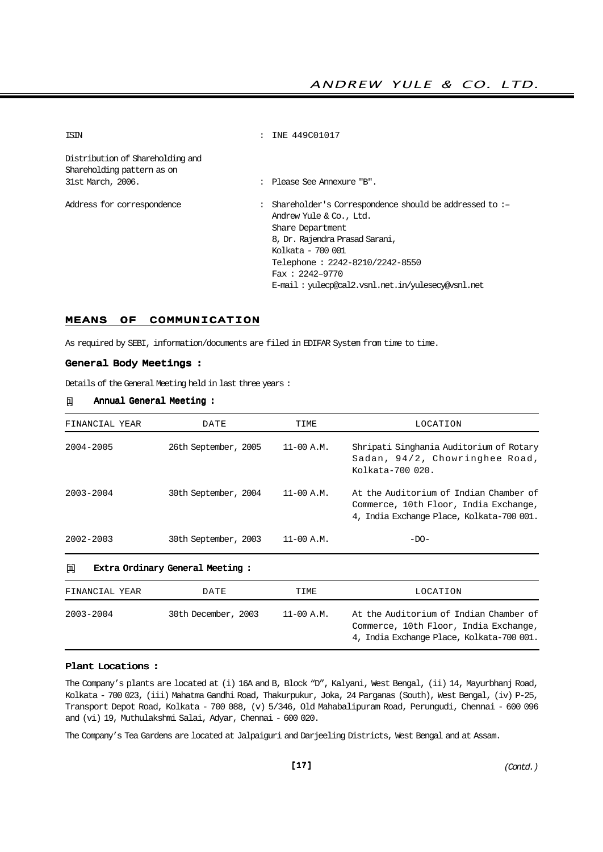| ISIN                                                           | : INE 449C01017                                                                                                                                                                                                                                                              |
|----------------------------------------------------------------|------------------------------------------------------------------------------------------------------------------------------------------------------------------------------------------------------------------------------------------------------------------------------|
| Distribution of Shareholding and<br>Shareholding pattern as on |                                                                                                                                                                                                                                                                              |
| 31st March, 2006.                                              | : Please See Annexure "B".                                                                                                                                                                                                                                                   |
|                                                                |                                                                                                                                                                                                                                                                              |
| Address for correspondence                                     | : Shareholder's Correspondence should be addressed to :-<br>Andrew Yule & Co., Ltd.<br>Share Department<br>8, Dr. Rajendra Prasad Sarani,<br>Kolkata - 700 001<br>Telephone: 2242-8210/2242-8550<br>$Fax : 2242 - 9770$<br>E-mail: yulecp@cal2.vsnl.net.in/yulesecy@vsnl.net |
|                                                                |                                                                                                                                                                                                                                                                              |

#### MEANS OF COMMUNICATION

As required by SEBI, information/documents are filed in EDIFAR System from time to time.

#### General Body Meetings :

Details of the General Meeting held in last three years :

#### [i] Annual General Meeting :

| FINANCIAL YEAR | DATE                            | TIME                             | LOCATION                                                                                                                     |
|----------------|---------------------------------|----------------------------------|------------------------------------------------------------------------------------------------------------------------------|
| 2004-2005      | 26th September, 2005            | $11-00 A.M.$<br>Kolkata-700 020. | Shripati Singhania Auditorium of Rotary<br>Sadan, 94/2, Chowringhee Road,                                                    |
| 2003-2004      | 30th September, 2004            | $11-00$ A.M.                     | At the Auditorium of Indian Chamber of<br>Commerce, 10th Floor, India Exchange,<br>4, India Exchange Place, Kolkata-700 001. |
| $2002 - 2003$  | 30th September, 2003            | $11-00 A.M.$                     | $-DO-$                                                                                                                       |
| 圃              | Extra Ordinary General Meeting: |                                  |                                                                                                                              |
| FINANCIAL YEAR | DATE                            | TIME                             | LOCATION                                                                                                                     |
| $2003 - 2004$  | 30th December, 2003             | $11-00 A.M.$                     | At the Auditorium of Indian Chamber of<br>Commerce, 10th Floor, India Exchange,<br>4, India Exchange Place, Kolkata-700 001. |

#### Plant Locations :

The Company's plants are located at (i) 16A and B, Block "D", Kalyani, West Bengal, (ii) 14, Mayurbhanj Road, Kolkata - 700 023, (iii) Mahatma Gandhi Road, Thakurpukur, Joka, 24 Parganas (South), West Bengal, (iv) P-25, Transport Depot Road, Kolkata - 700 088, (v) 5/346, Old Mahabalipuram Road, Perungudi, Chennai - 600 096 and (vi) 19, Muthulakshmi Salai, Adyar, Chennai - 600 020.

The Company's Tea Gardens are located at Jalpaiguri and Darjeeling Districts, West Bengal and at Assam.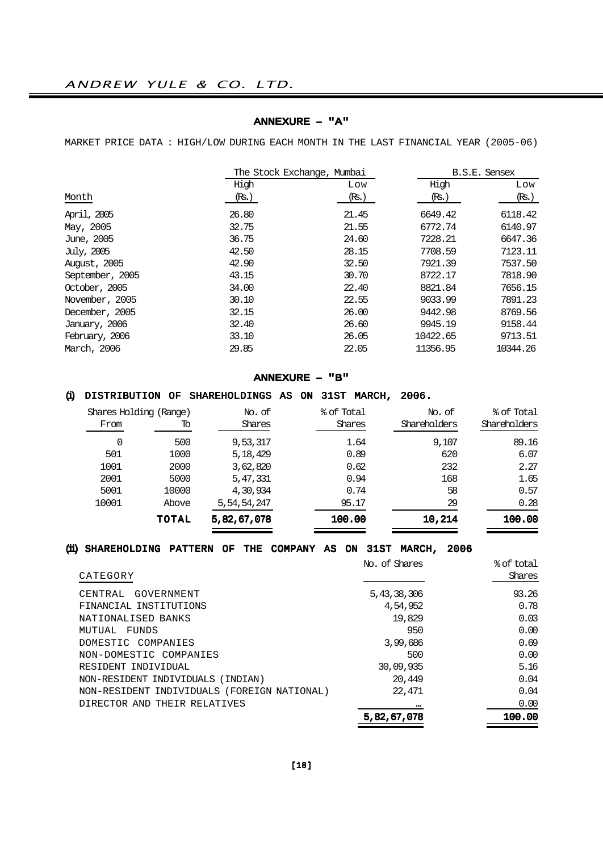#### ANNEXURE – "A"

MARKET PRICE DATA : HIGH/LOW DURING EACH MONTH IN THE LAST FINANCIAL YEAR (2005-06)

|       |       | B.S.E. Sensex              |          |  |
|-------|-------|----------------------------|----------|--|
| High  | Low   | High                       | Low      |  |
| (Rs.) | (Rs.) | (Rs.)                      | (Rs.)    |  |
| 26.80 | 21.45 | 6649.42                    | 6118.42  |  |
| 32.75 | 21.55 | 6772.74                    | 6140.97  |  |
| 36.75 | 24.60 | 7228.21                    | 6647.36  |  |
| 42.50 | 28.15 | 7708.59                    | 7123.11  |  |
| 42.90 | 32.50 | 7921.39                    | 7537.50  |  |
| 43.15 | 30.70 | 8722.17                    | 7818.90  |  |
| 34.00 | 22.40 | 8821.84                    | 7656.15  |  |
| 30.10 | 22.55 | 9033.99                    | 7891.23  |  |
| 32.15 | 26.00 | 9442.98                    | 8769.56  |  |
| 32.40 | 26.60 | 9945.19                    | 9158.44  |  |
| 33.10 | 26.05 | 10422.65                   | 9713.51  |  |
| 29.85 | 22.05 | 11356.95                   | 10344.26 |  |
|       |       | The Stock Exchange, Mumbai |          |  |

#### ANNEXURE – "B"

## (i) DISTRIBUTION OF SHAREHOLDINGS AS ON 31ST MARCH, 2006.

| Shares Holding (Range) |       | % of Total<br>No. of |        | No. of       | % of Total   |  |
|------------------------|-------|----------------------|--------|--------------|--------------|--|
| From                   | Tо    | Shares               | Shares | Shareholders | Shareholders |  |
|                        | 500   | 9,53,317             | 1.64   | 9,107        | 89.16        |  |
| 501                    | 1000  | 5, 18, 429           | 0.89   | 620          | 6.07         |  |
| 1001                   | 2000  | 3,62,820             | 0.62   | 232          | 2.27         |  |
| 2001                   | 5000  | 5,47,331             | 0.94   | 168          | 1.65         |  |
| 5001                   | 10000 | 4,30,934             | 0.74   | 58           | 0.57         |  |
| 10001                  | Above | 5,54,54,247          | 95.17  | 29           | 0.28         |  |
|                        | TOTAL | 5,82,67,078          | 100.00 | 10,214       | 100.00       |  |

## (ii) SHAREHOLDING PATTERN OF THE COMPANY AS ON 31ST MARCH, 2006

|                                             | No. of Shares | % of total |
|---------------------------------------------|---------------|------------|
| CATEGORY                                    |               | Shares     |
| GOVERNMENT<br>CENTRAL                       | 5,43,38,306   | 93.26      |
| FINANCIAL INSTITUTIONS                      | 4,54,952      | 0.78       |
| NATIONALISED BANKS                          | 19,829        | 0.03       |
| MUTUAL FUNDS                                | 950           | 0.00       |
| DOMESTIC COMPANIES                          | 3,99,686      | 0.69       |
| NON-DOMESTIC COMPANIES                      | 500           | 0.00       |
| RESIDENT INDIVIDUAL                         | 30,09,935     | 5.16       |
| NON-RESIDENT INDIVIDUALS (INDIAN)           | 20,449        | 0.04       |
| NON-RESIDENT INDIVIDUALS (FOREIGN NATIONAL) | 22,471        | 0.04       |
| DIRECTOR AND THEIR RELATIVES                |               | 0.00       |
|                                             | 5,82,67,078   | 100.00     |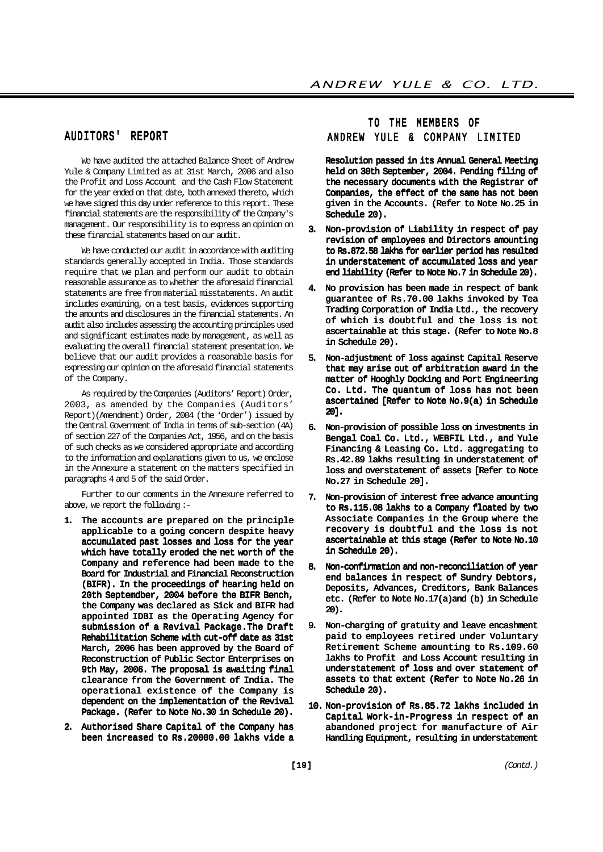# AUDITORS' REPORT

We have audited the attached Balance Sheet of Andrew Yule & Company Limited as at 31st March, 2006 and also the Profit and Loss Account and the Cash Flow Statement for the year ended on that date, both annexed thereto, which we have signed this day under reference to this report. These financial statements are the responsibility of the Company's management. Our responsibility is to express an opinion on these financial statements based on our audit.

We have conducted our audit in accordance with auditing standards generally accepted in India. Those standards require that we plan and perform our audit to obtain reasonable assurance as to whether the aforesaid financial statements are free from material misstatements. An audit includes examining, on a test basis, evidences supporting the amounts and disclosures in the financial statements. An audit also includes assessing the accounting principles used and significant estimates made by management, as well as evaluating the overall financial statement presentation. We believe that our audit provides a reasonable basis for expressing our opinion on the aforesaid financial statements of the Company.

As required by the Companies (Auditors' Report) Order, 2003, as amended by the Companies (Auditors' Report)(Amendment) Order, 2004 (the 'Order') issued by the Central Government of India in terms of sub-section (4A) of section 227 of the Companies Act, 1956, and on the basis of such checks as we considered appropriate and according to the information and explanations given to us, we enclose in the Annexure a statement on the matters specified in paragraphs 4 and 5 of the said Order.

Further to our comments in the Annexure referred to above, we report the following :-

- 1. The accounts are prepared on the principle applicable to a going concern despite heavy accumulated past losses and loss for the year which have totally eroded the net worth of the Company and reference had been made to the Board for Industrial and Financial Reconstruction (BIFR). In the proceedings of hearing held on 20th Septemdber, 2004 before the BIFR Bench, the Company was declared as Sick and BIFR had appointed IDBI as the Operating Agency for submission of a Revival Package.The Draft Rehabilitation Scheme with cut-off date as 31st March, 2006 has been approved by the Board of Reconstruction of Public Sector Enterprises on 9th May, 2006. The proposal is awaiting final clearance from the Government of India. The operational existence of the Company is dependent on the implementation of the Revival Package. (Refer to Note No.30 in Schedule 20).
- 2. Authorised Share Capital of the Company has been increased to Rs.20000.00 lakhs vide a

# TO THE MEMBERS OF ANDREW YULE & COMPANY LIMITED

Resolution passed in its Annual General Meeting held on 30th September, 2004. Pending filing of the necessary documents with the Registrar of Companies, the effect of the same has not been given in the Accounts. (Refer to Note No.25 in Schedule 20).

- 3. Non-provision of Liability in respect of pay revision of employees and Directors amounting to Rs.872.58 lakhs for earlier period has resulted in understatement of accumulated loss and year end liability (Refer to Note No.7 in Schedule 20).
- 4. No provision has been made in respect of bank guarantee of Rs.70.00 lakhs invoked by Tea Trading Corporation of India Ltd., the recovery of which is doubtful and the loss is not ascertainable at this stage. (Refer to Note No.8 in Schedule 20).
- 5. Non-adjustment of loss against Capital Reserve that may arise out of arbitration award in the matter of Hooghly Docking and Port Engineering Co. Ltd. The quantum of loss has not been ascertained [Refer to Note No.9(a) in Schedule 20].
- 6. Non-provision of possible loss on investments in Bengal Coal Co. Ltd., WEBFIL Ltd., and Yule Financing & Leasing Co. Ltd. aggregating to Rs.42.89 lakhs resulting in understatement of loss and overstatement of assets [Refer to Note No.27 in Schedule 20].
- 7. Non-provision of interest free advance amounting to Rs.115.08 lakhs to a Company floated by two Associate Companies in the Group where the recovery is doubtful and the loss is not ascertainable at this stage (Refer to Note No.10 in Schedule 20).
- 8. Non-confirmation and non-reconciliation of year end balances in respect of Sundry Debtors, Deposits, Advances, Creditors, Bank Balances etc. (Refer to Note No.17(a)and (b) in Schedule 20).
- 9. Non-charging of gratuity and leave encashment paid to employees retired under Voluntary Retirement Scheme amounting to Rs.109.60 lakhs to Profit and Loss Account resulting in understatement of loss and over statement of assets to that extent (Refer to Note No.26 in Schedule 20).
- 10. Non-provision of Rs.85.72 lakhs included in Capital Work-in-Progress in respect of an abandoned project for manufacture of Air Handling Equipment, resulting in understatement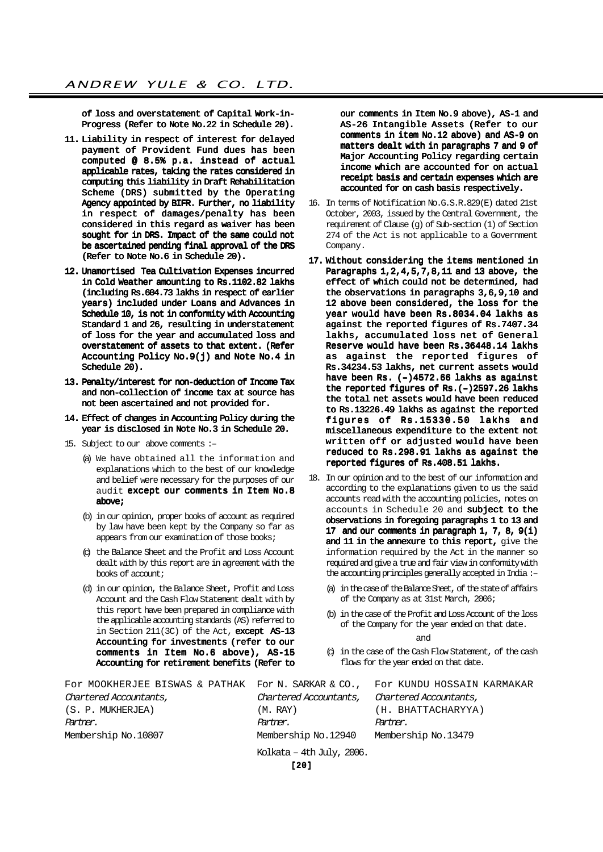of loss and overstatement of Capital Work-in-Progress (Refer to Note No.22 in Schedule 20).

- 11. Liability in respect of interest for delayed payment of Provident Fund dues has been computed @ 8.5% p.a. instead of actual applicable rates, taking the rates considered in computing this liability in Draft Rehabilitation Scheme (DRS) submitted by the Operating Agency appointed by BIFR. Further, no liability in respect of damages/penalty has been considered in this regard as waiver has been sought for in DRS. Impact of the same could not be ascertained pending final approval of the DRS (Refer to Note No.6 in Schedule 20).
- 12. Unamortised Tea Cultivation Expenses incurred in Cold Weather amounting to Rs.1102.82 lakhs (including Rs.604.73 lakhs in respect of earlier years) included under Loans and Advances in Schedule 10, is not in conformity with Accounting Standard 1 and 26, resulting in understatement of loss for the year and accumulated loss and overstatement of assets to that extent. (Refer Accounting Policy No.9(j) and Note No.4 in Schedule 20).
- 13. Penalty/interest for non-deduction of Income Tax and non-collection of income tax at source has not been ascertained and not provided for.
- 14. Effect of changes in Accounting Policy during the year is disclosed in Note No.3 in Schedule 20.
- 15. Subject to our above comments :–
	- (a) We have obtained all the information and explanations which to the best of our knowledge and belief were necessary for the purposes of our audit except our comments in Item No.8 above;
	- (b) in our opinion, proper books of account as required by law have been kept by the Company so far as appears from our examination of those books;
	- (c) the Balance Sheet and the Profit and Loss Account dealt with by this report are in agreement with the books of account;
	- (d) in our opinion, the Balance Sheet, Profit and Loss Account and the Cash Flow Statement dealt with by this report have been prepared in compliance with the applicable accounting standards (AS) referred to in Section 211(3C) of the Act, except AS-13 Accounting for investments (refer to our comments in Item No.6 above), AS-15 Accounting for retirement benefits (Refer to

our comments in Item No.9 above), AS-1 and AS-26 Intangible Assets (Refer to our comments in item No.12 above) and AS-9 on matters dealt with in paragraphs 7 and 9 of Major Accounting Policy regarding certain income which are accounted for on actual receipt basis and certain expenses which are accounted for on cash basis respectively.

- 16. In terms of Notification No.G.S.R.829(E) dated 21st October, 2003, issued by the Central Government, the requirement of Clause (g) of Sub-section (1) of Section 274 of the Act is not applicable to a Government Company.
- 17. Without considering the items mentioned in Paragraphs 1,2,4,5,7,8,11 and 13 above, the effect of which could not be determined, had the observations in paragraphs 3,6,9,10 and 12 above been considered, the loss for the year would have been Rs.8034.04 lakhs as against the reported figures of Rs.7407.34 lakhs, accumulated loss net of General Reserve would have been Rs.36448.14 lakhs as against the reported figures of Rs.34234.53 lakhs, net current assets would have been Rs. (-)4572.66 lakhs as against the reported figures of Rs.(–)2597.26 lakhs the total net assets would have been reduced to Rs.13226.49 lakhs as against the reported figures of Rs.15330.50 lakhs and miscellaneous expenditure to the extent not written off or adjusted would have been reduced to Rs.298.91 lakhs as against the reported figures of Rs.408.51 lakhs.
- 18. In our opinion and to the best of our information and according to the explanations given to us the said accounts read with the accounting policies, notes on accounts in Schedule 20 and subject to the observations in foregoing paragraphs 1 to 13 and 17 and our comments in paragraph 1, 7, 8, 9(i) and 11 in the annexure to this report, give the information required by the Act in the manner so required and give a true and fair view in conformity with the accounting principles generally accepted in India :–
	- (a) in the case of the Balance Sheet, of the state of affairs of the Company as at 31st March, 2006;
	- (b) in the case of the Profit and Loss Account of the loss of the Company for the year ended on that date.

and

(c) in the case of the Cash Flow Statement, of the cash flows for the year ended on that date.

| For MOOKHERJEE BISWAS & PATHAK For N. SARKAR & CO., For KUNDU HOSSAIN KARMAKAR |                           |                        |
|--------------------------------------------------------------------------------|---------------------------|------------------------|
| Chartered Accountants,                                                         | Chartered Accountants,    | Chartered Accountants, |
| (S. P. MUKHERJEA)                                                              | (M. RAY)                  | (H. BHATTACHARYYA)     |
| Partner.                                                                       | Partner.                  | Partner.               |
| Membership No.10807                                                            | Membership No.12940       | Membership No.13479    |
|                                                                                | Kolkata – 4th July, 2006. |                        |
|                                                                                | 1201                      |                        |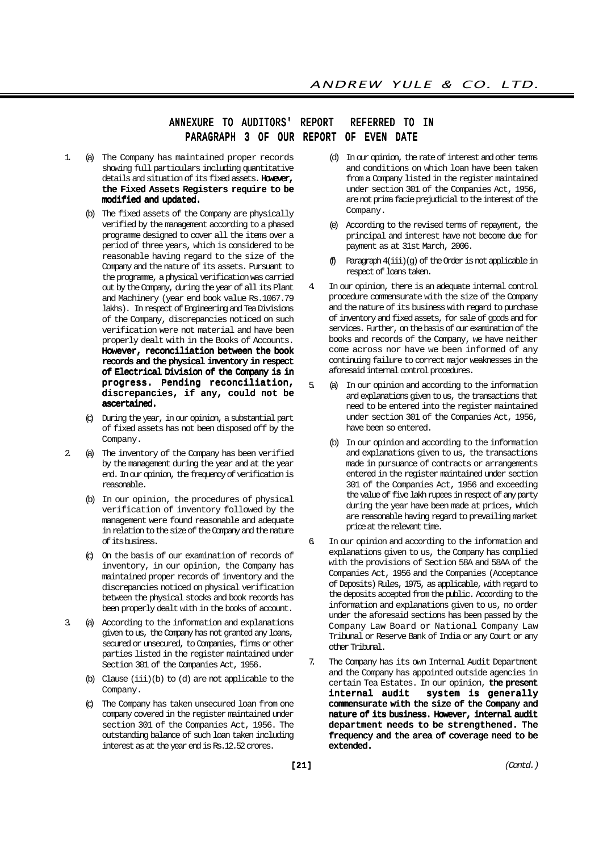# ANNEXURE TO AUDITORS' REPORT REFERRED TO IN PARAGRAPH 3 OF OUR REPORT OF EVEN DATE

- 1. (a) The Company has maintained proper records showing full particulars including quantitative details and situation of its fixed assets. However, the Fixed Assets Registers require to be modified and updated.
	- (b) The fixed assets of the Company are physically verified by the management according to a phased programme designed to cover all the items over a period of three years, which is considered to be reasonable having regard to the size of the Company and the nature of its assets. Pursuant to the programme, a physical verification was carried out by the Company, during the year of all its Plant and Machinery (year end book value Rs.1067.79 lakhs). In respect of Engineering and Tea Divisions of the Company, discrepancies noticed on such verification were not material and have been properly dealt with in the Books of Accounts. However, reconciliation between the book records and the physical inventory in respect of Electrical Division of the Company is in progress. Pending reconciliation, discrepancies, if any, could not be ascertained.
	- (c) During the year, in our opinion, a substantial part of fixed assets has not been disposed off by the Company.
- 2. (a) The inventory of the Company has been verified by the management during the year and at the year end. In our opinion, the frequency of verification is reasonable.
	- (b) In our opinion, the procedures of physical verification of inventory followed by the management were found reasonable and adequate in relation to the size of the Company and the nature of its business.
	- (c) On the basis of our examination of records of inventory, in our opinion, the Company has maintained proper records of inventory and the discrepancies noticed on physical verification between the physical stocks and book records has been properly dealt with in the books of account.
- 3. (a) According to the information and explanations given to us, the Company has not granted any loans, secured or unsecured, to Companies, firms or other parties listed in the register maintained under Section 301 of the Companies Act, 1956.
	- (b) Clause (iii)(b) to (d) are not applicable to the Company.
	- (c) The Company has taken unsecured loan from one company covered in the register maintained under section 301 of the Companies Act, 1956. The outstanding balance of such loan taken including interest as at the year end is Rs.12.52 crores.
- (d) In our opinion, the rate of interest and other terms and conditions on which loan have been taken from a Company listed in the register maintained under section 301 of the Companies Act, 1956, are not prima facie prejudicial to the interest of the Company.
- (e) According to the revised terms of repayment, the principal and interest have not become due for payment as at 31st March, 2006.
- (f) Paragraph 4(iii)(g) of the Order is not applicable in respect of loans taken.
- In our opinion, there is an adequate internal control procedure commensurate with the size of the Company and the nature of its business with regard to purchase of inventory and fixed assets, for sale of goods and for services. Further, on the basis of our examination of the books and records of the Company, we have neither come across nor have we been informed of any continuing failure to correct major weaknesses in the aforesaid internal control procedures.
- 5. (a) In our opinion and according to the information and explanations given to us, the transactions that need to be entered into the register maintained under section 301 of the Companies Act, 1956, have been so entered.
	- (b) In our opinion and according to the information and explanations given to us, the transactions made in pursuance of contracts or arrangements entered in the register maintained under section 301 of the Companies Act, 1956 and exceeding the value of five lakh rupees in respect of any party during the year have been made at prices, which are reasonable having regard to prevailing market price at the relevant time.
- 6. In our opinion and according to the information and explanations given to us, the Company has complied with the provisions of Section 58A and 58AA of the Companies Act, 1956 and the Companies (Acceptance of Deposits) Rules, 1975, as applicable, with regard to the deposits accepted from the public. According to the information and explanations given to us, no order under the aforesaid sections has been passed by the Company Law Board or National Company Law Tribunal or Reserve Bank of India or any Court or any other Tribunal.
- 7. The Company has its own Internal Audit Department and the Company has appointed outside agencies in certain Tea Estates. In our opinion, the present<br>internal audit system is generally system is generally commensurate with the size of the Company and nature of its business. However, internal audit department needs to be strengthened. The frequency and the area of coverage need to be extended.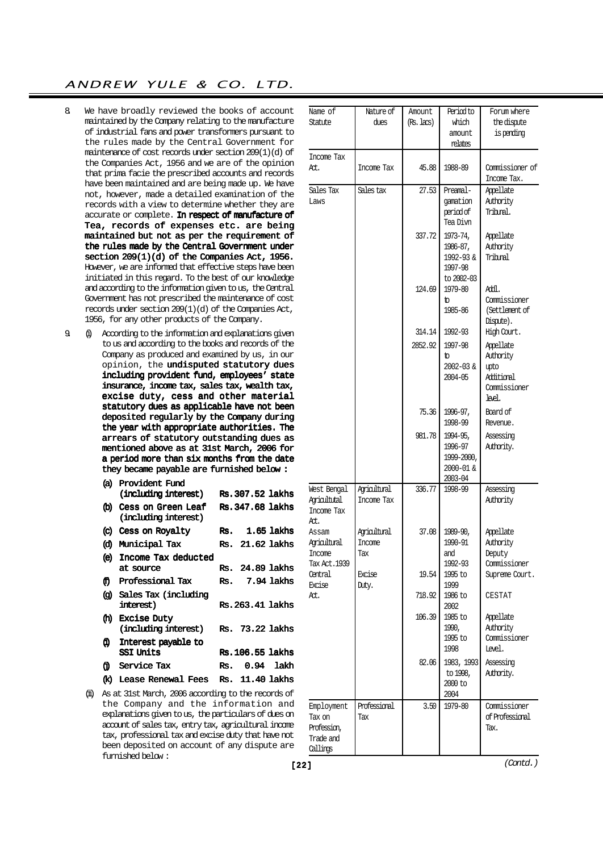- 8. We have broadly reviewed the books of account maintained by the Company relating to the manufacture of industrial fans and power transformers pursuant to the rules made by the Central Government for maintenance of cost records under section 209(1)(d) of the Companies Act, 1956 and we are of the opinion that prima facie the prescribed accounts and records have been maintained and are being made up. We have not, however, made a detailed examination of the records with a view to determine whether they are accurate or complete. In respect of manufacture of Tea, records of expenses etc. are being maintained but not as per the requirement of the rules made by the Central Government under section 209(1)(d) of the Companies Act, 1956. However, we are informed that effective steps have been initiated in this regard. To the best of our knowledge and according to the information given to us, the Central Government has not prescribed the maintenance of cost records under section 209(1)(d) of the Companies Act, 1956, for any other products of the Company.
- 9. (i) According to the information and explanations given to us and according to the books and records of the Company as produced and examined by us, in our opinion, the undisputed statutory dues including provident fund, employees' state insurance, income tax, sales tax, wealth tax, excise duty, cess and other material statutory dues as applicable have not been deposited regularly by the Company during the year with appropriate authorities. The arrears of statutory outstanding dues as mentioned above as at 31st March, 2006 for a period more than six months from the date they became payable are furnished below :

| (a)          | Provident Fund                                 |     |                  |            |
|--------------|------------------------------------------------|-----|------------------|------------|
|              | (including interest)                           |     | Rs. 307.52 lakhs |            |
|              | (b) Cess on Green Leaf<br>(including interest) |     | Rs. 347.68 lakhs |            |
| $\mathbf{C}$ | Cess on Royalty                                | Rs. |                  | 1.65 lakhs |
| ω            | Municipal Tax                                  |     | Rs. 21.62 lakhs  |            |
| $\circ$      | Income Tax deducted                            |     |                  |            |
|              | at source                                      | Rs. | 24.89 lakhs      |            |
| Ð            | Professional Tax                               | Rs. |                  | 7.94 lakhs |
| Θ.           | Sales Tax (including                           |     |                  |            |
|              | interest)                                      |     | Rs. 263.41 lakhs |            |
| ŒD.          | <b>Excise Duty</b>                             |     |                  |            |
|              | (including interest)                           |     | Rs. 73.22 lakhs  |            |
| ω.           | Interest payable to                            |     |                  |            |
|              | SSI Units                                      |     | Rs. 106.55 lakhs |            |
| A            | Service Tax                                    | Rs. |                  | 0.94 lakh  |
| œ            | Lease Renewal Fees                             | Rs. | 11.40 lakhs      |            |

(ii) As at 31st March, 2006 according to the records of the Company and the information and explanations given to us, the particulars of dues on account of sales tax, entry tax, agricultural income tax, professional tax and excise duty that have not been deposited on account of any dispute are furnished below :

| Name of<br>Statute      | Nature of<br>dues | Amount<br>(Rs. lacs) | Period to<br>which     | Forum where<br>the dispute |
|-------------------------|-------------------|----------------------|------------------------|----------------------------|
|                         |                   |                      | amount                 | is pending                 |
|                         |                   |                      | relates                |                            |
| Income Tax              |                   |                      |                        |                            |
| At.                     | Income Tax        | 45.88                | 1988-89                | Commissioner of            |
|                         |                   |                      |                        | Income Tax.                |
| Sales Tax               | Sales tax         | 27.53                | Preamal-               | Appellate                  |
| Laws                    |                   |                      | qamation<br>period of  | Authority<br>Tribral.      |
|                         |                   |                      | Tea Divn               |                            |
|                         |                   | 337.72               | 1973-74,               | Appellate                  |
|                         |                   |                      | 1986-87,               | Authority                  |
|                         |                   |                      | 1992-93 &              | Trihml                     |
|                         |                   |                      | 1997-98                |                            |
|                         |                   |                      | to 2002-03             |                            |
|                         |                   | 124.69               | 1979-80                | AHI.                       |
|                         |                   |                      | to.                    | Commissioner               |
|                         |                   |                      | 1985-86                | (Settlement of             |
|                         |                   | 314.14               | 1992-93                | Dispute).<br>High Court.   |
|                         |                   | 2852.92              | 1997-98                |                            |
|                         |                   |                      | to                     | Appellate<br>Authority     |
|                         |                   |                      | 2002-03 &              | upto                       |
|                         |                   |                      | 2004-05                | Additional                 |
|                         |                   |                      |                        | Commissioner               |
|                         |                   |                      |                        | lael.                      |
|                         |                   | 75.36                | 1996-97,               | Board of                   |
|                         |                   |                      | 1998-99                | Revenue.                   |
|                         |                   | 981.78               | 1994-95,               | Assessing                  |
|                         |                   |                      | 1996-97                | Atthority.                 |
|                         |                   |                      | 1999-2000,             |                            |
|                         |                   |                      | 2000-01 &<br>2003-04   |                            |
| West Bengal             | Aricultural       | 336.77               | 1998-99                | Assessing                  |
| Agricultutal            | Income Tax        |                      |                        | Authority                  |
| Income Tax              |                   |                      |                        |                            |
| At.                     |                   |                      |                        |                            |
| Assam                   | Agricultural      | 37.08                | 1989-90,               | Appellate                  |
| Agricultural            | <b>Income</b>     |                      | 1990-91                | Authority                  |
| Income<br>Tax Act. 1939 | 'l'ax             |                      | and<br>1992-93         | Deputy<br>Commissioner     |
| Central                 | Excise            | 19.54                | 1995 to                | Supreme Court.             |
| Excise                  | Duty.             |                      | 1999                   |                            |
| At.                     |                   | 718.92               | 1986 to                | CESTAT                     |
|                         |                   |                      | 2002                   |                            |
|                         |                   | 106.39               | 1985 to                | Appellate                  |
|                         |                   |                      | 1990,                  | Authority                  |
|                         |                   |                      | 1995 to<br>1998        | Commissioner<br>Level.     |
|                         |                   |                      |                        |                            |
|                         |                   | 82.06                | 1983, 1993<br>to 1998, | Assessing<br>Atthority.    |
|                         |                   |                      | 2000 to                |                            |
|                         |                   |                      | 2004                   |                            |
| Employment              | Professional      | 3.50                 | 1979-80                | Commissioner               |
| Tax on                  | Tax               |                      |                        | of Professional            |
| Profession,             |                   |                      |                        | Tax.                       |
| Trade and               |                   |                      |                        |                            |
| Callings                |                   |                      |                        |                            |

 $[22]$  (Contd.)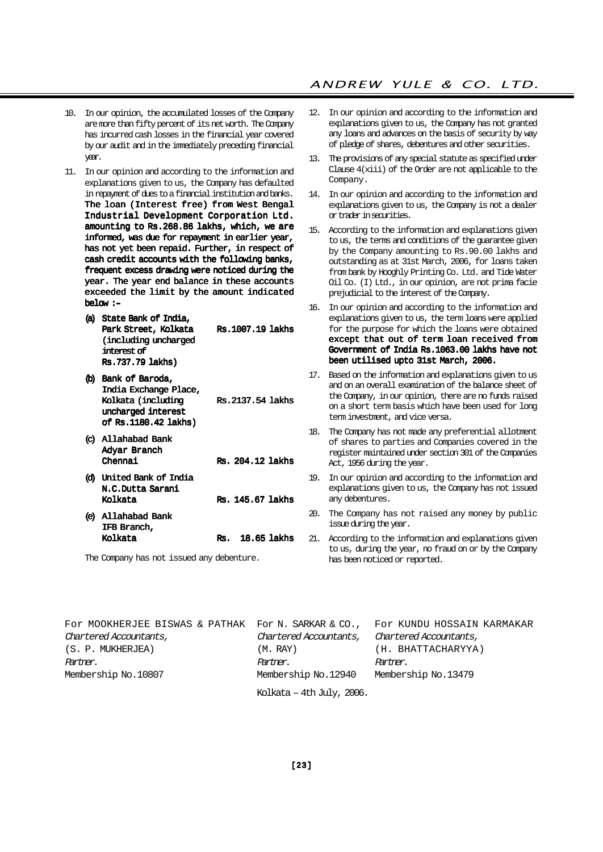# ANDREW YULE & CO. LTD.

- 10. In our opinion, the accumulated losses of the Company are more than fifty percent of its net worth. The Company has incurred cash losses in the financial year covered by our audit and in the immediately preceding financial year.
- 11. In our opinion and according to the information and explanations given to us, the Company has defaulted in repayment of dues to a financial institution and banks. The loan (Interest free) from West Bengal Industrial Development Corporation Ltd. amounting to Rs.268.86 lakhs, which, we are informed, was due for repayment in earlier year, has not yet been repaid. Further, in respect of cash credit accounts with the following banks, frequent excess drawing were noticed during the year. The year end balance in these accounts exceeded the limit by the amount indicated below :–
	- (a) State Bank of India, Park Street, Kolkata Rs.1007.19 lakhs (including uncharged interest of Rs.737.79 lakhs) (b) Bank of Baroda,
	- India Exchange Place, Kolkata (including Rs. 2137.54 lakhs uncharged interest of Rs.1180.42 lakhs)
	- (c) Allahabad Bank Adyar Branch Chennai Rs. 204.12 lakhs (d) United Bank of India N.C.Dutta Sarani Kolkata Rs. 145.67 lakhs (e) Allahabad Bank IFB Branch,

Kolkata Rs. 18.65 lakhs

The Company has not issued any debenture.

- 12. In our opinion and according to the information and explanations given to us, the Company has not granted any loans and advances on the basis of security by way of pledge of shares, debentures and other securities.
- 13. The provisions of any special statute as specified under Clause 4(xiii) of the Order are not applicable to the Company.
- 14. In our opinion and according to the information and explanations given to us, the Company is not a dealer or trader in securities.
- 15. According to the information and explanations given to us, the terms and conditions of the guarantee given by the Company amounting to Rs.90.00 lakhs and outstanding as at 31st March, 2006, for loans taken from bank by Hooghly Printing Co. Ltd. and Tide Water Oil Co. (I) Ltd., in our opinion, are not prima facie prejudicial to the interest of the Company.
- 16. In our opinion and according to the information and explanations given to us, the term loans were applied for the purpose for which the loans were obtained except that out of term loan received from Government of India Rs.1063.00 lakhs have not been utilised upto 31st March, 2006.
- 17. Based on the information and explanations given to us and on an overall examination of the balance sheet of the Company, in our opinion, there are no funds raised on a short term basis which have been used for long term investment, and vice versa.
- 18. The Company has not made any preferential allotment of shares to parties and Companies covered in the register maintained under section 301 of the Companies Act, 1956 during the year.
- 19. In our opinion and according to the information and explanations given to us, the Company has not issued any debentures.
- 20. The Company has not raised any money by public issue during the year.
- 21. According to the information and explanations given to us, during the year, no fraud on or by the Company has been noticed or reported.

| For MOOKHERJEE BISWAS & PATHAK For N. SARKAR & CO., For KUNDU HOSSAIN KARMAKAR |                           |                        |
|--------------------------------------------------------------------------------|---------------------------|------------------------|
| Chartered Accountants,                                                         | Chartered Accountants,    | Chartered Accountants, |
| (S. P. MUKHERJEA)                                                              | (M. RAY)                  | (H. BHATTACHARYYA)     |
| Partner.                                                                       | Partner.                  | Partner.               |
| Membership No.10807                                                            | Membership No.12940       | Membership No.13479    |
|                                                                                | Kolkata - 4th July, 2006. |                        |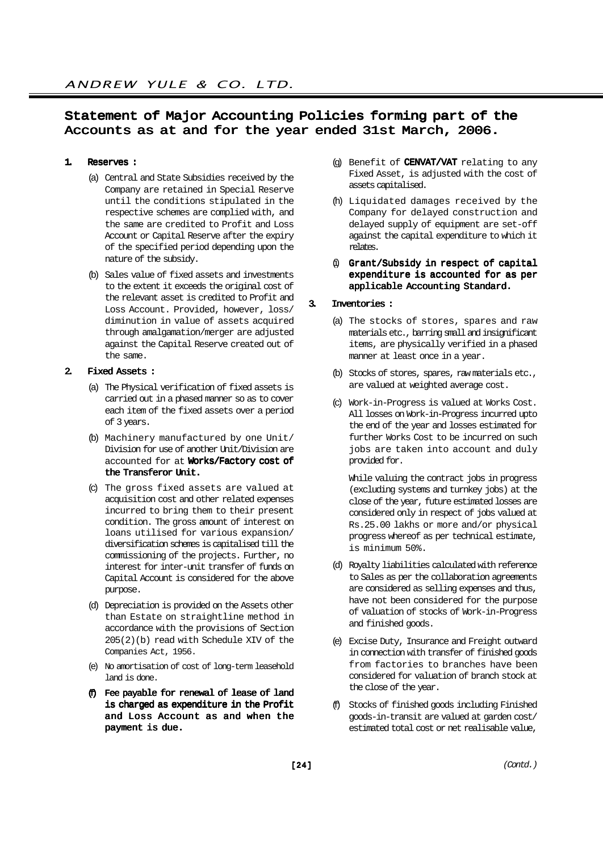# Statement of Major Accounting Policies forming part of the Accounts as at and for the year ended 31st March, 2006.

#### 1. Reserves :

- (a) Central and State Subsidies received by the Company are retained in Special Reserve until the conditions stipulated in the respective schemes are complied with, and the same are credited to Profit and Loss Account or Capital Reserve after the expiry of the specified period depending upon the nature of the subsidy.
- (b) Sales value of fixed assets and investments to the extent it exceeds the original cost of the relevant asset is credited to Profit and Loss Account. Provided, however, loss/ diminution in value of assets acquired through amalgamation/merger are adjusted against the Capital Reserve created out of the same.

#### 2. Fixed Assets :

- (a) The Physical verification of fixed assets is carried out in a phased manner so as to cover each item of the fixed assets over a period of 3 years.
- (b) Machinery manufactured by one Unit/ Division for use of another Unit/Division are accounted for at Works/Factory cost of the Transferor Unit.
- (c) The gross fixed assets are valued at acquisition cost and other related expenses incurred to bring them to their present condition. The gross amount of interest on loans utilised for various expansion/ diversification schemes is capitalised till the commissioning of the projects. Further, no interest for inter-unit transfer of funds on Capital Account is considered for the above purpose.
- (d) Depreciation is provided on the Assets other than Estate on straightline method in accordance with the provisions of Section 205(2)(b) read with Schedule XIV of the Companies Act, 1956.
- (e) No amortisation of cost of long-term leasehold land is done.
- (f) Fee payable for renewal of lease of land is charged as expenditure in the Profit and Loss Account as and when the payment is due.
- (q) Benefit of  $CENVAT/VAT$  relating to any Fixed Asset, is adjusted with the cost of assets capitalised.
- (h) Liquidated damages received by the Company for delayed construction and delayed supply of equipment are set-off against the capital expenditure to which it relates.
- (i) Grant/Subsidy in respect of capital expenditure is accounted for as per applicable Accounting Standard.

#### 3. Inventories :

- (a) The stocks of stores, spares and raw materials etc., barring small and insignificant items, are physically verified in a phased manner at least once in a year.
- (b) Stocks of stores, spares, raw materials etc., are valued at weighted average cost.
- (c) Work-in-Progress is valued at Works Cost. All losses on Work-in-Progress incurred upto the end of the year and losses estimated for further Works Cost to be incurred on such jobs are taken into account and duly provided for.

While valuing the contract jobs in progress (excluding systems and turnkey jobs) at the close of the year, future estimated losses are considered only in respect of jobs valued at Rs.25.00 lakhs or more and/or physical progress whereof as per technical estimate, is minimum 50%.

- (d) Royalty liabilities calculated with reference to Sales as per the collaboration agreements are considered as selling expenses and thus, have not been considered for the purpose of valuation of stocks of Work-in-Progress and finished goods.
- (e) Excise Duty, Insurance and Freight outward in connection with transfer of finished goods from factories to branches have been considered for valuation of branch stock at the close of the year.
- (f) Stocks of finished goods including Finished goods-in-transit are valued at garden cost/ estimated total cost or net realisable value,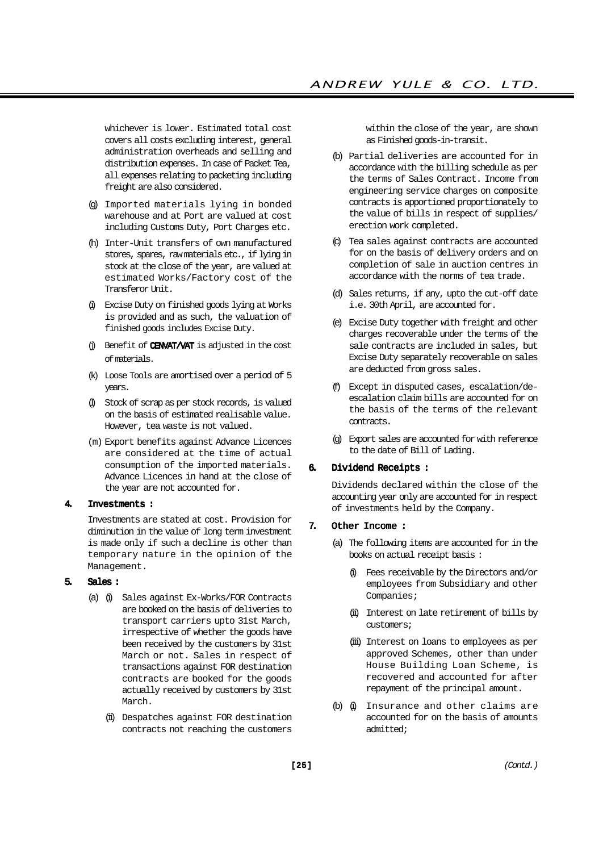whichever is lower. Estimated total cost covers all costs excluding interest, general administration overheads and selling and distribution expenses. In case of Packet Tea, all expenses relating to packeting including freight are also considered.

- (g) Imported materials lying in bonded warehouse and at Port are valued at cost including Customs Duty, Port Charges etc.
- (h) Inter-Unit transfers of own manufactured stores, spares, raw materials etc., if lying in stock at the close of the year, are valued at estimated Works/Factory cost of the Transferor Unit.
- (i) Excise Duty on finished goods lying at Works is provided and as such, the valuation of finished goods includes Excise Duty.
- $(i)$  Benefit of **CENVAT/VAT** is adjusted in the cost of materials.
- (k) Loose Tools are amortised over a period of 5 years.
- (l) Stock of scrap as per stock records, is valued on the basis of estimated realisable value. However, tea waste is not valued.
- (m) Export benefits against Advance Licences are considered at the time of actual consumption of the imported materials. Advance Licences in hand at the close of the year are not accounted for.

#### 4. Investments :

Investments are stated at cost. Provision for diminution in the value of long term investment is made only if such a decline is other than temporary nature in the opinion of the Management.

#### 5. Sales :

- (a) (i) Sales against Ex-Works/FOR Contracts are booked on the basis of deliveries to transport carriers upto 31st March, irrespective of whether the goods have been received by the customers by 31st March or not. Sales in respect of transactions against FOR destination contracts are booked for the goods actually received by customers by 31st March.
	- (ii) Despatches against FOR destination contracts not reaching the customers

within the close of the year, are shown as Finished goods-in-transit.

- (b) Partial deliveries are accounted for in accordance with the billing schedule as per the terms of Sales Contract. Income from engineering service charges on composite contracts is apportioned proportionately to the value of bills in respect of supplies/ erection work completed.
- (c) Tea sales against contracts are accounted for on the basis of delivery orders and on completion of sale in auction centres in accordance with the norms of tea trade.
- (d) Sales returns, if any, upto the cut-off date i.e. 30th April, are accounted for.
- (e) Excise Duty together with freight and other charges recoverable under the terms of the sale contracts are included in sales, but Excise Duty separately recoverable on sales are deducted from gross sales.
- (f) Except in disputed cases, escalation/deescalation claim bills are accounted for on the basis of the terms of the relevant contracts.
- (g) Export sales are accounted for with reference to the date of Bill of Lading.

## 6. Dividend Receipts :

Dividends declared within the close of the accounting year only are accounted for in respect of investments held by the Company.

## 7. Other Income :

- (a) The following items are accounted for in the books on actual receipt basis :
	- (i) Fees receivable by the Directors and/or employees from Subsidiary and other Companies;
	- (ii) Interest on late retirement of bills by customers;
	- (iii) Interest on loans to employees as per approved Schemes, other than under House Building Loan Scheme, is recovered and accounted for after repayment of the principal amount.
- $(b)$   $(i)$  Insurance and other claims are accounted for on the basis of amounts admitted;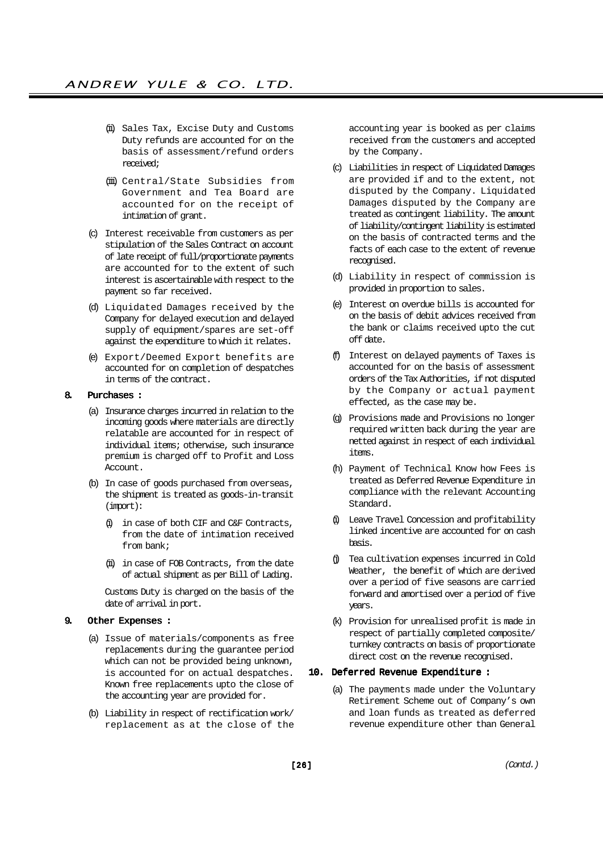- (ii) Sales Tax, Excise Duty and Customs Duty refunds are accounted for on the basis of assessment/refund orders received;
- (iii) Central/State Subsidies from Government and Tea Board are accounted for on the receipt of intimation of grant.
- (c) Interest receivable from customers as per stipulation of the Sales Contract on account of late receipt of full/proportionate payments are accounted for to the extent of such interest is ascertainable with respect to the payment so far received.
- (d) Liquidated Damages received by the Company for delayed execution and delayed supply of equipment/spares are set-off against the expenditure to which it relates.
- (e) Export/Deemed Export benefits are accounted for on completion of despatches in terms of the contract.

#### 8. Purchases :

- (a) Insurance charges incurred in relation to the incoming goods where materials are directly relatable are accounted for in respect of individual items; otherwise, such insurance premium is charged off to Profit and Loss Account.
- (b) In case of goods purchased from overseas, the shipment is treated as goods-in-transit (import):
	- (i) in case of both CIF and C&F Contracts, from the date of intimation received from bank;
	- (ii) in case of FOB Contracts, from the date of actual shipment as per Bill of Lading.

Customs Duty is charged on the basis of the date of arrival in port.

## 9. Other Expenses :

- (a) Issue of materials/components as free replacements during the guarantee period which can not be provided being unknown, is accounted for on actual despatches. Known free replacements upto the close of the accounting year are provided for.
- (b) Liability in respect of rectification work/ replacement as at the close of the

accounting year is booked as per claims received from the customers and accepted by the Company.

- (c) Liabilities in respect of Liquidated Damages are provided if and to the extent, not disputed by the Company. Liquidated Damages disputed by the Company are treated as contingent liability. The amount of liability/contingent liability is estimated on the basis of contracted terms and the facts of each case to the extent of revenue recognised.
- (d) Liability in respect of commission is provided in proportion to sales.
- (e) Interest on overdue bills is accounted for on the basis of debit advices received from the bank or claims received upto the cut off date.
- (f) Interest on delayed payments of Taxes is accounted for on the basis of assessment orders of the Tax Authorities, if not disputed by the Company or actual payment effected, as the case may be.
- (g) Provisions made and Provisions no longer required written back during the year are netted against in respect of each individual items.
- (h) Payment of Technical Know how Fees is treated as Deferred Revenue Expenditure in compliance with the relevant Accounting Standard.
- (i) Leave Travel Concession and profitability linked incentive are accounted for on cash basis.
- (j) Tea cultivation expenses incurred in Cold Weather, the benefit of which are derived over a period of five seasons are carried forward and amortised over a period of five years.
- (k) Provision for unrealised profit is made in respect of partially completed composite/ turnkey contracts on basis of proportionate direct cost on the revenue recognised.

## 10. Deferred Revenue Expenditure :

(a) The payments made under the Voluntary Retirement Scheme out of Company's own and loan funds as treated as deferred revenue expenditure other than General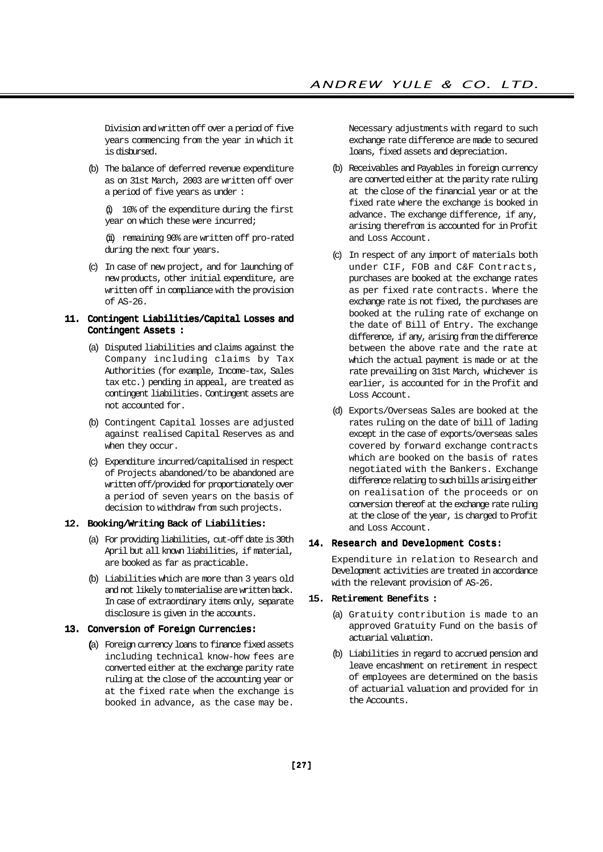Division and written off over a period of five years commencing from the year in which it is disbursed.

(b) The balance of deferred revenue expenditure as on 31st March, 2003 are written off over a period of five years as under :

(i) 10% of the expenditure during the first year on which these were incurred;

(ii) remaining 90% are written off pro-rated during the next four years.

(c) In case of new project, and for launching of new products, other initial expenditure, are written off in compliance with the provision of AS-26.

#### 11. Contingent Liabilities/Capital Losses and Contingent Assets :

- (a) Disputed liabilities and claims against the Company including claims by Tax Authorities (for example, Income-tax, Sales tax etc.) pending in appeal, are treated as contingent liabilities. Contingent assets are not accounted for.
- (b) Contingent Capital losses are adjusted against realised Capital Reserves as and when they occur.
- (c) Expenditure incurred/capitalised in respect of Projects abandoned/to be abandoned are written off/provided for proportionately over a period of seven years on the basis of decision to withdraw from such projects.

#### 12. Booking/Writing Back of Liabilities:

- (a) For providing liabilities, cut-off date is 30th April but all known liabilities, if material, are booked as far as practicable.
- (b) Liabilities which are more than 3 years old and not likely to materialise are written back. In case of extraordinary items only, separate disclosure is given in the accounts.

#### 13. Conversion of Foreign Currencies:

(a) Foreign currency loans to finance fixed assets including technical know-how fees are converted either at the exchange parity rate ruling at the close of the accounting year or at the fixed rate when the exchange is booked in advance, as the case may be.

Necessary adjustments with regard to such exchange rate difference are made to secured loans, fixed assets and depreciation.

- (b) Receivables and Payables in foreign currency are converted either at the parity rate ruling at the close of the financial year or at the fixed rate where the exchange is booked in advance. The exchange difference, if any, arising therefrom is accounted for in Profit and Loss Account.
- (c) In respect of any import of materials both under CIF, FOB and C&F Contracts, purchases are booked at the exchange rates as per fixed rate contracts. Where the exchange rate is not fixed, the purchases are booked at the ruling rate of exchange on the date of Bill of Entry. The exchange difference, if any, arising from the difference between the above rate and the rate at which the actual payment is made or at the rate prevailing on 31st March, whichever is earlier, is accounted for in the Profit and Loss Account.
- (d) Exports/Overseas Sales are booked at the rates ruling on the date of bill of lading except in the case of exports/overseas sales covered by forward exchange contracts which are booked on the basis of rates negotiated with the Bankers. Exchange difference relating to such bills arising either on realisation of the proceeds or on conversion thereof at the exchange rate ruling at the close of the year, is charged to Profit and Loss Account.

#### 14. Research and Development Costs:

Expenditure in relation to Research and Development activities are treated in accordance with the relevant provision of AS-26.

#### 15. Retirement Benefits :

- (a) Gratuity contribution is made to an approved Gratuity Fund on the basis of actuarial valuation.
- (b) Liabilities in regard to accrued pension and leave encashment on retirement in respect of employees are determined on the basis of actuarial valuation and provided for in the Accounts.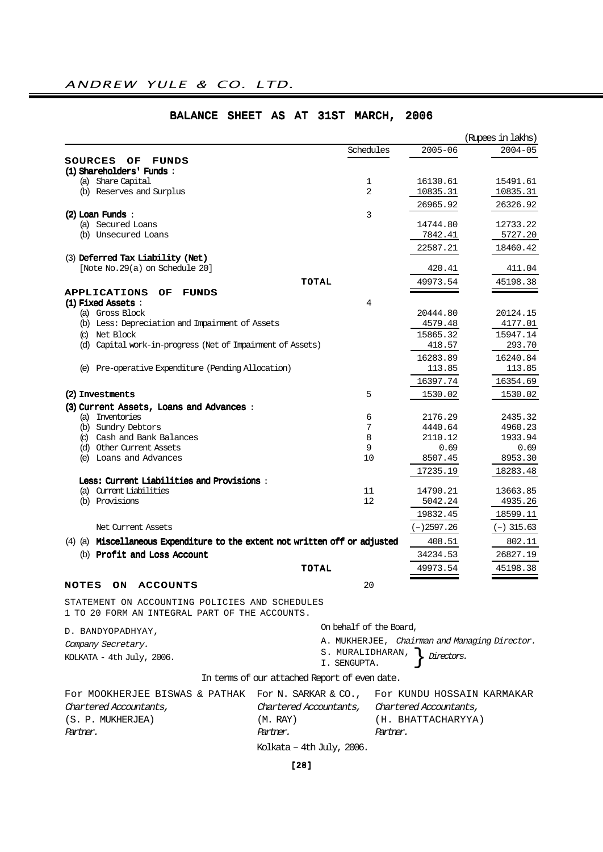|                                                                             |                |              | (Rupees in lakhs) |
|-----------------------------------------------------------------------------|----------------|--------------|-------------------|
|                                                                             | Schedules      | $2005 - 06$  | $2004 - 05$       |
| SOURCES OF<br><b>FUNDS</b>                                                  |                |              |                   |
| (1) Shareholders' Funds:                                                    |                |              |                   |
| (a) Share Capital                                                           | 1              | 16130.61     | 15491.61          |
| (b) Reserves and Surplus                                                    | $\overline{2}$ | 10835.31     | 10835.31          |
|                                                                             |                | 26965.92     | 26326.92          |
| $(2)$ Loan Funds:                                                           | 3              |              |                   |
| (a) Secured Loans                                                           |                | 14744.80     | 12733.22          |
| (b) Unsecured Loans                                                         |                | 7842.41      | 5727.20           |
|                                                                             |                | 22587.21     | 18460.42          |
| (3) Deferred Tax Liability (Net)                                            |                |              |                   |
| [Note No.29(a) on Schedule 20]                                              |                | 420.41       | 411.04            |
| TOTAL                                                                       |                | 49973.54     | 45198.38          |
| <b>APPLICATIONS</b><br>OF<br><b>FUNDS</b>                                   |                |              |                   |
| (1) Fixed Assets :                                                          | 4              |              |                   |
| (a) Gross Block                                                             |                | 20444.80     | 20124.15          |
| (b) Less: Depreciation and Impairment of Assets                             |                | 4579.48      | 4177.01           |
| (c) Net Block                                                               |                | 15865.32     | 15947.14          |
| (d) Capital work-in-progress (Net of Impairment of Assets)                  |                | 418.57       | 293.70            |
|                                                                             |                | 16283.89     | 16240.84          |
| (e) Pre-operative Expenditure (Pending Allocation)                          |                | 113.85       | 113.85            |
|                                                                             |                | 16397.74     | 16354.69          |
| (2) Investments                                                             | 5              | 1530.02      | 1530.02           |
| (3) Current Assets, Loans and Advances:                                     |                |              |                   |
| (a) Inventories                                                             | 6              | 2176.29      | 2435.32           |
| (b) Sundry Debtors                                                          | 7              | 4440.64      | 4960.23           |
| (c) Cash and Bank Balances                                                  | 8              | 2110.12      | 1933.94           |
| (d) Other Current Assets                                                    | 9              | 0.69         | 0.69              |
| (e) Loans and Advances                                                      | 10             | 8507.45      | 8953.30           |
|                                                                             |                | 17235.19     | 18283.48          |
| Less: Current Liabilities and Provisions:                                   |                |              |                   |
| (a) Current Liabilities<br>(b) Provisions                                   | 11<br>12       | 14790.21     | 13663.85          |
|                                                                             |                | 5042.24      | 4935.26           |
|                                                                             |                | 19832.45     | 18599.11          |
| Net Current Assets                                                          |                | $(-)2597.26$ | $(-)$ 315.63      |
| (4) (a) Miscellaneous Expenditure to the extent not written off or adjusted |                | 408.51       | 802.11            |
| (b) Profit and Loss Account                                                 |                | 34234.53     | 26827.19          |
| TOTAL                                                                       |                | 49973.54     | 45198.38          |
| <b>NOTES</b><br><b>ON</b><br><b>ACCOUNTS</b>                                | 20             |              |                   |
|                                                                             |                |              |                   |
| STATEMENT ON ACCOUNTING POLICIES AND SCHEDULES                              |                |              |                   |
| 1 TO 20 FORM AN INTEGRAL PART OF THE ACCOUNTS.                              |                |              |                   |

# BALANCE SHEET AS AT 31ST MARCH, 2006

D. BANDYOPADHYAY,

| On behalf of the Board,                   |                                               |
|-------------------------------------------|-----------------------------------------------|
|                                           | A. MUKHERJEE, Chairman and Managing Director. |
| S. MURALIDHARAN, $\int$ <i>Directors.</i> |                                               |
| I. SENGUPTA.                              |                                               |

KOLKATA - 4th July, 2006.

Company Secretary.

# In terms of our attached Report of even date.

| For MOOKHERJEE BISWAS & PATHAK For N. SARKAR & CO., For KUNDU HOSSAIN KARMAKAR |                                               |                    |
|--------------------------------------------------------------------------------|-----------------------------------------------|--------------------|
| Chartered Accountants,                                                         | Chartered Accountants, Chartered Accountants, |                    |
| (S. P. MUKHERJEA)                                                              | (M. RAY)                                      | (H. BHATTACHARYYA) |
| Partner.                                                                       | Partner.                                      | Partner.           |
|                                                                                | Kolkata – 4th July, 2006.                     |                    |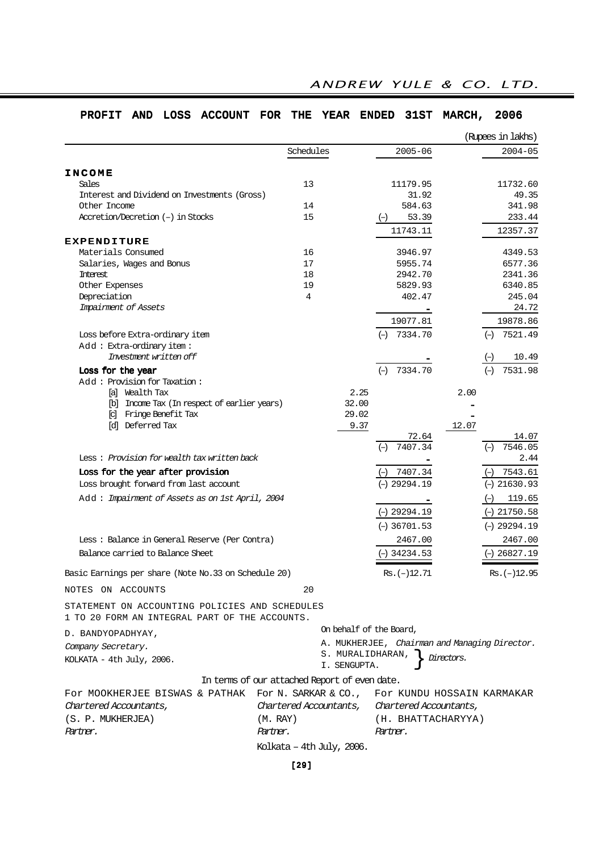| AND LOSS<br>ACCOUNT FOR THE<br><b>PROFIT</b>                                                     |                           |           | <b>YEAR</b> |              | <b>ENDED</b>            | <b>31ST</b>    | MARCH,                 | 2006                                          |
|--------------------------------------------------------------------------------------------------|---------------------------|-----------|-------------|--------------|-------------------------|----------------|------------------------|-----------------------------------------------|
|                                                                                                  |                           |           |             |              |                         |                |                        | (Rupees in lakhs)                             |
|                                                                                                  |                           | Schedules |             |              |                         | $2005 - 06$    |                        | $2004 - 05$                                   |
|                                                                                                  |                           |           |             |              |                         |                |                        |                                               |
| <b>INCOME</b><br>Sales                                                                           |                           | 13        |             |              |                         | 11179.95       |                        | 11732.60                                      |
| Interest and Dividend on Investments (Gross)                                                     |                           |           |             |              |                         | 31.92          |                        | 49.35                                         |
| Other Income                                                                                     |                           | 14        |             |              |                         | 584.63         |                        | 341.98                                        |
| Accretion/Decretion (-) in Stocks                                                                |                           | 15        |             |              | $(-)$                   | 53.39          |                        | 233.44                                        |
|                                                                                                  |                           |           |             |              |                         | 11743.11       |                        | 12357.37                                      |
| <b>EXPENDITURE</b>                                                                               |                           |           |             |              |                         |                |                        |                                               |
| Materials Consumed                                                                               |                           | 16        |             |              |                         | 3946.97        |                        | 4349.53                                       |
| Salaries, Wages and Bonus                                                                        |                           | 17        |             |              |                         | 5955.74        |                        | 6577.36                                       |
| Interest                                                                                         |                           | 18        |             |              |                         | 2942.70        |                        | 2341.36                                       |
| Other Expenses                                                                                   |                           | 19        |             |              |                         | 5829.93        |                        | 6340.85                                       |
| Depreciation                                                                                     |                           | 4         |             |              |                         | 402.47         |                        | 245.04                                        |
| Impairment of Assets                                                                             |                           |           |             |              |                         |                |                        | 24.72                                         |
|                                                                                                  |                           |           |             |              |                         | 19077.81       |                        | 19878.86                                      |
| Loss before Extra-ordinary item                                                                  |                           |           |             |              |                         | $(-)$ 7334.70  |                        | $(-)$ 7521.49                                 |
| Add: Extra-ordinary item:                                                                        |                           |           |             |              |                         |                |                        |                                               |
| Investment written off                                                                           |                           |           |             |              |                         |                |                        | 10.49<br>$(-)$                                |
|                                                                                                  |                           |           |             |              |                         |                |                        |                                               |
| Loss for the year<br>Add: Provision for Taxation:                                                |                           |           |             |              | $(-)$                   | 7334.70        |                        | 7531.98<br>$(-)$                              |
| [a] Wealth Tax                                                                                   |                           |           |             | 2.25         |                         |                | 2.00                   |                                               |
| [b] Income Tax (In respect of earlier years)                                                     |                           |           |             | 32.00        |                         |                |                        |                                               |
| [c] Fringe Benefit Tax                                                                           |                           |           |             | 29.02        |                         |                |                        |                                               |
| [d] Deferred Tax                                                                                 |                           |           |             | 9.37         |                         |                | 12.07                  |                                               |
|                                                                                                  |                           |           |             |              |                         | 72.64          |                        | 14.07                                         |
|                                                                                                  |                           |           |             |              | $(-)$                   | 7407.34        |                        | 7546.05<br>$(-)$                              |
| Less: Provision for wealth tax written back                                                      |                           |           |             |              |                         |                |                        | 2.44                                          |
| Loss for the year after provision                                                                |                           |           |             |              | $(-)$                   | 7407.34        |                        | $(-)$ 7543.61                                 |
| Loss brought forward from last account                                                           |                           |           |             |              |                         | $(-)$ 29294.19 |                        | $(-)$ 21630.93                                |
|                                                                                                  |                           |           |             |              |                         |                |                        |                                               |
| Add: Impairment of Assets as on 1st April, 2004                                                  |                           |           |             |              |                         |                |                        | 119.65<br>$(-)$                               |
|                                                                                                  |                           |           |             |              |                         | $(-)$ 29294.19 |                        | $(-)$ 21750.58                                |
|                                                                                                  |                           |           |             |              |                         | $(-)$ 36701.53 |                        | $(-)$ 29294.19                                |
| Less: Balance in General Reserve (Per Contra)                                                    |                           |           |             |              |                         | 2467.00        |                        | 2467.00                                       |
| Balance carried to Balance Sheet                                                                 |                           |           |             |              |                         | $(-)$ 34234.53 |                        | $(-)$ 26827.19                                |
|                                                                                                  |                           |           |             |              |                         |                |                        |                                               |
| Basic Earnings per share (Note No.33 on Schedule 20)                                             |                           |           |             |              |                         | $Rs. (-)12.71$ |                        | $Rs. (-)12.95$                                |
| NOTES ON ACCOUNTS                                                                                |                           | 20        |             |              |                         |                |                        |                                               |
| STATEMENT ON ACCOUNTING POLICIES AND SCHEDULES<br>1 TO 20 FORM AN INTEGRAL PART OF THE ACCOUNTS. |                           |           |             |              |                         |                |                        |                                               |
| D. BANDYOPADHYAY,                                                                                |                           |           |             |              | On behalf of the Board, |                |                        |                                               |
| Company Secretary.                                                                               |                           |           |             |              |                         |                |                        | A. MUKHERJEE, Chairman and Managing Director. |
|                                                                                                  |                           |           |             |              | S. MURALIDHARAN,        |                | Directors.             |                                               |
| KOLKATA - 4th July, 2006.                                                                        |                           |           |             | I. SENGUPTA. |                         |                |                        |                                               |
| In terms of our attached Report of even date.                                                    |                           |           |             |              |                         |                |                        |                                               |
| FOr MOOKHERJEE BISWAS & PATHAK                                                                   | For N. SARKAR & CO.,      |           |             |              |                         |                |                        | For KUNDU HOSSAIN KARMAKAR                    |
| Chartered Accountants,                                                                           | Chartered Accountants,    |           |             |              |                         |                | Chartered Accountants, |                                               |
| (S. P. MUKHERJEA)                                                                                | (M. RAY)                  |           |             |              |                         |                | (H. BHATTACHARYYA)     |                                               |
| Partner.                                                                                         | Partner.                  |           |             |              | Partner.                |                |                        |                                               |
|                                                                                                  |                           |           |             |              |                         |                |                        |                                               |
|                                                                                                  | Kolkata – 4th July, 2006. |           |             |              |                         |                |                        |                                               |

# ANDREW YULE & CO. LTD.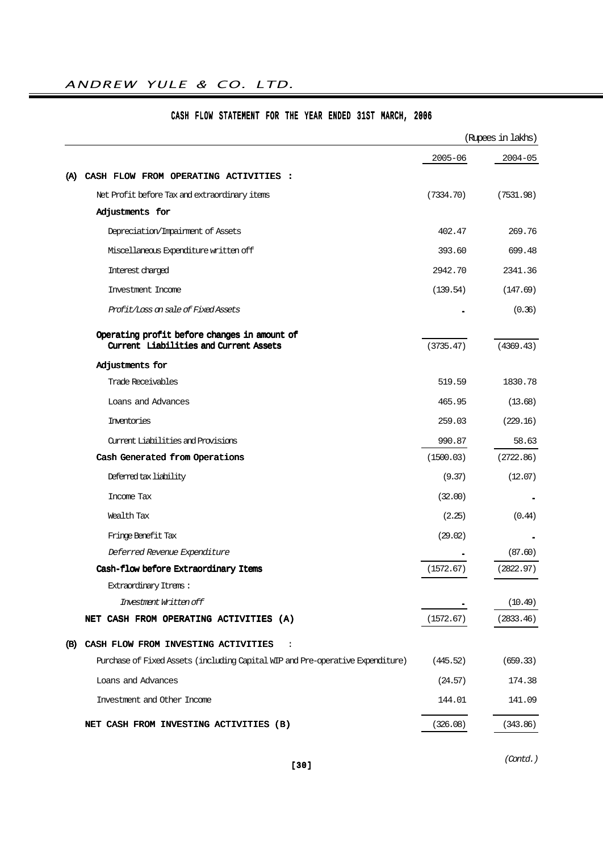# ANDREW YULE & CO. LTD.

|                                                                                        |           | (Rupees in lakhs) |
|----------------------------------------------------------------------------------------|-----------|-------------------|
|                                                                                        | 2005-06   | $2004 - 05$       |
| CASH FLOW FROM OPERATING ACTIVITIES :<br>(A)                                           |           |                   |
| Net Profit before Tax and extraordinary items                                          | (7334.70) | (7531.98)         |
| Adjustments for                                                                        |           |                   |
| Depreciation/Impairment of Assets                                                      | 402.47    | 269.76            |
| Miscellaneous Expenditure written off                                                  | 393.60    | 699.48            |
| Interest charged                                                                       | 2942.70   | 2341.36           |
| Investment Income                                                                      | (139.54)  | (147.69)          |
| Profit/Loss on sale of Fixed Assets                                                    |           | (0.36)            |
| Operating profit before changes in amount of<br>Current Liabilities and Current Assets | (3735.47) | (4369.43)         |
| Adjustments for                                                                        |           |                   |
| Trade Receivables                                                                      | 519.59    | 1830.78           |
| Loans and Advances                                                                     | 465.95    | (13.68)           |
| Inventories                                                                            | 259.03    | (229.16)          |
| Current Liabilities and Provisions                                                     | 990.87    | 58.63             |
| Cash Generated from Operations                                                         | (1500.03) | (2722.86)         |
| Deferred tax liability                                                                 | (9.37)    | (12.07)           |
| Income Tax                                                                             | (32.00)   |                   |
| Wealth Tax                                                                             | (2.25)    | (0.44)            |
| Fringe Benefit Tax                                                                     | (29.02)   |                   |
| Deferred Revenue Expenditure                                                           |           | (87.60)           |
| Cash-flow before Extraordinary Items                                                   | (1572.67) | (2822.97)         |
| Extraordinary Itrens :                                                                 |           |                   |
| Investment Written off                                                                 |           | (10.49)           |
| NET CASH FROM OPERATING ACTIVITIES (A)                                                 | (1572.67) | (2833.46)         |
| CASH FLOW FROM INVESTING ACTIVITIES<br>(B)<br>$\ddot{\cdot}$                           |           |                   |
| Purchase of Fixed Assets (including Capital WIP and Pre-operative Expenditure)         | (445.52)  | (659.33)          |
| Loans and Advances                                                                     | (24.57)   | 174.38            |
| Investment and Other Income                                                            | 144.01    | 141.09            |
| NET CASH FROM INVESTING ACTIVITIES (B)                                                 | (326.08)  | (343.86)          |

# CASH FLOW STATEMENT FOR THE YEAR ENDED 31ST MARCH, 2006

(Contd.)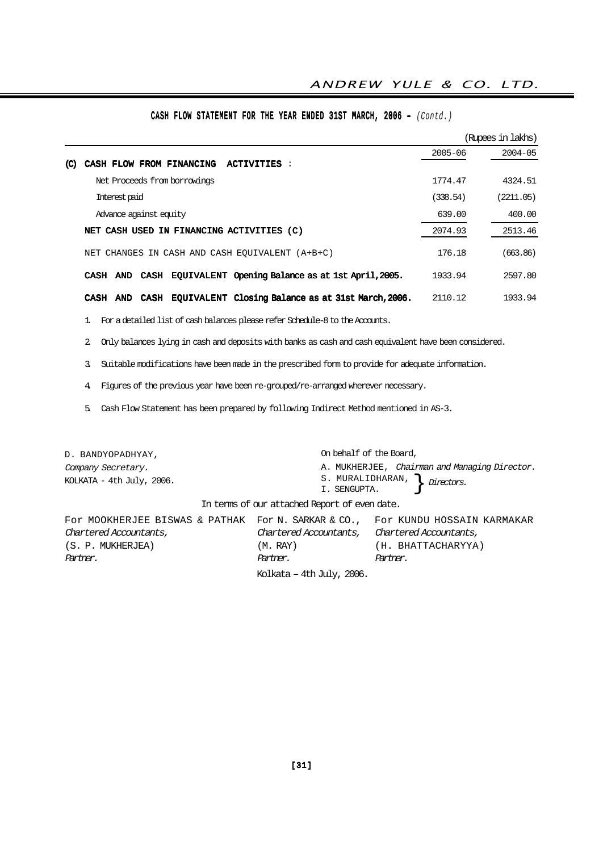|                                                                                                |             | (Rupees in lakhs) |
|------------------------------------------------------------------------------------------------|-------------|-------------------|
|                                                                                                | $2005 - 06$ | $2004 - 05$       |
| CASH FLOW FROM FINANCING<br><b>ACTIVITIES:</b><br>(C)                                          |             |                   |
| Net Proceeds from borrowings                                                                   | 1774.47     | 4324.51           |
| Interest paid                                                                                  | (338.54)    | (2211.05)         |
| Advance against equity                                                                         | 639.00      | 400.00            |
| NET CASH USED IN FINANCING ACTIVITIES (C)                                                      | 2074.93     | 2513.46           |
| NET CHANGES IN CASH AND CASH EOUIVALENT (A+B+C)                                                | 176.18      | (663.86)          |
| CASH EQUIVALENT Opening Balance as at 1st April, 2005.<br><b>CASH</b><br><b>AND</b>            | 1933.94     | 2597.80           |
| EQUIVALENT Closing Balance as at 31st March, 2006.<br><b>CASH</b><br><b>CASH</b><br><b>AND</b> | 2110.12     | 1933.94           |

# CASH FLOW STATEMENT FOR THE YEAR ENDED 31ST MARCH, 2006 – (Contd.)

1. For a detailed list of cash balances please refer Schedule-8 to the Accounts.

2. Only balances lying in cash and deposits with banks as cash and cash equivalent have been considered.

3. Suitable modifications have been made in the prescribed form to provide for adequate information.

4. Figures of the previous year have been re-grouped/re-arranged wherever necessary.

5. Cash Flow Statement has been prepared by following Indirect Method mentioned in AS-3.

| D. BANDYOPADHYAY,                                                                                        | On behalf of the Board,                       |                                                                                     |
|----------------------------------------------------------------------------------------------------------|-----------------------------------------------|-------------------------------------------------------------------------------------|
| Company Secretary.<br>KOLKATA - $4th$ July, 2006.                                                        | I. SENGUPTA.                                  | A. MUKHERJEE, Chairman and Managing Director.<br>S. MURALIDHARAN, $\int$ Directors. |
|                                                                                                          | In terms of our attached Report of even date. |                                                                                     |
| For MOOKHERJEE BISWAS & PATHAK For N. SARKAR & CO., For KUNDU HOSSAIN KARMAKAR<br>Chartered Accountants, | Chartered Accountants, Chartered Accountants, |                                                                                     |
| (S. P. MUKHERJEA)                                                                                        | (M. RAY)                                      | (H. BHATTACHARYYA)                                                                  |
| Partner.                                                                                                 | Partner.                                      | Partner.                                                                            |
|                                                                                                          | Kolkata - 4th July, 2006.                     |                                                                                     |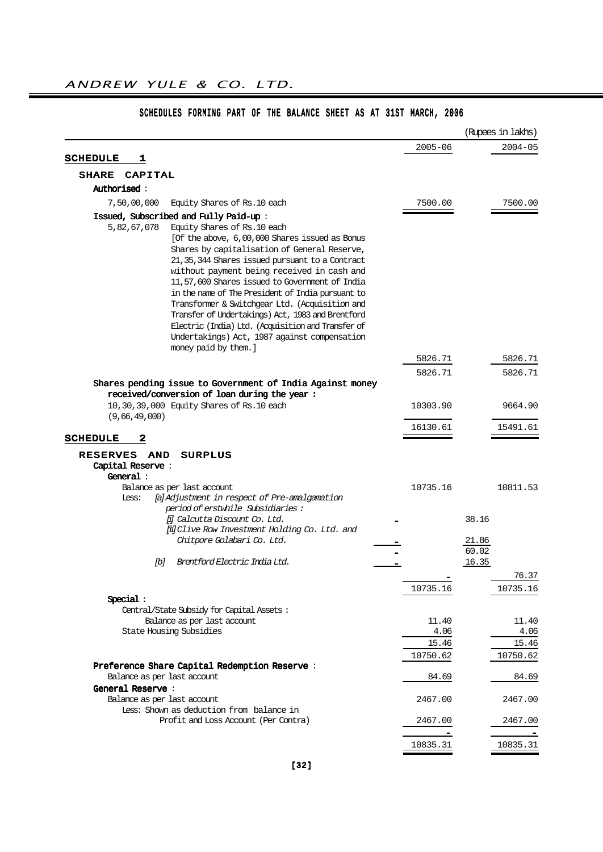|                                                                                                                                                                                                                                                                                                                                                                                                                                                                                                                                                                    |             | (Rupees in lakhs) |
|--------------------------------------------------------------------------------------------------------------------------------------------------------------------------------------------------------------------------------------------------------------------------------------------------------------------------------------------------------------------------------------------------------------------------------------------------------------------------------------------------------------------------------------------------------------------|-------------|-------------------|
|                                                                                                                                                                                                                                                                                                                                                                                                                                                                                                                                                                    | $2005 - 06$ | $2004 - 05$       |
| <b>SCHEDULE</b><br>1                                                                                                                                                                                                                                                                                                                                                                                                                                                                                                                                               |             |                   |
| <b>SHARE</b><br>CAPITAL                                                                                                                                                                                                                                                                                                                                                                                                                                                                                                                                            |             |                   |
| <b>Authorised :</b>                                                                                                                                                                                                                                                                                                                                                                                                                                                                                                                                                |             |                   |
| 7,50,00,000<br>Equity Shares of Rs.10 each                                                                                                                                                                                                                                                                                                                                                                                                                                                                                                                         | 7500.00     | 7500.00           |
| Issued, Subscribed and Fully Paid-up:                                                                                                                                                                                                                                                                                                                                                                                                                                                                                                                              |             |                   |
| 5,82,67,078<br>Equity Shares of Rs.10 each<br>[Of the above, 6,00,000 Shares issued as Bonus<br>Shares by capitalisation of General Reserve,<br>21, 35, 344 Shares issued pursuant to a Contract<br>without payment being received in cash and<br>11,57,600 Shares issued to Government of India<br>in the name of The President of India pursuant to<br>Transformer & Switchgear Ltd. (Acquisition and<br>Transfer of Undertakings) Act, 1983 and Brentford<br>Electric (India) Ltd. (Acquisition and Transfer of<br>Undertakings) Act, 1987 against compensation |             |                   |
| money paid by them.]                                                                                                                                                                                                                                                                                                                                                                                                                                                                                                                                               | 5826.71     | 5826.71           |
|                                                                                                                                                                                                                                                                                                                                                                                                                                                                                                                                                                    | 5826.71     | 5826.71           |
| Shares pending issue to Government of India Against money                                                                                                                                                                                                                                                                                                                                                                                                                                                                                                          |             |                   |
| received/conversion of loan during the year:                                                                                                                                                                                                                                                                                                                                                                                                                                                                                                                       |             |                   |
| 10,30,39,000 Equity Shares of Rs.10 each                                                                                                                                                                                                                                                                                                                                                                                                                                                                                                                           | 10303.90    | 9664.90           |
| (9,66,49,000)                                                                                                                                                                                                                                                                                                                                                                                                                                                                                                                                                      | 16130.61    | 15491.61          |
| 2<br><b>SCHEDULE</b>                                                                                                                                                                                                                                                                                                                                                                                                                                                                                                                                               |             |                   |
| <b>RESERVES</b><br>AND<br><b>SURPLUS</b>                                                                                                                                                                                                                                                                                                                                                                                                                                                                                                                           |             |                   |
| Capital Reserve:                                                                                                                                                                                                                                                                                                                                                                                                                                                                                                                                                   |             |                   |
| General :                                                                                                                                                                                                                                                                                                                                                                                                                                                                                                                                                          |             |                   |
| Balance as per last account<br>Less:                                                                                                                                                                                                                                                                                                                                                                                                                                                                                                                               | 10735.16    | 10811.53          |
| [a] Adjustment in respect of Pre-amalgamation<br>period of erstwhile Subsidiaries:                                                                                                                                                                                                                                                                                                                                                                                                                                                                                 |             |                   |
| [i] Calcutta Discount Co. Ltd.                                                                                                                                                                                                                                                                                                                                                                                                                                                                                                                                     |             | 38.16             |
| [ii] Clive Row Investment Holding Co. Ltd. and                                                                                                                                                                                                                                                                                                                                                                                                                                                                                                                     |             |                   |
| Chitpore Golabari Co. Ltd.                                                                                                                                                                                                                                                                                                                                                                                                                                                                                                                                         |             | 21.86             |
|                                                                                                                                                                                                                                                                                                                                                                                                                                                                                                                                                                    |             | 60.02             |
| Brentford Electric India Ltd.<br>ſЫ                                                                                                                                                                                                                                                                                                                                                                                                                                                                                                                                |             | <u>16.35</u>      |
|                                                                                                                                                                                                                                                                                                                                                                                                                                                                                                                                                                    |             | 76.37             |
|                                                                                                                                                                                                                                                                                                                                                                                                                                                                                                                                                                    | 10735.16    | 10735.16          |
| Special:                                                                                                                                                                                                                                                                                                                                                                                                                                                                                                                                                           |             |                   |
| Central/State Subsidy for Capital Assets:                                                                                                                                                                                                                                                                                                                                                                                                                                                                                                                          |             |                   |
| Balance as per last account                                                                                                                                                                                                                                                                                                                                                                                                                                                                                                                                        | 11.40       | 11.40             |
| State Housing Subsidies                                                                                                                                                                                                                                                                                                                                                                                                                                                                                                                                            | 4.06        | 4.06              |
|                                                                                                                                                                                                                                                                                                                                                                                                                                                                                                                                                                    | 15.46       | 15.46             |
|                                                                                                                                                                                                                                                                                                                                                                                                                                                                                                                                                                    | 10750.62    | 10750.62          |
| Preference Share Capital Redemption Reserve:                                                                                                                                                                                                                                                                                                                                                                                                                                                                                                                       |             |                   |
| Balance as per last account                                                                                                                                                                                                                                                                                                                                                                                                                                                                                                                                        | 84.69       | 84.69             |
| General Reserve:                                                                                                                                                                                                                                                                                                                                                                                                                                                                                                                                                   |             |                   |
| Balance as per last account                                                                                                                                                                                                                                                                                                                                                                                                                                                                                                                                        | 2467.00     | 2467.00           |
| Less: Shown as deduction from balance in                                                                                                                                                                                                                                                                                                                                                                                                                                                                                                                           |             |                   |
| Profit and Loss Account (Per Contra)                                                                                                                                                                                                                                                                                                                                                                                                                                                                                                                               | 2467.00     | 2467.00           |
|                                                                                                                                                                                                                                                                                                                                                                                                                                                                                                                                                                    |             |                   |
|                                                                                                                                                                                                                                                                                                                                                                                                                                                                                                                                                                    | 10835.31    | 10835.31          |

# SCHEDULES FORMING PART OF THE BALANCE SHEET AS AT 31ST MARCH, 2006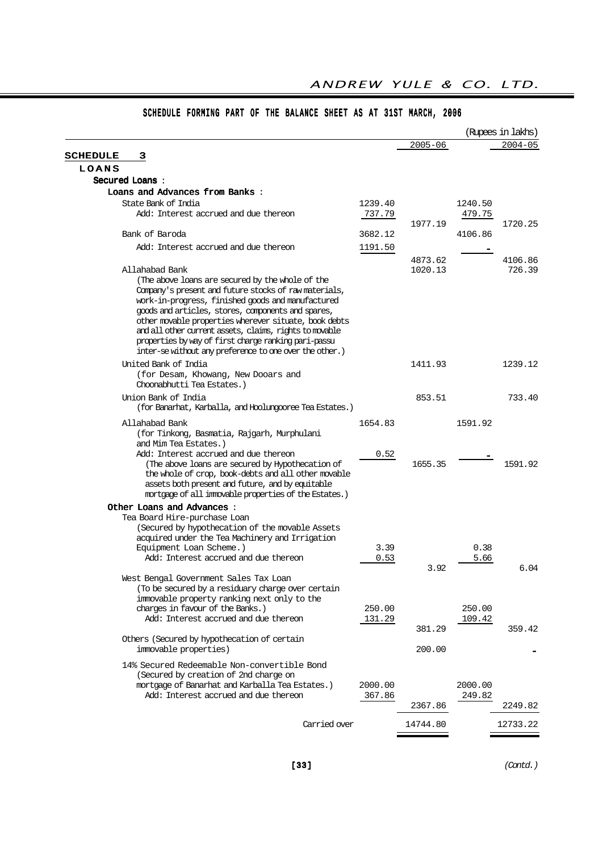|                                                                                                                                                                                                                                                                                                                                       |                   |             |                   | (Rupees in lakhs) |
|---------------------------------------------------------------------------------------------------------------------------------------------------------------------------------------------------------------------------------------------------------------------------------------------------------------------------------------|-------------------|-------------|-------------------|-------------------|
|                                                                                                                                                                                                                                                                                                                                       |                   | $2005 - 06$ |                   | $2004 - 05$       |
| <b>SCHEDULE</b><br>3                                                                                                                                                                                                                                                                                                                  |                   |             |                   |                   |
| LOANS                                                                                                                                                                                                                                                                                                                                 |                   |             |                   |                   |
| Secured Loans:                                                                                                                                                                                                                                                                                                                        |                   |             |                   |                   |
| Loans and Advances from Banks:                                                                                                                                                                                                                                                                                                        |                   |             |                   |                   |
| State Bank of India<br>Add: Interest accrued and due thereon                                                                                                                                                                                                                                                                          | 1239.40<br>737.79 |             | 1240.50<br>479.75 |                   |
|                                                                                                                                                                                                                                                                                                                                       |                   | 1977.19     |                   | 1720.25           |
| Bank of Baroda                                                                                                                                                                                                                                                                                                                        | 3682.12           |             | 4106.86           |                   |
| Add: Interest accrued and due thereon                                                                                                                                                                                                                                                                                                 | 1191.50           |             |                   |                   |
|                                                                                                                                                                                                                                                                                                                                       |                   | 4873.62     |                   | 4106.86           |
| Allahabad Bank<br>(The above loans are secured by the whole of the<br>Company's present and future stocks of raw materials,<br>work-in-progress, finished goods and manufactured<br>goods and articles, stores, components and spares,<br>other movable properties wherever situate, book debts                                       |                   | 1020.13     |                   | 726.39            |
| and all other current assets, claims, rights to movable<br>properties by way of first charge ranking pari-passu<br>inter-se without any preference to one over the other.)                                                                                                                                                            |                   |             |                   |                   |
| United Bank of India<br>(for Desam, Khowang, New Dooars and<br>Choonabhutti Tea Estates.)                                                                                                                                                                                                                                             |                   | 1411.93     |                   | 1239.12           |
| Union Bank of India<br>(for Banarhat, Karballa, and Hoolungooree Tea Estates.)                                                                                                                                                                                                                                                        |                   | 853.51      |                   | 733.40            |
| Allahabad Bank                                                                                                                                                                                                                                                                                                                        | 1654.83           |             | 1591.92           |                   |
| (for Tinkong, Basmatia, Rajgarh, Murphulani<br>and Mim Tea Estates.)<br>Add: Interest accrued and due thereon<br>(The above loans are secured by Hypothecation of<br>the whole of crop, book-debts and all other movable<br>assets both present and future, and by equitable<br>mortgage of all immovable properties of the Estates.) | 0.52              | 1655.35     |                   | 1591.92           |
| Other Loans and Advances :                                                                                                                                                                                                                                                                                                            |                   |             |                   |                   |
| Tea Board Hire-purchase Loan<br>(Secured by hypothecation of the movable Assets<br>acquired under the Tea Machinery and Irrigation<br>Equipment Loan Scheme.)<br>Add: Interest accrued and due thereon                                                                                                                                | 3.39<br>0.53      |             | 0.38<br>5.66      |                   |
| West Bengal Government Sales Tax Loan<br>(To be secured by a residuary charge over certain<br>immovable property ranking next only to the                                                                                                                                                                                             |                   | 3.92        |                   | 6.04              |
| charges in favour of the Banks.)<br>Add: Interest accrued and due thereon                                                                                                                                                                                                                                                             | 250.00<br>131.29  | 381.29      | 250.00<br>109.42  | 359.42            |
| Others (Secured by hypothecation of certain<br>immovable properties)                                                                                                                                                                                                                                                                  |                   | 200.00      |                   |                   |
| 14% Secured Redeemable Non-convertible Bond<br>(Secured by creation of 2nd charge on<br>mortgage of Banarhat and Karballa Tea Estates.)<br>Add: Interest accrued and due thereon                                                                                                                                                      | 2000.00           |             | 2000.00<br>249.82 |                   |
|                                                                                                                                                                                                                                                                                                                                       | 367.86            | 2367.86     |                   | 2249.82           |
| Carried over                                                                                                                                                                                                                                                                                                                          |                   | 14744.80    |                   | 12733.22          |
|                                                                                                                                                                                                                                                                                                                                       |                   |             |                   |                   |

# SCHEDULE FORMING PART OF THE BALANCE SHEET AS AT 31ST MARCH, 2006

(Contd.)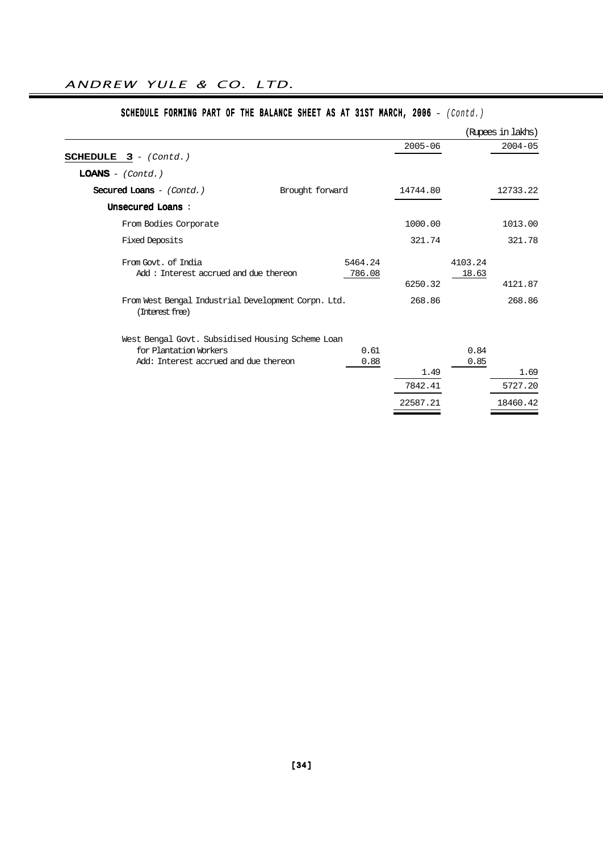|                                                                                                                     |                   |             |                  | (Rupees in lakhs) |
|---------------------------------------------------------------------------------------------------------------------|-------------------|-------------|------------------|-------------------|
| <b>SCHEDULE</b> $3 - (Cond.)$                                                                                       |                   | $2005 - 06$ |                  | $2004 - 05$       |
| $LOANS - (Contd.)$                                                                                                  |                   |             |                  |                   |
| Secured Loans $-$ (Contd.)                                                                                          | Brought forward   | 14744.80    |                  | 12733.22          |
| Unsecured Loans:                                                                                                    |                   |             |                  |                   |
| From Bodies Corporate                                                                                               |                   | 1000.00     |                  | 1013.00           |
| <b>Fixed Deposits</b>                                                                                               |                   | 321.74      |                  | 321.78            |
| From Govt. of India<br>Add: Interest accrued and due thereon                                                        | 5464.24<br>786.08 | 6250.32     | 4103.24<br>18.63 | 4121.87           |
| From West Bengal Industrial Development Corpn. Ltd.<br>(Interest free)                                              |                   | 268.86      |                  | 268.86            |
| West Bengal Govt. Subsidised Housing Scheme Loan<br>for Plantation Workers<br>Add: Interest accrued and due thereon | 0.61<br>0.88      | 1.49        | 0.84<br>0.85     | 1.69              |
|                                                                                                                     |                   | 7842.41     |                  | 5727.20           |
|                                                                                                                     |                   | 22587.21    |                  | 18460.42          |

# SCHEDULE FORMING PART OF THE BALANCE SHEET AS AT 31ST MARCH, 2006 - (Contd.)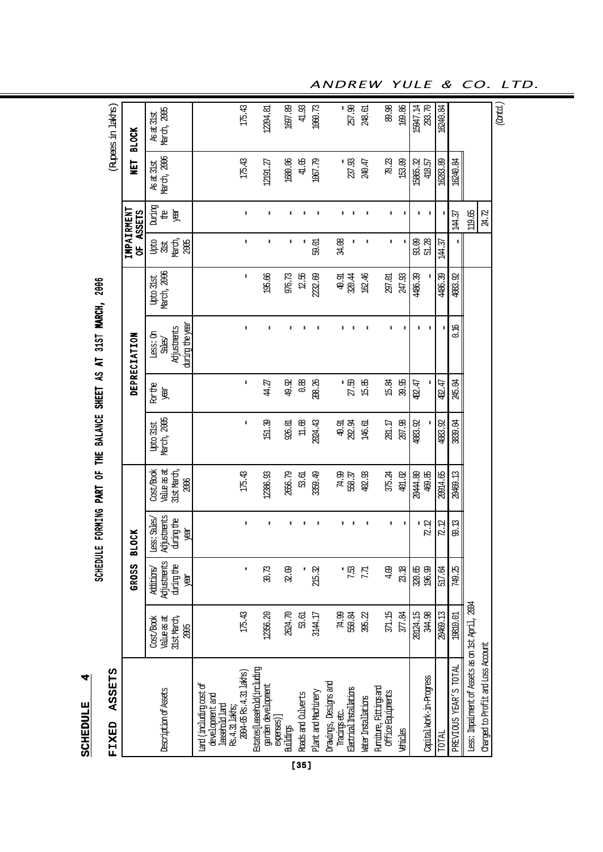SCHEDULE 4 **SCHEDULE** 

4

# SCHEDDULE FORMING PART OF THE BALANCE SHEET AS AT 31ST MARCH, 2006 SCHEDULE FORMING PART OF THE BALANCE SHEET AS AT 31ST MARCH, 2006

# FIXED ASSETS 「りくり」  $\overline{1}$ Ë

| <b>ASSETS</b><br><b>FIXED</b>                                                  |                                                 |                                              |                                                  |                                                              |                                 |                              |                                                      |                                 |                               |                           |                           | (Rupes in laktis)         |
|--------------------------------------------------------------------------------|-------------------------------------------------|----------------------------------------------|--------------------------------------------------|--------------------------------------------------------------|---------------------------------|------------------------------|------------------------------------------------------|---------------------------------|-------------------------------|---------------------------|---------------------------|---------------------------|
|                                                                                |                                                 | GROSS                                        | <b>OCK</b><br>봄                                  |                                                              |                                 |                              | DEPRECIATION                                         |                                 | IMPAIRMENT<br>OF ASSETS       |                           | <b>NET</b>                | <b>BLOCK</b>              |
| Description of Assets                                                          | Value as at<br>Cost/Book<br>31st March,<br>2005 | Adjustments<br>during the<br>Additions/<br>Ă | Adjustments<br>Less: Sales<br>during the<br>year | <b>Alue</b> as at<br>31st March,<br><b>Jost/Book</b><br>2006 | March, 2005<br><b>Upto 31st</b> | <b>For the</b><br><b>REA</b> | during the year<br>Adjustments<br>Less: On<br>Sales/ | March, 2006<br><b>Upto 31st</b> | March,<br>pto<br>2005<br>3lst | puring<br><b>Rex</b><br>윰 | March, 2006<br>As at 31st | March, 2005<br>As at 31st |
| Land (including cost of<br>development and<br>lessehold lard<br>Rs.4.31 lakts; |                                                 |                                              |                                                  |                                                              |                                 |                              |                                                      |                                 |                               |                           |                           |                           |
| 2004-05 Rs. 4.31 lakhs)                                                        | 175.43                                          | $\ddot{\ddot{}}$                             | $\ddot{\ddot{}}$                                 | 175.43                                                       | ŧ                               | $\ddot{\ddot{}}$             | $\ddot{\ddot{}}$                                     | ŧ                               | $\ddot{\ddot{}}$              | ŧ                         | 175.43                    | 175.43                    |
| Estates[Leasehold(including<br>garden development<br>expenses)]                | 12356.20                                        | 30.73                                        | ŧ                                                | 12386.93                                                     | 151.39                          | 44.27                        | $\ddot{\ddot{}}$                                     | 195.66                          | $\ddot{\ddot{}}$              | ŧ                         | 12191.27                  | 12204.81                  |
| Buldings                                                                       | 2624.70                                         | 32.09                                        | ŧ                                                | 2656.79                                                      | 926.81                          | 49.92                        | $\ddot{\ddot{}}$                                     | 976.73                          | ŧ                             | ÷                         | 1680.06                   | 1697.89                   |
| Roads and Culverts                                                             | 53.61                                           |                                              | i                                                | 53.61                                                        | $11.68$                         | 0.88                         | $\ddot{\ddot{\ }}$                                   | 12.56                           | ŧ                             |                           | 41.05                     | 41.93                     |
| Plant and Machinery                                                            | 3144.17                                         | 215.32                                       | ŧ                                                | 3359.49                                                      | 2024.43                         | 208.26                       | $\ddot{\ddot{}}$                                     | 2232.69                         | 59.01                         | ÷                         | 1067.79                   | 1060.73                   |
| Drawings, Designs and<br>Tradings etc.                                         | 74.99                                           |                                              | ŧ                                                | 74.99                                                        | 40.91<br>292.94                 |                              | $\ddot{\ddot{}}$                                     | 40.91                           | 34.08                         | ÷                         |                           |                           |
| Electrical Installations                                                       | 550.84                                          | $\cdot \frac{1}{2}$                          |                                                  | 558.37                                                       |                                 | :<br>27.50                   | $\ddot{\mathbf{r}}$                                  | 320.44                          | ŧ                             |                           | -<br>237.93               | 257.90                    |
| Mater Installations                                                            | 395.22                                          | 7.7                                          | ŧ                                                | 402.93                                                       | 146.61                          | 15.85                        | $\ddot{\ddot{}}$                                     | 162.46                          | ŧ                             | ŧ                         | 240.47                    | 248.61                    |
| <b>Furniture, Fittings and</b><br>Office Equipments                            | 371.15                                          | 4.09                                         | ŧ                                                | 375.24                                                       | 281.17                          | 15.84                        | ŧ                                                    | 297.01                          | $\ddot{\ddot{}}$              | ŧ                         | 78.23                     | 89.98                     |
| Vehicles                                                                       | 377.84                                          | 23.18                                        | ŧ                                                | 401.02                                                       | 207.98                          | 39.95                        | $\ddot{\ddot{\imath}}$                               | 247.93                          | ŧ                             | ŧ                         | 153.09                    | 169.86                    |
|                                                                                | 20124.15                                        | 320.65                                       |                                                  | 20444.80                                                     | 4083.92                         | 402.47                       | ŧ                                                    | 4486.39                         | 93.09                         | ŧ                         | 15865.32                  | 15947.14                  |
| Capital Work-in-Progress                                                       | 344.98                                          | 196.99                                       | 72.12                                            | 469.85                                                       |                                 | $\ddot{\ddot{}}$             | $\ddot{\ddot{}}$                                     | ŧ                               | 51.28                         | ŧ                         | 418.57                    | 293.70                    |
| TOTAL                                                                          | 20469.13                                        | 517.64                                       | 72.12                                            | 20914.65                                                     | 4083.92                         | 402.47                       | $\ddot{\ddot{\imath}}$                               | 4486.39                         | 144.37                        |                           | 16283.89                  | 16240.84                  |
| PREVIOUS YEAR'S TOTAL                                                          | 19810.01                                        | 749.25                                       | 90.13                                            | 20469.13                                                     | 3839.04                         | 245.04                       | 0.16                                                 | 4083.92                         | ŧ                             | 144.37                    | 16240.84                  |                           |
| Less: Impainment of Assets as on 1st April, 2004                               |                                                 |                                              |                                                  |                                                              |                                 |                              |                                                      |                                 |                               | 119.65                    |                           |                           |
| Charged to Profit and Loss Account                                             |                                                 |                                              |                                                  |                                                              |                                 |                              |                                                      |                                 |                               | 24.72                     |                           |                           |
|                                                                                |                                                 |                                              |                                                  |                                                              |                                 |                              |                                                      |                                 |                               |                           |                           | (Cand.)                   |

[35]

ANDREW YULE & CO. LTD.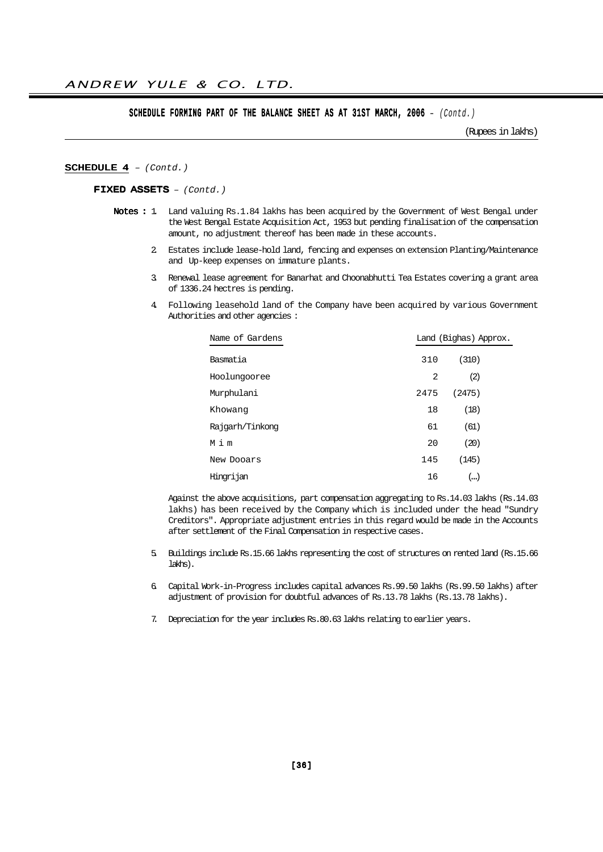#### SCHEDULE FORMING PART OF THE BALANCE SHEET AS AT 31ST MARCH, 2006 - (Contd.)

(Rupees in lakhs)

#### SCHEDULE 4 - (Contd.)

#### FIXED ASSETS – (Contd.)

- Notes : 1. Land valuing Rs.1.84 lakhs has been acquired by the Government of West Bengal under the West Bengal Estate Acquisition Act, 1953 but pending finalisation of the compensation amount, no adjustment thereof has been made in these accounts.
	- 2. Estates include lease-hold land, fencing and expenses on extension Planting/Maintenance and Up-keep expenses on immature plants.
	- 3. Renewal lease agreement for Banarhat and Choonabhutti Tea Estates covering a grant area of 1336.24 hectres is pending.
	- 4. Following leasehold land of the Company have been acquired by various Government Authorities and other agencies :

| Name of Gardens |      | Land (Bighas) Approx. |  |  |
|-----------------|------|-----------------------|--|--|
| Basmatia        | 310  | (310)                 |  |  |
| Hoolungooree    | 2    | (2)                   |  |  |
| Murphulani      | 2475 | (2475)                |  |  |
| Khowang         | 18   | (18)                  |  |  |
| Rajgarh/Tinkong | 61   | (61)                  |  |  |
| Mim             | 20   | (20)                  |  |  |
| New Dooars      | 145  | (145)                 |  |  |
| Hingrijan       | 16   | ()                    |  |  |

Against the above acquisitions, part compensation aggregating to Rs.14.03 lakhs (Rs.14.03 lakhs) has been received by the Company which is included under the head "Sundry Creditors". Appropriate adjustment entries in this regard would be made in the Accounts after settlement of the Final Compensation in respective cases.

- 5. Buildings include Rs.15.66 lakhs representing the cost of structures on rented land (Rs.15.66 lakhs).
- 6. Capital Work-in-Progress includes capital advances Rs.99.50 lakhs (Rs.99.50 lakhs) after adjustment of provision for doubtful advances of Rs.13.78 lakhs (Rs.13.78 lakhs).
- 7. Depreciation for the year includes Rs.80.63 lakhs relating to earlier years.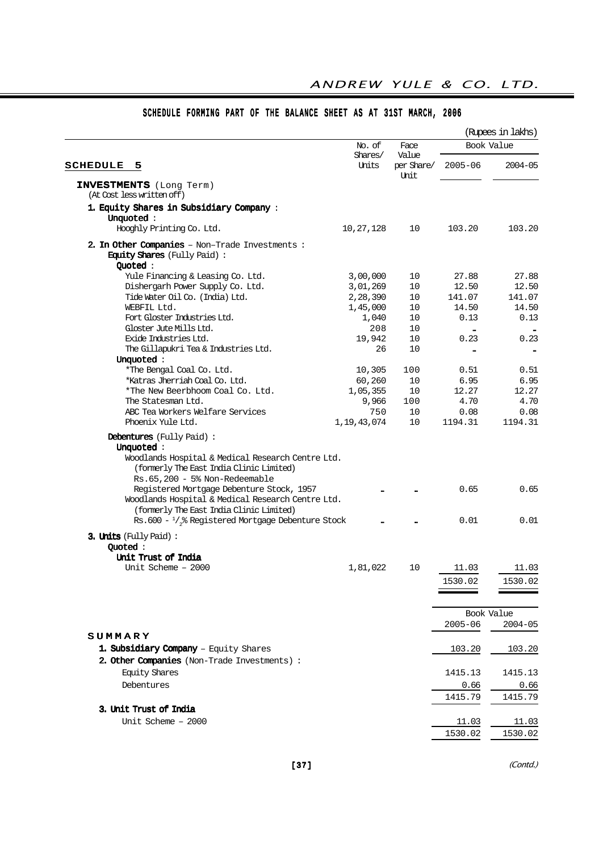|                                                                                                                                                                                                                                                                                                                                                                                            |                       |               |                 | (Rupees in lakhs) |
|--------------------------------------------------------------------------------------------------------------------------------------------------------------------------------------------------------------------------------------------------------------------------------------------------------------------------------------------------------------------------------------------|-----------------------|---------------|-----------------|-------------------|
|                                                                                                                                                                                                                                                                                                                                                                                            | No. of<br>Shares/     | Face<br>Value | Book Value      |                   |
| <b>SCHEDULE</b><br>5                                                                                                                                                                                                                                                                                                                                                                       | Units                 | per Share/    | $2005 - 06$     | $2004 - 05$       |
| INVESTMENTS (Long Term)<br>(At Cost less written off)                                                                                                                                                                                                                                                                                                                                      |                       | Unit          |                 |                   |
| 1. Equity Shares in Subsidiary Company:<br>Unquoted:                                                                                                                                                                                                                                                                                                                                       |                       |               |                 |                   |
| Hooghly Printing Co. Ltd.                                                                                                                                                                                                                                                                                                                                                                  | 10, 27, 128           | 10            | 103.20          | 103.20            |
| 2. In Other Companies - Non-Trade Investments :<br><b>Equity Shares</b> (Fully Paid):<br>Quoted:                                                                                                                                                                                                                                                                                           |                       |               |                 |                   |
| Yule Financing & Leasing Co. Ltd.                                                                                                                                                                                                                                                                                                                                                          | 3,00,000              | 10            | 27.88           | 27.88             |
| Dishergarh Power Supply Co. Ltd.                                                                                                                                                                                                                                                                                                                                                           | 3,01,269              | 10            | 12.50           | 12.50             |
| Tide Water Oil Co. (India) Ltd.                                                                                                                                                                                                                                                                                                                                                            | 2,28,390              | 10            | 141.07          | 141.07            |
| WEBFIL Ltd.                                                                                                                                                                                                                                                                                                                                                                                | 1,45,000              | 10            | 14.50           | 14.50             |
| Fort Gloster Industries Ltd.                                                                                                                                                                                                                                                                                                                                                               | 1,040                 | 10            | 0.13            | 0.13              |
| Gloster Jute Mills Ltd.                                                                                                                                                                                                                                                                                                                                                                    | 208                   | 10            |                 |                   |
| Exide Industries Ltd.                                                                                                                                                                                                                                                                                                                                                                      | 19,942                | 10            | 0.23            | 0.23              |
| The Gillapukri Tea & Industries Ltd.                                                                                                                                                                                                                                                                                                                                                       | 26                    | 10            |                 |                   |
| Unquoted:                                                                                                                                                                                                                                                                                                                                                                                  |                       |               |                 |                   |
| *The Bengal Coal Co. Ltd.                                                                                                                                                                                                                                                                                                                                                                  | 10,305                | 100           | 0.51            | 0.51              |
| *Katras Jherriah Coal Co. Ltd.                                                                                                                                                                                                                                                                                                                                                             | 60,260                | 10            | 6.95            | 6.95              |
| *The New Beerbhoom Coal Co. Ltd.                                                                                                                                                                                                                                                                                                                                                           | 1,05,355              | 10            | 12.27           | 12.27             |
| The Statesman Ltd.                                                                                                                                                                                                                                                                                                                                                                         | 9,966                 | 100           | 4.70            | 4.70              |
| ABC Tea Workers Welfare Services<br>Phoenix Yule Ltd.                                                                                                                                                                                                                                                                                                                                      | 750<br>1, 19, 43, 074 | 10<br>10      | 0.08<br>1194.31 | 0.08<br>1194.31   |
| <b>Debentures</b> (Fully Paid):<br>Unquoted:<br>Woodlands Hospital & Medical Research Centre Ltd.<br>(formerly The East India Clinic Limited)<br>Rs.65,200 - 5% Non-Redeemable<br>Registered Mortgage Debenture Stock, 1957<br>Woodlands Hospital & Medical Research Centre Ltd.<br>(formerly The East India Clinic Limited)<br>Rs.600 - $\frac{1}{3}$ Registered Mortgage Debenture Stock |                       |               | 0.65<br>0.01    | 0.65<br>0.01      |
| 3. Units (Fully Paid):                                                                                                                                                                                                                                                                                                                                                                     |                       |               |                 |                   |
| Quoted:                                                                                                                                                                                                                                                                                                                                                                                    |                       |               |                 |                   |
| Unit Trust of India<br>Unit Scheme - 2000                                                                                                                                                                                                                                                                                                                                                  | 1,81,022              | 10            | 11.03           | 11.03             |
|                                                                                                                                                                                                                                                                                                                                                                                            |                       |               |                 |                   |
|                                                                                                                                                                                                                                                                                                                                                                                            |                       |               | 1530.02         | 1530.02           |
|                                                                                                                                                                                                                                                                                                                                                                                            |                       |               | Book Value      |                   |
|                                                                                                                                                                                                                                                                                                                                                                                            |                       |               | $2005 - 06$     | $2004 - 05$       |
| SUMMARY                                                                                                                                                                                                                                                                                                                                                                                    |                       |               |                 |                   |
| 1. Subsidiary Company - Equity Shares                                                                                                                                                                                                                                                                                                                                                      |                       |               | 103.20          | 103.20            |
| 2. Other Companies (Non-Trade Investments) :                                                                                                                                                                                                                                                                                                                                               |                       |               |                 |                   |
| <b>Equity Shares</b>                                                                                                                                                                                                                                                                                                                                                                       |                       |               | 1415.13         | 1415.13           |
| Debentures                                                                                                                                                                                                                                                                                                                                                                                 |                       |               | 0.66            | 0.66              |
|                                                                                                                                                                                                                                                                                                                                                                                            |                       |               | 1415.79         | 1415.79           |
| 3. Unit Trust of India                                                                                                                                                                                                                                                                                                                                                                     |                       |               |                 |                   |
| Unit Scheme - 2000                                                                                                                                                                                                                                                                                                                                                                         |                       |               | 11.03           | 11.03             |
|                                                                                                                                                                                                                                                                                                                                                                                            |                       |               | 1530.02         | 1530.02           |
|                                                                                                                                                                                                                                                                                                                                                                                            |                       |               |                 |                   |

## SCHEDULE FORMING PART OF THE BALANCE SHEET AS AT 31ST MARCH, 2006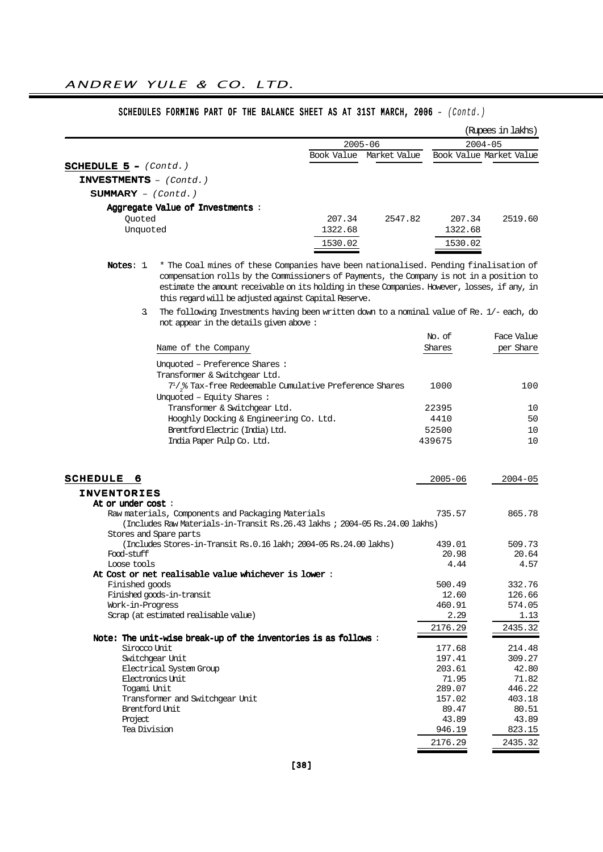|                                           |                                                                                               |            |              |                 | (Rupees in lakhs)       |
|-------------------------------------------|-----------------------------------------------------------------------------------------------|------------|--------------|-----------------|-------------------------|
|                                           |                                                                                               |            | $2005 - 06$  |                 | $2004 - 05$             |
|                                           |                                                                                               | Book Value | Market Value |                 | Book Value Market Value |
| <b>SCHEDULE 5 - <math>(Contd.)</math></b> |                                                                                               |            |              |                 |                         |
| $INVESTMENTS$ - $(Cond.)$                 |                                                                                               |            |              |                 |                         |
| $SUMMARY - (Contd.)$                      |                                                                                               |            |              |                 |                         |
|                                           | Aggregate Value of Investments :                                                              |            |              |                 |                         |
| Quoted                                    |                                                                                               | 207.34     | 2547.82      | 207.34          | 2519.60                 |
| Unquoted                                  |                                                                                               | 1322.68    |              | 1322.68         |                         |
|                                           |                                                                                               | 1530.02    |              | 1530.02         |                         |
|                                           | * The Coal mines of these Companies have been nationalised. Pending finalisation of           |            |              |                 |                         |
| Notes: $1$                                | compensation rolls by the Commissioners of Payments, the Company is not in a position to      |            |              |                 |                         |
|                                           | estimate the amount receivable on its holding in these Companies. However, losses, if any, in |            |              |                 |                         |
|                                           | this regard will be adjusted against Capital Reserve.                                         |            |              |                 |                         |
| 3.                                        | The following Investments having been written down to a nominal value of Re. 1/- each, do     |            |              |                 |                         |
|                                           | not appear in the details given above:                                                        |            |              |                 |                         |
|                                           |                                                                                               |            |              | No. of          | Face Value              |
|                                           | Name of the Company                                                                           |            |              | Shares          | per Share               |
|                                           | Unquoted - Preference Shares:                                                                 |            |              |                 |                         |
|                                           | Transformer & Switchgear Ltd.                                                                 |            |              |                 |                         |
|                                           | $7^{1}/_{2}$ % Tax-free Redeemable Cumulative Preference Shares                               |            |              | 1000            | 100                     |
|                                           | Unquoted - Equity Shares:                                                                     |            |              |                 |                         |
|                                           | Transformer & Switchgear Ltd.                                                                 |            |              | 22395           | 10                      |
|                                           | Hooghly Docking & Engineering Co. Ltd.                                                        |            |              | 4410            | 50                      |
|                                           | Brentford Electric (India) Ltd.                                                               |            |              | 52500           | 10                      |
|                                           | India Paper Pulp Co. Ltd.                                                                     |            |              | 439675          | 10                      |
| <b>SCHEDULE</b><br>6                      |                                                                                               |            |              | $2005 - 06$     | 2004-05                 |
| <b>INVENTORIES</b>                        |                                                                                               |            |              |                 |                         |
| At or under cost :                        |                                                                                               |            |              |                 |                         |
|                                           | Raw materials, Components and Packaging Materials                                             |            |              | 735.57          | 865.78                  |
|                                           | (Includes Raw Materials-in-Transit Rs.26.43 lakhs ; 2004-05 Rs.24.00 lakhs)                   |            |              |                 |                         |
|                                           | Stores and Spare parts<br>(Includes Stores-in-Transit Rs.0.16 lakh; 2004-05 Rs.24.00 lakhs)   |            |              | 439.01          | 509.73                  |
| Food-stuff                                |                                                                                               |            |              | 20.98           | 20.64                   |
| Loose tools                               |                                                                                               |            |              | 4.44            | 4.57                    |
|                                           | At Cost or net realisable value whichever is lower :                                          |            |              |                 |                         |
| Finished goods                            |                                                                                               |            |              | 500.49          | 332.76                  |
| Work-in-Progress                          | Finished goods-in-transit                                                                     |            |              | 12.60<br>460.91 | 126.66<br>574.05        |
|                                           | Scrap (at estimated realisable value)                                                         |            |              | 2.29            | 1.13                    |
|                                           |                                                                                               |            |              | 2176.29         | 2435.32                 |
|                                           | Note: The unit-wise break-up of the inventories is as follows:                                |            |              |                 |                         |
| Sirocco Unit                              |                                                                                               |            |              | 177.68          | 214.48                  |
|                                           | Switchgear Unit                                                                               |            |              | 197.41          | 309.27                  |
|                                           | Electrical System Group<br>Electronics Unit                                                   |            |              | 203.61<br>71.95 | 42.80<br>71.82          |
| Togami Unit                               |                                                                                               |            |              | 289.07          | 446.22                  |
|                                           | Transformer and Switchgear Unit                                                               |            |              | 157.02          | 403.18                  |
| Brentford Unit                            |                                                                                               |            |              | 89.47           | 80.51                   |
| Project                                   |                                                                                               |            |              | 43.89           | 43.89                   |
| Tea Division                              |                                                                                               |            |              | 946.19          | 823.15                  |
|                                           |                                                                                               |            |              | 2176.29         | 2435.32                 |

## SCHEDULES FORMING PART OF THE BALANCE SHEET AS AT 31ST MARCH, 2006 - (Contd.)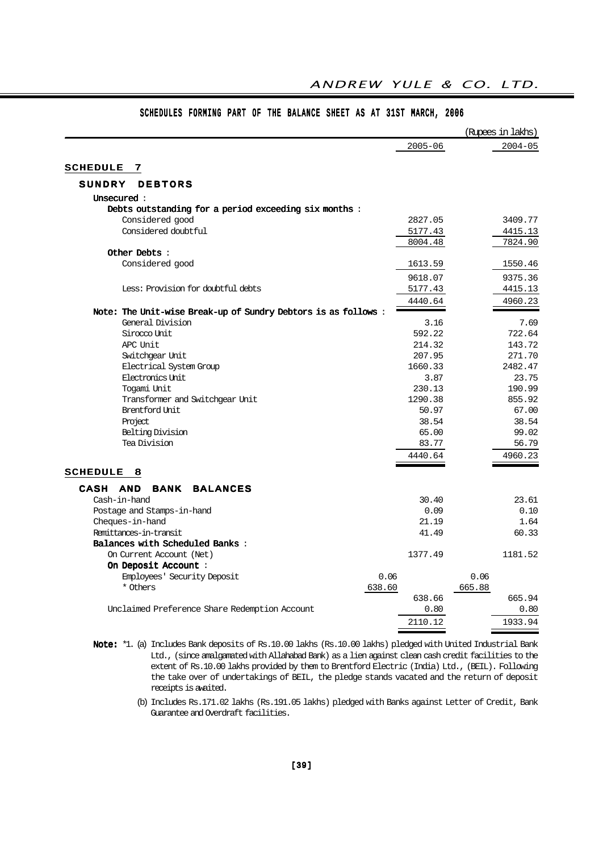|                                                                         |             | (Rupees in lakhs) |
|-------------------------------------------------------------------------|-------------|-------------------|
|                                                                         | $2005 - 06$ | $2004 - 05$       |
| <b>SCHEDULE</b><br>7                                                    |             |                   |
| SUNDRY<br><b>DEBTORS</b>                                                |             |                   |
|                                                                         |             |                   |
| Unsecured :                                                             |             |                   |
| Debts outstanding for a period exceeding six months:<br>Considered good | 2827.05     | 3409.77           |
| Considered doubtful                                                     |             |                   |
|                                                                         | 5177.43     | 4415.13           |
| Other Debts:                                                            | 8004.48     | 7824.90           |
|                                                                         |             |                   |
| Considered good                                                         | 1613.59     | 1550.46           |
|                                                                         | 9618.07     | 9375.36           |
| Less: Provision for doubtful debts                                      | 5177.43     | 4415.13           |
|                                                                         | 4440.64     | 4960.23           |
| Note: The Unit-wise Break-up of Sundry Debtors is as follows:           |             |                   |
| General Division                                                        | 3.16        | 7.69              |
| Sirocco Unit                                                            | 592.22      | 722.64            |
| APC Unit                                                                | 214.32      | 143.72            |
| Switchgear Unit                                                         | 207.95      | 271.70            |
| Electrical System Group                                                 | 1660.33     | 2482.47           |
| Electronics Unit.                                                       | 3.87        | 23.75             |
| Togami Unit                                                             | 230.13      | 190.99            |
| Transformer and Switchgear Unit                                         | 1290.38     | 855.92            |
| Brentford Unit                                                          | 50.97       | 67.00             |
| Project                                                                 | 38.54       | 38.54             |
| Belting Division                                                        | 65.00       | 99.02             |
| Tea Division                                                            | 83.77       | 56.79             |
|                                                                         | 4440.64     | 4960.23           |
| <b>SCHEDULE</b><br>8                                                    |             |                   |
| CASH AND<br><b>BANK</b><br><b>BALANCES</b>                              |             |                   |
| Cash-in-hand                                                            | 30.40       | 23.61             |
| Postage and Stamps-in-hand                                              | 0.09        | 0.10              |
| Cheques-in-hand                                                         | 21.19       | 1.64              |
| Remittances-in-transit                                                  | 41.49       | 60.33             |
| Balances with Scheduled Banks:                                          |             |                   |
| On Current Account (Net)                                                | 1377.49     | 1181.52           |
| On Deposit Account :                                                    |             |                   |
| Employees' Security Deposit<br>0.06                                     |             | 0.06              |
| * Others<br>638.60                                                      |             | 665.88            |
|                                                                         | 638.66      | 665.94            |
| Unclaimed Preference Share Redemption Account                           | 0.80        | 0.80              |
|                                                                         | 2110.12     | 1933.94           |

## SCHEDULES FORMING PART OF THE BALANCE SHEET AS AT 31ST MARCH, 2006

ANDREW YULE & CO. LTD.

Note: \*1. (a) Includes Bank deposits of Rs.10.00 lakhs (Rs.10.00 lakhs) pledged with United Industrial Bank Ltd., (since amalgamated with Allahabad Bank) as a lien against clean cash credit facilities to the extent of Rs.10.00 lakhs provided by them to Brentford Electric (India) Ltd., (BEIL). Following the take over of undertakings of BEIL, the pledge stands vacated and the return of deposit receipts is awaited.

> (b) Includes Rs.171.02 lakhs (Rs.191.05 lakhs) pledged with Banks against Letter of Credit, Bank Guarantee and Overdraft facilities.

=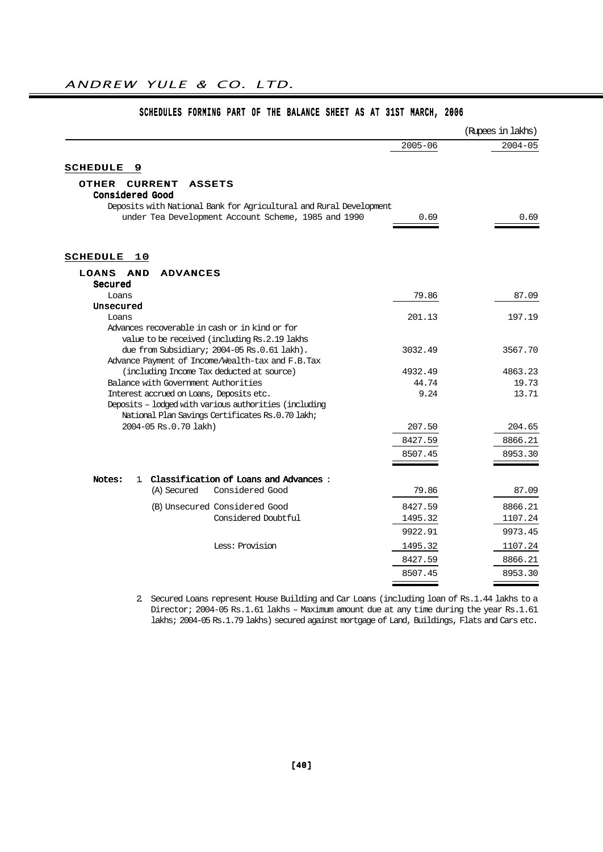|                                                                                 |               | (Rupees in lakhs) |
|---------------------------------------------------------------------------------|---------------|-------------------|
|                                                                                 | $2005 - 06$   | $2004 - 05$       |
| <b>SCHEDULE</b><br>9                                                            |               |                   |
| <b>CURRENT</b><br>OTHER<br><b>ASSETS</b><br><b>Considered Good</b>              |               |                   |
| Deposits with National Bank for Agricultural and Rural Development              |               |                   |
| under Tea Development Account Scheme, 1985 and 1990                             | 0.69          | 0.69              |
| <b>SCHEDULE</b><br>10                                                           |               |                   |
|                                                                                 |               |                   |
| LOANS<br><b>AND</b><br><b>ADVANCES</b><br>Secured                               |               |                   |
| Loans                                                                           | 79.86         | 87.09             |
| Unsecured                                                                       |               |                   |
| Loans                                                                           | 201.13        | 197.19            |
| Advances recoverable in cash or in kind or for                                  |               |                   |
| value to be received (including Rs. 2.19 lakhs                                  |               |                   |
| due from Subsidiary; 2004-05 Rs.0.61 lakh).                                     | 3032.49       | 3567.70           |
| Advance Payment of Income/Wealth-tax and F.B.Tax                                |               |                   |
| (including Income Tax deducted at source)                                       | 4932.49       | 4863.23           |
| Balance with Government Authorities<br>Interest accrued on Loans, Deposits etc. | 44.74<br>9.24 | 19.73<br>13.71    |
| Deposits - lodged with various authorities (including                           |               |                   |
| National Plan Savings Certificates Rs.0.70 lakh;                                |               |                   |
| 2004-05 Rs.0.70 lakh)                                                           | 207.50        | 204.65            |
|                                                                                 | 8427.59       | 8866.21           |
|                                                                                 |               |                   |
|                                                                                 | 8507.45       | 8953.30           |
| 1 Classification of Loans and Advances:<br>Notes:                               |               |                   |
| (A) Secured<br>Considered Good                                                  | 79.86         | 87.09             |
|                                                                                 |               |                   |
| (B) Unsecured Considered Good                                                   | 8427.59       | 8866.21           |
| Considered Doubtful                                                             | 1495.32       | 1107.24           |
|                                                                                 | 9922.91       | 9973.45           |
| Less: Provision                                                                 | 1495.32       | 1107.24           |
|                                                                                 | 8427.59       | 8866.21           |
|                                                                                 | 8507.45       | 8953.30           |
|                                                                                 |               |                   |

## SCHEDULES FORMING PART OF THE BALANCE SHEET AS AT 31ST MARCH, 2006

2. Secured Loans represent House Building and Car Loans (including loan of Rs.1.44 lakhs to a Director; 2004-05 Rs.1.61 lakhs – Maximum amount due at any time during the year Rs.1.61 lakhs; 2004-05 Rs.1.79 lakhs) secured against mortgage of Land, Buildings, Flats and Cars etc.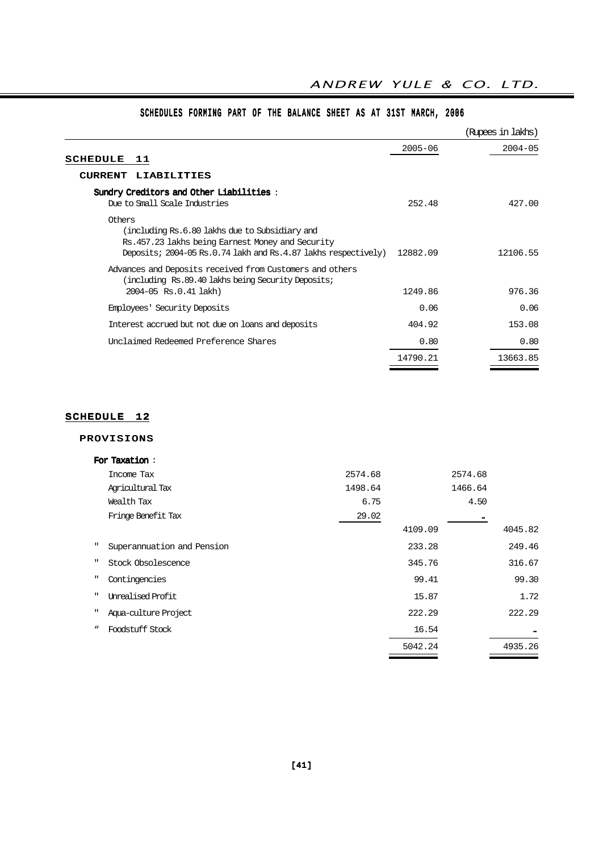|                                                                                                                                                                                |             | (Rupees in lakhs) |
|--------------------------------------------------------------------------------------------------------------------------------------------------------------------------------|-------------|-------------------|
| SCHEDULE<br>11                                                                                                                                                                 | $2005 - 06$ | $2004 - 05$       |
| CURRENT LIABILITIES                                                                                                                                                            |             |                   |
| Sundry Creditors and Other Liabilities:<br>Due to Small Scale Industries                                                                                                       | 252.48      | 427.00            |
| Others<br>(including Rs.6.80 lakhs due to Subsidiary and<br>Rs.457.23 lakhs being Earnest Money and Security<br>Deposits; 2004-05 Rs.0.74 lakh and Rs.4.87 lakhs respectively) | 12882.09    | 12106.55          |
| Advances and Deposits received from Customers and others<br>including Rs.89.40 lakhs being Security Deposits;<br>2004-05 Rs.0.41 lakh)                                         | 1249.86     | 976.36            |
| Employees' Security Deposits                                                                                                                                                   | 0.06        | 0.06              |
| Interest accrued but not due on loans and deposits                                                                                                                             | 404.92      | 153.08            |
| Unclaimed Redeemed Preference Shares                                                                                                                                           | 0.80        | 0.80              |
|                                                                                                                                                                                | 14790.21    | 13663.85          |

## SCHEDULES FORMING PART OF THE BALANCE SHEET AS AT 31ST MARCH, 2006

## SCHEDULE 12

## PROVISIONS

|              | For Taxation:              |         |         |         |         |
|--------------|----------------------------|---------|---------|---------|---------|
|              | Income Tax                 | 2574.68 |         | 2574.68 |         |
|              | Agricultural Tax           | 1498.64 |         | 1466.64 |         |
|              | Wealth Tax                 | 6.75    |         | 4.50    |         |
|              | Fringe Benefit Tax         | 29.02   |         |         |         |
|              |                            |         | 4109.09 |         | 4045.82 |
| $\mathbf{H}$ | Superannuation and Pension |         | 233.28  |         | 249.46  |
| $\mathbf{H}$ | Stock Obsolescence         |         | 345.76  |         | 316.67  |
| п            | Contingencies              |         | 99.41   |         | 99.30   |
| п            | Unrealised Profit          |         | 15.87   |         | 1.72    |
| ш            | Aqua-culture Project       |         | 222.29  |         | 222.29  |
| w            | Foodstuff Stock            |         | 16.54   |         |         |
|              |                            |         | 5042.24 |         | 4935.26 |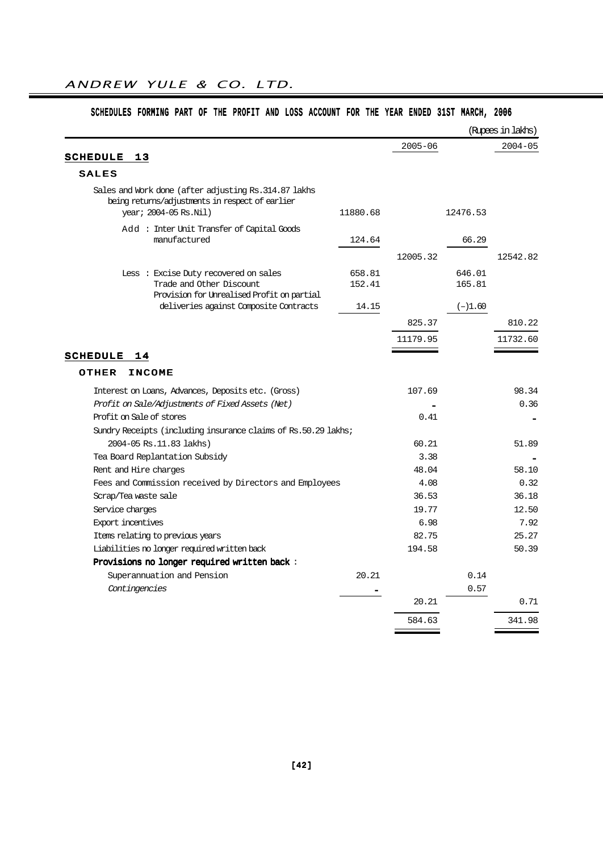| $2005 - 06$<br><b>SCHEDULE</b><br>13<br><b>SALES</b><br>Sales and Work done (after adjusting Rs. 314.87 lakhs<br>being returns/adjustments in respect of earlier<br>year; 2004-05 Rs.Nil)<br>11880.68<br>12476.53<br>Add: Inter Unit Transfer of Capital Goods<br>manufactured<br>66.29<br>124.64<br>12005.32<br>Less : Excise Duty recovered on sales<br>658.81<br>646.01<br>Trade and Other Discount<br>152.41<br>165.81<br>Provision for Unrealised Profit on partial<br>deliveries against Composite Contracts<br>14.15<br>$(-)1.60$<br>825.37<br>11179.95<br><b>SCHEDULE</b><br>14<br><b>OTHER</b><br><b>INCOME</b><br>Interest on Loans, Advances, Deposits etc. (Gross)<br>107.69<br>Profit on Sale/Adjustments of Fixed Assets (Net)<br>Profit on Sale of stores<br>0.41<br>Sundry Receipts (including insurance claims of Rs.50.29 lakhs;<br>2004-05 Rs. 11.83 lakhs)<br>60.21<br>3.38<br>Tea Board Replantation Subsidy<br>48.04<br>Rent and Hire charges<br>Fees and Commission received by Directors and Employees<br>4.08<br>36.53<br>Scrap/Tea waste sale<br>19.77<br>Service charges<br>Export incentives<br>6.98<br>82.75<br>Items relating to previous years |  |  | (Rupees in lakhs) |
|-------------------------------------------------------------------------------------------------------------------------------------------------------------------------------------------------------------------------------------------------------------------------------------------------------------------------------------------------------------------------------------------------------------------------------------------------------------------------------------------------------------------------------------------------------------------------------------------------------------------------------------------------------------------------------------------------------------------------------------------------------------------------------------------------------------------------------------------------------------------------------------------------------------------------------------------------------------------------------------------------------------------------------------------------------------------------------------------------------------------------------------------------------------------------------|--|--|-------------------|
|                                                                                                                                                                                                                                                                                                                                                                                                                                                                                                                                                                                                                                                                                                                                                                                                                                                                                                                                                                                                                                                                                                                                                                               |  |  | $2004 - 05$       |
|                                                                                                                                                                                                                                                                                                                                                                                                                                                                                                                                                                                                                                                                                                                                                                                                                                                                                                                                                                                                                                                                                                                                                                               |  |  |                   |
|                                                                                                                                                                                                                                                                                                                                                                                                                                                                                                                                                                                                                                                                                                                                                                                                                                                                                                                                                                                                                                                                                                                                                                               |  |  |                   |
|                                                                                                                                                                                                                                                                                                                                                                                                                                                                                                                                                                                                                                                                                                                                                                                                                                                                                                                                                                                                                                                                                                                                                                               |  |  |                   |
|                                                                                                                                                                                                                                                                                                                                                                                                                                                                                                                                                                                                                                                                                                                                                                                                                                                                                                                                                                                                                                                                                                                                                                               |  |  |                   |
|                                                                                                                                                                                                                                                                                                                                                                                                                                                                                                                                                                                                                                                                                                                                                                                                                                                                                                                                                                                                                                                                                                                                                                               |  |  | 12542.82          |
|                                                                                                                                                                                                                                                                                                                                                                                                                                                                                                                                                                                                                                                                                                                                                                                                                                                                                                                                                                                                                                                                                                                                                                               |  |  |                   |
|                                                                                                                                                                                                                                                                                                                                                                                                                                                                                                                                                                                                                                                                                                                                                                                                                                                                                                                                                                                                                                                                                                                                                                               |  |  |                   |
|                                                                                                                                                                                                                                                                                                                                                                                                                                                                                                                                                                                                                                                                                                                                                                                                                                                                                                                                                                                                                                                                                                                                                                               |  |  | 810.22            |
|                                                                                                                                                                                                                                                                                                                                                                                                                                                                                                                                                                                                                                                                                                                                                                                                                                                                                                                                                                                                                                                                                                                                                                               |  |  | 11732.60          |
|                                                                                                                                                                                                                                                                                                                                                                                                                                                                                                                                                                                                                                                                                                                                                                                                                                                                                                                                                                                                                                                                                                                                                                               |  |  |                   |
|                                                                                                                                                                                                                                                                                                                                                                                                                                                                                                                                                                                                                                                                                                                                                                                                                                                                                                                                                                                                                                                                                                                                                                               |  |  |                   |
|                                                                                                                                                                                                                                                                                                                                                                                                                                                                                                                                                                                                                                                                                                                                                                                                                                                                                                                                                                                                                                                                                                                                                                               |  |  |                   |
|                                                                                                                                                                                                                                                                                                                                                                                                                                                                                                                                                                                                                                                                                                                                                                                                                                                                                                                                                                                                                                                                                                                                                                               |  |  | 98.34             |
|                                                                                                                                                                                                                                                                                                                                                                                                                                                                                                                                                                                                                                                                                                                                                                                                                                                                                                                                                                                                                                                                                                                                                                               |  |  | 0.36              |
|                                                                                                                                                                                                                                                                                                                                                                                                                                                                                                                                                                                                                                                                                                                                                                                                                                                                                                                                                                                                                                                                                                                                                                               |  |  |                   |
|                                                                                                                                                                                                                                                                                                                                                                                                                                                                                                                                                                                                                                                                                                                                                                                                                                                                                                                                                                                                                                                                                                                                                                               |  |  |                   |
|                                                                                                                                                                                                                                                                                                                                                                                                                                                                                                                                                                                                                                                                                                                                                                                                                                                                                                                                                                                                                                                                                                                                                                               |  |  | 51.89             |
|                                                                                                                                                                                                                                                                                                                                                                                                                                                                                                                                                                                                                                                                                                                                                                                                                                                                                                                                                                                                                                                                                                                                                                               |  |  |                   |
|                                                                                                                                                                                                                                                                                                                                                                                                                                                                                                                                                                                                                                                                                                                                                                                                                                                                                                                                                                                                                                                                                                                                                                               |  |  | 58.10             |
|                                                                                                                                                                                                                                                                                                                                                                                                                                                                                                                                                                                                                                                                                                                                                                                                                                                                                                                                                                                                                                                                                                                                                                               |  |  | 0.32              |
|                                                                                                                                                                                                                                                                                                                                                                                                                                                                                                                                                                                                                                                                                                                                                                                                                                                                                                                                                                                                                                                                                                                                                                               |  |  | 36.18             |
|                                                                                                                                                                                                                                                                                                                                                                                                                                                                                                                                                                                                                                                                                                                                                                                                                                                                                                                                                                                                                                                                                                                                                                               |  |  | 12.50             |
|                                                                                                                                                                                                                                                                                                                                                                                                                                                                                                                                                                                                                                                                                                                                                                                                                                                                                                                                                                                                                                                                                                                                                                               |  |  | 7.92              |
|                                                                                                                                                                                                                                                                                                                                                                                                                                                                                                                                                                                                                                                                                                                                                                                                                                                                                                                                                                                                                                                                                                                                                                               |  |  | 25.27             |
| Liabilities no longer required written back<br>194.58                                                                                                                                                                                                                                                                                                                                                                                                                                                                                                                                                                                                                                                                                                                                                                                                                                                                                                                                                                                                                                                                                                                         |  |  | 50.39             |
| Provisions no longer required written back:                                                                                                                                                                                                                                                                                                                                                                                                                                                                                                                                                                                                                                                                                                                                                                                                                                                                                                                                                                                                                                                                                                                                   |  |  |                   |
| Superannuation and Pension<br>20.21<br>0.14                                                                                                                                                                                                                                                                                                                                                                                                                                                                                                                                                                                                                                                                                                                                                                                                                                                                                                                                                                                                                                                                                                                                   |  |  |                   |
| Contingencies<br>0.57                                                                                                                                                                                                                                                                                                                                                                                                                                                                                                                                                                                                                                                                                                                                                                                                                                                                                                                                                                                                                                                                                                                                                         |  |  |                   |
| 20.21                                                                                                                                                                                                                                                                                                                                                                                                                                                                                                                                                                                                                                                                                                                                                                                                                                                                                                                                                                                                                                                                                                                                                                         |  |  | 0.71              |
| 584.63                                                                                                                                                                                                                                                                                                                                                                                                                                                                                                                                                                                                                                                                                                                                                                                                                                                                                                                                                                                                                                                                                                                                                                        |  |  | 341.98            |

## SCHEDULES FORMING PART OF THE PROFIT AND LOSS ACCOUNT FOR THE YEAR ENDED 31ST MARCH, 2006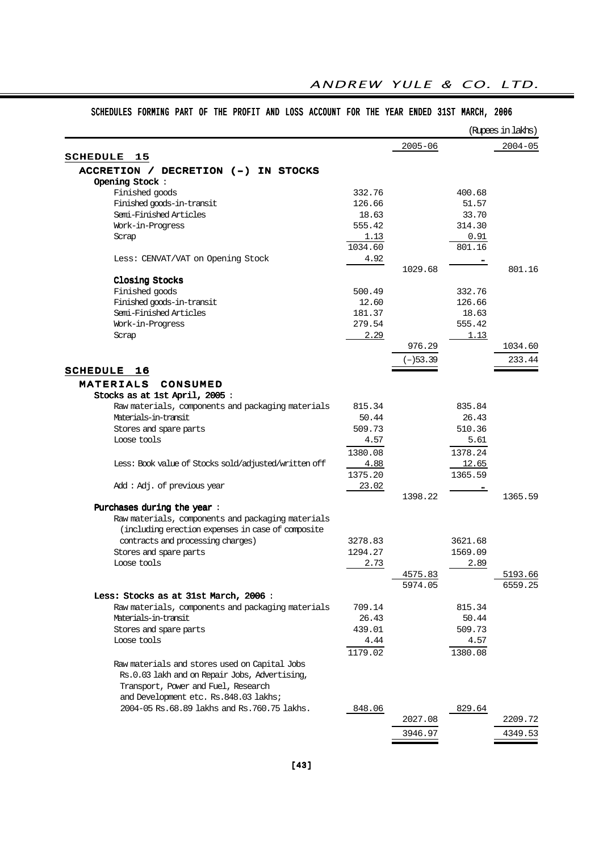|                                                      |         |             |         | (Rupees in lakhs) |
|------------------------------------------------------|---------|-------------|---------|-------------------|
|                                                      |         | $2005 - 06$ |         | $2004 - 05$       |
| <b>SCHEDULE</b><br>15                                |         |             |         |                   |
| ACCRETION / DECRETION (-) IN STOCKS                  |         |             |         |                   |
| Opening Stock:                                       |         |             |         |                   |
| Finished goods                                       | 332.76  |             | 400.68  |                   |
| Finished goods-in-transit                            | 126.66  |             | 51.57   |                   |
| Semi-Finished Articles                               | 18.63   |             | 33.70   |                   |
| Work-in-Progress                                     | 555.42  |             | 314.30  |                   |
| Scrap                                                | 1.13    |             | 0.91    |                   |
|                                                      | 1034.60 |             | 801.16  |                   |
| Less: CENVAT/VAT on Opening Stock                    | 4.92    |             |         |                   |
|                                                      |         | 1029.68     |         | 801.16            |
| Closing Stocks                                       |         |             |         |                   |
| Finished goods                                       | 500.49  |             | 332.76  |                   |
| Finished goods-in-transit                            | 12.60   |             | 126.66  |                   |
| Semi-Finished Articles                               | 181.37  |             | 18.63   |                   |
| Work-in-Progress                                     | 279.54  |             | 555.42  |                   |
| Scrap                                                | 2.29    |             | 1.13    |                   |
|                                                      |         | 976.29      |         | 1034.60           |
|                                                      |         | $(-)$ 53.39 |         | 233.44            |
| <b>SCHEDULE</b><br>16                                |         |             |         |                   |
| <b>MATERIALS</b><br>CONSUMED                         |         |             |         |                   |
| Stocks as at 1st April, 2005:                        |         |             |         |                   |
| Raw materials, components and packaging materials    | 815.34  |             | 835.84  |                   |
| Materials-in-transit                                 | 50.44   |             | 26.43   |                   |
| Stores and spare parts                               | 509.73  |             | 510.36  |                   |
| Loose tools                                          | 4.57    |             | 5.61    |                   |
|                                                      | 1380.08 |             | 1378.24 |                   |
| Less: Book value of Stocks sold/adjusted/written off | 4.88    |             | 12.65   |                   |
|                                                      | 1375.20 |             | 1365.59 |                   |
| Add: Adj. of previous year                           | 23.02   |             |         |                   |
|                                                      |         | 1398.22     |         | 1365.59           |
| Purchases during the year:                           |         |             |         |                   |
| Raw materials, components and packaging materials    |         |             |         |                   |
| (including erection expenses in case of composite    |         |             |         |                   |
| contracts and processing charges)                    | 3278.83 |             | 3621.68 |                   |
| Stores and spare parts                               | 1294.27 |             | 1569.09 |                   |
| Loose tools                                          |         |             |         |                   |
|                                                      | 2.73    | 4575.83     | 2.89    | 5193.66           |
|                                                      |         |             |         |                   |
| Less: Stocks as at 31st March, 2006 :                |         | 5974.05     |         | 6559.25           |
| Raw materials, components and packaging materials    | 709.14  |             | 815.34  |                   |
| Materials-in-transit                                 |         |             |         |                   |
|                                                      | 26.43   |             | 50.44   |                   |
| Stores and spare parts                               | 439.01  |             | 509.73  |                   |
| Loose tools                                          | 4.44    |             | 4.57    |                   |
|                                                      | 1179.02 |             | 1380.08 |                   |
| Raw materials and stores used on Capital Jobs        |         |             |         |                   |
| Rs.0.03 lakh and on Repair Jobs, Advertising,        |         |             |         |                   |
| Transport, Power and Fuel, Research                  |         |             |         |                   |
| and Development etc. Rs.848.03 lakhs;                |         |             |         |                   |
| 2004-05 Rs.68.89 lakhs and Rs.760.75 lakhs.          | 848.06  |             | 829.64  |                   |
|                                                      |         | 2027.08     |         | 2209.72           |
|                                                      |         | 3946.97     |         | 4349.53           |

## SCHEDULES FORMING PART OF THE PROFIT AND LOSS ACCOUNT FOR THE YEAR ENDED 31ST MARCH, 2006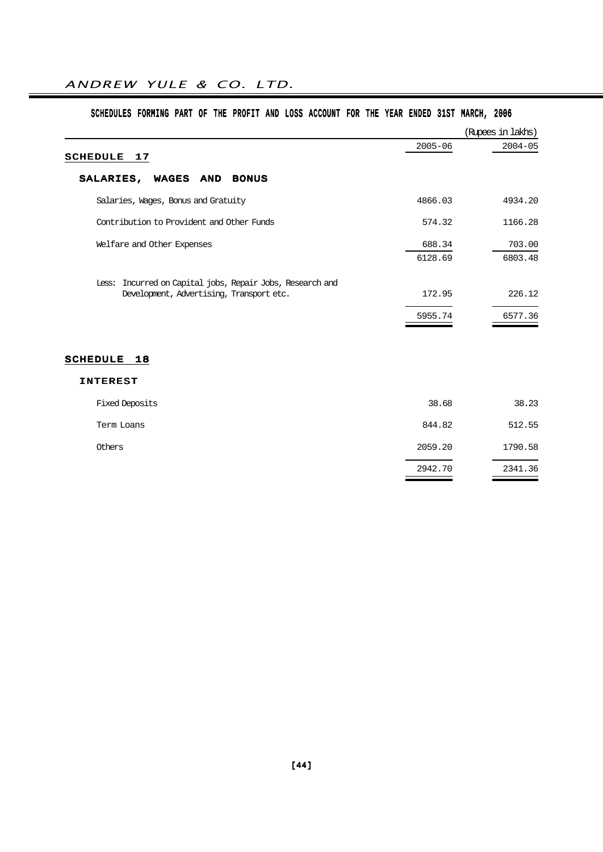## SCHEDULES FORMING PART OF THE PROFIT AND LOSS ACCOUNT FOR THE YEAR ENDED 31ST MARCH, 2006

|                                                                                                       |             | (Rupees in lakhs) |
|-------------------------------------------------------------------------------------------------------|-------------|-------------------|
| <b>SCHEDULE</b><br>17                                                                                 | $2005 - 06$ | $2004 - 05$       |
| SALARIES,<br>WAGES AND<br><b>BONUS</b>                                                                |             |                   |
| Salaries, Wages, Bonus and Gratuity                                                                   | 4866.03     | 4934.20           |
| Contribution to Provident and Other Funds                                                             | 574.32      | 1166.28           |
| Welfare and Other Expenses                                                                            | 688.34      | 703.00            |
|                                                                                                       | 6128.69     | 6803.48           |
| Less: Incurred on Capital jobs, Repair Jobs, Research and<br>Development, Advertising, Transport etc. | 172.95      | 226.12            |
|                                                                                                       | 5955.74     | 6577.36           |
|                                                                                                       |             |                   |
| SCHEDULE 18                                                                                           |             |                   |
| <b>INTEREST</b>                                                                                       |             |                   |
| Fixed Deposits                                                                                        | 38.68       | 38.23             |
| Term Loans                                                                                            | 844.82      | 512.55            |
| Others                                                                                                | 2059.20     | 1790.58           |
|                                                                                                       | 2942.70     | 2341.36           |
|                                                                                                       |             |                   |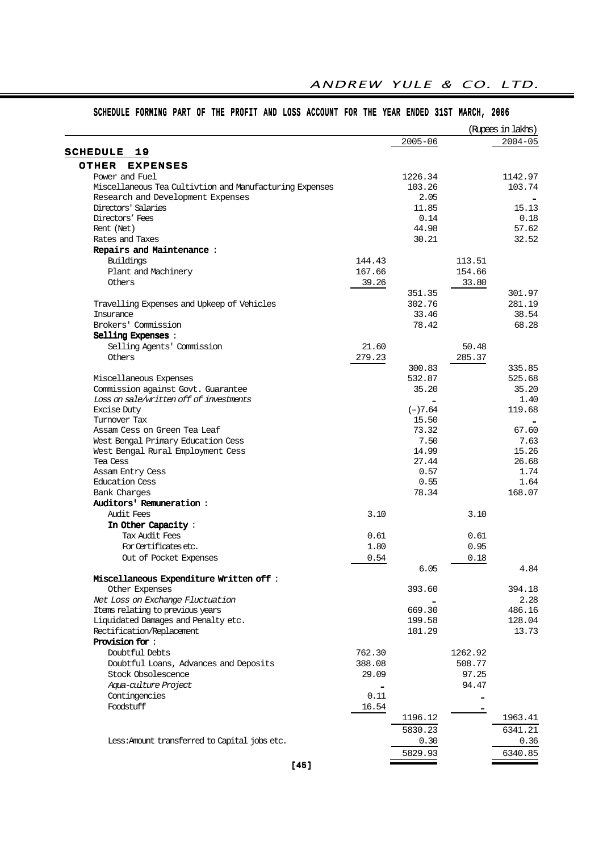|                                                         |        |             |         | (Rupees in lakhs)<br>$2004 - 05$ |
|---------------------------------------------------------|--------|-------------|---------|----------------------------------|
| 19                                                      |        | $2005 - 06$ |         |                                  |
| <b>SCHEDULE</b>                                         |        |             |         |                                  |
| OTHER<br><b>EXPENSES</b>                                |        |             |         |                                  |
| Power and Fuel                                          |        | 1226.34     |         | 1142.97                          |
| Miscellaneous Tea Cultivtion and Manufacturing Expenses |        | 103.26      |         | 103.74                           |
| Research and Development Expenses                       |        | 2.05        |         |                                  |
| Directors' Salaries                                     |        | 11.85       |         | 15.13                            |
| Directors' Fees                                         |        | 0.14        |         | 0.18                             |
| Rent (Net)                                              |        | 44.98       |         | 57.62                            |
| Rates and Taxes                                         |        | 30.21       |         | 32.52                            |
| Repairs and Maintenance:                                |        |             |         |                                  |
| Buildings                                               | 144.43 |             | 113.51  |                                  |
| Plant and Machinery                                     | 167.66 |             | 154.66  |                                  |
| Others                                                  | 39.26  |             | 33.80   |                                  |
|                                                         |        | 351.35      |         | 301.97                           |
| Travelling Expenses and Upkeep of Vehicles              |        | 302.76      |         | 281.19                           |
| Insurance                                               |        | 33.46       |         | 38.54                            |
| Brokers' Commission                                     |        | 78.42       |         | 68.28                            |
| Selling Expenses :                                      |        |             |         |                                  |
| Selling Agents' Commission                              | 21.60  |             | 50.48   |                                  |
| Others                                                  | 279.23 |             | 285.37  |                                  |
|                                                         |        | 300.83      |         | 335.85                           |
| Miscellaneous Expenses                                  |        | 532.87      |         | 525.68                           |
| Commission against Govt. Guarantee                      |        | 35.20       |         | 35.20                            |
| Loss on sale/written off of investments                 |        |             |         | 1.40                             |
| <b>Excise Duty</b>                                      |        | $(-)7.64$   |         | 119.68                           |
| Turnover Tax                                            |        | 15.50       |         |                                  |
| Assam Cess on Green Tea Leaf                            |        | 73.32       |         | 67.60                            |
| West Bengal Primary Education Cess                      |        | 7.50        |         | 7.63                             |
| West Bengal Rural Employment Cess                       |        | 14.99       |         | 15.26                            |
| Tea Cess                                                |        | 27.44       |         | 26.68                            |
| Assam Entry Cess                                        |        | 0.57        |         | 1.74                             |
| Education Cess                                          |        | 0.55        |         | 1.64                             |
| Bank Charges                                            |        | 78.34       |         | 168.07                           |
| <b>Auditors' Remuneration:</b>                          |        |             |         |                                  |
|                                                         |        |             |         |                                  |
| Audit Fees                                              | 3.10   |             | 3.10    |                                  |
| In Other Capacity:                                      |        |             |         |                                  |
| Tax Audit Fees                                          | 0.61   |             | 0.61    |                                  |
| For Certificates etc.                                   | 1.80   |             | 0.95    |                                  |
| Out of Pocket Expenses                                  | 0.54   |             | 0.18    |                                  |
|                                                         |        | 6.05        |         | 4.84                             |
| Miscellaneous Expenditure Written off:                  |        |             |         |                                  |
| Other Expenses                                          |        | 393.60      |         | 394.18                           |
| Net Loss on Exchange Fluctuation                        |        |             |         | 2.28                             |
| Items relating to previous years                        |        | 669.30      |         | 486.16                           |
| Liquidated Damages and Penalty etc.                     |        | 199.58      |         | 128.04                           |
| Rectification/Replacement                               |        | 101.29      |         | 13.73                            |
| Provision for:                                          |        |             |         |                                  |
| Doubtful Debts                                          | 762.30 |             | 1262.92 |                                  |
| Doubtful Loans, Advances and Deposits                   | 388.08 |             | 508.77  |                                  |
| Stock Obsolescence                                      | 29.09  |             | 97.25   |                                  |
| Aqua-culture Project                                    |        |             | 94.47   |                                  |
| Contingencies                                           | 0.11   |             |         |                                  |
| Foodstuff                                               | 16.54  |             |         |                                  |
|                                                         |        |             |         |                                  |
|                                                         |        | 1196.12     |         | 1963.41                          |
|                                                         |        | 5830.23     |         | 6341.21                          |
| Less: Amount transferred to Capital jobs etc.           |        | 0.30        |         | 0.36                             |
|                                                         |        | 5829.93     |         | 6340.85                          |

## SCHEDULE FORMING PART OF THE PROFIT AND LOSS ACCOUNT FOR THE YEAR ENDED 31ST MARCH, 2006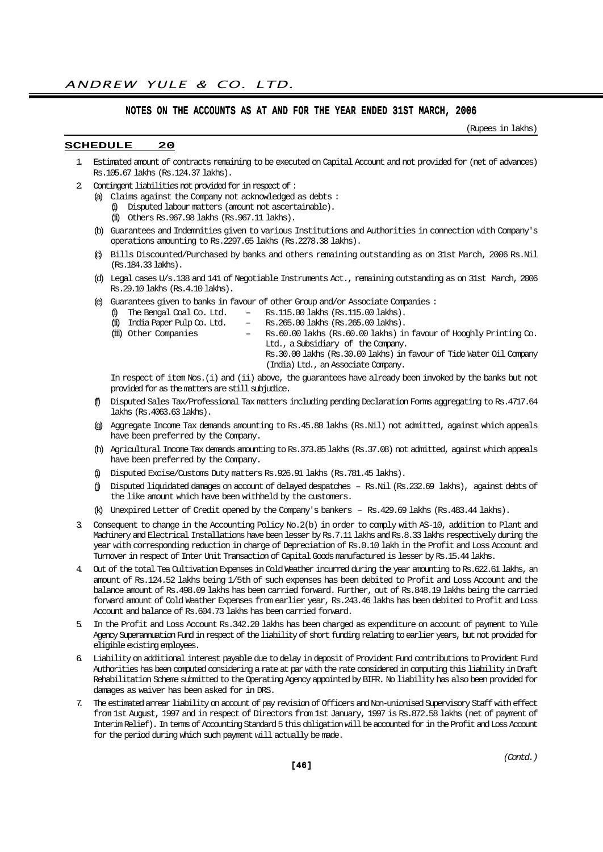## NOTES ON THE ACCOUNTS AS AT AND FOR THE YEAR ENDED 31ST MARCH, 2006

(Rupees in lakhs)

## SCHEDULE 20

- 1. Estimated amount of contracts remaining to be executed on Capital Account and not provided for (net of advances) Rs.105.67 lakhs (Rs.124.37 lakhs).
- 2. Contingent liabilities not provided for in respect of :
	- (a) Claims against the Company not acknowledged as debts : (i) Disputed labour matters (amount not ascertainable).
		- (ii) Others Rs.967.98 lakhs (Rs.967.11 lakhs).
	- (b) Guarantees and Indemnities given to various Institutions and Authorities in connection with Company's operations amounting to Rs.2297.65 lakhs (Rs.2278.38 lakhs).
	- (c) Bills Discounted/Purchased by banks and others remaining outstanding as on 31st March, 2006 Rs.Nil (Rs.184.33 lakhs).
	- (d) Legal cases U/s.138 and 141 of Negotiable Instruments Act., remaining outstanding as on 31st March, 2006 Rs.29.10 lakhs (Rs.4.10 lakhs).
	- (e) Guarantees given to banks in favour of other Group and/or Associate Companies :
		- (i) The Bengal Coal Co. Ltd.  $-$  Rs. 115.00 lakhs (Rs. 115.00 lakhs).<br>(ii) India Paper Pulp Co. Ltd.  $-$  Rs. 265.00 lakhs (Rs. 265.00 lakhs).
		-
- Rs. 265.00 lakhs (Rs. 265.00 lakhs).
- (iii) Other Companies Rs.60.00 lakhs (Rs.60.00 lakhs) in favour of Hooghly Printing Co. Ltd., a Subsidiary of the Company.
	- Rs.30.00 lakhs (Rs.30.00 lakhs) in favour of Tide Water Oil Company (India) Ltd., an Associate Company.

In respect of item Nos.(i) and (ii) above, the guarantees have already been invoked by the banks but not provided for as the matters are still subjudice.

- (f) Disputed Sales Tax/Professional Tax matters including pending Declaration Forms aggregating to Rs.4717.64 lakhs (Rs.4063.63 lakhs).
- (g) Aggregate Income Tax demands amounting to Rs.45.88 lakhs (Rs.Nil) not admitted, against which appeals have been preferred by the Company.
- (h) Agricultural Income Tax demands amounting to Rs.373.85 lakhs (Rs.37.08) not admitted, against which appeals have been preferred by the Company.
- (i) Disputed Excise/Customs Duty matters Rs.926.91 lakhs (Rs.781.45 lakhs).
- (j) Disputed liquidated damages on account of delayed despatches Rs.Nil (Rs.232.69 lakhs), against debts of the like amount which have been withheld by the customers.
- (k) Unexpired Letter of Credit opened by the Company's bankers Rs.429.69 lakhs (Rs.483.44 lakhs).
- 3. Consequent to change in the Accounting Policy No.2(b) in order to comply with AS-10, addition to Plant and Machinery and Electrical Installations have been lesser by Rs.7.11 lakhs and Rs.8.33 lakhs respectively during the year with corresponding reduction in charge of Depreciation of Rs.0.10 lakh in the Profit and Loss Account and Turnover in respect of Inter Unit Transaction of Capital Goods manufactured is lesser by Rs.15.44 lakhs.
- 4. Out of the total Tea Cultivation Expenses in Cold Weather incurred during the year amounting to Rs.622.61 lakhs, an amount of Rs.124.52 lakhs being 1/5th of such expenses has been debited to Profit and Loss Account and the balance amount of Rs.498.09 lakhs has been carried forward. Further, out of Rs.848.19 lakhs being the carried forward amount of Cold Weather Expenses from earlier year, Rs.243.46 lakhs has been debited to Profit and Loss Account and balance of Rs.604.73 lakhs has been carried forward.
- 5. In the Profit and Loss Account Rs.342.20 lakhs has been charged as expenditure on account of payment to Yule Agency Superannuation Fund in respect of the liability of short funding relating to earlier years, but not provided for eligible existing employees.
- 6. Liability on additional interest payable due to delay in deposit of Provident Fund contributions to Provident Fund Authorities has been computed considering a rate at par with the rate considered in computing this liability in Draft Rehabilitation Scheme submitted to the Operating Agency appointed by BIFR. No liability has also been provided for damages as waiver has been asked for in DRS.
- 7. The estimated arrear liability on account of pay revision of Officers and Non-unionised Supervisory Staff with effect from 1st August, 1997 and in respect of Directors from 1st January, 1997 is Rs.872.58 lakhs (net of payment of Interim Relief). In terms of Accounting Standard 5 this obligation will be accounted for in the Profit and Loss Account for the period during which such payment will actually be made.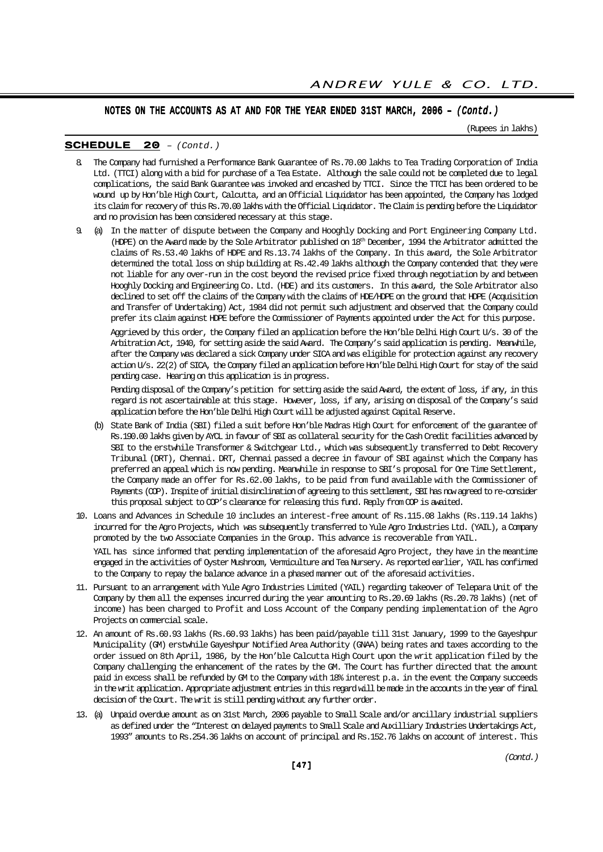(Rupees in lakhs)

#### SCHEDULE 20 – (Contd.)

- 8. The Company had furnished a Performance Bank Guarantee of Rs.70.00 lakhs to Tea Trading Corporation of India Ltd. (TTCI) along with a bid for purchase of a Tea Estate. Although the sale could not be completed due to legal complications, the said Bank Guarantee was invoked and encashed by TTCI. Since the TTCI has been ordered to be wound up by Hon'ble High Court, Calcutta, and an Official Liquidator has been appointed, the Company has lodged its claim for recovery of this Rs.70.00 lakhs with the Official Liquidator. The Claim is pending before the Liquidator and no provision has been considered necessary at this stage.
- 9. (a) In the matter of dispute between the Company and Hooghly Docking and Port Engineering Company Ltd. (HDPE) on the Award made by the Sole Arbitrator published on 18th December, 1994 the Arbitrator admitted the claims of Rs.53.40 lakhs of HDPE and Rs.13.74 lakhs of the Company. In this award, the Sole Arbitrator determined the total loss on ship building at Rs.42.49 lakhs although the Company contended that they were not liable for any over-run in the cost beyond the revised price fixed through negotiation by and between Hooghly Docking and Engineering Co. Ltd. (HDE) and its customers. In this award, the Sole Arbitrator also declined to set off the claims of the Company with the claims of HDE/HDPE on the ground that HDPE (Acquisition and Transfer of Undertaking) Act, 1984 did not permit such adjustment and observed that the Company could prefer its claim against HDPE before the Commissioner of Payments appointed under the Act for this purpose.

Aggrieved by this order, the Company filed an application before the Hon'ble Delhi High Court U/s. 30 of the Arbitration Act, 1940, for setting aside the said Award. The Company's said application is pending. Meanwhile, after the Company was declared a sick Company under SICA and was eligible for protection against any recovery action U/s. 22(2) of SICA, the Company filed an application before Hon'ble Delhi High Court for stay of the said pending case. Hearing on this application is in progress.

Pending disposal of the Company's petition for setting aside the said Award, the extent of loss, if any, in this regard is not ascertainable at this stage. However, loss, if any, arising on disposal of the Company's said application before the Hon'ble Delhi High Court will be adjusted against Capital Reserve.

- (b) State Bank of India (SBI) filed a suit before Hon'ble Madras High Court for enforcement of the guarantee of Rs.190.00 lakhs given by AYCL in favour of SBI as collateral security for the Cash Credit facilities advanced by SBI to the erstwhile Transformer & Switchgear Ltd., which was subsequently transferred to Debt Recovery Tribunal (DRT), Chennai. DRT, Chennai passed a decree in favour of SBI against which the Company has preferred an appeal which is now pending. Meanwhile in response to SBI's proposal for One Time Settlement, the Company made an offer for Rs.62.00 lakhs, to be paid from fund available with the Commissioner of Payments (COP). Inspite of initial disinclination of agreeing to this settlement, SBI has now agreed to re-consider this proposal subject to COP's clearance for releasing this fund. Reply from COP is awaited.
- 10. Loans and Advances in Schedule 10 includes an interest-free amount of Rs.115.08 lakhs (Rs.119.14 lakhs) incurred for the Agro Projects, which was subsequently transferred to Yule Agro Industries Ltd. (YAIL), a Company promoted by the two Associate Companies in the Group. This advance is recoverable from YAIL. YAIL has since informed that pending implementation of the aforesaid Agro Project, they have in the meantime

engaged in the activities of Oyster Mushroom, Vermiculture and Tea Nursery. As reported earlier, YAIL has confirmed to the Company to repay the balance advance in a phased manner out of the aforesaid activities.

- 11. Pursuant to an arrangement with Yule Agro Industries Limited (YAIL) regarding takeover of Telepara Unit of the Company by them all the expenses incurred during the year amounting to Rs.20.69 lakhs (Rs.20.78 lakhs) (net of income) has been charged to Profit and Loss Account of the Company pending implementation of the Agro Projects on commercial scale.
- 12. An amount of Rs.60.93 lakhs (Rs.60.93 lakhs) has been paid/payable till 31st January, 1999 to the Gayeshpur Municipality (GM) erstwhile Gayeshpur Notified Area Authority (GNAA) being rates and taxes according to the order issued on 8th April, 1986, by the Hon'ble Calcutta High Court upon the writ application filed by the Company challenging the enhancement of the rates by the GM. The Court has further directed that the amount paid in excess shall be refunded by GM to the Company with 18% interest p.a. in the event the Company succeeds in the writ application. Appropriate adjustment entries in this regard will be made in the accounts in the year of final decision of the Court. The writ is still pending without any further order.
- 13. (a) Unpaid overdue amount as on 31st March, 2006 payable to Small Scale and/or ancillary industrial suppliers as defined under the "Interest on delayed payments to Small Scale and Auxilliary Industries Undertakings Act, 1993" amounts to Rs.254.36 lakhs on account of principal and Rs.152.76 lakhs on account of interest. This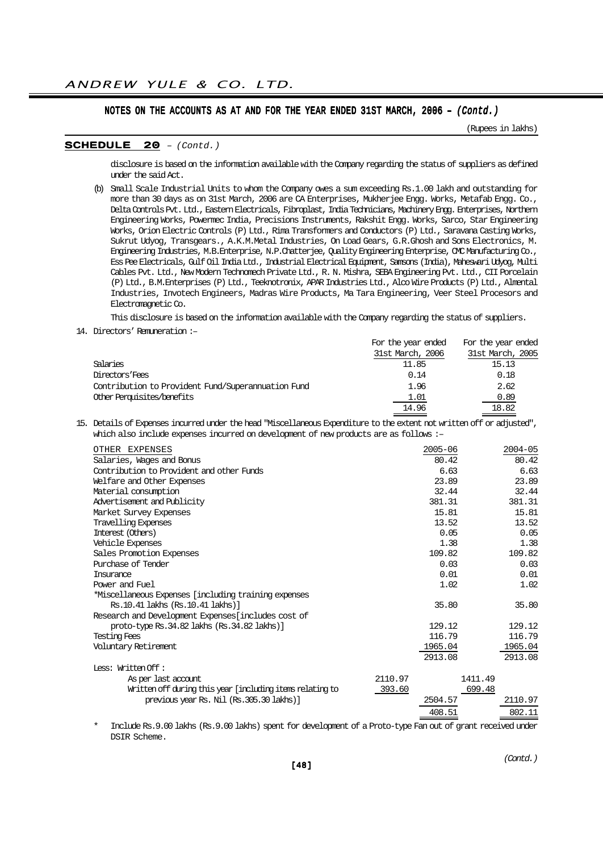(Rupees in lakhs)

#### SCHEDULE 20 – (Contd.)

disclosure is based on the information available with the Company regarding the status of suppliers as defined under the said Act.

(b) Small Scale Industrial Units to whom the Company owes a sum exceeding Rs.1.00 lakh and outstanding for more than 30 days as on 31st March, 2006 are CA Enterprises, Mukherjee Engg. Works, Metafab Engg. Co., Delta Controls Pvt. Ltd., Eastern Electricals, Fibroplast, India Technicians, Machinery Engg. Enterprises, Northern Engineering Works, Powermec India, Precisions Instruments, Rakshit Engg. Works, Sarco, Star Engineering Works, Orion Electric Controls (P) Ltd., Rima Transformers and Conductors (P) Ltd., Saravana Casting Works, Sukrut Udyog, Transgears., A.K.M.Metal Industries, On Load Gears, G.R.Ghosh and Sons Electronics, M. Engineering Industries, M.B.Enterprise, N.P.Chatterjee, Quality Engineering Enterprise, CMC Manufacturing Co., Ess Pee Electricals, Gulf Oil India Ltd., Industrial Electrical Equipment, Samsons (India), Maheswari Udyog, Multi Cables Pvt. Ltd., New Modern Technomech Private Ltd., R. N. Mishra, SEBA Engineering Pvt. Ltd., CII Porcelain (P) Ltd., B.M.Enterprises (P) Ltd., Teeknotronix, APAR Industries Ltd., Alco Wire Products (P) Ltd., Almental Industries, Invotech Engineers, Madras Wire Products, Ma Tara Engineering, Veer Steel Procesors and Electromagnetic Co.

This disclosure is based on the information available with the Company regarding the status of suppliers.

14. Directors' Remuneration :–

|                                                    | For the year ended | For the year ended |
|----------------------------------------------------|--------------------|--------------------|
|                                                    | 31st March, 2006   | 31st March, 2005   |
| Salaries                                           | 11.85              | 15.13              |
| Directors Fees                                     | 0.14               | 0.18               |
| Contribution to Provident Fund/Superannuation Fund | 1.96               | 2.62               |
| Other Perquisites/benefits                         | 1.01               | 0.89               |
|                                                    | 14.96              | 18.82              |

15. Details of Expenses incurred under the head "Miscellaneous Expenditure to the extent not written off or adjusted", which also include expenses incurred on development of new products are as follows :–

| OTHER EXPENSES                                            |         | $2005 - 06$ |         | $2004 - 05$ |
|-----------------------------------------------------------|---------|-------------|---------|-------------|
| Salaries, Wages and Bonus                                 |         | 80.42       |         | 80.42       |
| Contribution to Provident and other Funds                 |         | 6.63        |         | 6.63        |
| Welfare and Other Expenses                                |         | 23.89       |         | 23.89       |
| Material consumption                                      |         | 32.44       |         | 32.44       |
| Advertisement and Publicity                               |         | 381.31      |         | 381.31      |
| Market Survey Expenses                                    |         | 15.81       |         | 15.81       |
| Travelling Expenses                                       |         | 13.52       |         | 13.52       |
| Interest (Others)                                         |         | 0.05        |         | 0.05        |
| Vehicle Expenses                                          |         | 1.38        |         | 1.38        |
| Sales Promotion Expenses                                  |         | 109.82      |         | 109.82      |
| Purchase of Tender                                        |         | 0.03        |         | 0.03        |
| <b>Insurance</b>                                          |         | 0.01        |         | 0.01        |
| Power and Fuel                                            |         | 1.02        |         | 1.02        |
| *Miscellaneous Expenses [including training expenses      |         |             |         |             |
| Rs.10.41 lakhs (Rs.10.41 lakhs)]                          |         | 35.80       |         | 35.80       |
| Research and Development Expenses [includes cost of       |         |             |         |             |
| proto-type Rs. 34.82 lakhs (Rs. 34.82 lakhs)]             |         | 129.12      |         | 129.12      |
| <b>Testing Fees</b>                                       |         | 116.79      |         | 116.79      |
| Voluntary Retirement                                      |         | 1965.04     |         | 1965.04     |
|                                                           |         | 2913.08     |         | 2913.08     |
| Less: Written Off :                                       |         |             |         |             |
| As per last account                                       | 2110.97 |             | 1411.49 |             |
| Written off during this year [including items relating to | 393.60  |             | 699.48  |             |
| previous year Rs. Nil (Rs.305.30 lakhs)]                  |         | 2504.57     |         | 2110.97     |
|                                                           |         | 408.51      |         | 802.11      |
|                                                           |         |             |         |             |

Include Rs.9.00 lakhs (Rs.9.00 lakhs) spent for development of a Proto-type Fan out of grant received under DSIR Scheme.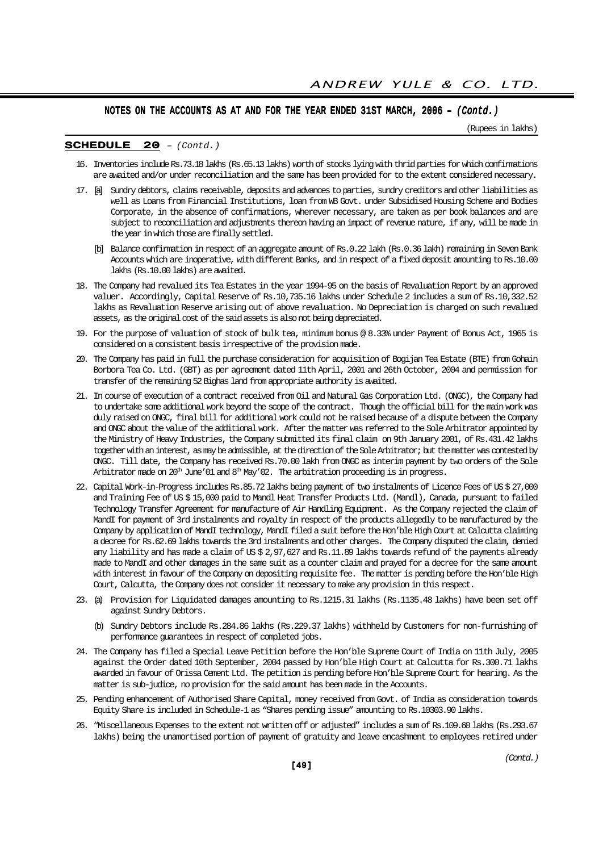(Rupees in lakhs)

#### SCHEDULE 20 – (Contd.)

- 16. Inventories include Rs.73.18 lakhs (Rs.65.13 lakhs) worth of stocks lying with thrid parties for which confirmations are awaited and/or under reconciliation and the same has been provided for to the extent considered necessary.
- 17. [a] Sundry debtors, claims receivable, deposits and advances to parties, sundry creditors and other liabilities as well as Loans from Financial Institutions, loan from WB Govt. under Subsidised Housing Scheme and Bodies Corporate, in the absence of confirmations, wherever necessary, are taken as per book balances and are subject to reconciliation and adjustments thereon having an impact of revenue nature, if any, will be made in the year in which those are finally settled.
	- [b] Balance confirmation in respect of an aggregate amount of Rs.0.22 lakh (Rs.0.36 lakh) remaining in Seven Bank Accounts which are inoperative, with different Banks, and in respect of a fixed deposit amounting to Rs.10.00 lakhs (Rs.10.00 lakhs) are awaited.
- 18. The Company had revalued its Tea Estates in the year 1994-95 on the basis of Revaluation Report by an approved valuer. Accordingly, Capital Reserve of Rs.10,735.16 lakhs under Schedule 2 includes a sum of Rs.10,332.52 lakhs as Revaluation Reserve arising out of above revaluation. No Depreciation is charged on such revalued assets, as the original cost of the said assets is also not being depreciated.
- 19. For the purpose of valuation of stock of bulk tea, minimum bonus @ 8.33% under Payment of Bonus Act, 1965 is considered on a consistent basis irrespective of the provision made.
- 20. The Company has paid in full the purchase consideration for acquisition of Bogijan Tea Estate (BTE) from Gohain Borbora Tea Co. Ltd. (GBT) as per agreement dated 11th April, 2001 and 26th October, 2004 and permission for transfer of the remaining 52 Bighas land from appropriate authority is awaited.
- 21. In course of execution of a contract received from Oil and Natural Gas Corporation Ltd. (ONGC), the Company had to undertake some additional work beyond the scope of the contract. Though the official bill for the main work was duly raised on ONGC, final bill for additional work could not be raised because of a dispute between the Company and ONGC about the value of the additional work. After the matter was referred to the Sole Arbitrator appointed by the Ministry of Heavy Industries, the Company submitted its final claim on 9th January 2001, of Rs.431.42 lakhs together with an interest, as may be admissible, at the direction of the Sole Arbitrator; but the matter was contested by ONGC. Till date, the Company has received Rs.70.00 lakh from ONGC as interim payment by two orders of the Sole Arbitrator made on  $20^{\text{th}}$  June'01 and  $8^{\text{th}}$  May'02. The arbitration proceeding is in progress.
- 22. Capital Work-in-Progress includes Rs.85.72 lakhs being payment of two instalments of Licence Fees of US \$ 27,000 and Training Fee of US \$ 15,000 paid to Mandl Heat Transfer Products Ltd. (Mandl), Canada, pursuant to failed Technology Transfer Agreement for manufacture of Air Handling Equipment. As the Company rejected the claim of MandI for payment of 3rd instalments and royalty in respect of the products allegedly to be manufactured by the Company by application of MandI technology, MandI filed a suit before the Hon'ble High Court at Calcutta claiming a decree for Rs.62.69 lakhs towards the 3rd instalments and other charges. The Company disputed the claim, denied any liability and has made a claim of US \$ 2,97,627 and Rs.11.89 lakhs towards refund of the payments already made to MandI and other damages in the same suit as a counter claim and prayed for a decree for the same amount with interest in favour of the Company on depositing requisite fee. The matter is pending before the Hon'ble High Court, Calcutta, the Company does not consider it necessary to make any provision in this respect.
- 23. (a) Provision for Liquidated damages amounting to Rs.1215.31 lakhs (Rs.1135.48 lakhs) have been set off against Sundry Debtors.
	- (b) Sundry Debtors include Rs.284.86 lakhs (Rs.229.37 lakhs) withheld by Customers for non-furnishing of performance guarantees in respect of completed jobs.
- 24. The Company has filed a Special Leave Petition before the Hon'ble Supreme Court of India on 11th July, 2005 against the Order dated 10th September, 2004 passed by Hon'ble High Court at Calcutta for Rs.300.71 lakhs awarded in favour of Orissa Cement Ltd. The petition is pending before Hon'ble Supreme Court for hearing. As the matter is sub-judice, no provision for the said amount has been made in the Accounts.
- 25. Pending enhancement of Authorised Share Capital, money received from Govt. of India as consideration towards Equity Share is included in Schedule-1 as "Shares pending issue" amounting to Rs.10303.90 lakhs.
- 26. "Miscellaneous Expenses to the extent not written off or adjusted" includes a sum of Rs.109.60 lakhs (Rs.293.67 lakhs) being the unamortised portion of payment of gratuity and leave encashment to employees retired under

[49]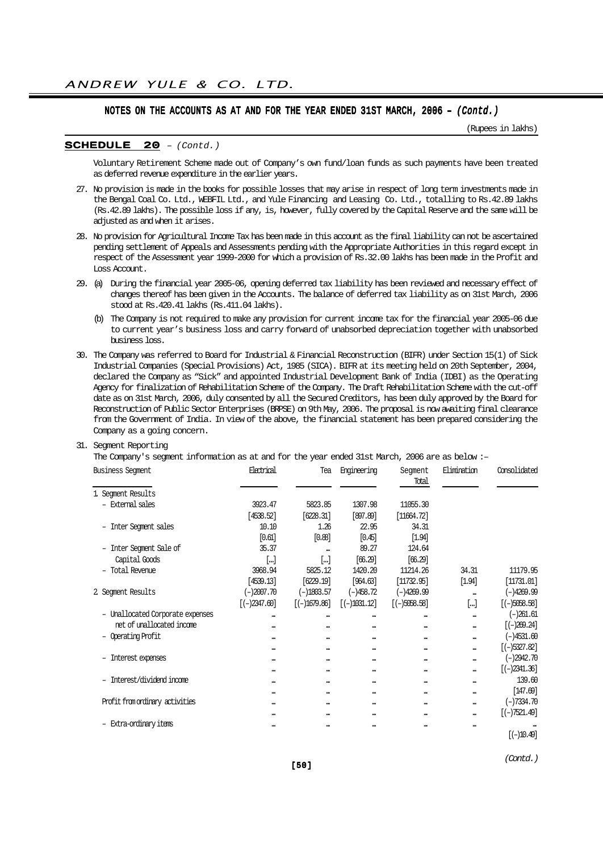(Rupees in lakhs)

#### SCHEDULE 20 – (Contd.)

Voluntary Retirement Scheme made out of Company's own fund/loan funds as such payments have been treated as deferred revenue expenditure in the earlier years.

- 27. No provision is made in the books for possible losses that may arise in respect of long term investments made in the Bengal Coal Co. Ltd., WEBFIL Ltd., and Yule Financing and Leasing Co. Ltd., totalling to Rs.42.89 lakhs (Rs.42.89 lakhs). The possible loss if any, is, however, fully covered by the Capital Reserve and the same will be adjusted as and when it arises.
- 28. No provision for Agricultural Income Tax has been made in this account as the final liability can not be ascertained pending settlement of Appeals and Assessments pending with the Appropriate Authorities in this regard except in respect of the Assessment year 1999-2000 for which a provision of Rs.32.00 lakhs has been made in the Profit and Loss Account.
- 29. (a) During the financial year 2005-06, opening deferred tax liability has been reviewed and necessary effect of changes thereof has been given in the Accounts. The balance of deferred tax liability as on 31st March, 2006 stood at Rs.420.41 lakhs (Rs.411.04 lakhs).
	- (b) The Company is not required to make any provision for current income tax for the financial year 2005-06 due to current year's business loss and carry forward of unabsorbed depreciation together with unabsorbed business loss.
- 30. The Company was referred to Board for Industrial & Financial Reconstruction (BIFR) under Section 15(1) of Sick Industrial Companies (Special Provisions) Act, 1985 (SICA). BIFR at its meeting held on 20th September, 2004, declared the Company as "Sick" and appointed Industrial Development Bank of India (IDBI) as the Operating Agency for finalization of Rehabilitation Scheme of the Company. The Draft Rehabilitation Scheme with the cut-off date as on 31st March, 2006, duly consented by all the Secured Creditors, has been duly approved by the Board for Reconstruction of Public Sector Enterprises (BRPSE) on 9th May, 2006. The proposal is now awaiting final clearance from the Government of India. In view of the above, the financial statement has been prepared considering the Company as a going concern.
- 31. Segment Reporting

The Company's segment information as at and for the year ended 31st March, 2006 are as below :–

| <b>Business Seqment</b>          | Electrical              | Tea                     | Engineering   | Segment<br>Total | Elimination             | Consolidated   |
|----------------------------------|-------------------------|-------------------------|---------------|------------------|-------------------------|----------------|
| 1. Segment Results               |                         |                         |               |                  |                         |                |
| - External sales                 | 3923.47                 | 5823.85                 | 1307.98       | 11055.30         |                         |                |
|                                  | [4538.52]               | [6228.31]               | [897.89]      | [11664.72]       |                         |                |
| - Inter Segment sales            | 10.10                   | 1.26                    | 22.95         | 34.31            |                         |                |
|                                  | [0.61]                  | [0.88]                  | [0.45]        | [1.94]           |                         |                |
| - Inter Segment Sale of          | 35.37                   |                         | 89.27         | 124.64           |                         |                |
| Capital Goods                    | []                      | []                      | [66.29]       | [66.29]          |                         |                |
| - Total Revenue                  | 3968.94                 | 5825.12                 | 1420.20       | 11214.26         | 34.31                   | 11179.95       |
|                                  | [4539.13]               | [6229.19]               | [964.63]      | [11732.95]       | [1.94]                  | [11731.01]     |
| 2 Segment Results                | $(-)2007.70$            | $(-)1803.57$            | $(-)458.72$   | $(-)4269.99$     |                         | $(-)4269.99$   |
|                                  | $[-)2347.60]$           | $[-1679.86]$            | $[(-1031.12]$ | $[(-)5058.58]$   | $[]$                    | $[(-)5058.58]$ |
| - Unallocated Corporate expenses |                         |                         |               |                  |                         | $(-)261.61$    |
| net of unallocated income        |                         |                         |               |                  |                         | $[(-)269.24]$  |
| Operating Profit                 | $\bullet\bullet\bullet$ |                         |               |                  | $\bullet\bullet\bullet$ | $(-)4531.60$   |
|                                  |                         | $\bullet\bullet\bullet$ |               |                  |                         | $[(-)5327.82]$ |
| Interest expenses                |                         |                         |               |                  |                         | $(-)2942.70$   |
|                                  |                         |                         |               |                  |                         | $[(-)2341.36]$ |
| - Interest/dividend income       |                         |                         |               |                  |                         | 139.60         |
|                                  | $\bullet\bullet\bullet$ |                         |               |                  |                         | [147.69]       |
| Profit from ordinary activities  |                         |                         |               |                  |                         | $(-)7334.70$   |
|                                  |                         |                         |               |                  |                         | $[(-)7521.49]$ |
| - Extra-ordinary items           |                         |                         |               |                  |                         |                |
|                                  |                         |                         |               |                  |                         | $[(-)10.49]$   |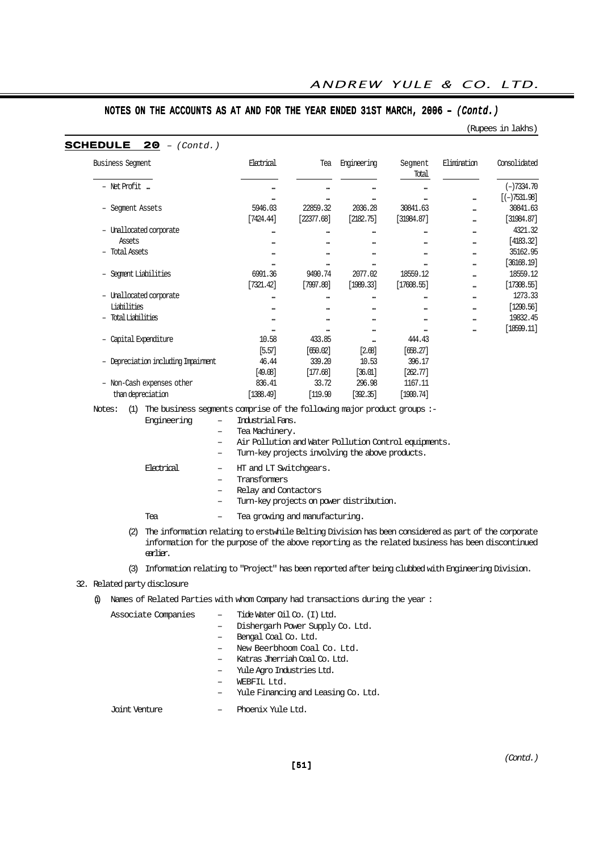(Rupees in lakhs)

| <b>Business Seqment</b>                                                                  | Electrical                                            | Tea                     | Engineering | Segment<br>Total | Elimination | Consolidated   |
|------------------------------------------------------------------------------------------|-------------------------------------------------------|-------------------------|-------------|------------------|-------------|----------------|
| - Net Profit                                                                             |                                                       |                         |             |                  |             | $(-)7334.70$   |
|                                                                                          |                                                       |                         |             |                  |             | $[(-)7531.98]$ |
| - Segment Assets                                                                         | 5946.03                                               | 22859.32                | 2036.28     | 30841.63         |             | 30841.63       |
|                                                                                          | [7424.44]                                             | [22377.68]              | [2182.75]   | [31984.87]       |             | [31984.87]     |
| - Unallocated corporate                                                                  |                                                       | $\ddot{\phantom{a}}$    |             |                  |             | 4321.32        |
| Assets                                                                                   |                                                       |                         |             |                  |             | [4183.32]      |
| - Total Assets                                                                           |                                                       |                         |             |                  |             | 35162.95       |
|                                                                                          |                                                       |                         |             |                  |             | [36168.19]     |
| - Segment Liabilities                                                                    | 6991.36                                               | 9490.74                 | 2077.02     | 18559.12         |             | 18559.12       |
|                                                                                          | [7321.42]                                             | [7997.80]               | [1989.33]   |                  |             | [17308.55]     |
|                                                                                          |                                                       |                         |             | [17608.55]       |             |                |
| - Unallocated corporate                                                                  |                                                       | $\bullet\bullet\bullet$ |             |                  |             | 1273.33        |
| Liabilities                                                                              |                                                       |                         |             |                  |             | [1290.56]      |
| - Total Liabilities                                                                      |                                                       |                         |             |                  |             | 19832.45       |
|                                                                                          |                                                       |                         |             |                  |             | [18599.11]     |
| - Capital Expenditure                                                                    | 10.58                                                 | 433.85                  |             | 444.43           |             |                |
|                                                                                          | [5.57]                                                | [650.02]                | [2.68]      | [658.27]         |             |                |
| - Depreciation including Impairment                                                      | 46.44                                                 | 339.20                  | 10.53       | 396.17           |             |                |
|                                                                                          | [49.08]                                               | [177.68]                | [36.01]     | [262.77]         |             |                |
| - Non-Cash expenses other                                                                | 836.41                                                | 33.72                   | 296.98      | 1167.11          |             |                |
| than depreciation                                                                        | [1388.49]                                             | [119.90]                | [392.35]    | [1900.74]        |             |                |
| The business segments comprise of the following major product groups :-<br>Notes:<br>(1) |                                                       |                         |             |                  |             |                |
| Engineering<br>-                                                                         | Industrial Fans.                                      |                         |             |                  |             |                |
| -                                                                                        | Tea Machinery.                                        |                         |             |                  |             |                |
| $\overline{\phantom{0}}$                                                                 | Air Pollution and Water Pollution Control equipments. |                         |             |                  |             |                |
|                                                                                          | Turn-key projects involving the above products.       |                         |             |                  |             |                |

| Flettrical | $-$ | HT and LT Switchgears.                   |
|------------|-----|------------------------------------------|
|            |     | Transformers                             |
|            |     | Relay and Contactors                     |
|            |     | Turn-key projects on power distribution. |
| Тея        |     | Tea growing and manufacturing.           |

- (2) The information relating to erstwhile Belting Division has been considered as part of the corporate information for the purpose of the above reporting as the related business has been discontinued earlier.
- (3) Information relating to "Project" has been reported after being clubbed with Engineering Division.
- 32. Related party disclosure

### (i) Names of Related Parties with whom Company had transactions during the year :

Associate Companies – Tide Water Oil Co. (I) Ltd.

- Dishergarh Power Supply Co. Ltd.
- Bengal Coal Co. Ltd.
- New Beerbhoom Coal Co. Ltd.
- Katras Jherriah Coal Co. Ltd.
- Yule Agro Industries Ltd.
- WEBFIL Ltd.
- Yule Financing and Leasing Co. Ltd.
- Joint Venture Phoenix Yule Ltd.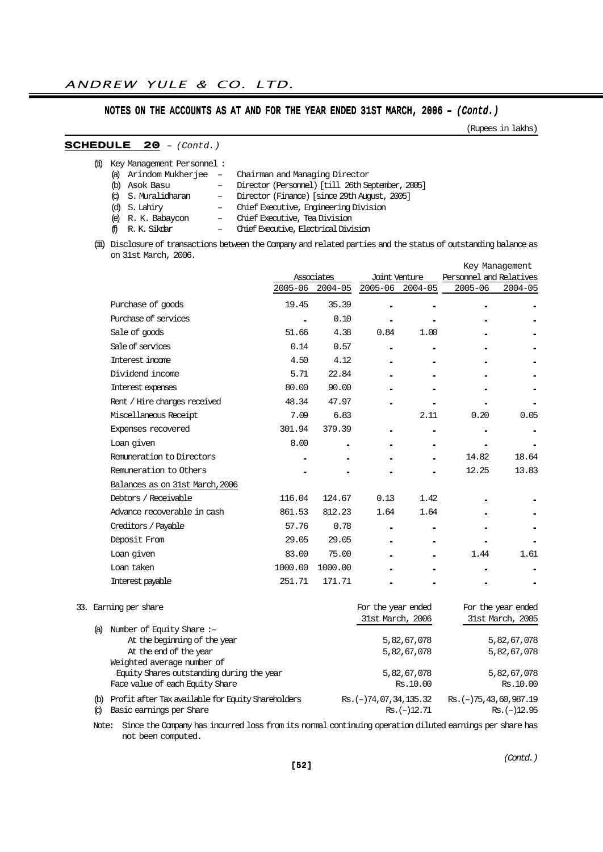(Rupees in lakhs)

## SCHEDULE 20 – (Contd.)

|          | (ii) Key Management Personnel: |                                                  |
|----------|--------------------------------|--------------------------------------------------|
|          | (a) Arindom Mukherjee –        | Chairman and Managing Director                   |
| $\omega$ | Asok Basu                      | Director (Personnel) [till 26th September, 2005] |
|          | (c) S. Muralidharan            | - Director (Finance) [since 29th August, 2005]   |
|          | (d) S. Lahiry                  | - Chief Executive, Engineering Division          |
|          | (e) R. K. Babaycon             | - Chief Executive, Tea Division                  |
|          | fi R.K. Sikdar                 | - Chief Executive, Electrical Division           |
|          |                                |                                                  |

(iii) Disclosure of transactions between the Company and related parties and the status of outstanding balance as on 31st March, 2006.

|             |             |            |             |                          | Key Management          |
|-------------|-------------|------------|-------------|--------------------------|-------------------------|
|             |             |            |             |                          |                         |
| $2005 - 06$ | $2004 - 05$ |            | $2004 - 05$ | $2005 - 06$              | $2004 - 05$             |
| 19.45       | 35.39       |            |             |                          |                         |
|             | 0.10        |            |             |                          |                         |
| 51.66       | 4.38        | 0.84       | 1.00        |                          |                         |
| 0.14        | 0.57        |            |             |                          |                         |
| 4.50        | 4.12        |            |             |                          |                         |
| 5.71        | 22.84       |            |             |                          |                         |
| 80.00       | 90.00       |            |             |                          |                         |
| 48.34       | 47.97       |            |             |                          |                         |
| 7.09        | 6.83        |            | 2.11        | 0.20                     | 0.05                    |
| 301.94      | 379.39      |            |             |                          |                         |
| 8.00        |             |            |             |                          |                         |
|             |             |            |             | 14.82                    | 18.64                   |
|             |             |            |             | 12.25                    | 13.83                   |
|             |             |            |             |                          |                         |
| 116.04      | 124.67      | 0.13       | 1.42        |                          |                         |
| 861.53      | 812.23      | 1.64       | 1.64        |                          |                         |
| 57.76       | 0.78        |            |             |                          |                         |
| 29.05       | 29.05       |            |             |                          |                         |
| 83.00       | 75.00       |            |             | 1.44                     | 1.61                    |
| 1000.00     | 1000.00     |            |             |                          |                         |
| 251.71      | 171.71      |            |             |                          |                         |
|             |             | Associates |             | Joint Venture<br>2005-06 | Personnel and Relatives |

### 33. Earning per share For the year ended For the year ended

|     |                                                    | 31st March, 2006          | 31st March, 2005             |
|-----|----------------------------------------------------|---------------------------|------------------------------|
| (a) | Number of Equity Share:-                           |                           |                              |
|     | At the beginning of the year                       | 5,82,67,078               | 5,82,67,078                  |
|     | At the end of the year                             | 5,82,67,078               | 5,82,67,078                  |
|     | Weighted average number of                         |                           |                              |
|     | Equity Shares outstanding during the year          | 5,82,67,078               | 5,82,67,078                  |
|     | Face value of each Equity Share                    | Rs.10.00                  | Rs.10.00                     |
| (b) | Profit after Tax available for Equity Shareholders | $Rs. (-) 74.07.34.135.32$ | $Rs. (-) 75, 43, 60, 987.19$ |
| Q   | Basic earnings per Share                           | $Rs. (-)12.71$            | $Rs. (-12.95$                |

Note: Since the Company has incurred loss from its normal continuing operation diluted earnings per share has not been computed.

(Contd.)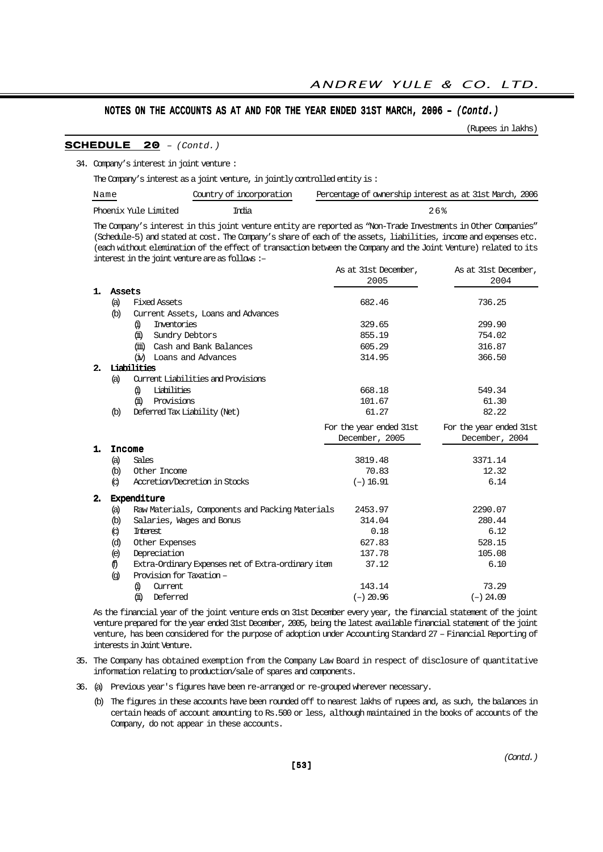(Rupees in lakhs)

#### SCHEDULE 20 – (Contd.)

34. Company's interest in joint venture :

The Company's interest as a joint venture, in jointly controlled entity is :

| Name                 | Country of incorporation | Percentage of ownership interest as at 31st March, 2006 |
|----------------------|--------------------------|---------------------------------------------------------|
| Phoenix Yule Limited | India                    | 26%                                                     |

The Company's interest in this joint venture entity are reported as "Non-Trade Investments in Other Companies" (Schedule-5) and stated at cost. The Company's share of each of the assets, liabilities, income and expenses etc. (each without elemination of the effect of transaction between the Company and the Joint Venture) related to its interest in the joint venture are as follows :–  $\lambda$ s at  $31$ st December,  $\lambda$ s at  $31$ st December,  $\lambda$ s at  $31$ st December,  $\lambda$ s at  $21$ st December,  $\lambda$ s at  $21$ st December,  $\lambda$ s at  $\lambda$ 

|    |                   |                                                    | As at sist becemper,    | As at sist becemper,    |
|----|-------------------|----------------------------------------------------|-------------------------|-------------------------|
|    |                   |                                                    | 2005                    | 2004                    |
| 1. | Assets            |                                                    |                         |                         |
|    | (a)               | <b>Fixed Assets</b>                                | 682.46                  | 736.25                  |
|    | $\circled{b}$     | Current Assets, Loans and Advances                 |                         |                         |
|    |                   | Inventories<br>6)                                  | 329.65                  | 299.90                  |
|    |                   | (ji)<br>Sundry Debtors                             | 855.19                  | 754.02                  |
|    |                   | Cash and Bank Balances<br>(iii)                    | 605.29                  | 316.87                  |
|    |                   | (iv) Loans and Advances                            | 314.95                  | 366.50                  |
| 2. |                   | Liabilities                                        |                         |                         |
|    | (a)               | Current Liabilities and Provisions                 |                         |                         |
|    |                   | Liabilities<br>6)                                  | 668.18                  | 549.34                  |
|    |                   | Provisions<br>ω                                    | 101.67                  | 61.30                   |
|    | $\circled{b}$     | Deferred Tax Liability (Net)                       | 61.27                   | 82.22                   |
|    |                   |                                                    | For the year ended 31st | For the year ended 31st |
|    |                   |                                                    | December, 2005          | December, 2004          |
| 1. |                   | Income                                             |                         |                         |
|    | (a)               | Sales                                              | 3819.48                 | 3371.14                 |
|    | $\omega$          | Other Income                                       | 70.83                   | 12.32                   |
|    | $\circ$           | Accretion/Decretion in Stocks                      | $(-) 16.91$             | 6.14                    |
| 2. |                   | Expenditure                                        |                         |                         |
|    | (a)               | Raw Materials, Components and Packing Materials    | 2453.97                 | 2290.07                 |
|    | $\circled{b}$     | Salaries, Wages and Bonus                          | 314.04                  | 280.44                  |
|    | $\circled{c}$     | <b>Interest</b>                                    | 0.18                    | 6.12                    |
|    | (d)               | Other Expenses                                     | 627.83                  | 528.15                  |
|    | (e)               | Depreciation                                       | 137.78                  | 105.08                  |
|    | ⊕                 | Extra-Ordinary Expenses net of Extra-ordinary item | 37.12                   | 6.10                    |
|    | $\left( q\right)$ | Provision for Taxation –                           |                         |                         |
|    |                   | 6)<br>Current                                      | 143.14                  | 73.29                   |
|    |                   | (ii)<br>Deferred                                   | $(-)$ 20.96             | $(-)$ 24.09             |
|    |                   |                                                    |                         |                         |

As the financial year of the joint venture ends on 31st December every year, the financial statement of the joint venture prepared for the year ended 31st December, 2005, being the latest available financial statement of the joint venture, has been considered for the purpose of adoption under Accounting Standard 27 – Financial Reporting of interests in Joint Venture.

- 35. The Company has obtained exemption from the Company Law Board in respect of disclosure of quantitative information relating to production/sale of spares and components.
- 36. (a) Previous year's figures have been re-arranged or re-grouped wherever necessary.
	- (b) The figures in these accounts have been rounded off to nearest lakhs of rupees and, as such, the balances in certain heads of account amounting to Rs.500 or less, although maintained in the books of accounts of the Company, do not appear in these accounts.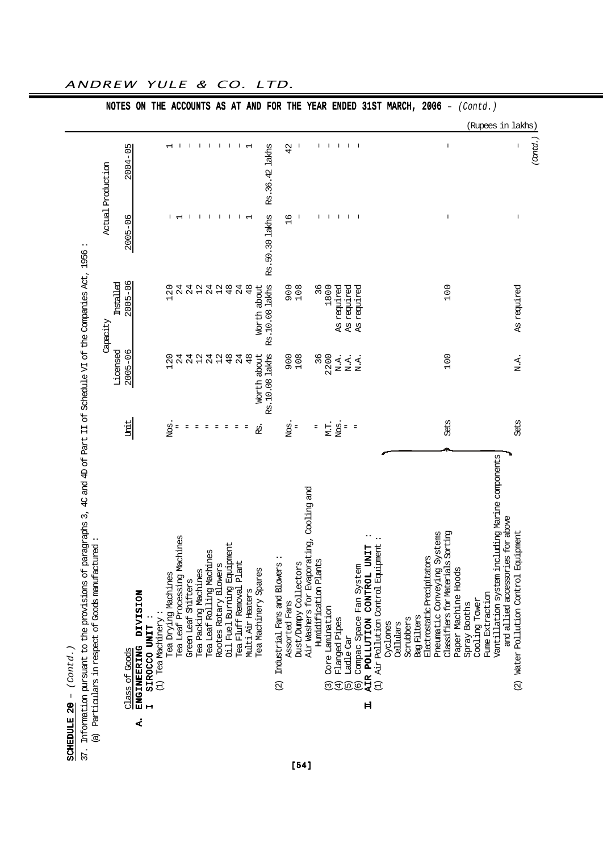| (Contd.)<br>SCHEDULE 20 -                                           |                                                                               |                      |                 |                               |                          |                   |
|---------------------------------------------------------------------|-------------------------------------------------------------------------------|----------------------|-----------------|-------------------------------|--------------------------|-------------------|
| 37. Information pursuant to the provisions of                       | paragraphs 3, 4C and 4D of Part II of Schedule VI of the Companies Act, 1956: |                      |                 |                               |                          |                   |
| (a) Particulars in respect of Goods manufactured                    |                                                                               |                      | Capacity        |                               | Actual Production        |                   |
|                                                                     |                                                                               | Licensed             | installed       |                               |                          |                   |
| Class of Goods                                                      | Unit                                                                          | $2005 - 06$          | $2005 - 06$     | $2005 - 06$                   | $2004 - 05$              |                   |
| <b>DIVISION</b><br>ENGINEERING<br>À,                                |                                                                               |                      |                 |                               |                          |                   |
| (1) Tea Machinery:<br>SIROCCO UNIT<br>$\blacksquare$                |                                                                               |                      |                 |                               |                          |                   |
|                                                                     |                                                                               | 20<br>$\blacksquare$ | 120             |                               | $\overline{\phantom{0}}$ |                   |
| Tea Leaf Processing Machines<br>Tea Drying Machines                 | Nos<br>Ξ                                                                      | 24                   | 24              | $\overline{ }$                | $\mathbf{I}$             |                   |
|                                                                     | Ξ                                                                             |                      |                 |                               |                          |                   |
| Green Leaf Shifters                                                 | Ξ                                                                             | 24                   | 24              | -1                            |                          |                   |
| Tea Packing Machines                                                |                                                                               | $\overline{12}$      | 12              | $\mathbf{I}$                  | $\mathbf{I}$             |                   |
| Tea Leaf Rolling Machines                                           | $\equiv$                                                                      | 24                   | 24              | $\mathbf{I}$                  | -1                       |                   |
| ŢΩ<br>Rootes Rotary Blower                                          | Ξ                                                                             | 12                   | 12              | $\mathbf{I}$                  | $\mathbf{I}$             |                   |
| Oil Fuel Burning Equipment                                          | Ξ                                                                             | 48                   | 48              | $\mathbf{I}$                  | $\mathsf{I}$             |                   |
| Tea Fluff Removal Plant                                             |                                                                               | $^{24}$              | 24              | $\mathbf{I}$                  | $\mathbf{L}$             |                   |
| Multi Air Heaters                                                   |                                                                               | 48                   | 48              | $\overline{ }$                | $\overline{\phantom{0}}$ |                   |
| Tea Machinery Spares                                                | .<br>R                                                                        | Worth about          | Worth about     |                               |                          |                   |
|                                                                     |                                                                               | Rs.10.08 lakhs       | Rs. 10.08 lakhs | Rs.50.30 lakhs                | Rs.36.42 lakhs           |                   |
| ŢΩ<br>Industrial Fans and Blower<br>$\widehat{\mathfrak{Q}}$        |                                                                               |                      |                 |                               |                          |                   |
| Assorted Fans                                                       | Nos                                                                           | 908<br>108           | 900<br>108      | 6<br>$\overline{\phantom{0}}$ | 42                       |                   |
| Dust/Dumpy Collectors                                               | Ξ                                                                             |                      |                 |                               |                          |                   |
| Air Washers for Evaporating, Cooling and                            |                                                                               |                      |                 |                               |                          |                   |
| Humidification Plants                                               | Ξ                                                                             | 36                   | 96              |                               | T.                       |                   |
| Core Lamination<br>$\widehat{\mathcal{C}}$                          | M.T.                                                                          | 2200                 | 1800            | $\mathbf{I}$                  | $\mathsf{I}$             |                   |
| Flanged Pipes<br>$\overline{4}$                                     | Nos                                                                           | N.A.                 | As required     | -1                            | $\mathbf{I}$             |                   |
| Ladle Car<br>$\widehat{\Theta}$                                     | $\equiv$                                                                      | N.A.                 | As required     | $\mathbf{L}$                  | $\mathbf{L}$             |                   |
| Compac Space Fan System<br><u>ම</u>                                 | $\overline{\phantom{a}}$                                                      | N.A.                 | required<br>As  | $\overline{\phantom{a}}$      |                          |                   |
| <b>UNIT</b><br>CONTROL<br>POLLUTION<br><b>AIR</b><br>$\blacksquare$ |                                                                               |                      |                 |                               |                          |                   |
| (1) Air Pollution Control Equipment                                 |                                                                               |                      |                 |                               |                          |                   |
| Cyclones                                                            |                                                                               |                      |                 |                               |                          |                   |
| cellulars                                                           |                                                                               |                      |                 |                               |                          |                   |
| Scrubbers                                                           |                                                                               |                      |                 |                               |                          |                   |
| Bag Filters                                                         |                                                                               |                      |                 |                               |                          |                   |
| Electrostatic Precipitators                                         |                                                                               |                      |                 |                               |                          |                   |
| Systems<br>Pneumatic Conveying                                      |                                                                               |                      |                 |                               |                          |                   |
| ls Sorting<br>Classifiers for Materia                               | Sets                                                                          | 100                  | 100             | $\overline{\phantom{a}}$      | $\overline{1}$           |                   |
| Paper Machine Hoods                                                 |                                                                               |                      |                 |                               |                          |                   |
| Spray Booths                                                        |                                                                               |                      |                 |                               |                          |                   |
| Cooling Tower                                                       |                                                                               |                      |                 |                               |                          |                   |
| Fume Extraction                                                     |                                                                               |                      |                 |                               |                          |                   |
| Vantillation system including Marine components                     |                                                                               |                      |                 |                               |                          | (Rupees in lakhs) |
| and allied accessories for above                                    |                                                                               |                      |                 |                               |                          |                   |
| Water Pollution Control Equipment<br>$\widehat{\mathfrak{A}}$       | Sets                                                                          | N.A.                 | As required     | I                             | ı                        |                   |
|                                                                     |                                                                               |                      |                 |                               | (Canta.                  |                   |
|                                                                     |                                                                               |                      |                 |                               |                          |                   |

ANDREW YULE & CO. LTD.

[54]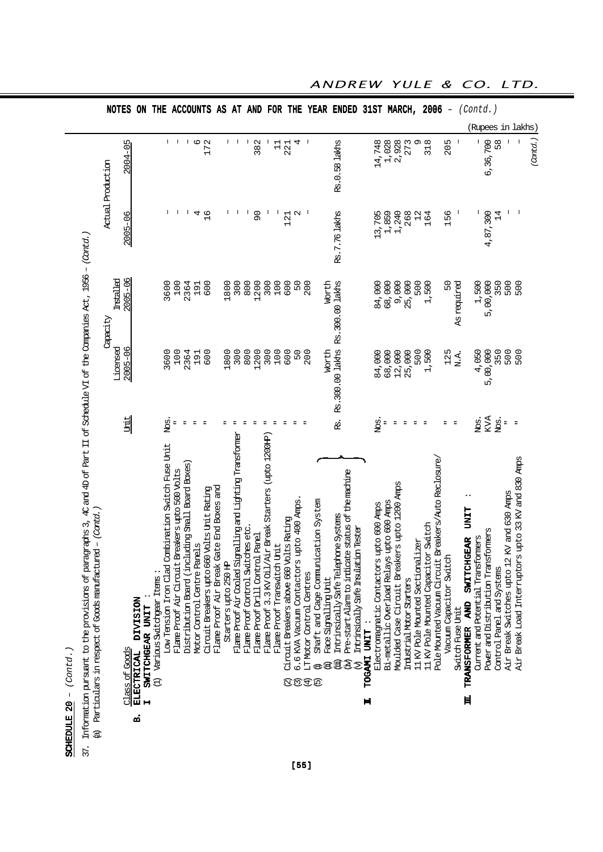| SCHEDULE 20 - $(Contd. )$                                                                                                                                                                                                        |      |                                   |           |                      |                   |
|----------------------------------------------------------------------------------------------------------------------------------------------------------------------------------------------------------------------------------|------|-----------------------------------|-----------|----------------------|-------------------|
| Information pursuant to the provisions of paragraphs 3, 40 and 4D of Bart II of Schedule VI of the Companies Act, 1956 – (Contol.)<br>Particulars in respect of Goods manufactured – (Contol.,<br>$\overline{\mathbb{C}}$<br>37. |      |                                   |           |                      |                   |
|                                                                                                                                                                                                                                  |      | Capacity                          |           |                      | Actual Production |
|                                                                                                                                                                                                                                  |      | Licensed                          | Installed |                      |                   |
| Class of Goods                                                                                                                                                                                                                   | Unit | 2005-06                           | 2005-06   | 2005-06              | 2004-05           |
| ELECTRICAL DIVISION<br>SWITCHGEAR UNIT<br>a.                                                                                                                                                                                     |      |                                   |           |                      |                   |
| (1) Various Switchear Itens:                                                                                                                                                                                                     |      |                                   |           |                      |                   |
| Low Tension Iron Clad Combination Switch Fuse Unit                                                                                                                                                                               | Nos. | 3600                              | 3600      |                      | $\mathsf{I}$      |
| Flame Proof Air Circuit Breakers upto 500 Volts                                                                                                                                                                                  |      | 100                               | 100       |                      |                   |
| Distribution Board (including Small Board Boxes)                                                                                                                                                                                 |      | 2364                              | 2364      |                      | J.                |
| Motor Control Centre Panels                                                                                                                                                                                                      |      | 191                               | 191       | 4                    | م                 |
| Circuit Breakers upto 660 Volts Unit Rating                                                                                                                                                                                      |      | 600                               | 600       | $\frac{9}{1}$        | 172               |
| Flame Proof Air Break Gate End Boxes and                                                                                                                                                                                         |      |                                   |           |                      |                   |
| Starters upto 250 HP                                                                                                                                                                                                             |      | 1800                              | 1800      |                      | I                 |
| Flare Proof Air Cooled Signalling and Lighting Transformer                                                                                                                                                                       |      | 300                               | 300       |                      | $\overline{1}$    |
| Flame Proof Control Switches etc.                                                                                                                                                                                                |      | 800                               | 800       |                      | I                 |
| Flame Proof Drill Control Panel                                                                                                                                                                                                  |      | 1200                              | 1200      | $\overline{9}$       | 382               |
| Flame Proof 3.3 KV 0il/Air Break Starters (upto 1200HP)                                                                                                                                                                          |      | 300                               | 300       |                      |                   |
| Flame Proof Transwitch Unit                                                                                                                                                                                                      |      | 100                               | 100       |                      | $\overline{11}$   |
| Circuit Breakers above 660 Volts Rating<br>$\widehat{\mathfrak{Q}}$                                                                                                                                                              |      | 600                               | 600       | 121                  | 221               |
| 6.6 KVA Vacuum Contactors upto 400 Amps.<br>$\widehat{\mathcal{O}}$                                                                                                                                                              |      | 50                                | 50        | $\mathbf{\Omega}$    | 4                 |
| LT Motor Control Centres<br>$\bigoplus$                                                                                                                                                                                          |      | 200                               | 200       |                      |                   |
| Shaft and Cage Communication System<br>$\widehat{\mathfrak{G}}$                                                                                                                                                                  |      |                                   |           |                      |                   |
| Face Signalling Unit                                                                                                                                                                                                             |      | Worth                             | Worth     |                      |                   |
| Intrinsically Safe Telephone Systems                                                                                                                                                                                             | ஜ்   | Rs. 300.00 lakhs Rs. 300.00 lakhs |           | <b>Rs.7.76 lakts</b> | Rs.0.58 lakts     |
| Pre-start Alarm to indicate status of the machine<br>$\widehat{A}$                                                                                                                                                               |      |                                   |           |                      |                   |
| Intrinsically Safe Insulation T <del>este</del> r<br>$\mathfrak{D}$                                                                                                                                                              |      |                                   |           |                      |                   |
| TOGAMI UNIT :<br>Ħ                                                                                                                                                                                                               |      |                                   |           |                      |                   |
| Electromagnatic Contactors upto 600 Amps                                                                                                                                                                                         | Nos. | 84,000                            | 84,000    | 13,705               | 14,748            |
| Bi-metallic Overload Relays upto 600 Amps                                                                                                                                                                                        |      | 68,000<br>12,000<br>25,000        | 68,000    | 1,859                | 1,028<br>2,928    |
| Moulded Case Circuit Breakers upto 1200 Amps                                                                                                                                                                                     |      |                                   | 9,000     | 1,240                |                   |
| Industrial Motor Starters                                                                                                                                                                                                        |      |                                   | 25,000    | 268                  | 273               |
| Sectionalizer<br>11 KV Pole Mounted                                                                                                                                                                                              |      | 500                               | 500       | $\frac{2}{1}$        | Q                 |
| 11 KV Pole Mounted Capacitor Switch                                                                                                                                                                                              |      | 1,500                             | 1,500     | 164                  | 318               |
| Pole Mounted Vacuum Circuit Breakers/Auto Reclosure,                                                                                                                                                                             |      |                                   |           |                      |                   |

 $\begin{array}{c|c|c|c|c} \hline \text{1} & \text{1} & \text{1} & \text{1} \\ \hline \text{1} & \text{1} & \text{1} & \text{1} \\ \hline \text{1} & \text{1} & \text{1} & \text{1} \\ \hline \end{array}$ 

 $\frac{1}{3}$ 

 $\begin{array}{c} 1 \overline{1} \\ 1 \overline{1} \\ 2 \overline{1} \end{array}$ 

 $\overline{4}$  $\bar{1}$ 

NOTES ON THE ACCOUNTS AS AT AND FOR THE YEAR ENDED 31ST MARCH, 2006 -  $(Cond.)$ 

Rs.0.58 lakts

(Rupees in lakhs)

58

6,36,700

4,87,300<br>14

1,500<br>5,00,000<br>550<br>500<br>500<br>500

4,050<br>5,00,000<br>550<br>500<br>500<br>500

 $\begin{array}{lll} \texttt{NCS} \\ \texttt{KVA} \\ \texttt{NCS} : \end{array} \, .$ 

Air Break Load Interruptors upto 33 KV and 830 Amps Air Break Switches upto 12 KV and 630 Amps

Control Panel and Systems

 $\begin{array}{c} \begin{array}{c} \end{array} \end{array}$ 

 $\Gamma=1$ 

(Contd.)

ANDREW YULE & CO. LTD.

 $318$ 205  $\overline{\phantom{a}}$ 

156

50

As required

 $\bar{1}$ 

 $\sigma$ 

 $14,748$ <br> $1,028$ <br> $2,928$ <br> $273$ 

Vacuum Capacitor Switch

Switch Fuse Unit

.III TRANSFORMER AND SWITCHGEAR UNIT : AND UNIT

TRANSFORMER AND SWITCHGEAR UNIT Power and Distribution Transformers Current and Potential Transformers

 $\mathbf H$ 

Vacuum Capacitor Switch " 125 50 156 205 Switch Fuse Unit " N.A. As required – –

 $\frac{1}{\pi}$  ) is

125 N.A. Current and Potential Transformers Nos. 4,050 1,500 – – Power and Distribution Transformers KVA 5,00,000 5,00,000 4,87,300 6,36,700 Control Panel and Systems  $\frac{14}{350}$  350  $\frac{350}{350}$  $\frac{1}{2}$  Air Break Switches upto 12 KV and 630 Amps  $\frac{1}{2}$  Solo 500  $\frac{1}{2}$  Switches upto 1300  $\frac{1}{2}$  Switches upto 1300  $\frac{1}{2}$ Air Break Load Interruptors upto 33 KV and 830 Amps " 500 500 – –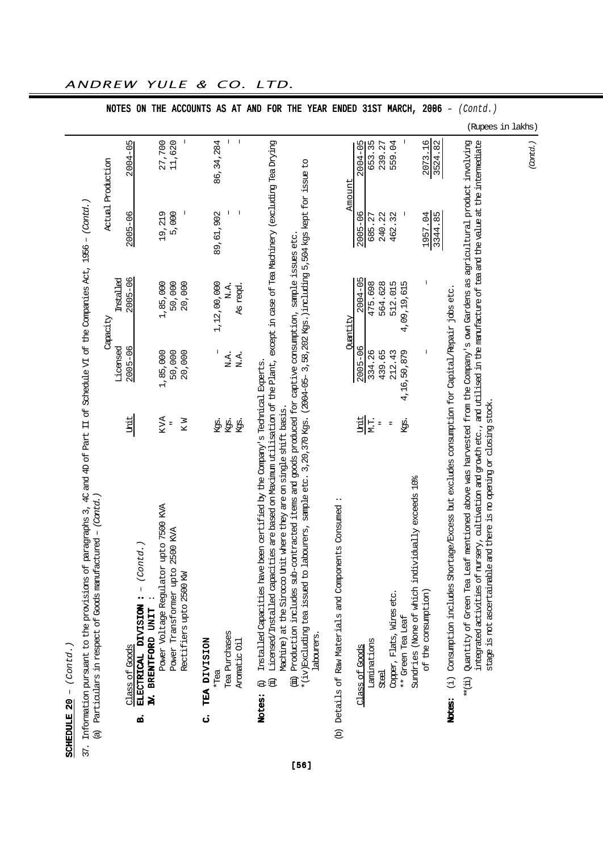| Cont                 | <u>ואלו</u> |
|----------------------|-------------|
| 20                   | t<br>ţ      |
| Γ<br><u>יות דידה</u> | ŧ           |
|                      |             |

 $\overline{a}$ 

|                                                                                   |                   | <b>NOTES</b>            | ON                                                             | THE                                   |                                 |                          | ACCOUNTS AS        |             | AT            | AND            | FOR                                                                                                                                                                                                                                            |                                                                       | THE                                                                                                                                                                                                                                                       | YEAR ENDED |                                                                             |          |                | 31ST        |                |                           | MARCH,                                                                | 2006                | $\overline{\phantom{a}}$                                                                                 | (Contd.)                                                                                                                                                                                                                                                                                                                                                              |                   |          |
|-----------------------------------------------------------------------------------|-------------------|-------------------------|----------------------------------------------------------------|---------------------------------------|---------------------------------|--------------------------|--------------------|-------------|---------------|----------------|------------------------------------------------------------------------------------------------------------------------------------------------------------------------------------------------------------------------------------------------|-----------------------------------------------------------------------|-----------------------------------------------------------------------------------------------------------------------------------------------------------------------------------------------------------------------------------------------------------|------------|-----------------------------------------------------------------------------|----------|----------------|-------------|----------------|---------------------------|-----------------------------------------------------------------------|---------------------|----------------------------------------------------------------------------------------------------------|-----------------------------------------------------------------------------------------------------------------------------------------------------------------------------------------------------------------------------------------------------------------------------------------------------------------------------------------------------------------------|-------------------|----------|
|                                                                                   |                   |                         |                                                                |                                       |                                 |                          |                    |             |               |                |                                                                                                                                                                                                                                                |                                                                       |                                                                                                                                                                                                                                                           |            |                                                                             |          |                |             |                |                           |                                                                       |                     |                                                                                                          |                                                                                                                                                                                                                                                                                                                                                                       | (Rupees in lakhs) |          |
|                                                                                   | Actual Production | 2004-05                 |                                                                | 27,700                                | 11,620                          | $\overline{\phantom{a}}$ |                    | 86, 34, 284 | $\mathbf{I}$  | $\overline{1}$ |                                                                                                                                                                                                                                                |                                                                       |                                                                                                                                                                                                                                                           |            |                                                                             | Amount   | $2004 - 05$    | 653.35      | 239.27         | 559.04                    |                                                                       | 2073.16<br>3524.82  |                                                                                                          |                                                                                                                                                                                                                                                                                                                                                                       |                   | (Cantd.) |
|                                                                                   |                   | $2005 - 06$             |                                                                | 19,219                                | 5,000                           | $\overline{\phantom{a}}$ |                    | 89,61,902   |               |                |                                                                                                                                                                                                                                                |                                                                       |                                                                                                                                                                                                                                                           |            |                                                                             |          | $2005 - 06$    | 685.27      | 240.22         | 462.32                    |                                                                       | 1957.04<br>3344.85  |                                                                                                          |                                                                                                                                                                                                                                                                                                                                                                       |                   |          |
|                                                                                   | Capacity          | $2005 - 06$<br>mstalled |                                                                | 1,85,000                              | 50,000                          | 20,000                   |                    | 1,12,00,000 | N.A.          | As regd.       |                                                                                                                                                                                                                                                |                                                                       |                                                                                                                                                                                                                                                           |            |                                                                             | Quantity | $2004 - 05$    | 475.698     | 564.628        | 512.015                   | 4,09,19,615                                                           |                     |                                                                                                          |                                                                                                                                                                                                                                                                                                                                                                       |                   |          |
|                                                                                   |                   | Licensed<br>$2005 - 06$ |                                                                | 1,85,000                              | 50,000                          | 20,000                   |                    |             | N.A.          | N.A.           |                                                                                                                                                                                                                                                |                                                                       |                                                                                                                                                                                                                                                           |            |                                                                             |          | $2005 - 06$    | 334.26      | 439.65         | 212.43                    | 4,16,50,879                                                           |                     |                                                                                                          |                                                                                                                                                                                                                                                                                                                                                                       |                   |          |
|                                                                                   |                   | Unit                    |                                                                | KVA                                   |                                 | K W                      |                    | Ķģ.         | Ķģ.           | Kgs.           |                                                                                                                                                                                                                                                |                                                                       |                                                                                                                                                                                                                                                           |            |                                                                             |          | Unit           | M.T.        | $\overline{a}$ | $\overline{a}$            | kgs.                                                                  |                     |                                                                                                          |                                                                                                                                                                                                                                                                                                                                                                       |                   |          |
| Particulars in respect of Goods manufactured - (Cantd.)<br>$\widehat{\mathbb{C}}$ |                   | <b>Class of Goods</b>   | - (Contd.<br>ELECTRICAL DIVISION :<br>IV. BRENTFORD UNIT<br>ற் | Power Voltage Regulator upto 7500 KVA | Power Transformer upto 2500 KVA | Rectifiers upto 2500 KW  | TEA DIVISION<br>ن, | $*$ Tea     | Tea Purchases | Aromatic Oil   | Licensed/Installed capacities are based on Maximum utilisation of the Plant, except in case of Tea Machinery (excluding Tea Drying<br>Installed Capacities have been certified by the Company's Technical Experts.<br>Ĵ<br>$\ominus$<br>Notes: | where they are on single shift basis.<br>Machine) at the Sirocco Unit | $*(1x)$ Excluding tea issued to labourers, sample etc. 3, 20, 370 Kgs. (2004-05- 3, 58, 202 Kgs.) including 5, 504 Kgs kept for issue to<br>(iii) Production includes sub-contracted items and goods produced for captive consumption, sample issues etc. | labourers  | Details of Raw Materials and Components Consumed<br>$\widehat{\mathcal{B}}$ |          | Class of Goods | Laminations | <b>Steel</b>   | Copper, Flats, Wires etc. | Sundries (None of which individually exceeds 10%<br>** Green Tea Leaf | of the consumption) | (i) Consumption includes Shortage/Excess but excludes consumption for Capital/Repair jobs etc.<br>Notes: | mentioned above was harvested from the Company's own Gardens as agricultural product involving<br>integrated activities of nursery, cultivation and growth etc. , and utilised in the manufacture of tea and the value at the intermediate<br>id there is no opening or closing stock.<br>stage is not ascertainable an<br>Quantity of Green Tea Leaf<br>$**$ $(\pm)$ |                   |          |
|                                                                                   |                   |                         |                                                                |                                       |                                 |                          |                    |             |               |                |                                                                                                                                                                                                                                                |                                                                       | [56]                                                                                                                                                                                                                                                      |            |                                                                             |          |                |             |                |                           |                                                                       |                     |                                                                                                          |                                                                                                                                                                                                                                                                                                                                                                       |                   |          |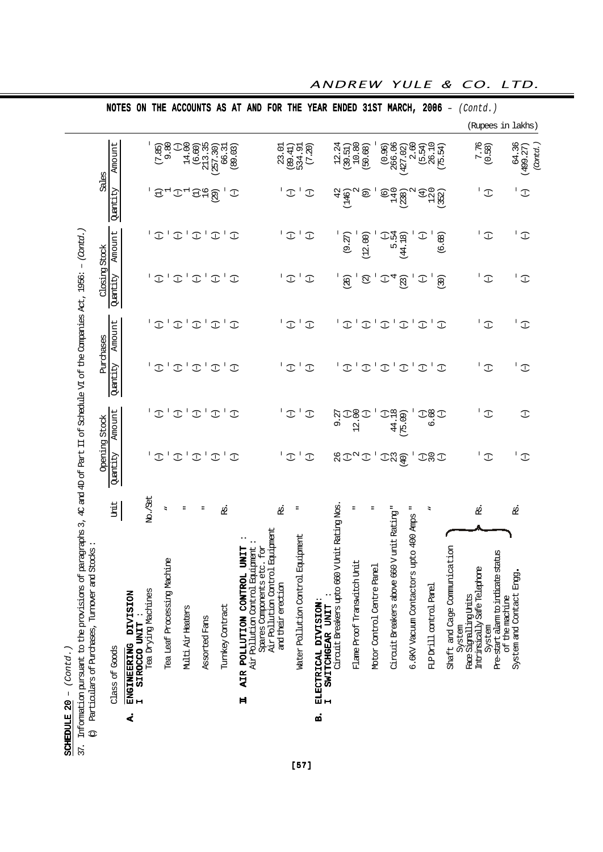|                                                                                                                                                  |               |                |                                                            |                     |                |                             |                               |               |                               |                  |                                           |                                                                    |                                 |                    |              |                                      |                          |                                   |                                                |                               |                       |                            |                                           |                |                                          |                               |               |                                        |                       |                             |                                              |                                           | (Rupees in lakhs)       |
|--------------------------------------------------------------------------------------------------------------------------------------------------|---------------|----------------|------------------------------------------------------------|---------------------|----------------|-----------------------------|-------------------------------|---------------|-------------------------------|------------------|-------------------------------------------|--------------------------------------------------------------------|---------------------------------|--------------------|--------------|--------------------------------------|--------------------------|-----------------------------------|------------------------------------------------|-------------------------------|-----------------------|----------------------------|-------------------------------------------|----------------|------------------------------------------|-------------------------------|---------------|----------------------------------------|-----------------------|-----------------------------|----------------------------------------------|-------------------------------------------|-------------------------|
|                                                                                                                                                  |               | Amount         |                                                            | 1                   | (7.85)         | 9.80                        | 14.00<br>$\mathbb{C}$         | (6.60)        | 213.35<br>(257.30)            | 66.31            | (89.03)                                   |                                                                    |                                 | 23.01              | (89.41)      | (7.20)<br>534.91                     |                          |                                   | 12.24                                          | 10.80<br>(39.51)              | (50.68)               |                            | 266.06<br>(0.96)                          | 427.02)        | 2.60                                     | 26.10<br>(5.54)               | (75.54)       |                                        |                       | $7.76$<br>(0.58)            |                                              | 64.36                                     | (cntd.<br>(499.27)      |
|                                                                                                                                                  | Sales         | Quantity       |                                                            |                     | $\ominus$      |                             | $\mathbb T$                   | 94            | (62)                          |                  | $\mathbb{C}$                              |                                                                    |                                 |                    | $\mathbb T$  | J.<br>$\mathbb{C}$                   |                          |                                   | 42<br>(146)                                    | $\mathbf{\Omega}$             | $\circledcirc$        |                            | 140<br>$\copyright$                       | 238)           |                                          | 120<br>$\bigoplus$            | 352)          |                                        |                       |                             | $\mathbb{C}$                                 |                                           | $\mathbb T$             |
|                                                                                                                                                  |               | Amount         |                                                            |                     | I              |                             | $\mathbf{I}$<br>$\mathbb T$   | $\mathbb T$   | $\mathbf{I}$<br>$\mathbb T$   | $\mathbf{I}$     | $\mathcal{I}$                             |                                                                    |                                 |                    | $\mathbb{C}$ | $\mathbf{I}$<br>$\mathbb{C}$         |                          |                                   |                                                | $(9.27)$                      | (12.00)               |                            | 5.54                                      | (44.18)        |                                          | $\mathbb T$                   | (6.68)        |                                        |                       |                             | $\mathbb{C}$                                 |                                           | Τ.<br>$\mathbb T$       |
|                                                                                                                                                  | Closing Stock | Quantity       |                                                            |                     | I              |                             | $\mathbf{I}$<br>$\mathbb T$   | $\mathbb{C}$  | $\mathbf{I}$<br>$\mathbb T$   | $\mathbf{I}$     | $\mathbb{C}$                              |                                                                    |                                 |                    | $\mathbb T$  | $\mathbf{I}$<br>$\mathbb{C}$         |                          |                                   |                                                | (26)                          | $\widehat{\boxtimes}$ |                            | 4<br>I                                    | (23)           |                                          | $\mathbb T$                   | (30)          |                                        |                       |                             | $\mathbb{C}$                                 | I.                                        | $\mathbb{C}$            |
|                                                                                                                                                  |               | Amount         |                                                            |                     | $\mathcal{I}$  | л.                          | $\mathbf{I}$<br>$\mathcal{I}$ | $\mathbb T$   | $\mathbf{I}$<br>$\mathbb T$   | $\mathbf{I}$     | $\mathbb{C}$                              |                                                                    |                                 |                    | $\mathbb{C}$ | $\mathbb{C}$                         |                          |                                   | $\overline{f}$                                 | $\mathbf{I}$                  | $\mathbb T$           | $\mathbf{I}$               | $\perp$<br>$\mathbb T$                    | $\mathcal{I}$  | $\mathbf{I}$                             | Τ.<br>$\mathcal{I}$           | $\mathcal{I}$ |                                        |                       | $\overline{\mathbb{C}}$     |                                              |                                           | $\overline{\mathbb{C}}$ |
|                                                                                                                                                  | Purchases     | Quantity       |                                                            |                     | $\mathbb{C}$   | J.                          | J,<br>$\mathbb{C}$            | $\mathbb{C}$  | $\mathbf{I}$<br>$\mathcal{I}$ | $\mathbf{I}$     | $\mathbb{C}$                              |                                                                    |                                 |                    | $\mathbb T$  | J.<br>$\mathbb{C}$                   |                          |                                   | L                                              | $\mathbf{I}$<br>$\mathcal{I}$ | $\mathcal{I}$         | $\mathbf{I}$               | $\mathbf{I}$<br>$\mathcal{I}$             | $\mathbb{C}$   | $\mathbf{I}$                             | $\mathbf{I}$<br>$\mathcal{I}$ | $\mathbb{C}$  |                                        |                       | L                           | $\mathbb T$                                  |                                           | $\overline{\mathbb{C}}$ |
|                                                                                                                                                  |               | Amount         |                                                            |                     | $\mathbb{C}$   |                             | J.<br>$\mathbb{C}$            | $\mathbb{C}$  | $\mathbb{C}$                  |                  | $\mathbb{C}$                              |                                                                    |                                 |                    | $\mathbb{C}$ | $\mathbb{C}$                         |                          |                                   | 9.27                                           | 12.00<br>I                    | $\mathbb{C}$          |                            | 44.18<br>$\mathbb{C}$                     | (75.09)        |                                          | 3<br>0<br>9<br>0              | $\mathbb{C}$  |                                        |                       |                             | $\mathbb{C}$                                 |                                           | $\mathbb{C}$            |
| paragraphs 3, 4c and 4D of Part II of Schedule VI of the Companies Act, 1956: $-$ (Contol.)                                                      | Opening Stock | Quantity       |                                                            |                     | $\overline{L}$ |                             | $\mathfrak{T}^{\perp}$        | $\mathcal{I}$ | $\mathbf{I}$<br>$\mathbb T$   | J,               | $\mathbb{C}$                              |                                                                    |                                 |                    | $\mathbb T$  | $\mathbb T$                          |                          |                                   | 26                                             | $I^{\alpha}I$                 |                       |                            | $2\frac{2}{3}$                            | $\widehat{40}$ |                                          | <b>IRI</b>                    |               |                                        |                       |                             | $\mathbb{C}$                                 |                                           | L.<br>$\mathbb{C}$      |
|                                                                                                                                                  |               | Unit           |                                                            | No./Set             |                | Ξ                           |                               |               |                               | ஜ்               |                                           |                                                                    |                                 | ₫.                 | Ξ            |                                      |                          |                                   |                                                | $\overline{a}$                |                       | Ξ                          |                                           |                | Ξ                                        | Ξ                             |               |                                        |                       | ġ                           |                                              | <b>应</b>                                  |                         |
| Stocks<br>Particulars of Purchases, Turnover and<br>Information pursuant to the provisions of<br>SCHEDULE 20 - $(Contd.)$<br>$\mathbb{O}$<br>37. |               | Class of Goods | ENGINEERING DIVISION<br>SIROCCO UNIT<br>$\mathbf{H}$<br>Ä, | Tea Drying Machines |                | Tea Leaf Processing Machine | Multi Air Heaters             |               | <b>Assorted Fans</b>          | Turnkey Contract | <b>UNIT</b><br>AIR POLLUTION CONTROL<br>Ħ | Air Pollution Control Equipment<br>cc. for<br>Spares Components et | Air Pollution Control Equipment | and their erection |              | Equipment<br>Water Pollution Control | ELECTRICAL DIVISION<br>ø | SWITCHGEAR UNIT<br>$\blacksquare$ | V Unit Rating Nos<br>Circuit Breakers upto 660 | Flame Proof Transwitch Unit   |                       | Motor Control Centre Panel | Circuit Breakers above 660 V unit Rating" |                | upto 400 Amps<br>6.6KV Vacuum Contactors | FLP Drill control Panel       |               | Shaft and Cage Communication<br>System | Face Signalling Units | Intrinsically Safe Telepone | Pre-start alarm to indicate status<br>System | System and Contact Engg<br>of the machine |                         |

ANDREW YULE & CO. LTD.

[57]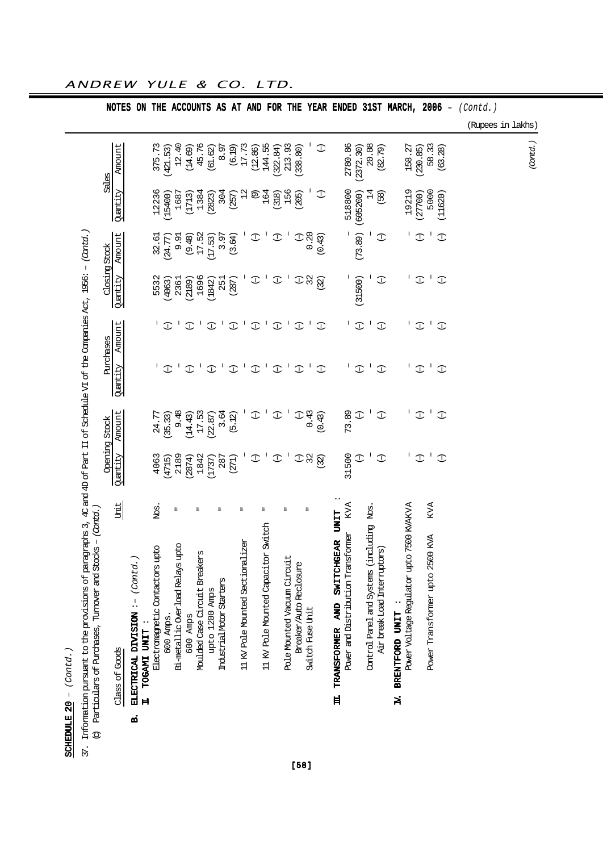| SCHEDULE $20 - (Contd. )$                                                                                                                                                                        |              |               |                          |               |               |               |                |              |                                                        |
|--------------------------------------------------------------------------------------------------------------------------------------------------------------------------------------------------|--------------|---------------|--------------------------|---------------|---------------|---------------|----------------|--------------|--------------------------------------------------------|
| Information pursuant to the provisions of paragraphs 3, 40 and 4D of Part II of Schedule VI of the Companies Act, 1956: - (Contol.)<br>Particulars of Purchases, Turnover and Stocks - (Cantel.) |              |               |                          |               |               |               |                |              |                                                        |
|                                                                                                                                                                                                  |              | Opening Stock | Purchases                |               | Closing Stock |               | Soles          |              |                                                        |
| Unit<br><b>Class of Goods</b>                                                                                                                                                                    | Quantity     | Amount        | Amount<br>Quantity       |               | Quantity      | Amount        | Quantity       | Amount       |                                                        |
| ELECTRICAL DIVISION :- (Contd.)<br>TOGAMI UNIT                                                                                                                                                   |              |               |                          |               |               |               |                |              | NOTES ON                                               |
| Nos.<br>Electromegnetic Contactors upto                                                                                                                                                          | 4063         | 24.77         |                          |               | 5532          | 32.61         | 12236          | 375.73       |                                                        |
| 600 Amps.                                                                                                                                                                                        | (4715)       | (35.33)       | I                        | $\mathcal{I}$ | (4063)        | (24.77)       | (15400)        | 421.53       | THE                                                    |
| Ξ<br>Bi-metallic Overload Relays upto                                                                                                                                                            | 2189         | 9.48          |                          |               | 2361          | 9.91          | 1687           | 12.40        |                                                        |
| 600 Amps                                                                                                                                                                                         | (2874)       | (14.43)       | $\mathbb{C}$             | $\mathbb{C}$  | (2189)        | (9.48)        | (1713)         | (14.69)      |                                                        |
| Moulded Case Circuit Breakers                                                                                                                                                                    | 1842         | 17.53         |                          |               | 1696          | 17.52         | 1384           | 45.76        |                                                        |
| upto 1200 Amps                                                                                                                                                                                   | (1737)       | (22.87)       | $\mathbb{C}$             | $\mathbb{C}$  | (1842)        | (17.53)       | (2823)         | (61.62)      |                                                        |
| Industrial Motor Starters                                                                                                                                                                        | 287          | 3.64          | J,                       |               | 251           | 3.97          | 304            | 8.97         |                                                        |
|                                                                                                                                                                                                  | (271)        | (5.12)        | $\mathbb{C}$             | $\mathbb{C}$  | (287)         | (3.64)        | (257)          | (6.19)       |                                                        |
| 11 KV Pole Mounted Sectionalizer                                                                                                                                                                 |              |               | $\mathbf{I}$             | J.            |               |               | 12             | 17.73        |                                                        |
|                                                                                                                                                                                                  | $\mathbb{C}$ | $\mathbb{C}$  | $\mathbb{C}$             | $\mathbb{C}$  | $\mathbb{C}$  | $\mathbb{C}$  | $\circledcirc$ | (12.86)      |                                                        |
| 11 KV Pole Mounted Capacitor Switch                                                                                                                                                              |              |               | $\overline{\phantom{a}}$ |               |               |               | 164            | 144.55       |                                                        |
|                                                                                                                                                                                                  | $\mathbb{C}$ | $\mathbb{C}$  | $\mathbb{C}$             | $\mathbb{C}$  | $\mathbb{C}$  | I             | (318)          | (322.84)     |                                                        |
| Pole Mounted Vacuum Circuit                                                                                                                                                                      |              |               | $\mathbf{I}$             |               |               |               | 156            | 213.93       |                                                        |
| Breaker/Auto Reclosure                                                                                                                                                                           | $\mathbb{C}$ | $\mathbb{C}$  | $\mathbb{C}$             | $\mathbb{C}$  | $\mathbb{C}$  | $\mathbb{C}$  | (205)          | 338.80)      |                                                        |
| Switch Fuse Unit                                                                                                                                                                                 | 32           | 0.43          | $\mathbf{I}$             |               | 32            | 0.20          |                |              |                                                        |
|                                                                                                                                                                                                  | (32)         | (0.43)        | $\mathcal{I}$            | $\mathbb{C}$  | (32)          | (0.43)        | $\mathbb{C}$   | $\mathbb{C}$ |                                                        |
| <b>TINT</b><br><b>SWITCHGEAR</b><br><b>QK</b><br><b>TRANSFORMER</b>                                                                                                                              |              |               |                          |               |               |               |                |              |                                                        |
| KVA<br>Power and Distribution Transformer                                                                                                                                                        | 31500        | 73.89         | Ι.                       |               |               |               | 518800         | 2780.86      |                                                        |
|                                                                                                                                                                                                  | $\mathbb{C}$ | $\mathbb{C}$  | $\mathbb{C}$             | $\mathbb{C}$  | (31500)       | (73.89)       | (605200)       | (2372.30)    |                                                        |
| Control Panel and Systems (including Nos.                                                                                                                                                        |              |               |                          |               |               |               | 14             | 20.08        |                                                        |
| $\widehat{\mathfrak{g}}$<br>Air break Load Interruptor                                                                                                                                           | $\mathbb{C}$ | $\mathbb{C}$  | $\mathbb{C}$             | $\mathbb{C}$  | $\mathbb{C}$  | $\mathbb{C}$  | (58)           | (82.79)      |                                                        |
| 7500 KVAKVA<br>Power Voltage Regulator upto<br>BRENTFORD UNIT                                                                                                                                    | J.           | L             | L                        |               | J.            | J.            | 19219          | 158.27       | ACCOUNTS AS AT AND FOR THE YEAR ENDED 31ST MARCH, 2006 |
|                                                                                                                                                                                                  |              |               |                          |               |               |               |                |              |                                                        |
|                                                                                                                                                                                                  | $\mathbb{C}$ | $\mathbb{C}$  | $\mathcal{I}$            | $\mathbb{C}$  | $\mathbb{C}$  | $\mathbb{C}$  | 27700)         | (230.85)     |                                                        |
| <b>KVA</b><br>Power Transformer upto 2500 KVA                                                                                                                                                    | $\mathbf{I}$ | $\mathbf{I}$  | $\mathbf{I}$             |               | J,            | $\mathbf{I}$  | 5000           | 58.33        |                                                        |
|                                                                                                                                                                                                  | $\mathbb{C}$ | $\mathbb{C}$  | $\mathbb{C}$             | $\mathbb{C}$  | $\mathbb{C}$  | $\mathcal{I}$ | (11620)        | (63.28)      | $\overline{\phantom{a}}$                               |
|                                                                                                                                                                                                  |              |               |                          |               |               |               |                |              | (Contd.)<br>(Rupees in lakhs)                          |
|                                                                                                                                                                                                  |              |               |                          |               |               |               |                |              |                                                        |
|                                                                                                                                                                                                  |              |               |                          |               |               |               |                | (Cantd.)     |                                                        |

[58]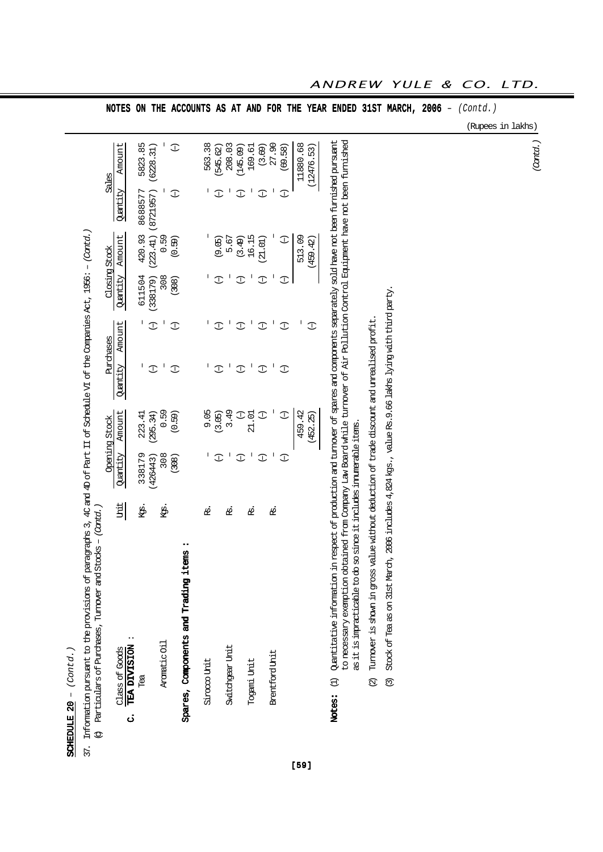| ر<br>د د د<br>へんさん<br>I<br><b>COLLECTED</b> |
|---------------------------------------------|
| F                                           |

| $\frac{1}{2}$<br>ĺ<br>> c4+ 4< ft * cF * cF * c4< 4+ + + + * c4+ 4+ c4+ + c4+<br>$\overline{\mathbf{c}}$<br>)<br>}<br>;<br>)<br> <br> <br>I<br>}<br>}<br>}<br>j<br>2)<br>2)<br>$\frac{1}{2}$<br>ĺ<br>į<br>J<br>$\vdots$<br>.<br>چ |  |  |  |
|-----------------------------------------------------------------------------------------------------------------------------------------------------------------------------------------------------------------------------------|--|--|--|
|-----------------------------------------------------------------------------------------------------------------------------------------------------------------------------------------------------------------------------------|--|--|--|

|                          | $Stods - (Card.$<br>(c) Particulars of Purchases, Turnover and                                                                                                                                          |              |               |              |                                                                                                                                                                                                                                                                                                                                                                                  |               |          |                    |              |
|--------------------------|---------------------------------------------------------------------------------------------------------------------------------------------------------------------------------------------------------|--------------|---------------|--------------|----------------------------------------------------------------------------------------------------------------------------------------------------------------------------------------------------------------------------------------------------------------------------------------------------------------------------------------------------------------------------------|---------------|----------|--------------------|--------------|
|                          |                                                                                                                                                                                                         |              | Opening Stock |              | Purchases                                                                                                                                                                                                                                                                                                                                                                        | Closing Stock |          |                    | Sales        |
| <b>Class of Goods</b>    | Unit                                                                                                                                                                                                    | Quantity     | Amount        | Quantity     | Amount                                                                                                                                                                                                                                                                                                                                                                           | Quantity      | Amount   | Quantity           | Amount       |
| TEA DIVISION<br>ن        |                                                                                                                                                                                                         |              |               |              |                                                                                                                                                                                                                                                                                                                                                                                  |               |          |                    |              |
| Tea                      | ķġ.                                                                                                                                                                                                     | 338179       | 223.41        | I            | $\begin{array}{c} \rule{0pt}{2.5ex} \rule{0pt}{2.5ex} \rule{0pt}{2.5ex} \rule{0pt}{2.5ex} \rule{0pt}{2.5ex} \rule{0pt}{2.5ex} \rule{0pt}{2.5ex} \rule{0pt}{2.5ex} \rule{0pt}{2.5ex} \rule{0pt}{2.5ex} \rule{0pt}{2.5ex} \rule{0pt}{2.5ex} \rule{0pt}{2.5ex} \rule{0pt}{2.5ex} \rule{0pt}{2.5ex} \rule{0pt}{2.5ex} \rule{0pt}{2.5ex} \rule{0pt}{2.5ex} \rule{0pt}{2.5ex} \rule{0$ | 611504        | 420.93   | 8688577            | 5823.85      |
|                          |                                                                                                                                                                                                         | (426443)     | (295.34)      | I            | $\mathbb{C}$                                                                                                                                                                                                                                                                                                                                                                     | (338179)      |          | (223.41) (8721957) | (6228.31)    |
| Arcmetic Oil             | ķġ.                                                                                                                                                                                                     | 308          | 0.59          | I            | I                                                                                                                                                                                                                                                                                                                                                                                | 308           | 0.59     |                    |              |
|                          |                                                                                                                                                                                                         | (308)        | (0.59)        | I            | $\mathbb{C}$                                                                                                                                                                                                                                                                                                                                                                     | (308)         | (0.59)   | $\mathbb{C}$       | $\mathbb{C}$ |
|                          | tems<br>Spares, Components and Trading i                                                                                                                                                                |              |               |              |                                                                                                                                                                                                                                                                                                                                                                                  |               |          |                    |              |
| Siroooo Unit             | L                                                                                                                                                                                                       |              | 9.05          |              |                                                                                                                                                                                                                                                                                                                                                                                  |               |          |                    | 563.38       |
|                          |                                                                                                                                                                                                         | I            | (3.05)        | T            | I                                                                                                                                                                                                                                                                                                                                                                                | I             | (9.05)   | $\mathbb{C}$       | 545.62)      |
| Svitchgear Unit          | g                                                                                                                                                                                                       |              | 3.49          |              |                                                                                                                                                                                                                                                                                                                                                                                  |               | 5.67     |                    | 208.03       |
|                          |                                                                                                                                                                                                         | I            | I             | $\mathbb{C}$ | I                                                                                                                                                                                                                                                                                                                                                                                | I             | (3.49)   | I                  | (145.09)     |
| Togami Unit              | ₿.                                                                                                                                                                                                      |              | 21.01         |              |                                                                                                                                                                                                                                                                                                                                                                                  |               | 16.15    |                    | 169.61       |
|                          |                                                                                                                                                                                                         | $\mathbb{C}$ | I             | $\mathbb{C}$ | I                                                                                                                                                                                                                                                                                                                                                                                | $\mathbb{C}$  | (21.01)  | I                  | (3.69)       |
| Brentford Unit           | ₫.                                                                                                                                                                                                      |              |               |              | I                                                                                                                                                                                                                                                                                                                                                                                |               |          |                    | 27.90        |
|                          |                                                                                                                                                                                                         | I            | I             | I            | I                                                                                                                                                                                                                                                                                                                                                                                | I             | I        | I                  | (69.58)      |
|                          |                                                                                                                                                                                                         |              | 459.42        |              | ı                                                                                                                                                                                                                                                                                                                                                                                |               | 513.09   |                    | 11880.68     |
|                          |                                                                                                                                                                                                         |              | (452.25)      |              | $\mathbb{C}$                                                                                                                                                                                                                                                                                                                                                                     |               | (459.42) |                    | (12476.53)   |
|                          |                                                                                                                                                                                                         |              |               |              |                                                                                                                                                                                                                                                                                                                                                                                  |               |          |                    |              |
| Notes:                   | in respect of production and turnover of spares and components separately sold have not been furnished pursuant<br>(1) Quantitative information                                                         |              |               |              |                                                                                                                                                                                                                                                                                                                                                                                  |               |          |                    |              |
|                          | to necessary exemption obtained from Company Law Board while turnover of Air Pollution Control Equipment have not been furnished<br>as it is impracticable to do so since it includes imumerable items. |              |               |              |                                                                                                                                                                                                                                                                                                                                                                                  |               |          |                    |              |
| $\widehat{\mathfrak{Q}}$ | Turnover is shown in gross value without deduction of trade discount and unrealised profit.                                                                                                             |              |               |              |                                                                                                                                                                                                                                                                                                                                                                                  |               |          |                    |              |
| $\widehat{\mathfrak{S}}$ | Stock of Tea as on 31st March, 2006 includes 4, 824 kgs., value Rs. 9.66 lakhs lying with third party.                                                                                                  |              |               |              |                                                                                                                                                                                                                                                                                                                                                                                  |               |          |                    |              |

NOTES ON THE ACCOUNTS AS AT AND FOR THE YEAR ENDED 31ST MARCH, 2006 -  $(Contd.)$ 

(Rupees in lakhs)

(Contd.)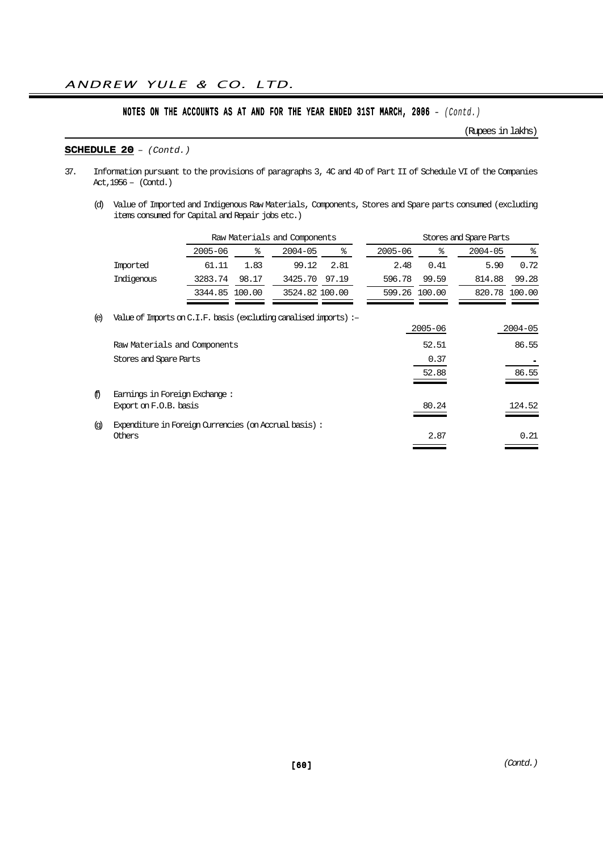(Rupees in lakhs)

### SCHEDULE  $20 - (Contd.)$

- 37. Information pursuant to the provisions of paragraphs 3, 4C and 4D of Part II of Schedule VI of the Companies Act,1956 – (Contd.)
	- (d) Value of Imported and Indigenous Raw Materials, Components, Stores and Spare parts consumed (excluding items consumed for Capital and Repair jobs etc.)

|                   |                                                                   |             |        | Raw Materials and Components |       |             |               | Stores and Spare Parts |               |
|-------------------|-------------------------------------------------------------------|-------------|--------|------------------------------|-------|-------------|---------------|------------------------|---------------|
|                   |                                                                   | $2005 - 06$ | နွ     | $2004 - 05$                  | နွ    | $2005 - 06$ | ⊱             | $2004 - 05$            | ႜ             |
|                   | Imported                                                          | 61.11       | 1.83   | 99.12                        | 2.81  | 2.48        | 0.41          | 5.90                   | 0.72          |
|                   | Indigenous                                                        | 3283.74     | 98.17  | 3425.70                      | 97.19 | 596.78      | 99.59         | 814.88                 | 99.28         |
|                   |                                                                   | 3344.85     | 100.00 | 3524.82 100.00               |       |             | 599.26 100.00 |                        | 820.78 100.00 |
| (e)               | Value of Imports on C.I.F. basis (excluding canalised imports) :- |             |        |                              |       |             | $2005 - 06$   |                        | $2004 - 05$   |
|                   | Raw Materials and Components                                      |             |        |                              |       |             | 52.51         |                        | 86.55         |
|                   | Stores and Spare Parts                                            |             |        |                              |       |             | 0.37          |                        |               |
|                   |                                                                   |             |        |                              |       |             | 52.88         |                        | 86.55         |
| ⊕                 | Earnings in Foreign Exchange:<br>Export on F.O.B. basis           |             |        |                              |       |             | 80.24         |                        | 124.52        |
| $\left( q\right)$ | Expenditure in Foreign Currencies (on Accrual basis):             |             |        |                              |       |             |               |                        |               |
|                   | Others                                                            |             |        |                              |       |             | 2.87          |                        | 0.21          |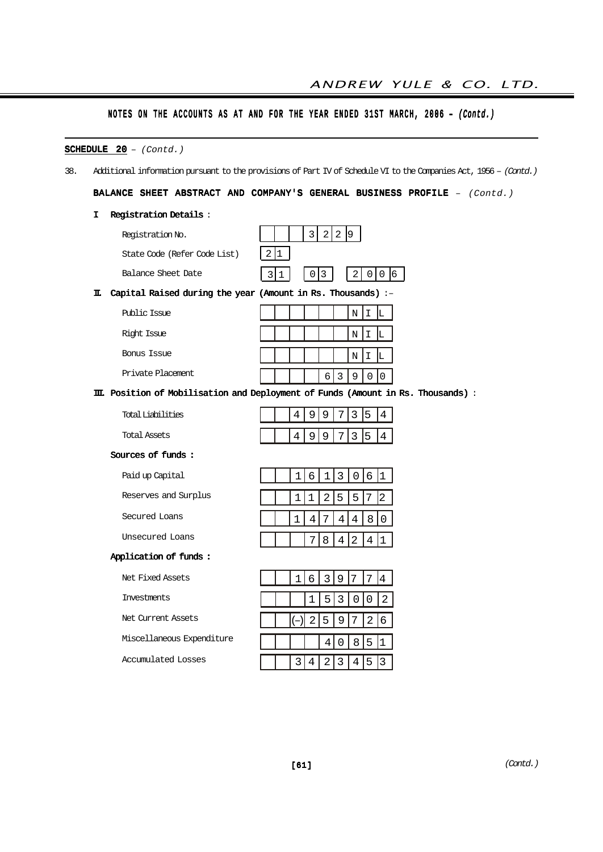|  |  |  | NOTES ON THE ACCOUNTS AS AT AND FOR THE YEAR ENDED 31ST MARCH, 2006 - (Contd.) |  |  |  |  |  |  |  |  |  |  |  |  |  |
|--|--|--|--------------------------------------------------------------------------------|--|--|--|--|--|--|--|--|--|--|--|--|--|
|--|--|--|--------------------------------------------------------------------------------|--|--|--|--|--|--|--|--|--|--|--|--|--|

|     | <b>SCHEDULE</b> $20 - (Contd.)$                                 |                                                                                                                   |
|-----|-----------------------------------------------------------------|-------------------------------------------------------------------------------------------------------------------|
| 38. |                                                                 | Additional information pursuant to the provisions of Part IV of Schedule VI to the Companies Act, 1956 - (Contd.) |
|     |                                                                 | BALANCE SHEET ABSTRACT AND COMPANY'S GENERAL BUSINESS PROFILE - (Contd.)                                          |
|     | <b>Registration Details:</b><br>I.                              |                                                                                                                   |
|     | Registration No.                                                | 3 <br>2 2 9                                                                                                       |
|     | State Code (Refer Code List)                                    | 2 1                                                                                                               |
|     | Balance Sheet Date<br>3                                         | $0 \mid 0 \mid 6$<br>3<br>2<br>0<br>1                                                                             |
|     | II. Capital Raised during the year (Amount in Rs. Thousands) :- |                                                                                                                   |
|     | Public Issue                                                    | N<br>I.<br>L                                                                                                      |
|     | Right Issue                                                     | $\rm N$<br>Ι<br>L                                                                                                 |
|     | Bonus Issue                                                     | N<br>I<br>L                                                                                                       |
|     | Private Placement.                                              | $6 \mid 3$<br>$\mathsf 9$<br>0<br>$\mathsf{O}$                                                                    |
|     |                                                                 | III. Position of Mobilisation and Deployment of Funds (Amount in Rs. Thousands) :                                 |
|     | <b>Total Liabilities</b>                                        | 9<br>9<br>5<br>4<br>7<br>3<br>$\overline{4}$                                                                      |
|     | Total Assets                                                    | 4<br>9<br>9<br>7<br>3<br>5<br>$\overline{4}$                                                                      |
|     | Sources of funds:                                               |                                                                                                                   |
|     | Paid up Capital                                                 | 3<br>6 1<br>6<br>1<br> 0 <br>1                                                                                    |
|     | Reserves and Surplus                                            | $\sqrt{2}$<br>5<br>5<br>2<br>1<br>$1\,$<br>7                                                                      |
|     | Secured Loans                                                   | 8<br>$\overline{4}$<br>$\,4$<br>$\boldsymbol{0}$<br>7<br>$\overline{4}$                                           |
|     | Unsecured Loans                                                 | 8<br>2<br>4 1<br>7<br>4                                                                                           |
|     | Application of funds:                                           |                                                                                                                   |
|     | Net Fixed Assets                                                | $\overline{3}$<br>9<br>6<br>4<br>1                                                                                |
|     | Investments                                                     | $\mathbf{3}$<br>2<br>5<br>0<br>$\mathsf 0$<br>1                                                                   |
|     | Net Current Assets                                              | $\overline{2}$<br>$\sqrt{2}$<br>5<br>$\mathsf 9$<br>$\sqrt{6}$<br>$\overline{7}$                                  |
|     | Miscellaneous Expenditure                                       | 5<br>$\mathbf 0$<br>8 <br>$\overline{4}$                                                                          |
|     | <b>Accumulated Losses</b>                                       | 3 <sup>1</sup><br>2 3<br>$4 \mid 5 \mid 3$<br>$\overline{4}$                                                      |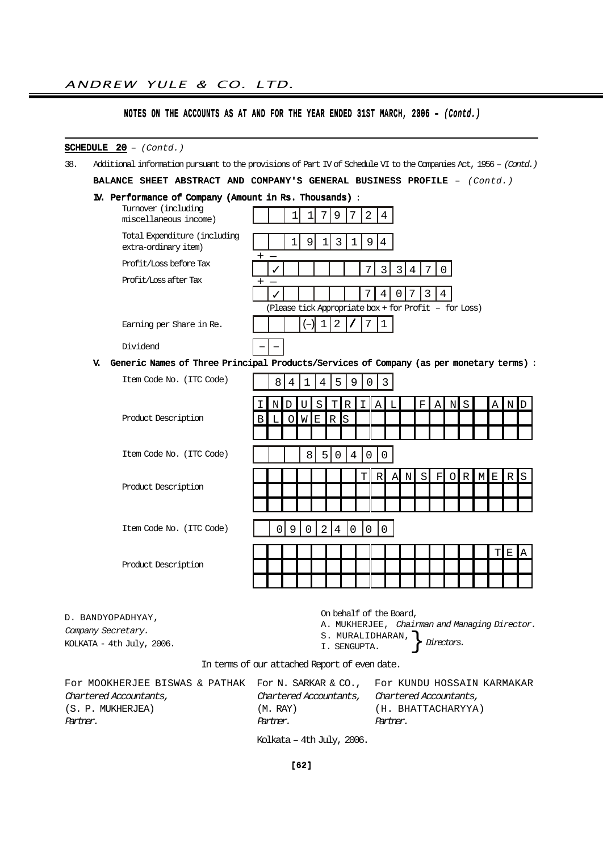## SCHEDULE  $20 - (Contd.)$

38. Additional information pursuant to the provisions of Part IV of Schedule VI to the Companies Act, 1956 – (Contd.)

BALANCE SHEET ABSTRACT AND COMPANY'S GENERAL BUSINESS PROFILE  $-$  (Contd.)

IV. Performance of Company (Amount in Rs. Thousands) :

|    | Turnover (including<br>miscellaneous income)         | 2<br>9<br>4                                                                             |
|----|------------------------------------------------------|-----------------------------------------------------------------------------------------|
|    | Total Expenditure (including<br>extra-ordinary item) | 9<br>4                                                                                  |
|    | Profit/Loss before Tax                               | 3                                                                                       |
|    | Profit/Loss after Tax                                | 4                                                                                       |
|    |                                                      | (Please tick Appropriate box + for Profit - for Loss)                                   |
|    | Earning per Share in Re.                             | 2                                                                                       |
|    | Dividend                                             |                                                                                         |
| v. |                                                      | Generic Names of Three Principal Products/Services of Company (as per monetary terms) : |
|    |                                                      |                                                                                         |

| Item Code No. (ITC Code) |           | 8 | 4       | $\mathbf{1}$ | 4 | 5                         | 9        | 0        | $\overline{3}$ |              |             |           |   |       |     |   |   |      |           |
|--------------------------|-----------|---|---------|--------------|---|---------------------------|----------|----------|----------------|--------------|-------------|-----------|---|-------|-----|---|---|------|-----------|
|                          |           | Ν |         | U            | S |                           | TIR      | I.       | A              | $\mathbf{L}$ |             | $\rm F$ . |   | A N S |     |   |   | A ND |           |
| Product Description      | $\vert$ B | L | $\circ$ | WE           |   | $\mathsf{R}$ $\mathsf{S}$ |          |          |                |              |             |           |   |       |     |   |   |      |           |
|                          |           |   |         |              |   |                           |          |          |                |              |             |           |   |       |     |   |   |      |           |
| Item Code No. (ITC Code) |           |   |         | 8            | 5 | 0                         | 4        | $\Omega$ | 0              |              |             |           |   |       |     |   |   |      |           |
|                          |           |   |         |              |   |                           |          | ΤI       | R              | A            | $\mathbb N$ | SI.       | F |       | O R | M | E | RS   |           |
| Product Description      |           |   |         |              |   |                           |          |          |                |              |             |           |   |       |     |   |   |      |           |
|                          |           |   |         |              |   |                           |          |          |                |              |             |           |   |       |     |   |   |      |           |
| Item Code No. (ITC Code) |           | ∩ | 9       | $\cap$       | 2 | 4                         | $\Omega$ | 0        | $\Omega$       |              |             |           |   |       |     |   |   |      |           |
|                          |           |   |         |              |   |                           |          |          |                |              |             |           |   |       |     |   |   | T E  | <b>IA</b> |
| Product Description      |           |   |         |              |   |                           |          |          |                |              |             |           |   |       |     |   |   |      |           |
|                          |           |   |         |              |   |                           |          |          |                |              |             |           |   |       |     |   |   |      |           |

D. BANDYOPADHYAY, Company Secretary.

On behalf of the Board,

A. MUKHERJEE, Chairman and Managing Director.

KOLKATA - 4th July, 2006.

S. MURALIDHARAN, } *Directors.*<br>I. SENGUPTA.

In terms of our attached Report of even date.

| FOR MOOKHERJEE BISWAS & PATHAK FOR N. SARKAR & CO., FOR KUNDU HOSSAIN KARMAKAR |                                               |                    |
|--------------------------------------------------------------------------------|-----------------------------------------------|--------------------|
| Chartered Accountants,                                                         | Chartered Accountants, Chartered Accountants, |                    |
| (S. P. MUKHERJEA)                                                              | (M. RAY)                                      | (H. BHATTACHARYYA) |
| Partner.                                                                       | Partner.                                      | Partner.           |
|                                                                                | $77.71$ $11.77$ $7.7000$                      |                    |

Kolkata – 4th July, 2006.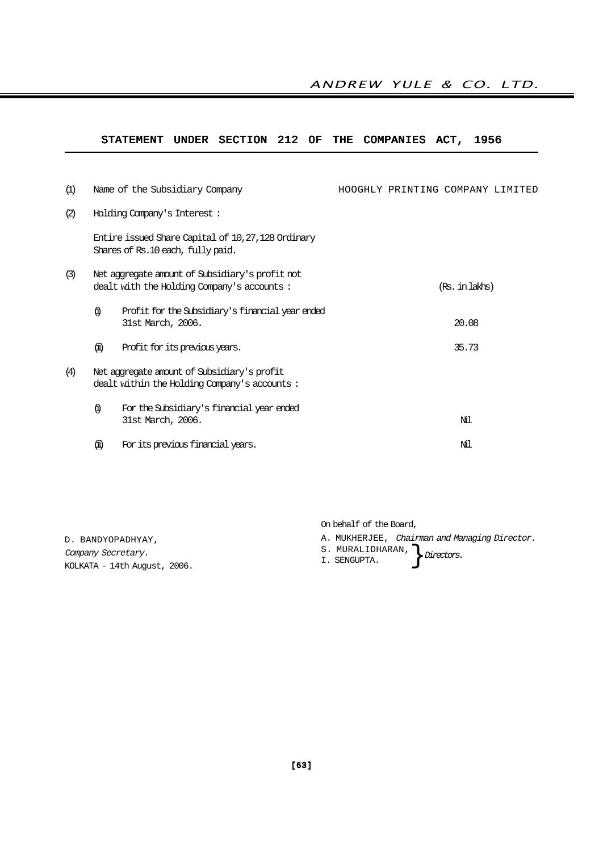## STATEMENT UNDER SECTION 212 OF THE COMPANIES ACT, 1956

| (1) |      | Name of the Subsidiary Company                                                                | HOOGHLY PRINTING COMPANY LIMITED |                |  |
|-----|------|-----------------------------------------------------------------------------------------------|----------------------------------|----------------|--|
| (2) |      | Holding Company's Interest:                                                                   |                                  |                |  |
|     |      | Entire issued Share Capital of 10,27,128 Ordinary<br>Shares of Rs.10 each, fully paid.        |                                  |                |  |
| (3) |      | Net aggregate amount of Subsidiary's profit not<br>dealt with the Holding Company's accounts: |                                  | (Rs. in lakhs) |  |
|     | Ф.   | Profit for the Subsidiary's financial year ended<br>31st March, 2006.                         |                                  | 20.08          |  |
|     | (ii) | Profit for its previous years.                                                                |                                  | 35.73          |  |
| (4) |      | Net aggregate amount of Subsidiary's profit<br>dealt within the Holding Company's accounts:   |                                  |                |  |
|     | Ф)   | For the Subsidiary's financial year ended<br>31st March, 2006.                                |                                  | Мl             |  |
|     | (fi) | For its previous financial years.                                                             |                                  | Мl             |  |

On behalf of the Board,

- A. MUKHERJEE, Chairman and Managing Director.
- 

Company Secretary. KOLKATA - 14th August, 2006.

D. BANDYOPADHYAY,

S. MURALIDHARAN,  $\Big\}$  Directors.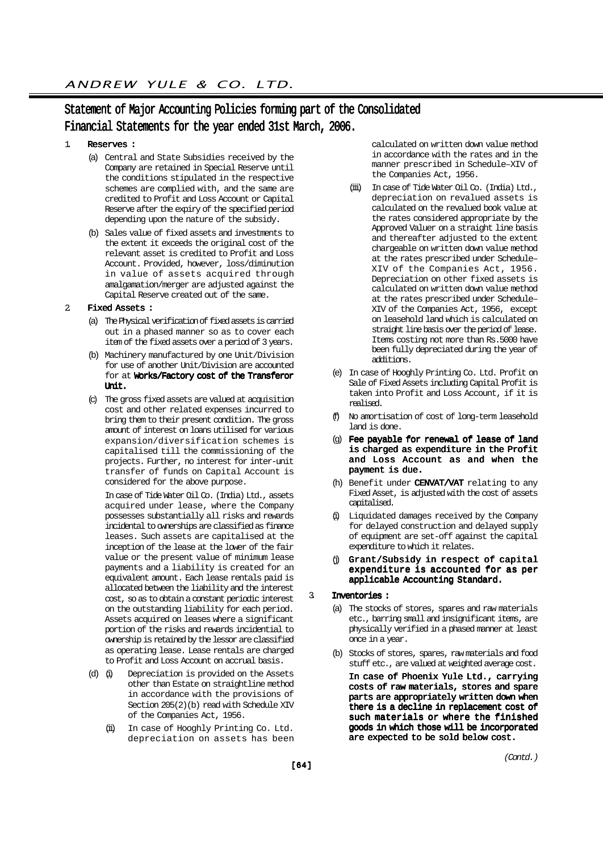## Statement of Major Accounting Policies forming part of the Consolidated Financial Statements for the year ended 31st March, 2006.

### 1. Reserves :

- (a) Central and State Subsidies received by the Company are retained in Special Reserve until the conditions stipulated in the respective schemes are complied with, and the same are credited to Profit and Loss Account or Capital Reserve after the expiry of the specified period depending upon the nature of the subsidy.
- (b) Sales value of fixed assets and investments to the extent it exceeds the original cost of the relevant asset is credited to Profit and Loss Account. Provided, however, loss/diminution in value of assets acquired through amalgamation/merger are adjusted against the Capital Reserve created out of the same.

#### 2. Fixed Assets :

- (a) The Physical verification of fixed assets is carried out in a phased manner so as to cover each item of the fixed assets over a period of 3 years.
- (b) Machinery manufactured by one Unit/Division for use of another Unit/Division are accounted for at Works/Factory cost of the Transferor Unit.
- (c) The gross fixed assets are valued at acquisition cost and other related expenses incurred to bring them to their present condition. The gross amount of interest on loans utilised for various expansion/diversification schemes is capitalised till the commissioning of the projects. Further, no interest for inter-unit transfer of funds on Capital Account is considered for the above purpose.

In case of Tide Water Oil Co. (India) Ltd., assets acquired under lease, where the Company possesses substantially all risks and rewards incidental to ownerships are classified as finance leases. Such assets are capitalised at the inception of the lease at the lower of the fair value or the present value of minimum lease payments and a liability is created for an equivalent amount. Each lease rentals paid is allocated between the liability and the interest cost, so as to obtain a constant periodic interest on the outstanding liability for each period. Assets acquired on leases where a significant portion of the risks and rewards incidential to ownership is retained by the lessor are classified as operating lease. Lease rentals are charged to Profit and Loss Account on accrual basis.

- (d) (i) Depreciation is provided on the Assets other than Estate on straightline method in accordance with the provisions of Section 205(2)(b) read with Schedule XIV of the Companies Act, 1956.
	- (ii) In case of Hooghly Printing Co. Ltd. depreciation on assets has been

calculated on written down value method in accordance with the rates and in the manner prescribed in Schedule–XIV of the Companies Act, 1956.

- (iii) In case of Tide Water Oil Co. (India) Ltd., depreciation on revalued assets is calculated on the revalued book value at the rates considered appropriate by the Approved Valuer on a straight line basis and thereafter adjusted to the extent chargeable on written down value method at the rates prescribed under Schedule– XIV of the Companies Act, 1956. Depreciation on other fixed assets is calculated on written down value method at the rates prescribed under Schedule– XIV of the Companies Act, 1956, except on leasehold land which is calculated on straight line basis over the period of lease. Items costing not more than Rs.5000 have been fully depreciated during the year of additions.
- (e) In case of Hooghly Printing Co. Ltd. Profit on Sale of Fixed Assets including Capital Profit is taken into Profit and Loss Account, if it is realised.
- (f) No amortisation of cost of long-term leasehold land is done.
- (g) Fee payable for renewal of lease of land is charged as expenditure in the Profit and Loss Account as and when the payment is due.
- (h) Benefit under CENVAT/VAT relating to any Fixed Asset, is adjusted with the cost of assets capitalised.
- (i) Liquidated damages received by the Company for delayed construction and delayed supply of equipment are set-off against the capital expenditure to which it relates.
- Grant/Subsidy in respect of capital expenditure is accounted for as per applicable Accounting Standard.
- 3. Inventories :
	- (a) The stocks of stores, spares and raw materials etc., barring small and insignificant items, are physically verified in a phased manner at least once in a year.
	- (b) Stocks of stores, spares, raw materials and food stuff etc., are valued at weighted average cost.

In case of Phoenix Yule Ltd., carrying costs of raw materials, stores and spare parts are appropriately written down when there is a decline in replacement cost of such materials or where the finished goods in which those will be incorporated are expected to be sold below cost.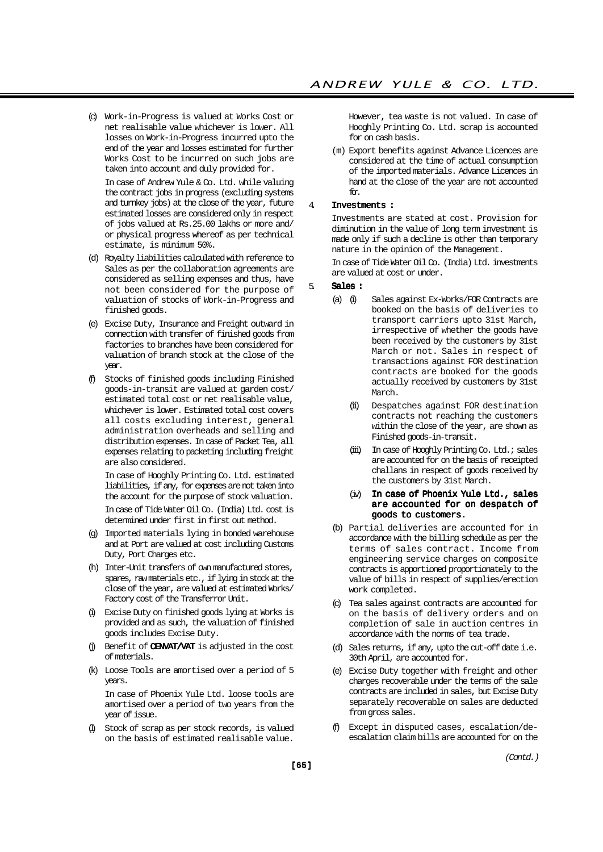(c) Work-in-Progress is valued at Works Cost or net realisable value whichever is lower. All losses on Work-in-Progress incurred upto the end of the year and losses estimated for further Works Cost to be incurred on such jobs are taken into account and duly provided for.

In case of Andrew Yule & Co. Ltd. while valuing the contract jobs in progress (excluding systems and turnkey jobs) at the close of the year, future estimated losses are considered only in respect of jobs valued at Rs.25.00 lakhs or more and/ or physical progress whereof as per technical estimate, is minimum 50%.

- (d) Royalty liabilities calculated with reference to Sales as per the collaboration agreements are considered as selling expenses and thus, have not been considered for the purpose of valuation of stocks of Work-in-Progress and finished goods.
- (e) Excise Duty, Insurance and Freight outward in connection with transfer of finished goods from factories to branches have been considered for valuation of branch stock at the close of the year.
- (f) Stocks of finished goods including Finished goods-in-transit are valued at garden cost/ estimated total cost or net realisable value, whichever is lower. Estimated total cost covers all costs excluding interest, general administration overheads and selling and distribution expenses. In case of Packet Tea, all expenses relating to packeting including freight are also considered.

In case of Hooghly Printing Co. Ltd. estimated liabilities, if any, for expenses are not taken into the account for the purpose of stock valuation. In case of Tide Water Oil Co. (India) Ltd. cost is determined under first in first out method.

- (g) Imported materials lying in bonded warehouse and at Port are valued at cost including Customs Duty, Port Charges etc.
- (h) Inter-Unit transfers of own manufactured stores, spares, raw materials etc., if lying in stock at the close of the year, are valued at estimated Works/ Factory cost of the Transferror Unit.
- (i) Excise Duty on finished goods lying at Works is provided and as such, the valuation of finished goods includes Excise Duty.
- $(j)$  Benefit of **CENVAT/VAT** is adjusted in the cost of materials.
- (k) Loose Tools are amortised over a period of 5 years.

In case of Phoenix Yule Ltd. loose tools are amortised over a period of two years from the year of issue.

(l) Stock of scrap as per stock records, is valued on the basis of estimated realisable value.

However, tea waste is not valued. In case of Hooghly Printing Co. Ltd. scrap is accounted for on cash basis.

(m) Export benefits against Advance Licences are considered at the time of actual consumption of the imported materials. Advance Licences in hand at the close of the year are not accounted for.

### 4. Investments :

Investments are stated at cost. Provision for diminution in the value of long term investment is made only if such a decline is other than temporary nature in the opinion of the Management.

In case of Tide Water Oil Co. (India) Ltd. investments are valued at cost or under.

#### 5. Sales :

- (a) (i) Sales against Ex-Works/FOR Contracts are booked on the basis of deliveries to transport carriers upto 31st March, irrespective of whether the goods have been received by the customers by 31st March or not. Sales in respect of transactions against FOR destination contracts are booked for the goods actually received by customers by 31st March.
	- (ii) Despatches against FOR destination contracts not reaching the customers within the close of the year, are shown as Finished goods-in-transit.
	- (iii) In case of Hooghly Printing Co. Ltd.; sales are accounted for on the basis of receipted challans in respect of goods received by the customers by 31st March.
	- (iv) In case of Phoenix Yule Ltd., sales are accounted for on despatch of goods to customers.
- (b) Partial deliveries are accounted for in accordance with the billing schedule as per the terms of sales contract. Income from engineering service charges on composite contracts is apportioned proportionately to the value of bills in respect of supplies/erection work completed.
- (c) Tea sales against contracts are accounted for on the basis of delivery orders and on completion of sale in auction centres in accordance with the norms of tea trade.
- (d) Sales returns, if any, upto the cut-off date i.e. 30th April, are accounted for.
- (e) Excise Duty together with freight and other charges recoverable under the terms of the sale contracts are included in sales, but Excise Duty separately recoverable on sales are deducted from gross sales.
- Except in disputed cases, escalation/deescalation claim bills are accounted for on the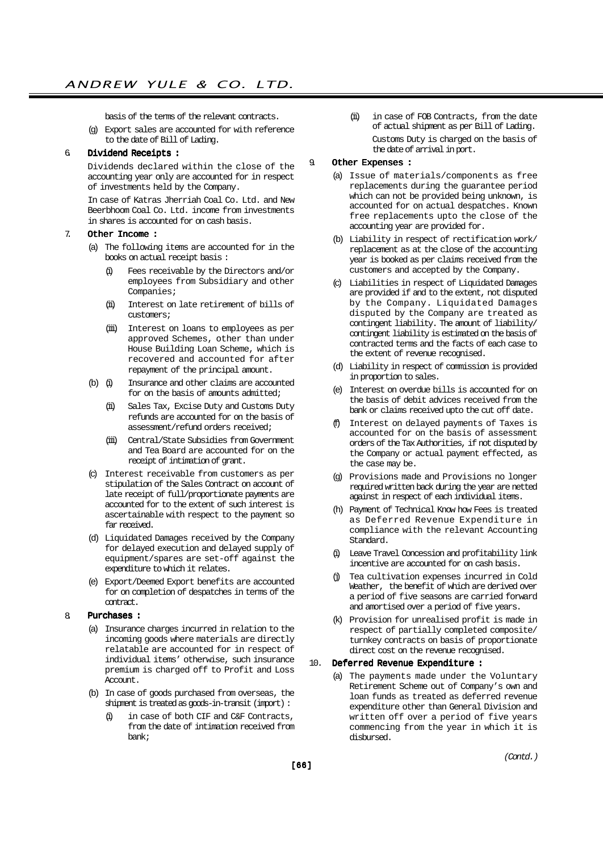basis of the terms of the relevant contracts.

(g) Export sales are accounted for with reference to the date of Bill of Lading.

## 6. Dividend Receipts :

Dividends declared within the close of the accounting year only are accounted for in respect of investments held by the Company.

In case of Katras Jherriah Coal Co. Ltd. and New Beerbhoom Coal Co. Ltd. income from investments in shares is accounted for on cash basis.

#### 7. Other Income :

- (a) The following items are accounted for in the books on actual receipt basis :
	- (i) Fees receivable by the Directors and/or employees from Subsidiary and other Companies;
	- (ii) Interest on late retirement of bills of customers;
	- (iii) Interest on loans to employees as per approved Schemes, other than under House Building Loan Scheme, which is recovered and accounted for after repayment of the principal amount.
- (b) (i) Insurance and other claims are accounted for on the basis of amounts admitted;
	- (ii) Sales Tax, Excise Duty and Customs Duty refunds are accounted for on the basis of assessment/refund orders received;
	- (iii) Central/State Subsidies from Government and Tea Board are accounted for on the receipt of intimation of grant.
- (c) Interest receivable from customers as per stipulation of the Sales Contract on account of late receipt of full/proportionate payments are accounted for to the extent of such interest is ascertainable with respect to the payment so far received.
- (d) Liquidated Damages received by the Company for delayed execution and delayed supply of equipment/spares are set-off against the expenditure to which it relates.
- (e) Export/Deemed Export benefits are accounted for on completion of despatches in terms of the contract.

### 8. Purchases :

- (a) Insurance charges incurred in relation to the incoming goods where materials are directly relatable are accounted for in respect of individual items' otherwise, such insurance premium is charged off to Profit and Loss Account.
- (b) In case of goods purchased from overseas, the shipment is treated as goods-in-transit (import) :
	- (i) in case of both CIF and C&F Contracts, from the date of intimation received from bank;

(ii) in case of FOB Contracts, from the date of actual shipment as per Bill of Lading. Customs Duty is charged on the basis of

#### 9. Other Expenses :

(a) Issue of materials/components as free replacements during the guarantee period which can not be provided being unknown, is accounted for on actual despatches. Known free replacements upto the close of the accounting year are provided for.

the date of arrival in port.

- (b) Liability in respect of rectification work/ replacement as at the close of the accounting year is booked as per claims received from the customers and accepted by the Company.
- (c) Liabilities in respect of Liquidated Damages are provided if and to the extent, not disputed by the Company. Liquidated Damages disputed by the Company are treated as contingent liability. The amount of liability/ contingent liability is estimated on the basis of contracted terms and the facts of each case to the extent of revenue recognised.
- (d) Liability in respect of commission is provided in proportion to sales.
- (e) Interest on overdue bills is accounted for on the basis of debit advices received from the bank or claims received upto the cut off date.
- (f) Interest on delayed payments of Taxes is accounted for on the basis of assessment orders of the Tax Authorities, if not disputed by the Company or actual payment effected, as the case may be.
- (g) Provisions made and Provisions no longer required written back during the year are netted against in respect of each individual items.
- (h) Payment of Technical Know how Fees is treated as Deferred Revenue Expenditure in compliance with the relevant Accounting Standard.
- Leave Travel Concession and profitability link incentive are accounted for on cash basis.
- (j) Tea cultivation expenses incurred in Cold Weather, the benefit of which are derived over a period of five seasons are carried forward and amortised over a period of five years.
- (k) Provision for unrealised profit is made in respect of partially completed composite/ turnkey contracts on basis of proportionate direct cost on the revenue recognised.

#### 10. Deferred Revenue Expenditure :

(a) The payments made under the Voluntary Retirement Scheme out of Company's own and loan funds as treated as deferred revenue expenditure other than General Division and written off over a period of five years commencing from the year in which it is disbursed.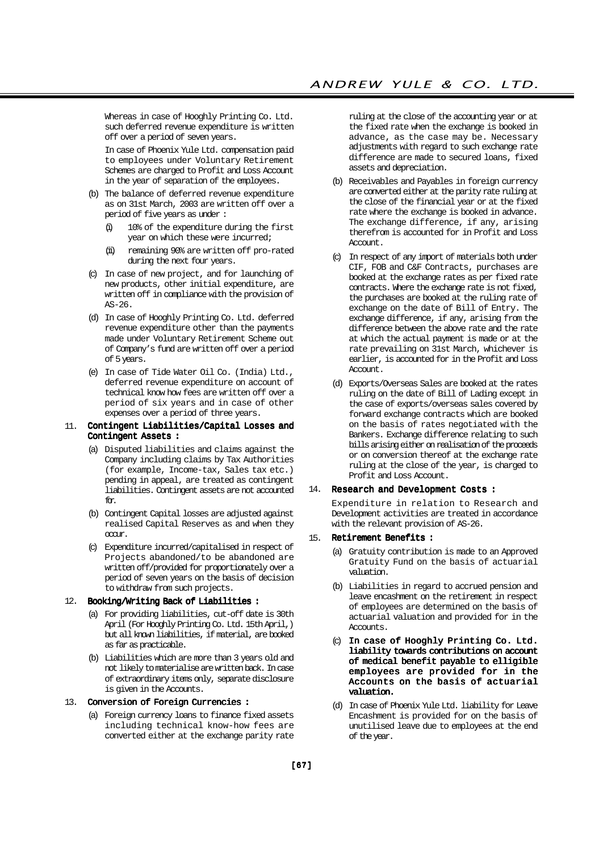Whereas in case of Hooghly Printing Co. Ltd. such deferred revenue expenditure is written off over a period of seven years.

In case of Phoenix Yule Ltd. compensation paid to employees under Voluntary Retirement Schemes are charged to Profit and Loss Account in the year of separation of the employees.

- (b) The balance of deferred revenue expenditure as on 31st March, 2003 are written off over a period of five years as under :
	- (i) 10% of the expenditure during the first year on which these were incurred;
	- (ii) remaining 90% are written off pro-rated during the next four years.
- (c) In case of new project, and for launching of new products, other initial expenditure, are written off in compliance with the provision of  $AS-26$
- (d) In case of Hooghly Printing Co. Ltd. deferred revenue expenditure other than the payments made under Voluntary Retirement Scheme out of Company's fund are written off over a period of 5 years.
- (e) In case of Tide Water Oil Co. (India) Ltd., deferred revenue expenditure on account of technical know how fees are written off over a period of six years and in case of other expenses over a period of three years.

#### 11. Contingent Liabilities/Capital Losses and Contingent Assets :

- (a) Disputed liabilities and claims against the Company including claims by Tax Authorities (for example, Income-tax, Sales tax etc.) pending in appeal, are treated as contingent liabilities. Contingent assets are not accounted for.
- (b) Contingent Capital losses are adjusted against realised Capital Reserves as and when they  $\alpha$ m $\mathbf{r}$
- (c) Expenditure incurred/capitalised in respect of Projects abandoned/to be abandoned are written off/provided for proportionately over a period of seven years on the basis of decision to withdraw from such projects.

#### 12. Booking/Writing Back of Liabilities :

- (a) For providing liabilities, cut-off date is 30th April (For Hooghly Printing Co. Ltd. 15th April,) but all known liabilities, if material, are booked as far as practicable.
- (b) Liabilities which are more than 3 years old and not likely to materialise are written back. In case of extraordinary items only, separate disclosure is given in the Accounts.

#### 13. Conversion of Foreign Currencies :

(a) Foreign currency loans to finance fixed assets including technical know-how fees are converted either at the exchange parity rate ruling at the close of the accounting year or at the fixed rate when the exchange is booked in advance, as the case may be. Necessary adjustments with regard to such exchange rate difference are made to secured loans, fixed assets and depreciation.

- (b) Receivables and Payables in foreign currency are converted either at the parity rate ruling at the close of the financial year or at the fixed rate where the exchange is booked in advance. The exchange difference, if any, arising therefrom is accounted for in Profit and Loss Account.
- (c) In respect of any import of materials both under CIF, FOB and C&F Contracts, purchases are booked at the exchange rates as per fixed rate contracts. Where the exchange rate is not fixed, the purchases are booked at the ruling rate of exchange on the date of Bill of Entry. The exchange difference, if any, arising from the difference between the above rate and the rate at which the actual payment is made or at the rate prevailing on 31st March, whichever is earlier, is accounted for in the Profit and Loss Account.
- (d) Exports/Overseas Sales are booked at the rates ruling on the date of Bill of Lading except in the case of exports/overseas sales covered by forward exchange contracts which are booked on the basis of rates negotiated with the Bankers. Exchange difference relating to such bills arising either on realisation of the proceeds or on conversion thereof at the exchange rate ruling at the close of the year, is charged to Profit and Loss Account.

#### 14. Research and Development Costs :

Expenditure in relation to Research and Development activities are treated in accordance with the relevant provision of AS-26.

#### 15. Retirement Benefits :

- (a) Gratuity contribution is made to an Approved Gratuity Fund on the basis of actuarial valuation.
- (b) Liabilities in regard to accrued pension and leave encashment on the retirement in respect of employees are determined on the basis of actuarial valuation and provided for in the Accounts.
- (c) In case of Hooghly Printing Co. Ltd. liability towards contributions on account of medical benefit payable to elligible employees are provided for in the Accounts on the basis of actuarial valuation.
- (d) In case of Phoenix Yule Ltd. liability for Leave Encashment is provided for on the basis of unutilised leave due to employees at the end of the year.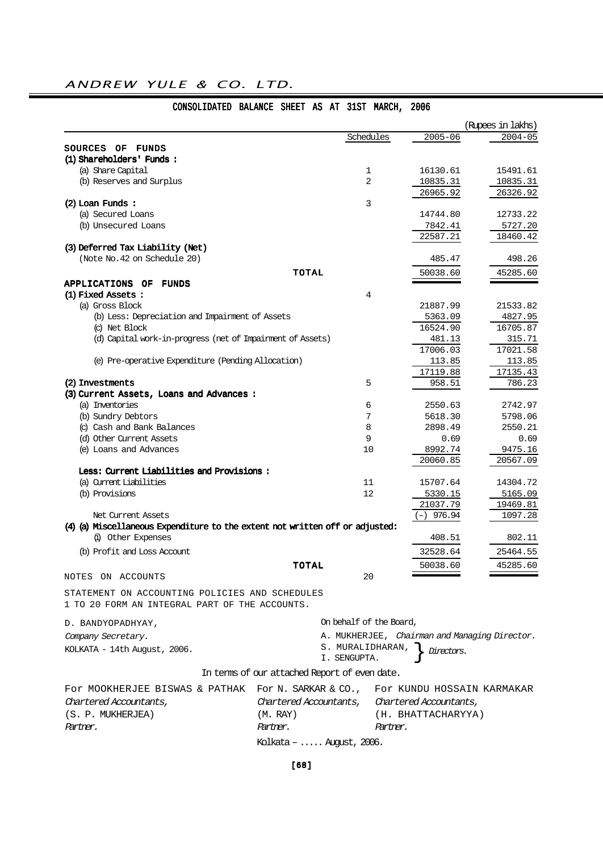|                                                                              |                                               |                         |                                               | (Rupees in lakhs)  |
|------------------------------------------------------------------------------|-----------------------------------------------|-------------------------|-----------------------------------------------|--------------------|
|                                                                              |                                               | Schedules               | $2005 - 06$                                   | $2004 - 05$        |
| <b>SOURCES OF FUNDS</b>                                                      |                                               |                         |                                               |                    |
| (1) Shareholders' Funds:                                                     |                                               |                         |                                               |                    |
| (a) Share Capital                                                            |                                               | $\mathbf{1}$            | 16130.61                                      | 15491.61           |
| (b) Reserves and Surplus                                                     |                                               | 2                       | 10835.31                                      | 10835.31           |
|                                                                              |                                               |                         | 26965.92                                      | 26326.92           |
| $(2)$ Loan Funds:                                                            |                                               | 3                       |                                               |                    |
| (a) Secured Loans                                                            |                                               |                         | 14744.80                                      | 12733.22           |
| (b) Unsecured Loans                                                          |                                               |                         | 7842.41                                       | 5727.20            |
|                                                                              |                                               |                         | 22587.21                                      | 18460.42           |
| (3) Deferred Tax Liability (Net)                                             |                                               |                         |                                               |                    |
| (Note No. 42 on Schedule 20)                                                 |                                               |                         | 485.47                                        | 498.26             |
|                                                                              | <b>TOTAL</b>                                  |                         | 50038.60                                      | 45285.60           |
| APPLICATIONS OF FUNDS                                                        |                                               |                         |                                               |                    |
| (1) Fixed Assets:                                                            |                                               | 4                       |                                               |                    |
| (a) Gross Block                                                              |                                               |                         | 21887.99                                      | 21533.82           |
| (b) Less: Depreciation and Impairment of Assets                              |                                               |                         | 5363.09                                       | 4827.95            |
| (c) Net Block                                                                |                                               |                         | 16524.90                                      | 16705.87           |
| (d) Capital work-in-progress (net of Impairment of Assets)                   |                                               |                         | 481.13                                        | 315.71             |
|                                                                              |                                               |                         | 17006.03                                      | 17021.58           |
| (e) Pre-operative Expenditure (Pending Allocation)                           |                                               |                         | 113.85                                        | 113.85             |
| (2) Investments                                                              |                                               | 5                       | 17119.88<br>958.51                            | 17135.43<br>786.23 |
| (3) Current Assets, Loans and Advances:                                      |                                               |                         |                                               |                    |
| (a) Inventories                                                              |                                               | 6                       | 2550.63                                       | 2742.97            |
| (b) Sundry Debtors                                                           |                                               | 7                       | 5618.30                                       | 5798.06            |
| (c) Cash and Bank Balances                                                   |                                               | 8                       | 2898.49                                       | 2550.21            |
| (d) Other Current Assets                                                     |                                               | 9                       | 0.69                                          | 0.69               |
| (e) Loans and Advances                                                       |                                               | 10                      | 8992.74                                       | 9475.16            |
|                                                                              |                                               |                         | 20060.85                                      | 20567.09           |
| Less: Current Liabilities and Provisions:                                    |                                               |                         |                                               |                    |
| (a) Current Liabilities                                                      |                                               | 11                      | 15707.64                                      | 14304.72           |
| (b) Provisions                                                               |                                               | 12                      | 5330.15                                       | 5165.09            |
|                                                                              |                                               |                         | 21037.79                                      | 19469.81           |
| Net Current Assets                                                           |                                               |                         | $(-)$ 976.94                                  | 1097.28            |
| (4) (a) Miscellaneous Expenditure to the extent not written off or adjusted: |                                               |                         |                                               |                    |
| (i) Other Expenses                                                           |                                               |                         | 408.51                                        | 802.11             |
| (b) Profit and Loss Account                                                  |                                               |                         | 32528.64                                      | 25464.55           |
|                                                                              | <b>TOTAL</b>                                  |                         | 50038.60                                      | 45285.60           |
| NOTES ON ACCOUNTS                                                            |                                               | 20                      |                                               |                    |
|                                                                              |                                               |                         |                                               |                    |
| STATEMENT ON ACCOUNTING POLICIES AND SCHEDULES                               |                                               |                         |                                               |                    |
| 1 TO 20 FORM AN INTEGRAL PART OF THE ACCOUNTS.                               |                                               |                         |                                               |                    |
| D. BANDYOPADHYAY,                                                            |                                               | On behalf of the Board, |                                               |                    |
| Company Secretary.                                                           |                                               |                         | A. MUKHERJEE, Chairman and Managing Director. |                    |
| KOLKATA - 14th August, 2006.                                                 |                                               | S. MURALIDHARAN,        |                                               |                    |
|                                                                              |                                               | I. SENGUPTA.            | Directors.                                    |                    |
|                                                                              | In terms of our attached Report of even date. |                         |                                               |                    |
|                                                                              |                                               |                         |                                               |                    |
| FOY MOOKHERJEE BISWAS & PATHAK                                               | For N. SARKAR & CO.,                          |                         | For KUNDU HOSSAIN KARMAKAR                    |                    |
| Chartered Accountants,                                                       | Chartered Accountants,                        |                         | Chartered Accountants,                        |                    |
| (S. P. MUKHERJEA)                                                            | (M. RAY)                                      |                         | (H. BHATTACHARYYA)                            |                    |
| Partner.                                                                     | Partner.                                      | Partner.                |                                               |                    |
|                                                                              | Kolkata – $\ldots$ . August, 2006.            |                         |                                               |                    |
|                                                                              |                                               |                         |                                               |                    |

## CONSOLIDATED BALANCE SHEET AS AT 31ST MARCH, 2006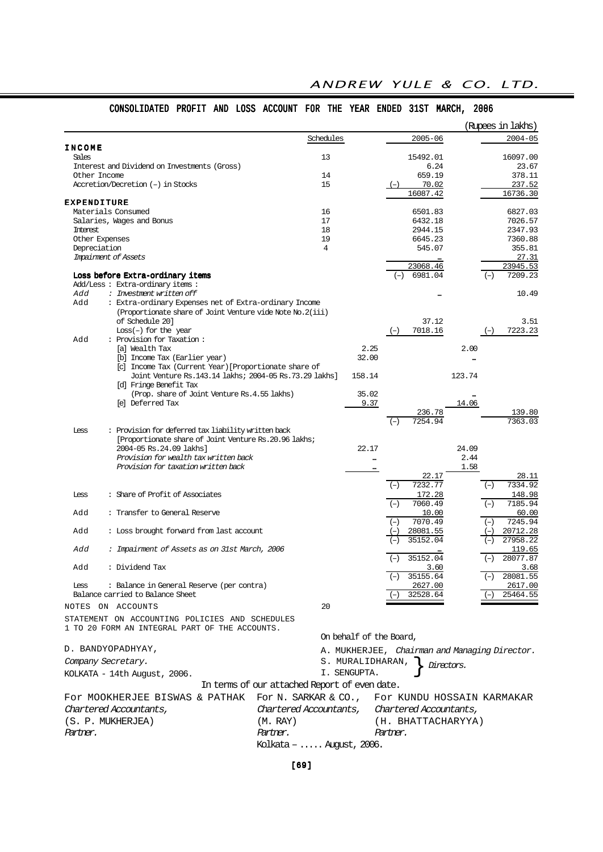|                                                                                                  |                                               |                                               | (Rupees in lakhs)          |
|--------------------------------------------------------------------------------------------------|-----------------------------------------------|-----------------------------------------------|----------------------------|
|                                                                                                  | Schedules                                     | $2005 - 06$                                   | $2004 - 05$                |
| <b>INCOME</b><br>Sales                                                                           | 13                                            | 15492.01                                      | 16097.00                   |
| Interest and Dividend on Investments (Gross)                                                     |                                               | 6.24                                          | 23.67                      |
| Other Income                                                                                     | 14                                            | 659.19                                        | 378.11                     |
| Accretion/Decretion (-) in Stocks                                                                | 15                                            | 70.02<br>$(-)$                                | 237.52                     |
| <b>EXPENDITURE</b>                                                                               |                                               | 16087.42                                      | 16736.30                   |
| Materials Consumed                                                                               | 16                                            | 6501.83                                       | 6827.03                    |
| Salaries, Wages and Bonus                                                                        | 17                                            | 6432.18                                       | 7026.57                    |
| Interest                                                                                         | 18                                            | 2944.15                                       | 2347.93                    |
| Other Expenses                                                                                   | 19                                            | 6645.23                                       | 7360.88                    |
| Depreciation                                                                                     | $\overline{4}$                                | 545.07                                        | 355.81                     |
| Impairment of Assets                                                                             |                                               | 23068.46                                      | 27.31<br>23945.53          |
| Loss before Extra-ordinary items                                                                 |                                               | $(-) 6981.04$                                 | 7209.23<br>$(-)$           |
| Add/Less: Extra-ordinary items:                                                                  |                                               |                                               |                            |
| Add<br>: Investment written off                                                                  |                                               |                                               | 10.49                      |
| Add<br>: Extra-ordinary Expenses net of Extra-ordinary Income                                    |                                               |                                               |                            |
| (Proportionate share of Joint Venture vide Note No.2(iii)<br>of Schedule 20]                     |                                               | 37.12                                         | 3.51                       |
| $Loss(-)$ for the year                                                                           |                                               | 7018.16<br>$(-)$                              | 7223.23<br>$(-)$           |
| : Provision for Taxation:<br>Add                                                                 |                                               |                                               |                            |
| [a] Wealth Tax                                                                                   |                                               | 2.25                                          | 2.00                       |
| [b] Income Tax (Earlier year)                                                                    | 32.00                                         |                                               |                            |
| [c] Income Tax (Current Year) [Proportionate share of                                            |                                               |                                               |                            |
| Joint Venture Rs. 143. 14 lakhs; 2004-05 Rs. 73. 29 lakhs]                                       | 158.14                                        |                                               | 123.74                     |
| [d] Fringe Benefit Tax<br>(Prop. share of Joint Venture Rs. 4.55 lakhs)                          | 35.02                                         |                                               |                            |
| [e] Deferred Tax                                                                                 |                                               | 9.37                                          | 14.06                      |
|                                                                                                  |                                               | 236.78                                        | 139.80                     |
|                                                                                                  |                                               | 7254.94<br>$(-)$                              | 7363.03                    |
| : Provision for deferred tax liability written back<br>Less                                      |                                               |                                               |                            |
| [Proportionate share of Joint Venture Rs. 20.96 lakhs;                                           |                                               |                                               |                            |
| 2004-05 Rs.24.09 lakhs]<br>Provision for wealth tax written back                                 | 22.17                                         |                                               | 24.09<br>2.44              |
| Provision for taxation written back                                                              |                                               | <br>$\cdots$                                  | 1.58                       |
|                                                                                                  |                                               | 22.17                                         | 28.11                      |
|                                                                                                  |                                               | 7232.77<br>$(-)$                              | 7334.92<br>$(-)$           |
| : Share of Profit of Associates<br><b>Less</b>                                                   |                                               | 172.28                                        | 148.98                     |
|                                                                                                  |                                               | 7060.49<br>$(-)$                              | 7185.94<br>$(-)$           |
| Add<br>: Transfer to General Reserve                                                             |                                               | 10.00<br>7070.49<br>$(-)$                     | 60.00<br>7245.94           |
| Add<br>: Loss brought forward from last account                                                  |                                               | 28081.55                                      | $(-)$<br>20712.28          |
|                                                                                                  |                                               | 35152.04                                      | 27958.22                   |
| Add<br>: Impairment of Assets as on 31st March, 2006                                             |                                               |                                               | 119.65                     |
|                                                                                                  |                                               | 35152.04                                      | 28077.87<br>$(-)$          |
| Add<br>: Dividend Tax                                                                            |                                               | 3.60                                          | 3.68                       |
| : Balance in General Reserve (per contra)                                                        |                                               | $(-)$ 35155.64                                | $(-)$ 28081.55             |
| Less<br>Balance carried to Balance Sheet                                                         |                                               | 2627.00<br>32528.64                           | 2617.00<br>25464.55        |
| NOTES ON ACCOUNTS                                                                                | 20                                            |                                               |                            |
|                                                                                                  |                                               |                                               |                            |
| STATEMENT ON ACCOUNTING POLICIES AND SCHEDULES<br>1 TO 20 FORM AN INTEGRAL PART OF THE ACCOUNTS. |                                               |                                               |                            |
|                                                                                                  |                                               | On behalf of the Board,                       |                            |
|                                                                                                  |                                               |                                               |                            |
| D. BANDYOPADHYAY,                                                                                |                                               | A. MUKHERJEE, Chairman and Managing Director. |                            |
| Company Secretary.                                                                               | S. MURALIDHARAN,                              | Directors.                                    |                            |
| KOLKATA - 14th August, 2006.                                                                     | I. SENGUPTA.                                  |                                               |                            |
|                                                                                                  | In terms of our attached Report of even date. |                                               |                            |
| FOr MOOKHERJEE BISWAS & PATHAK                                                                   | For N. SARKAR & CO.,                          |                                               | For KUNDU HOSSAIN KARMAKAR |
| Chartered Accountants,                                                                           | Chartered Accountants,                        | Chartered Accountants,                        |                            |
| (S. P. MUKHERJEA)                                                                                | (M. RAY)                                      | (H. BHATTACHARYYA)                            |                            |
|                                                                                                  |                                               |                                               |                            |

## CONSOLIDATED PROFIT AND LOSS ACCOUNT FOR THE YEAR ENDED 31ST MARCH, 2006

[69]

Kolkata – ..... August, 2006.

Partner. Partner. Partner.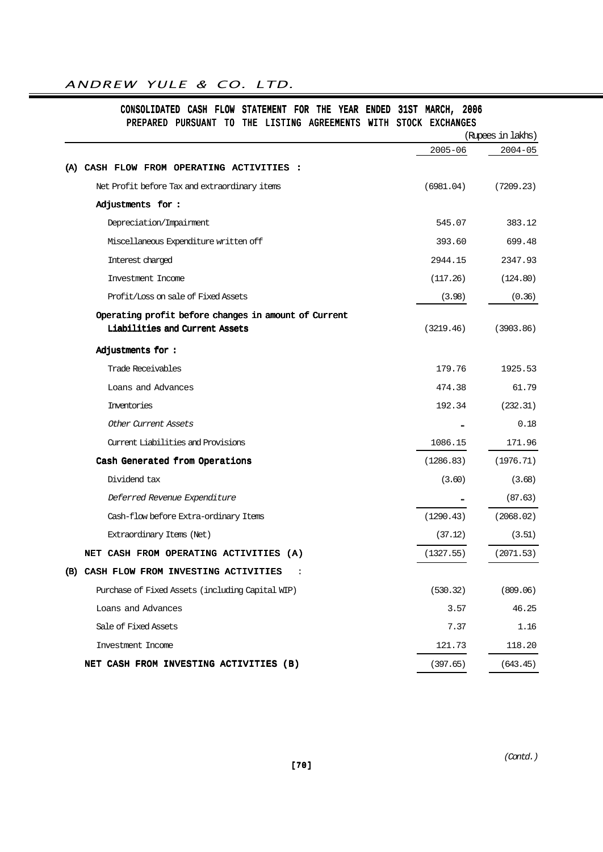## CONSOLIDATED CASH FLOW STATEMENT FOR THE YEAR ENDED 31ST MARCH, 2006 PREPARED PURSUANT TO THE LISTING AGREEMENTS WITH STOCK EXCHANGES

|                                                      |             | (Rupees in lakhs) |  |  |
|------------------------------------------------------|-------------|-------------------|--|--|
|                                                      | $2005 - 06$ | $2004 - 05$       |  |  |
| CASH FLOW FROM OPERATING ACTIVITIES :<br>(A)         |             |                   |  |  |
| Net Profit before Tax and extraordinary items        | (6981.04)   | (7209.23)         |  |  |
| Adjustments for:                                     |             |                   |  |  |
| Depreciation/Impairment                              | 545.07      | 383.12            |  |  |
| Miscellaneous Expenditure written off                | 393.60      | 699.48            |  |  |
| Interest charged                                     | 2944.15     | 2347.93           |  |  |
| Investment Income                                    | (117.26)    | (124.80)          |  |  |
| Profit/Loss on sale of Fixed Assets                  | (3.98)      | (0.36)            |  |  |
| Operating profit before changes in amount of Current |             |                   |  |  |
| Liabilities and Current Assets                       | (3219.46)   | (3903.86)         |  |  |
| Adjustments for:                                     |             |                   |  |  |
| Trade Receivables                                    | 179.76      | 1925.53           |  |  |
| Loans and Advances                                   | 474.38      | 61.79             |  |  |
| Inventories                                          | 192.34      | (232.31)          |  |  |
| Other Current Assets                                 |             | 0.18              |  |  |
| Current Liabilities and Provisions                   | 1086.15     | 171.96            |  |  |
| Cash Generated from Operations                       | (1286.83)   | (1976.71)         |  |  |
| Dividend tax                                         | (3.60)      | (3.68)            |  |  |
| Deferred Revenue Expenditure                         |             | (87.63)           |  |  |
| Cash-flow before Extra-ordinary Items                | (1290.43)   | (2068.02)         |  |  |
| Extraordinary Items (Net)                            | (37.12)     | (3.51)            |  |  |
| NET CASH FROM OPERATING ACTIVITIES (A)               | (1327.55)   | (2071.53)         |  |  |
| (B) CASH FLOW FROM INVESTING ACTIVITIES<br>:         |             |                   |  |  |
| Purchase of Fixed Assets (including Capital WIP)     | (530.32)    | (809.06)          |  |  |
| Loans and Advances                                   | 3.57        | 46.25             |  |  |
| Sale of Fixed Assets                                 | 7.37        | 1.16              |  |  |
| Investment Income                                    | 121.73      | 118.20            |  |  |
| NET CASH FROM INVESTING ACTIVITIES (B)               | (397.65)    | (643.45)          |  |  |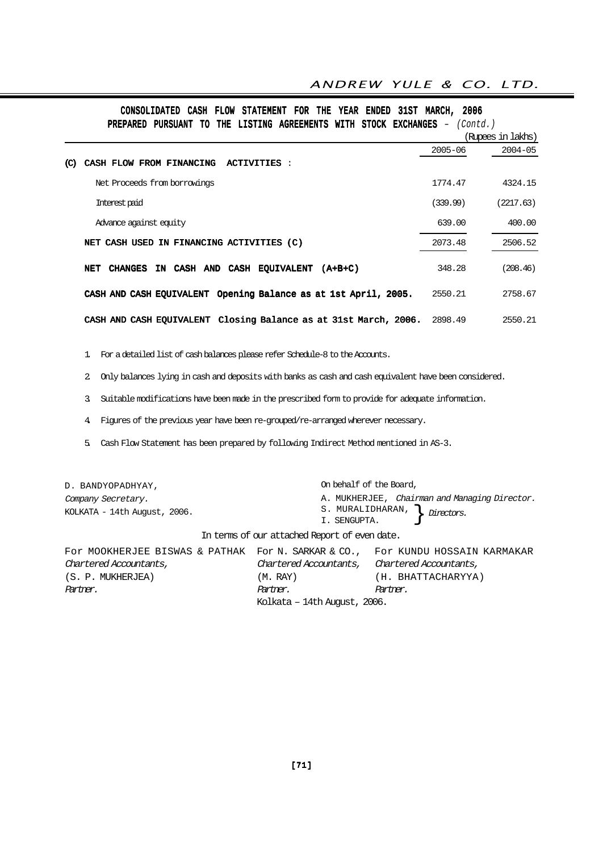| PREPARED PURSUANT TO THE LISTING AGREEMENTS WITH STOCK EXCHANGES | (Contd.)    |                   |
|------------------------------------------------------------------|-------------|-------------------|
|                                                                  |             | (Rupees in lakhs) |
|                                                                  | $2005 - 06$ | $2004 - 05$       |
| CASH FLOW FROM FINANCING<br><b>ACTIVITIES:</b><br>(C)            |             |                   |
| Net Proceeds from borrowings                                     | 1774.47     | 4324.15           |
| Interest paid                                                    | (339.99)    | (2217.63)         |
| Advance against equity                                           | 639.00      | 400.00            |
| NET CASH USED IN FINANCING ACTIVITIES (C)                        | 2073.48     | 2506.52           |
| IN CASH AND<br>CASH EQUIVALENT (A+B+C)<br><b>CHANGES</b><br>NET  | 348.28      | (208.46)          |
| CASH AND CASH EQUIVALENT Opening Balance as at 1st April, 2005.  | 2550.21     | 2758.67           |
| CASH AND CASH EQUIVALENT Closing Balance as at 31st March, 2006. | 2898.49     | 2550.21           |

## CONSOLIDATED CASH FLOW STATEMENT FOR THE YEAR ENDED 31ST MARCH, 2006

1. For a detailed list of cash balances please refer Schedule-8 to the Accounts.

2. Only balances lying in cash and deposits with banks as cash and cash equivalent have been considered.

3. Suitable modifications have been made in the prescribed form to provide for adequate information.

4. Figures of the previous year have been re-grouped/re-arranged wherever necessary.

5. Cash Flow Statement has been prepared by following Indirect Method mentioned in AS-3.

| D. BANDYOPADHYAY,                                                                                                                         |                                                                                                       | On behalf of the Board,                                                             |  |  |
|-------------------------------------------------------------------------------------------------------------------------------------------|-------------------------------------------------------------------------------------------------------|-------------------------------------------------------------------------------------|--|--|
| Company Secretary.<br>KOLKATA - 14th August, 2006.                                                                                        | I. SENGUPTA.                                                                                          | A. MUKHERJEE, Chairman and Managing Director.<br>S. MURALIDHARAN, $\int$ Directors. |  |  |
| In terms of our attached Report of even date.                                                                                             |                                                                                                       |                                                                                     |  |  |
| For MOOKHERJEE BISWAS & PATHAK For N. SARKAR & CO., For KUNDU HOSSAIN KARMAKAR<br>Chartered Accountants,<br>(S. P. MUKHERJEA)<br>Partner. | Chartered Accountants, Chartered Accountants,<br>(M. RAY)<br>Partner.<br>Kolkata – 14th August, 2006. | (H. BHATTACHARYYA)<br>Partner.                                                      |  |  |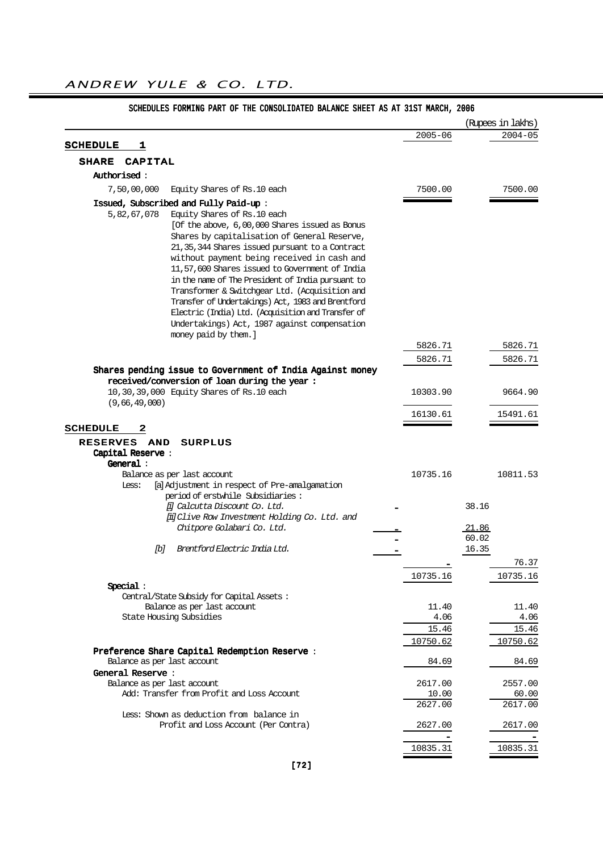|                                                                        |                                                                                                                                                                                                                                                                                                                                                                                                                                                                                                                                                     |             |                | (Rupees in lakhs) |
|------------------------------------------------------------------------|-----------------------------------------------------------------------------------------------------------------------------------------------------------------------------------------------------------------------------------------------------------------------------------------------------------------------------------------------------------------------------------------------------------------------------------------------------------------------------------------------------------------------------------------------------|-------------|----------------|-------------------|
|                                                                        |                                                                                                                                                                                                                                                                                                                                                                                                                                                                                                                                                     | $2005 - 06$ |                | $2004 - 05$       |
| <b>SCHEDULE</b><br>1                                                   |                                                                                                                                                                                                                                                                                                                                                                                                                                                                                                                                                     |             |                |                   |
| <b>SHARE</b><br><b>CAPITAL</b>                                         |                                                                                                                                                                                                                                                                                                                                                                                                                                                                                                                                                     |             |                |                   |
| <b>Authorised :</b>                                                    |                                                                                                                                                                                                                                                                                                                                                                                                                                                                                                                                                     |             |                |                   |
| 7,50,00,000                                                            | Equity Shares of Rs.10 each                                                                                                                                                                                                                                                                                                                                                                                                                                                                                                                         | 7500.00     |                | 7500.00           |
|                                                                        | Issued, Subscribed and Fully Paid-up:                                                                                                                                                                                                                                                                                                                                                                                                                                                                                                               |             |                |                   |
| 5,82,67,078                                                            | Equity Shares of Rs.10 each<br>[Of the above, 6,00,000 Shares issued as Bonus<br>Shares by capitalisation of General Reserve,<br>21, 35, 344 Shares issued pursuant to a Contract<br>without payment being received in cash and<br>11,57,600 Shares issued to Government of India<br>in the name of The President of India pursuant to<br>Transformer & Switchgear Ltd. (Acquisition and<br>Transfer of Undertakings) Act, 1983 and Brentford<br>Electric (India) Ltd. (Acquisition and Transfer of<br>Undertakings) Act, 1987 against compensation |             |                |                   |
|                                                                        | money paid by them. ]                                                                                                                                                                                                                                                                                                                                                                                                                                                                                                                               |             |                |                   |
|                                                                        |                                                                                                                                                                                                                                                                                                                                                                                                                                                                                                                                                     | 5826.71     |                | 5826.71           |
|                                                                        | Shares pending issue to Government of India Against money                                                                                                                                                                                                                                                                                                                                                                                                                                                                                           | 5826.71     |                | 5826.71           |
|                                                                        | received/conversion of loan during the year:                                                                                                                                                                                                                                                                                                                                                                                                                                                                                                        |             |                |                   |
|                                                                        | 10,30,39,000 Equity Shares of Rs.10 each                                                                                                                                                                                                                                                                                                                                                                                                                                                                                                            | 10303.90    |                | 9664.90           |
| (9,66,49,000)                                                          |                                                                                                                                                                                                                                                                                                                                                                                                                                                                                                                                                     |             |                |                   |
|                                                                        |                                                                                                                                                                                                                                                                                                                                                                                                                                                                                                                                                     | 16130.61    |                | 15491.61          |
| <b>AND</b><br><b>RESERVES</b><br>Capital Reserve:<br>General:<br>Less: | <b>SURPLUS</b><br>Balance as per last account<br>[a] Adjustment in respect of Pre-amalgamation<br>period of erstwhile Subsidiaries:                                                                                                                                                                                                                                                                                                                                                                                                                 | 10735.16    |                | 10811.53          |
|                                                                        | [i] Calcutta Discount Co. Ltd.                                                                                                                                                                                                                                                                                                                                                                                                                                                                                                                      |             | 38.16          |                   |
|                                                                        | [ii] Clive Row Investment Holding Co. Ltd. and<br>Chitpore Golabari Co. Ltd.                                                                                                                                                                                                                                                                                                                                                                                                                                                                        |             | <u>.21.86</u>  |                   |
| ſЫ                                                                     | Brentford Electric India Ltd.                                                                                                                                                                                                                                                                                                                                                                                                                                                                                                                       |             | 60.02<br>16.35 |                   |
|                                                                        |                                                                                                                                                                                                                                                                                                                                                                                                                                                                                                                                                     |             |                | 76.37             |
|                                                                        |                                                                                                                                                                                                                                                                                                                                                                                                                                                                                                                                                     | 10735.16    |                | 10735.16          |
| Special:                                                               | Central/State Subsidy for Capital Assets:                                                                                                                                                                                                                                                                                                                                                                                                                                                                                                           |             |                |                   |
|                                                                        | Balance as per last account                                                                                                                                                                                                                                                                                                                                                                                                                                                                                                                         | 11.40       |                | 11.40             |
| State Housing Subsidies                                                |                                                                                                                                                                                                                                                                                                                                                                                                                                                                                                                                                     | 4.06        |                | 4.06              |
|                                                                        |                                                                                                                                                                                                                                                                                                                                                                                                                                                                                                                                                     | 15.46       |                | 15.46             |
|                                                                        |                                                                                                                                                                                                                                                                                                                                                                                                                                                                                                                                                     | 10750.62    |                | 10750.62          |
| Balance as per last account                                            | Preference Share Capital Redemption Reserve:                                                                                                                                                                                                                                                                                                                                                                                                                                                                                                        | 84.69       |                | 84.69             |
| General Reserve:<br>Balance as per last account                        |                                                                                                                                                                                                                                                                                                                                                                                                                                                                                                                                                     | 2617.00     |                | 2557.00           |
|                                                                        | Add: Transfer from Profit and Loss Account                                                                                                                                                                                                                                                                                                                                                                                                                                                                                                          | 10.00       |                | 60.00             |
|                                                                        |                                                                                                                                                                                                                                                                                                                                                                                                                                                                                                                                                     | 2627.00     |                | 2617.00           |
|                                                                        | Less: Shown as deduction from balance in<br>Profit and Loss Account (Per Contra)                                                                                                                                                                                                                                                                                                                                                                                                                                                                    | 2627.00     |                | 2617.00           |
|                                                                        |                                                                                                                                                                                                                                                                                                                                                                                                                                                                                                                                                     | 10835.31    |                | 10835.31          |

## SCHEDULES FORMING PART OF THE CONSOLIDATED BALANCE SHEET AS AT 31ST MARCH, 2006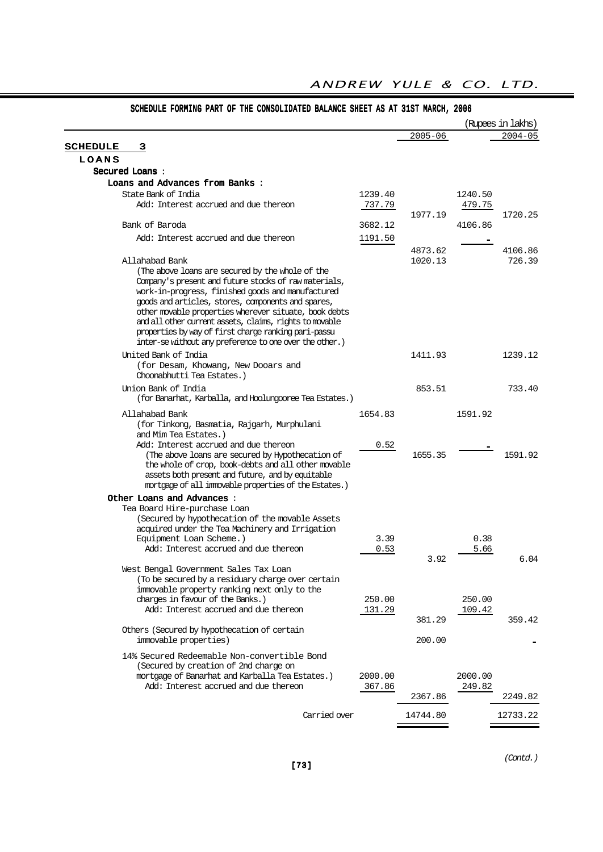|                                                                                                                                                                                                                                                                                                                                                                                                                                                                               |                   |                    |                   | (Rupees in lakhs) |
|-------------------------------------------------------------------------------------------------------------------------------------------------------------------------------------------------------------------------------------------------------------------------------------------------------------------------------------------------------------------------------------------------------------------------------------------------------------------------------|-------------------|--------------------|-------------------|-------------------|
|                                                                                                                                                                                                                                                                                                                                                                                                                                                                               |                   | $2005 - 06$        |                   | $2004 - 05$       |
| <b>SCHEDULE</b><br>з                                                                                                                                                                                                                                                                                                                                                                                                                                                          |                   |                    |                   |                   |
| LOANS                                                                                                                                                                                                                                                                                                                                                                                                                                                                         |                   |                    |                   |                   |
| Secured Loans:                                                                                                                                                                                                                                                                                                                                                                                                                                                                |                   |                    |                   |                   |
| Loans and Advances from Banks:                                                                                                                                                                                                                                                                                                                                                                                                                                                |                   |                    |                   |                   |
| State Bank of India<br>Add: Interest accrued and due thereon                                                                                                                                                                                                                                                                                                                                                                                                                  | 1239.40<br>737.79 |                    | 1240.50<br>479.75 |                   |
| Bank of Baroda                                                                                                                                                                                                                                                                                                                                                                                                                                                                | 3682.12           | 1977.19            | 4106.86           | 1720.25           |
| Add: Interest accrued and due thereon                                                                                                                                                                                                                                                                                                                                                                                                                                         | 1191.50           |                    |                   |                   |
| Allahabad Bank<br>(The above loans are secured by the whole of the<br>Company's present and future stocks of raw materials,<br>work-in-progress, finished goods and manufactured<br>goods and articles, stores, components and spares,<br>other movable properties wherever situate, book debts<br>and all other current assets, claims, rights to movable<br>properties by way of first charge ranking pari-passu<br>inter-se without any preference to one over the other.) |                   | 4873.62<br>1020.13 |                   | 4106.86<br>726.39 |
| United Bank of India<br>(for Desam, Khowang, New Dooars and<br>Choonabhutti Tea Estates.)                                                                                                                                                                                                                                                                                                                                                                                     |                   | 1411.93            |                   | 1239.12           |
| Union Bank of India<br>(for Banarhat, Karballa, and Hoolungooree Tea Estates.)                                                                                                                                                                                                                                                                                                                                                                                                |                   | 853.51             |                   | 733.40            |
| Allahabad Bank<br>(for Tinkong, Basmatia, Rajgarh, Murphulani<br>and Mim Tea Estates.)<br>Add: Interest accrued and due thereon<br>(The above loans are secured by Hypothecation of<br>the whole of crop, book-debts and all other movable<br>assets both present and future, and by equitable<br>mortgage of all immovable properties of the Estates.)                                                                                                                       | 1654.83<br>0.52   | 1655.35            | 1591.92           | 1591.92           |
| Other Loans and Advances :<br>Tea Board Hire-purchase Loan                                                                                                                                                                                                                                                                                                                                                                                                                    |                   |                    |                   |                   |
| (Secured by hypothecation of the movable Assets<br>acquired under the Tea Machinery and Irrigation<br>Equipment Loan Scheme.)<br>Add: Interest accrued and due thereon                                                                                                                                                                                                                                                                                                        | 3.39<br>0.53      | 3.92               | 0.38<br>5.66      | 6.04              |
| West Bengal Government Sales Tax Loan<br>(To be secured by a residuary charge over certain<br>immovable property ranking next only to the<br>charges in favour of the Banks.)<br>Add: Interest accrued and due thereon                                                                                                                                                                                                                                                        | 250.00<br>131.29  | 381.29             | 250.00<br>109.42  | 359.42            |
| Others (Secured by hypothecation of certain<br>immovable properties)                                                                                                                                                                                                                                                                                                                                                                                                          |                   | 200.00             |                   |                   |
| 14% Secured Redeemable Non-convertible Bond<br>(Secured by creation of 2nd charge on<br>mortgage of Banarhat and Karballa Tea Estates.)<br>Add: Interest accrued and due thereon                                                                                                                                                                                                                                                                                              | 2000.00<br>367.86 |                    | 2000.00<br>249.82 |                   |
|                                                                                                                                                                                                                                                                                                                                                                                                                                                                               |                   | 2367.86            |                   | 2249.82           |
| Carried over                                                                                                                                                                                                                                                                                                                                                                                                                                                                  |                   | 14744.80           |                   | 12733.22          |

# SCHEDULE FORMING PART OF THE CONSOLIDATED BALANCE SHEET AS AT 31ST MARCH, 2006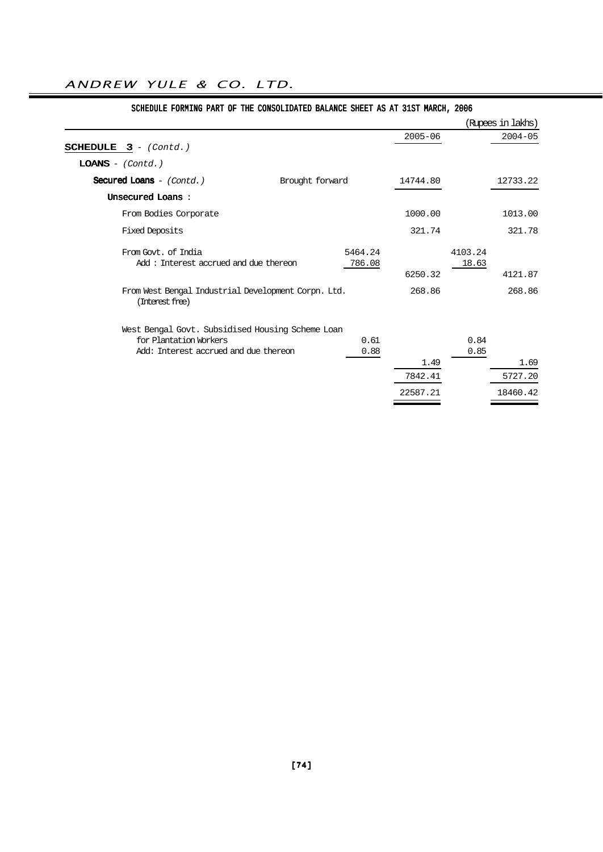| DCHODDOD FONTING FANI OF IND CONDODIDATOD DADANCO DNOBI AD AI JIDI MANCH! 2000 |                 |         |             |         |                   |
|--------------------------------------------------------------------------------|-----------------|---------|-------------|---------|-------------------|
|                                                                                |                 |         |             |         | (Rupees in lakhs) |
|                                                                                |                 |         | $2005 - 06$ |         | $2004 - 05$       |
| <b>SCHEDULE 3</b> - $(Cond.)$                                                  |                 |         |             |         |                   |
| $LOANS - (Contd.)$                                                             |                 |         |             |         |                   |
| Secured Loans $-$ (Contd.)                                                     | Brought forward |         | 14744.80    |         | 12733.22          |
| Unsecured Loans:                                                               |                 |         |             |         |                   |
| From Bodies Corporate                                                          |                 |         | 1000.00     |         | 1013.00           |
| <b>Fixed Deposits</b>                                                          |                 |         | 321.74      |         | 321.78            |
| From Govt, of India                                                            |                 | 5464.24 |             | 4103.24 |                   |
| Add: Interest accrued and due thereon                                          |                 | 786.08  |             | 18.63   |                   |
|                                                                                |                 |         | 6250.32     |         | 4121.87           |
| From West Bengal Industrial Development Corpn. Ltd.<br>(Interest free)         |                 |         | 268.86      |         | 268.86            |
| West Bengal Govt. Subsidised Housing Scheme Loan                               |                 |         |             |         |                   |
| for Plantation Workers                                                         |                 | 0.61    |             | 0.84    |                   |
| Add: Interest accrued and due thereon                                          |                 | 0.88    |             | 0.85    |                   |
|                                                                                |                 |         | 1.49        |         | 1.69              |
|                                                                                |                 |         | 7842.41     |         | 5727.20           |
|                                                                                |                 |         | 22587.21    |         | 18460.42          |
|                                                                                |                 |         |             |         |                   |

# SCHEDULE FORMING PART OF THE CONSOLIDATED BALANCE SHEET AS AT 31ST MARCH, 2006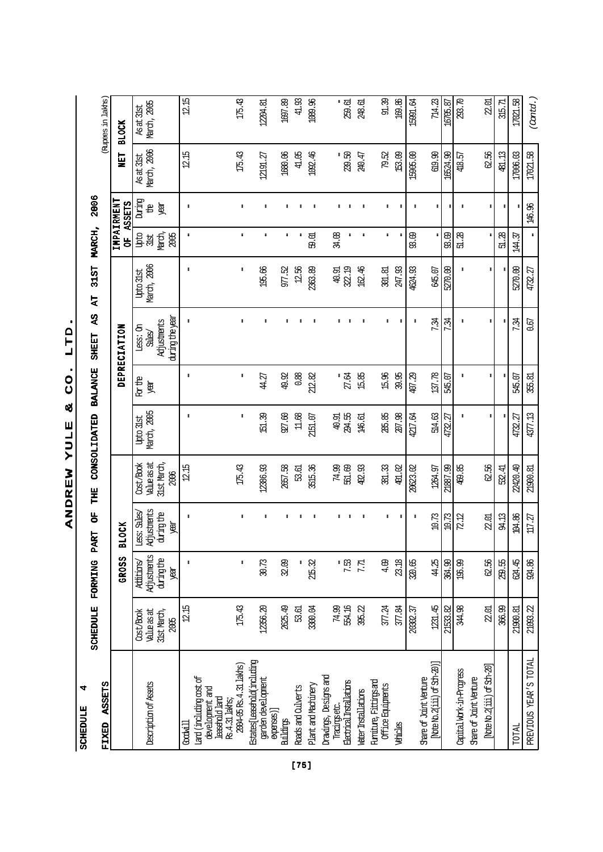$\ddot{a}$ SCHEDULE 4 SCHEDULE

2006 SCHEDULE FORMING PART OF THE CONSOLIDATED BALANCE SHEET AS AT 31ST MARCH, 2006 AS AT 31ST MARCH, SCHEDULE FORMING PART OF THE CONSOLIDATED BALANCE SHEET

| ASSETS<br>FIXED                                             |                     |                    |                        |                            |                     |                    |                                        |                     |                        |                             |             | (Rupees in lakhs) |
|-------------------------------------------------------------|---------------------|--------------------|------------------------|----------------------------|---------------------|--------------------|----------------------------------------|---------------------|------------------------|-----------------------------|-------------|-------------------|
|                                                             |                     | GROSS              | <b>BLOCK</b>           |                            |                     |                    | <b>DEPRECIATION</b>                    |                     | ង<br>ច                 | IMPAIRMENT<br><b>ASSETS</b> | <b>SE</b>   | <b>BLOCK</b>      |
|                                                             | Cost/Book           | Additions/         | Less: Sales            | Cost/Book                  | <b>Upto 31st</b>    | <b>Ror the</b>     | Less: 0n                               | <b>Upto 31st</b>    | Upto                   | During                      | As at 31st  | As at 31st        |
| Description of Assets                                       | Value as at         | Adjustments        | <b>Adjustments</b>     | value as at                | March, 2005         | Ä                  | කි.                                    | March, 2006         | 3lst                   | 윰                           | March, 2006 | March, 2005       |
|                                                             | 31st March,<br>2005 | during the<br>Jean | during the<br>奥        | <b>Slst March,</b><br>2006 |                     |                    | during the year<br><b>Ad</b> justments |                     | March,<br>2005         | <b>REA</b>                  |             |                   |
| Goodwill                                                    | $12.15$             | $\ddot{\ddot{}}$   | ŧ                      | 12.15                      | $\ddot{\textbf{z}}$ | $\ddot{\ddot{}}$   | ŧ                                      | ŧ                   | $\ddot{\bullet}$       | ŧ                           | 12.15       | 12.15             |
| Lard (including cost of<br>development and                  |                     |                    |                        |                            |                     |                    |                                        |                     |                        |                             |             |                   |
| lessendd land<br>Rs.4.31 lakts;                             |                     |                    |                        |                            |                     |                    |                                        |                     |                        |                             |             |                   |
| Estates[Leeshold(including<br>$2004 - 05$ Rs. $4.31$ lakts) | 175.43              | $\ddot{\ddot{}}$   | $\ddot{\ddot{\imath}}$ | 175.43                     | ŧ                   | ŧ                  | ŧ                                      | ŧ                   | $\ddot{\ddot{}}$       | $\ddot{\ddot{\imath}}$      | 175.43      | 175.43            |
| garden development                                          | 12356.20            | 30.73              | ŧ                      | 12386.93                   | 151.39              | 44.27              | ŧ                                      | 195.66              | $\ddot{\ddot{}}$       | ŧ                           | 12191.27    | 12204.81          |
| expenses)<br>Buildings                                      | 2625.49             | 32.09              | ÷                      | 2657.58                    | 927.60              | 49.92              | ÷                                      | 977.52              | $\ddot{\bullet}$       | ÷                           | 1680.06     | 1697.89           |
| Roads and Culverts                                          | 53.61               |                    |                        | 53.61                      | $11.68$             | 0.88               |                                        | 12.56               | ŧ                      |                             | 41.05       | 41.93             |
| Plant and Machinery                                         | 3300.04             | 215.32             | $\ddot{\ddot{\ }}$     | 3515.36                    | 2151.07             | 212.82             | ÷                                      | 2363.89             | 59.01                  | $\ddot{\ddot{\ }}$          | 1092.46     | 1089.96           |
| Drawings, Designs and                                       |                     |                    |                        |                            |                     |                    |                                        |                     |                        |                             |             |                   |
| flectrical Installations<br>Tractings etc.                  | 554.16<br>74.99     | $\frac{1}{2}$      | ÷                      | 74.99<br>56.69             | 294.55<br>40.91     | "<br>幻.64          | ŧ                                      | 322.19<br>40.91     | 34.08                  | ŧ                           | -<br>239.50 | 259.61<br>ŧ       |
|                                                             |                     | 7.71               | ŧ                      |                            |                     |                    | $\ddot{\mathbf{r}}$                    |                     | $\ddot{\ddot{}}$       |                             |             |                   |
| <b>Water Installations</b>                                  | 395.22              |                    | $\ddot{\mathbf{r}}$    | 402.93                     | 146.61              | 15.85              | i                                      | 162.46              | $\ddot{\ddot{}}$       |                             | 240.47      | 248.61            |
| Funiture, Fittings and<br>Office Equipments                 | 377.24              | 4.09               | ŧ                      | 381.33                     | 285.85              | 15.96              | ŧ                                      | 301.81              | $\ddot{\ddot{}}$       | ŧ                           | 79.52       | 91.39             |
| Vehicles                                                    | 377.84              | 23.18              | ÷                      | 401.02                     | 207.98              | 39.95              |                                        | 247.93              | $\ddot{\ddot{\imath}}$ |                             | 153.09      | 169.86            |
|                                                             | 20302.37            | 320.65             | $\ddot{\mathbf{r}}$    | 20623.02                   | 4217.64             | 407.29             |                                        | 4624.93             | 93.09                  | ÷                           | 15905.00    | 15991.64          |
| [Note No. 2(iii) of Sch-20)]<br>Share of Joint Venture      | 1231.45             | 44.25              | $10.73$                | 1264.97                    | 514.63              | 137.78             | 7.34                                   | 645.07              | $\ddot{\ddot{}}$       |                             | 619.90      | 714.23            |
|                                                             | 21533.82            | 364.90             | $10.73$                | 21887.99                   | 4732.27             | 545.07             | 7.34                                   | 5270.00             | 93.09                  |                             | 16524.90    | 16705.87          |
| Capital Work-in-Progress                                    | 344.98              | 196.99             | 72.12                  | 469.85                     | $\ddot{\mathbf{r}}$ | $\ddot{\ddot{\ }}$ | $\ddot{\ddot{\ }}$                     | $\ddot{\mathbf{r}}$ | 51.28                  | $\ddot{\ddot{\ }}$          | 418.57      | 293.70            |
| Share of Joint Venture                                      |                     |                    |                        |                            |                     |                    |                                        |                     |                        |                             |             |                   |
| [Note No. 2(111) of Sch-20]                                 | 22.01               | 62.56              | 22.01                  | 62.56                      | ÷                   | ŧ                  |                                        |                     |                        | ÷                           | 62.56       | 22.01             |
|                                                             | 366.99              | 259.55             | 94.13                  | 532.41                     |                     |                    |                                        |                     | 51.28                  | ŧ                           | 481.13      | 315.71            |
| TOTAL                                                       | 21900.81            | 624.45             | 104.86                 | 22420.40                   | 4732.27             | 545.07             | 7.34                                   | 5270.00             | 144.37                 |                             | 17006.03    | 17021.58          |
| PREVIOUS YEAR'S TOTAL                                       | 21093.22            | 924.86             | 117.27                 | 21900.81                   | 4377.13             | 355.81             | 0.67                                   | 4732.27             | $\pmb{\ddot{z}}$       | 146.96                      | 17021.58    | (cntd.)           |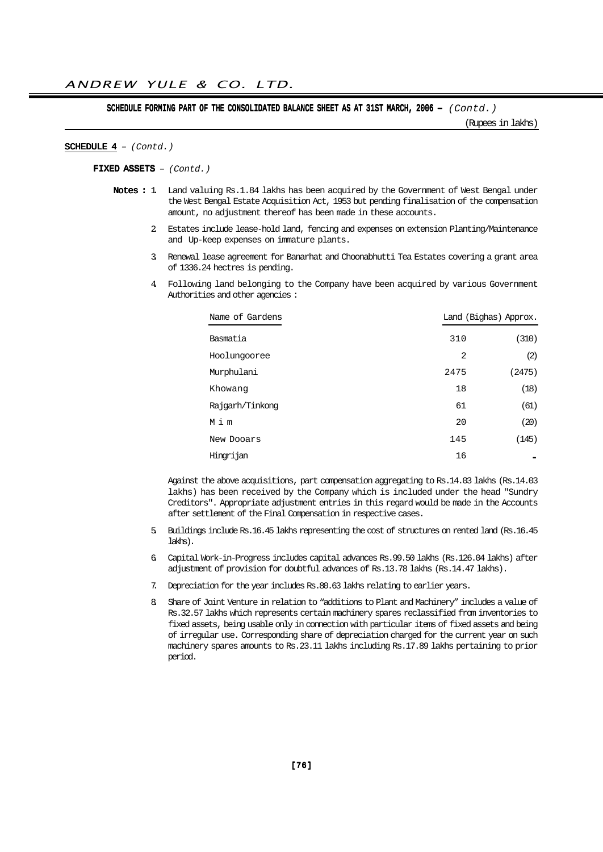SCHEDULE FORMING PART OF THE CONSOLIDATED BALANCE SHEET AS AT 31ST MARCH, 2006 -  $(Contd.)$ 

(Rupees in lakhs)

#### SCHEDULE  $4 - (Contd.)$

FIXED ASSETS - (Contd.)

- Notes : 1 Land valuing Rs.1.84 lakhs has been acquired by the Government of West Bengal under the West Bengal Estate Acquisition Act, 1953 but pending finalisation of the compensation amount, no adjustment thereof has been made in these accounts.
	- 2. Estates include lease-hold land, fencing and expenses on extension Planting/Maintenance and Up-keep expenses on immature plants.
	- 3. Renewal lease agreement for Banarhat and Choonabhutti Tea Estates covering a grant area of 1336.24 hectres is pending.
	- 4. Following land belonging to the Company have been acquired by various Government Authorities and other agencies :

| Name of Gardens |      | Land (Bighas) Approx. |
|-----------------|------|-----------------------|
| Basmatia        | 310  | (310)                 |
| Hoolungooree    | 2    | (2)                   |
| Murphulani      | 2475 | (2475)                |
| Khowang         | 18   | (18)                  |
| Rajgarh/Tinkong | 61   | (61)                  |
| Mim             | 20   | (20)                  |
| New Dooars      | 145  | (145)                 |
| Hingrijan       | 16   |                       |

Against the above acquisitions, part compensation aggregating to Rs.14.03 lakhs (Rs.14.03 lakhs) has been received by the Company which is included under the head "Sundry Creditors". Appropriate adjustment entries in this regard would be made in the Accounts after settlement of the Final Compensation in respective cases.

- 5. Buildings include Rs.16.45 lakhs representing the cost of structures on rented land (Rs.16.45 lakhs).
- 6. Capital Work-in-Progress includes capital advances Rs.99.50 lakhs (Rs.126.04 lakhs) after adjustment of provision for doubtful advances of Rs.13.78 lakhs (Rs.14.47 lakhs).
- 7. Depreciation for the year includes Rs.80.63 lakhs relating to earlier years.
- 8. Share of Joint Venture in relation to "additions to Plant and Machinery" includes a value of Rs.32.57 lakhs which represents certain machinery spares reclassified from inventories to fixed assets, being usable only in connection with particular items of fixed assets and being of irregular use. Corresponding share of depreciation charged for the current year on such machinery spares amounts to Rs.23.11 lakhs including Rs.17.89 lakhs pertaining to prior period.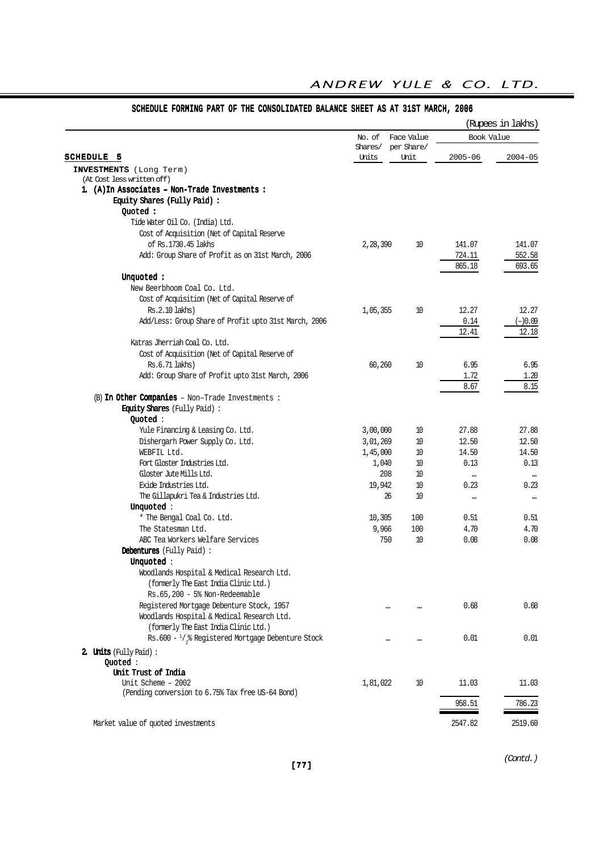|                                                              |                  |                    |             | (Rupees in lakhs) |
|--------------------------------------------------------------|------------------|--------------------|-------------|-------------------|
|                                                              | No. of           | Face Value         | Book Value  |                   |
| <b>SCHEDULE 5</b>                                            | Shares/<br>Units | per Share/<br>Unit | $2005 - 06$ | $2004 - 05$       |
|                                                              |                  |                    |             |                   |
| INVESTMENTS (Long Term)<br>(At Cost less written off)        |                  |                    |             |                   |
| 1. (A) In Associates - Non-Trade Investments:                |                  |                    |             |                   |
| Equity Shares (Fully Paid):                                  |                  |                    |             |                   |
| Quoted:                                                      |                  |                    |             |                   |
| Tide Water Oil Co. (India) Ltd.                              |                  |                    |             |                   |
| Cost of Acquisition (Net of Capital Reserve                  |                  |                    |             |                   |
| of Rs.1730.45 lakhs                                          | 2,28,390         | 10                 | 141.07      | 141.07            |
| Add: Group Share of Profit as on 31st March, 2006            |                  |                    | 724.11      | 552.58            |
|                                                              |                  |                    | 865.18      | 693.65            |
| Unquoted:                                                    |                  |                    |             |                   |
| New Beerbhoom Coal Co. Ltd.                                  |                  |                    |             |                   |
|                                                              |                  |                    |             |                   |
| Cost of Acquisition (Net of Capital Reserve of               |                  |                    |             | 12.27             |
| Rs.2.10 lakhs)                                               | 1,05,355         | 10                 | 12.27       |                   |
| Add/Less: Group Share of Profit upto 31st March, 2006        |                  |                    | 0.14        | $(-)0.09$         |
|                                                              |                  |                    | 12.41       | 12.18             |
| Katras Jherriah Coal Co. Ltd.                                |                  |                    |             |                   |
| Cost of Acquisition (Net of Capital Reserve of               |                  |                    |             |                   |
| Rs.6.71 lakhs)                                               | 60,260           | 10                 | 6.95        | 6.95              |
| Add: Group Share of Profit upto 31st March, 2006             |                  |                    | 1.72        | 1.20              |
|                                                              |                  |                    | 8.67        | 8.15              |
| (B) In Other Companies - Non-Trade Investments :             |                  |                    |             |                   |
| <b>Equity Shares</b> (Fully Paid):                           |                  |                    |             |                   |
| Quoted:                                                      |                  |                    |             |                   |
| Yule Financing & Leasing Co. Ltd.                            | 3,00,000         | 10                 | 27.88       | 27.88             |
| Dishergarh Power Supply Co. Ltd.                             | 3,01,269         | 10                 | 12.50       | 12.50             |
| WEBFIL Ltd.                                                  | 1,45,000         | 10                 | 14.50       | 14.50             |
| Fort Gloster Industries Ltd.                                 | 1,040            | 10                 | 0.13        | 0.13              |
| Gloster Jute Mills Ltd.                                      | 208              | 10                 | $\ddotsc$   |                   |
| Exide Industries Ltd.                                        | 19,942           | 10                 | 0.23        | 0.23              |
| The Gillapukri Tea & Industries Ltd.                         | 26               | 10                 |             | $\cdots$          |
| Unquoted:                                                    |                  |                    |             |                   |
| * The Bengal Coal Co. Ltd.                                   | 10,305           | 100                | 0.51        | 0.51              |
| The Statesman Ltd.                                           | 9,966            | 100                | 4.70        | 4.70              |
| ABC Tea Workers Welfare Services                             | 750              | 10                 | 0.08        | 0.08              |
| Debentures (Fully Paid):                                     |                  |                    |             |                   |
| Unquoted:                                                    |                  |                    |             |                   |
| Woodlands Hospital & Medical Research Ltd.                   |                  |                    |             |                   |
| (formerly The East India Clinic Ltd.)                        |                  |                    |             |                   |
| Rs.65,200 - 5% Non-Redeemable                                |                  |                    |             |                   |
| Registered Mortgage Debenture Stock, 1957                    |                  |                    | 0.68        | 0.68              |
| Woodlands Hospital & Medical Research Ltd.                   |                  |                    |             |                   |
| (formerly The East India Clinic Ltd.)                        |                  |                    |             |                   |
| Rs.600 - $\frac{1}{2}$ % Registered Mortgage Debenture Stock |                  |                    | 0.01        | 0.01              |
|                                                              |                  |                    |             |                   |
| 2. Units (Fully Paid):                                       |                  |                    |             |                   |
| Quoted:                                                      |                  |                    |             |                   |
| Unit Trust of India<br>Unit Scheme - 2002                    |                  | 10                 |             |                   |
| (Pending conversion to 6.75% Tax free US-64 Bond)            | 1,81,022         |                    | 11.03       | 11.03             |
|                                                              |                  |                    | 958.51      | 786.23            |
|                                                              |                  |                    |             |                   |
| Market value of quoted investments                           |                  |                    | 2547.82     | 2519.60           |

# SCHEDULE FORMING PART OF THE CONSOLIDATED BALANCE SHEET AS AT 31ST MARCH, 2006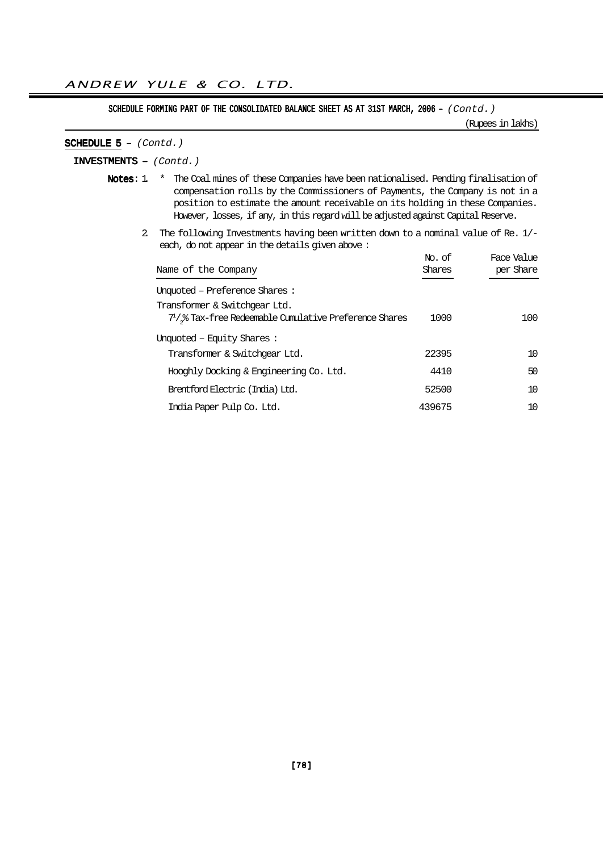SCHEDULE FORMING PART OF THE CONSOLIDATED BALANCE SHEET AS AT 31ST MARCH, 2006 - (Contd.)

(Rupees in lakhs)

#### SCHEDULE  $5 - (Contd.)$

INVESTMENTS – (Contd.)

- Notes: 1. \* The Coal mines of these Companies have been nationalised. Pending finalisation of compensation rolls by the Commissioners of Payments, the Company is not in a position to estimate the amount receivable on its holding in these Companies. However, losses, if any, in this regard will be adjusted against Capital Reserve.
	- 2. The following Investments having been written down to a nominal value of Re. 1/ each, do not appear in the details given above :

| Name of the Company                                                                               | No. of<br>Shares | Face Value<br>per Share |
|---------------------------------------------------------------------------------------------------|------------------|-------------------------|
| Unquoted – Preference Shares :                                                                    |                  |                         |
| Transformer & Switchgear Ltd.<br>$71$ / $_{2}$ % Tax-free Redeemable Cumulative Preference Shares | 1000             | 100.                    |
| Unquoted – Equity Shares :<br>Transformer & Switchgear Ltd.                                       | 22395            | 10                      |
| Hooghly Docking & Engineering Co. Ltd.                                                            | 4410             | 50                      |
| Brentford Electric (India) Ltd.                                                                   | 52500            | 10                      |
| India Paper Pulp Co. Ltd.                                                                         | 439675           | 10                      |
|                                                                                                   |                  |                         |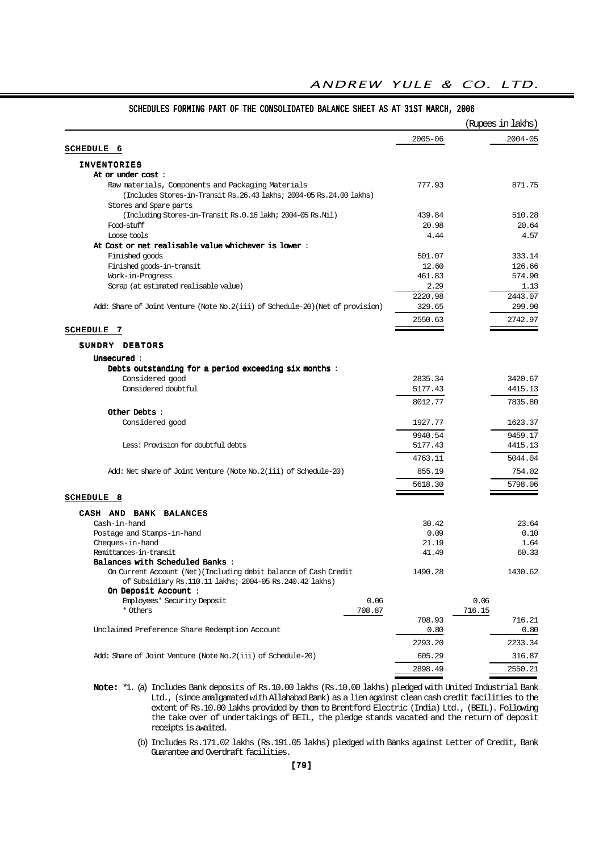#### 2005-06 2004-05 SCHEDULE 6 INVENTORIES At or under cost : Raw materials, Components and Packaging Materials 777.93 871.75 (Includes Stores-in-Transit Rs.26.43 lakhs; 2004-05 Rs.24.00 lakhs) Stores and Spare parts (Including Stores-in-Transit Rs.0.16 lakh; 2004-05 Rs.Nil) 439.84 510.28 Food-stuff 20.98 20.64  $\Delta$  Loose tools  $4.44$   $4.57$ At Cost or net realisable value whichever is lower : Finished goods 501.07 333.14 Finished goods-in-transit 12.60 126.66 Work-in-Progress 461.83 574.90 Scrap (at estimated realisable value) 3.29 1.13 2220.98 2443.07 Add: Share of Joint Venture (Note No.2(iii) of Schedule-20)(Net of provision) 329.65 299.90 2550.63 2742.97 SCHEDULE 7 SUNDRY DEBTORS Unsecured : Unsecured Debts outstanding for a period exceeding six months : Considered good 2835.34 3420.67 Considered doubtful 5177.43 4415.13 8012.77 7835.80 Other Debts : Considered good 1927.77 1623.37 9940.54 9459.17 Less: Provision for doubtful debts 5177.43 4415.13 4763.11 5044.04 Add: Net share of Joint Venture (Note No. 2(iii) of Schedule-20) 855.19 754.02 5618.30 5798.06 SCHEDULE 8 CASH AND BANK BALANCES Cash-in-hand 30.42 23.64 Postage and Stamps-in-hand 0.09 0.10<br>
Cheques-in-hand 21.19 1.64 Cheques-in-hand Remittances-in-transit 60.33  $B$ alances with Scheduled Banks : On Current Account (Net)(Including debit balance of Cash Credit 1490.28 1430.62 of Subsidiary Rs.110.11 lakhs; 2004-05 Rs.240.42 lakhs) On Deposit Account : Employees' Security Deposit 0.06 0.06 0.06 0.06 \* Others 708.87 716.15 708.93 716.21 Unclaimed Preference Share Redemption Account 0.80 0.80 2293.20 2233.34 Add: Share of Joint Venture (Note No.2(iii) of Schedule-20) 605.29 605.29 316.87 2898.49 2550.21 (Rupees in lakhs)

#### SCHEDULES FORMING PART OF THE CONSOLIDATED BALANCE SHEET AS AT 31ST MARCH, 2006

ANDREW YULE & CO. LTD.

Note: \*1. (a) Includes Bank deposits of Rs.10.00 lakhs (Rs.10.00 lakhs) pledged with United Industrial Bank Ltd., (since amalgamated with Allahabad Bank) as a lien against clean cash credit facilities to the extent of Rs.10.00 lakhs provided by them to Brentford Electric (India) Ltd., (BEIL). Following the take over of undertakings of BEIL, the pledge stands vacated and the return of deposit receipts is awaited.

(b) Includes Rs.171.02 lakhs (Rs.191.05 lakhs) pledged with Banks against Letter of Credit, Bank Guarantee and Overdraft facilities.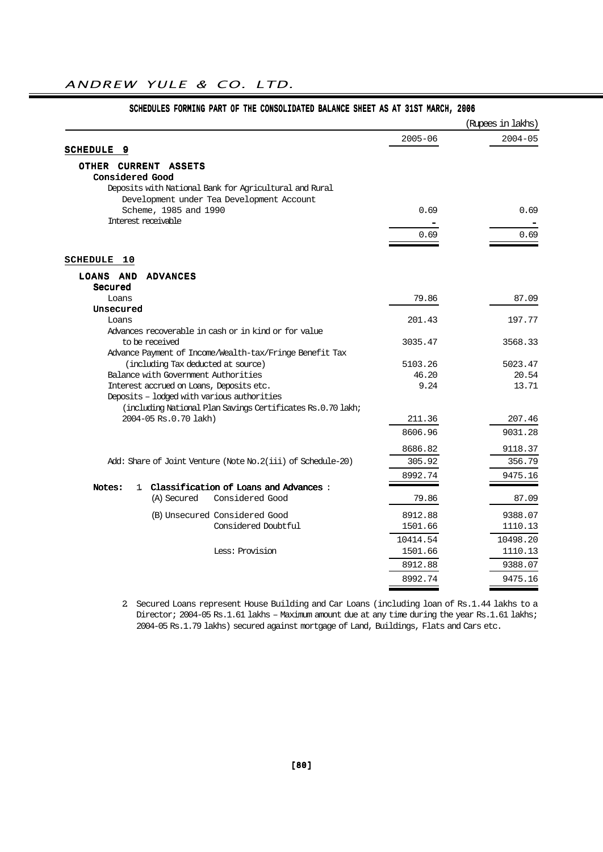|                                                                                                           |             | (Rupees in lakhs) |
|-----------------------------------------------------------------------------------------------------------|-------------|-------------------|
|                                                                                                           | $2005 - 06$ | $2004 - 05$       |
| SCHEDULE<br>-9                                                                                            |             |                   |
| OTHER CURRENT ASSETS                                                                                      |             |                   |
| <b>Considered Good</b>                                                                                    |             |                   |
| Deposits with National Bank for Agricultural and Rural                                                    |             |                   |
| Development under Tea Development Account                                                                 |             |                   |
| Scheme, 1985 and 1990<br>Interest receivable                                                              | 0.69        | 0.69              |
|                                                                                                           |             |                   |
|                                                                                                           | 0.69        | 0.69              |
| <b>SCHEDULE</b><br>10                                                                                     |             |                   |
|                                                                                                           |             |                   |
| LOANS AND<br><b>ADVANCES</b><br>Secured                                                                   |             |                   |
| Loans                                                                                                     | 79.86       | 87.09             |
| Unsecured                                                                                                 |             |                   |
| Loans                                                                                                     | 201.43      | 197.77            |
| Advances recoverable in cash or in kind or for value                                                      |             |                   |
| to be received                                                                                            | 3035.47     | 3568.33           |
| Advance Payment of Income/Wealth-tax/Fringe Benefit Tax                                                   |             |                   |
| (including Tax deducted at source)                                                                        | 5103.26     | 5023.47           |
| Balance with Government Authorities                                                                       | 46.20       | 20.54             |
| Interest accrued on Loans, Deposits etc.                                                                  | 9.24        | 13.71             |
| Deposits - lodged with various authorities<br>(including National Plan Savings Certificates Rs.0.70 lakh; |             |                   |
| 2004-05 Rs.0.70 lakh)                                                                                     | 211.36      | 207.46            |
|                                                                                                           | 8606.96     | 9031.28           |
|                                                                                                           | 8686.82     | 9118.37           |
| Add: Share of Joint Venture (Note No. 2(iii) of Schedule-20)                                              | 305.92      | 356.79            |
|                                                                                                           |             | 9475.16           |
| 1 Classification of Loans and Advances:<br>Notes:                                                         | 8992.74     |                   |
| (A) Secured<br>Considered Good                                                                            | 79.86       | 87.09             |
| (B) Unsecured Considered Good                                                                             | 8912.88     | 9388.07           |
| Considered Doubtful                                                                                       | 1501.66     | 1110.13           |
|                                                                                                           | 10414.54    | 10498.20          |
| Less: Provision                                                                                           | 1501.66     | 1110.13           |
|                                                                                                           | 8912.88     | 9388.07           |
|                                                                                                           | 8992.74     | 9475.16           |
|                                                                                                           |             |                   |

#### SCHEDULES FORMING PART OF THE CONSOLIDATED BALANCE SHEET AS AT 31ST MARCH, 2006

2. Secured Loans represent House Building and Car Loans (including loan of Rs.1.44 lakhs to a Director; 2004-05 Rs.1.61 lakhs – Maximum amount due at any time during the year Rs.1.61 lakhs; 2004-05 Rs.1.79 lakhs) secured against mortgage of Land, Buildings, Flats and Cars etc.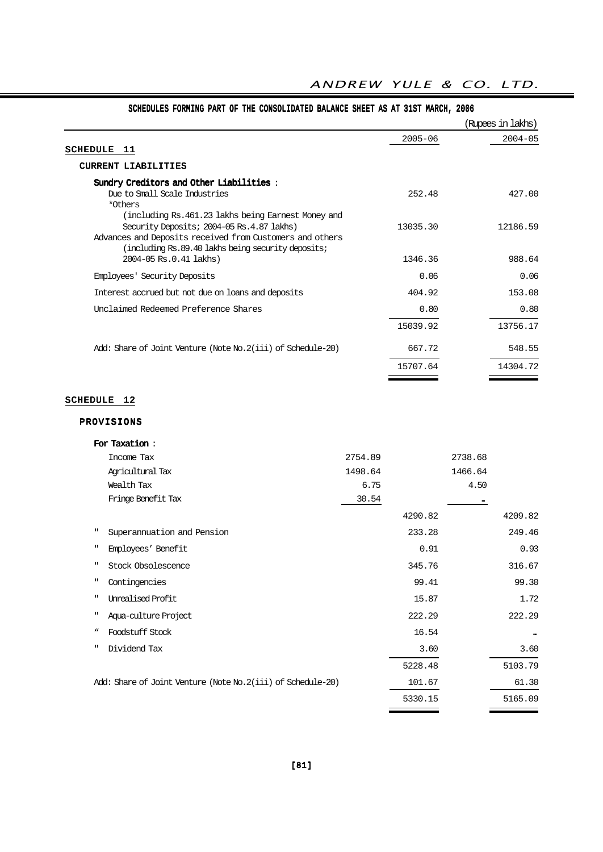|                                                                                                                                                                                                                    |             | (Rupees in lakhs) |
|--------------------------------------------------------------------------------------------------------------------------------------------------------------------------------------------------------------------|-------------|-------------------|
| <b>SCHEDULE</b><br>11                                                                                                                                                                                              | $2005 - 06$ | $2004 - 05$       |
| CURRENT LIABILITIES                                                                                                                                                                                                |             |                   |
| Sundry Creditors and Other Liabilities:<br>Due to Small Scale Industries<br>*Others                                                                                                                                | 252.48      | 427.00            |
| (including Rs. 461.23 lakhs being Earnest Money and<br>Security Deposits; 2004-05 Rs.4.87 lakhs)<br>Advances and Deposits received from Customers and others<br>(including Rs.89.40 lakhs being security deposits; | 13035.30    | 12186.59          |
| 2004-05 Rs.0.41 lakhs)                                                                                                                                                                                             | 1346.36     | 988.64            |
| Employees' Security Deposits                                                                                                                                                                                       | 0.06        | 0.06              |
| Interest accrued but not due on loans and deposits                                                                                                                                                                 | 404.92      | 153.08            |
| Unclaimed Redeemed Preference Shares                                                                                                                                                                               | 0.80        | 0.80              |
|                                                                                                                                                                                                                    | 15039.92    | 13756.17          |
| Add: Share of Joint Venture (Note No. 2(iii) of Schedule-20)                                                                                                                                                       | 667.72      | 548.55            |
|                                                                                                                                                                                                                    | 15707.64    | 14304.72          |

# SCHEDULES FORMING PART OF THE CONSOLIDATED BALANCE SHEET AS AT 31ST MARCH, 2006

# SCHEDULE 12

## PROVISIONS

|              | For Taxation:                                               |         |         |         |         |
|--------------|-------------------------------------------------------------|---------|---------|---------|---------|
|              | Income Tax                                                  | 2754.89 |         | 2738.68 |         |
|              | Agricultural Tax                                            | 1498.64 |         | 1466.64 |         |
|              | Wealth Tax                                                  | 6.75    |         | 4.50    |         |
|              | Fringe Benefit Tax                                          | 30.54   |         |         |         |
|              |                                                             |         | 4290.82 |         | 4209.82 |
| $\mathbf{H}$ | Superannuation and Pension                                  |         | 233.28  |         | 249.46  |
| ш            | Employees' Benefit                                          |         | 0.91    |         | 0.93    |
| $\mathbf{H}$ | Stock Obsolescence                                          |         | 345.76  |         | 316.67  |
| п.           | Contingencies                                               |         | 99.41   |         | 99.30   |
| ш            | <b>Unrealised Profit</b>                                    |         | 15.87   |         | 1.72    |
| п            | Aqua-culture Project                                        |         | 222.29  |         | 222.29  |
| w            | Foodstuff Stock                                             |         | 16.54   |         |         |
| ш            | Dividend Tax                                                |         | 3.60    |         | 3.60    |
|              |                                                             |         | 5228.48 |         | 5103.79 |
|              | Add: Share of Joint Venture (Note No.2(iii) of Schedule-20) |         | 101.67  |         | 61.30   |
|              |                                                             |         | 5330.15 |         | 5165.09 |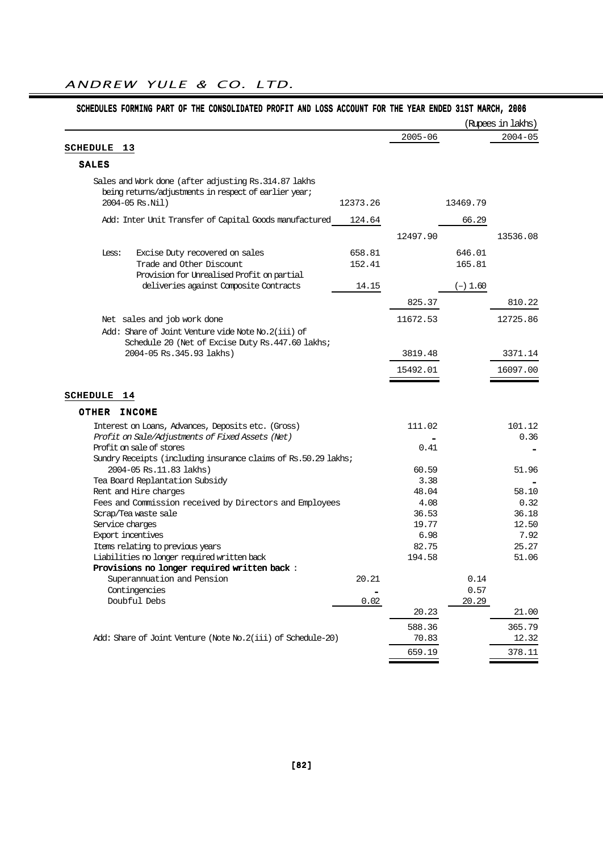|                                                                |          |             |            | (Rupees in lakhs) |
|----------------------------------------------------------------|----------|-------------|------------|-------------------|
|                                                                |          | $2005 - 06$ |            | $2004 - 05$       |
| <b>SCHEDULE</b><br>13                                          |          |             |            |                   |
| <b>SALES</b>                                                   |          |             |            |                   |
| Sales and Work done (after adjusting Rs. 314.87 lakhs          |          |             |            |                   |
| being returns/adjustments in respect of earlier year;          |          |             |            |                   |
| 2004-05 Rs.Nil)                                                | 12373.26 |             | 13469.79   |                   |
| Add: Inter Unit Transfer of Capital Goods manufactured         | 124.64   |             | 66.29      |                   |
|                                                                |          | 12497.90    |            | 13536.08          |
| Excise Duty recovered on sales<br>Less:                        | 658.81   |             | 646.01     |                   |
| Trade and Other Discount                                       | 152.41   |             | 165.81     |                   |
| Provision for Unrealised Profit on partial                     |          |             |            |                   |
| deliveries against Composite Contracts                         | 14.15    |             | $(-) 1.60$ |                   |
|                                                                |          |             |            |                   |
|                                                                |          | 825.37      |            | 810.22            |
| Net sales and job work done                                    |          | 11672.53    |            | 12725.86          |
| Add: Share of Joint Venture vide Note No. 2(iii) of            |          |             |            |                   |
| Schedule 20 (Net of Excise Duty Rs. 447.60 lakhs;              |          |             |            |                   |
| 2004-05 Rs. 345.93 lakhs)                                      |          | 3819.48     |            | 3371.14           |
|                                                                |          | 15492.01    |            | 16097.00          |
|                                                                |          |             |            |                   |
| SCHEDULE<br>14                                                 |          |             |            |                   |
| <b>OTHER</b><br><b>INCOME</b>                                  |          |             |            |                   |
| Interest on Loans, Advances, Deposits etc. (Gross)             |          | 111.02      |            | 101.12            |
| Profit on Sale/Adjustments of Fixed Assets (Net)               |          |             |            | 0.36              |
| Profit on sale of stores                                       |          | 0.41        |            |                   |
| Sundry Receipts (including insurance claims of Rs.50.29 lakhs; |          |             |            |                   |
| 2004-05 Rs.11.83 lakhs)                                        |          | 60.59       |            | 51.96             |
| Tea Board Replantation Subsidy                                 |          | 3.38        |            |                   |
| Rent and Hire charges                                          |          | 48.04       |            | 58.10             |
| Fees and Commission received by Directors and Employees        |          | 4.08        |            | 0.32              |
| Scrap/Tea waste sale                                           |          | 36.53       |            | 36.18             |
| Service charges                                                |          | 19.77       |            | 12.50             |
| <b>Export incentives</b>                                       |          | 6.98        |            | 7.92              |
| Items relating to previous years                               |          | 82.75       |            | 25.27             |
| Liabilities no longer required written back                    |          | 194.58      |            | 51.06             |
| Provisions no longer required written back :                   |          |             |            |                   |
|                                                                | 20.21    |             | 0.14       |                   |
| Superannuation and Pension                                     |          |             | 0.57       |                   |
| Contingencies                                                  |          |             |            |                   |
| Doubful Debs                                                   | 0.02     |             | 20.29      |                   |
|                                                                |          | 20.23       |            | 21.00             |
|                                                                |          | 588.36      |            | 365.79            |
| Add: Share of Joint Venture (Note No.2(iii) of Schedule-20)    |          | 70.83       |            | 12.32             |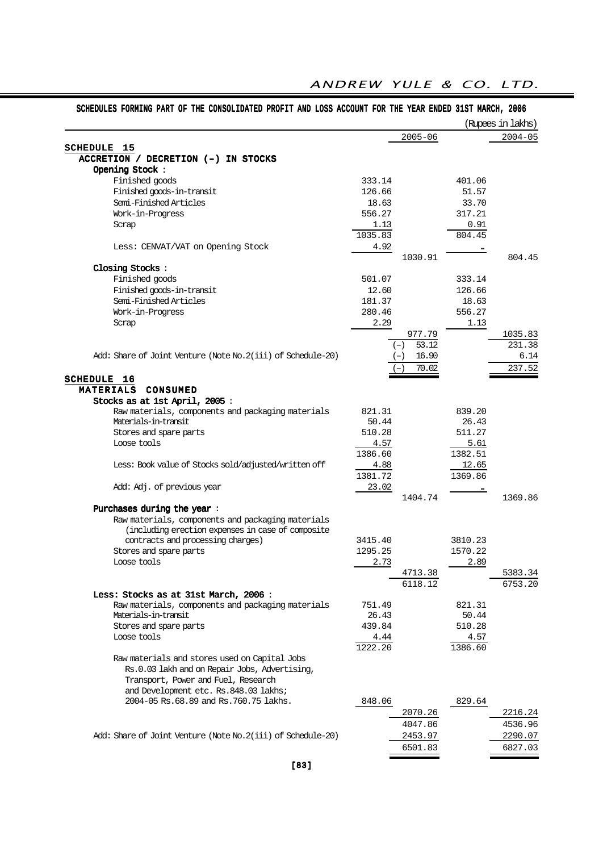|                                                                                                |                    |                |                    | (Rupees in lakhs) |
|------------------------------------------------------------------------------------------------|--------------------|----------------|--------------------|-------------------|
|                                                                                                |                    | $2005 - 06$    |                    | $2004 - 05$       |
| <b>SCHEDULE 15</b>                                                                             |                    |                |                    |                   |
| ACCRETION / DECRETION (-) IN STOCKS                                                            |                    |                |                    |                   |
| Opening Stock:                                                                                 |                    |                |                    |                   |
| Finished goods                                                                                 | 333.14             |                | 401.06             |                   |
| Finished goods-in-transit                                                                      | 126.66             |                | 51.57              |                   |
| Semi-Finished Articles                                                                         | 18.63              |                | 33.70              |                   |
| Work-in-Progress                                                                               | 556.27             |                | 317.21             |                   |
| Scrap                                                                                          | 1.13               |                | 0.91               |                   |
|                                                                                                | 1035.83            |                | 804.45             |                   |
| Less: CENVAT/VAT on Opening Stock                                                              | 4.92               |                |                    |                   |
|                                                                                                |                    | 1030.91        |                    | 804.45            |
| Closing Stocks:                                                                                |                    |                |                    |                   |
| Finished goods                                                                                 | 501.07             |                | 333.14             |                   |
| Finished goods-in-transit                                                                      | 12.60              |                | 126.66             |                   |
| Semi-Finished Articles                                                                         | 181.37             |                | 18.63              |                   |
| Work-in-Progress                                                                               | 280.46             |                | 556.27             |                   |
| Scrap                                                                                          | 2.29               |                | 1.13               |                   |
|                                                                                                |                    | 977.79         |                    | 1035.83           |
|                                                                                                |                    | 53.12<br>$(-)$ |                    | 231.38            |
| Add: Share of Joint Venture (Note No.2(iii) of Schedule-20)                                    |                    | 16.90<br>$(-)$ |                    | 6.14              |
|                                                                                                |                    | 70.02          |                    | 237.52            |
| <b>SCHEDULE 16</b>                                                                             |                    |                |                    |                   |
| MATERIALS CONSUMED                                                                             |                    |                |                    |                   |
| Stocks as at 1st April, 2005:                                                                  |                    |                |                    |                   |
| Raw materials, components and packaging materials                                              | 821.31             |                | 839.20             |                   |
| Materials-in-transit                                                                           | 50.44              |                | 26.43              |                   |
| Stores and spare parts                                                                         | 510.28             |                | 511.27             |                   |
| Loose tools                                                                                    | 4.57               |                | 5.61               |                   |
|                                                                                                | 1386.60            |                | 1382.51            |                   |
| Less: Book value of Stocks sold/adjusted/written off                                           | 4.88               |                | 12.65              |                   |
|                                                                                                | 1381.72            |                | 1369.86            |                   |
| Add: Adj. of previous year                                                                     | 23.02              |                |                    |                   |
|                                                                                                |                    | 1404.74        |                    | 1369.86           |
| Purchases during the year:                                                                     |                    |                |                    |                   |
| Raw materials, components and packaging materials                                              |                    |                |                    |                   |
| (including erection expenses in case of composite                                              |                    |                |                    |                   |
| contracts and processing charges)                                                              | 3415.40<br>1295.25 |                | 3810.23<br>1570.22 |                   |
| Stores and spare parts                                                                         |                    |                |                    |                   |
| Loose tools                                                                                    | 2.73               |                | 2.89               |                   |
|                                                                                                |                    | 4713.38        |                    | 5383.34           |
|                                                                                                |                    | 6118.12        |                    | 6753.20           |
| Less: Stocks as at 31st March, 2006:                                                           |                    |                |                    |                   |
| Raw materials, components and packaging materials<br>Materials-in-transit                      | 751.49             |                | 821.31<br>50.44    |                   |
| Stores and spare parts                                                                         | 26.43<br>439.84    |                | 510.28             |                   |
| Loose tools                                                                                    |                    |                | 4.57               |                   |
|                                                                                                | 4.44<br>1222.20    |                | 1386.60            |                   |
|                                                                                                |                    |                |                    |                   |
| Raw materials and stores used on Capital Jobs<br>Rs.0.03 lakh and on Repair Jobs, Advertising, |                    |                |                    |                   |
| Transport, Power and Fuel, Research                                                            |                    |                |                    |                   |
|                                                                                                |                    |                |                    |                   |
| and Development etc. Rs.848.03 lakhs;                                                          |                    |                |                    |                   |
| 2004-05 Rs.68.89 and Rs.760.75 lakhs.                                                          | 848.06             |                | 829.64             |                   |
|                                                                                                |                    | 2070.26        |                    | 2216.24           |
|                                                                                                |                    | 4047.86        |                    | 4536.96           |
| Add: Share of Joint Venture (Note No.2(iii) of Schedule-20)                                    |                    | 2453.97        |                    | 2290.07           |
|                                                                                                |                    | 6501.83        |                    | 6827.03           |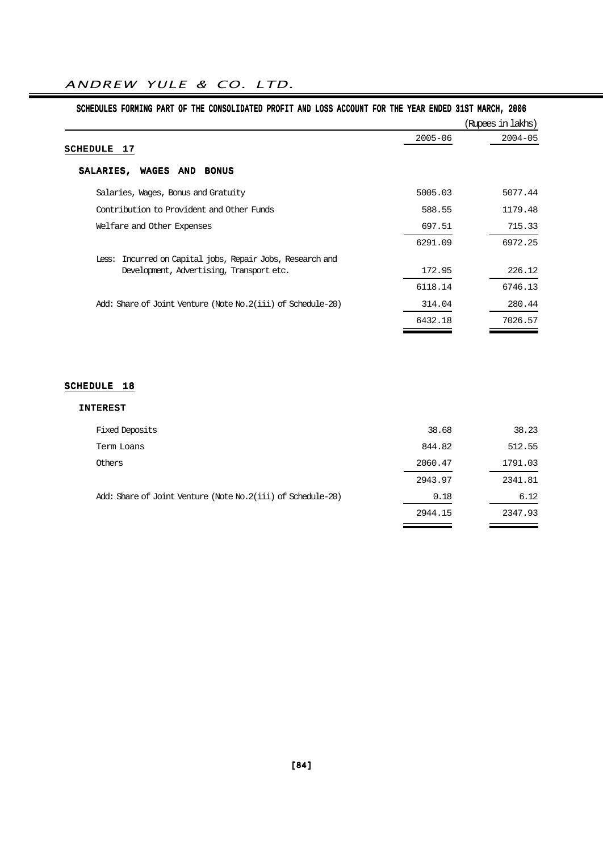$\sim$ 

| SCHEDULES FORMING PART OF THE CONSOLIDATED PROFIT AND LOSS ACCOUNT FOR THE YEAR ENDED 31ST MARCH, 2006 |             |                   |
|--------------------------------------------------------------------------------------------------------|-------------|-------------------|
|                                                                                                        |             | (Rupees in lakhs) |
|                                                                                                        | $2005 - 06$ | $2004 - 05$       |
| SCHEDULE<br>-17                                                                                        |             |                   |
| SALARIES,<br>WAGES AND<br><b>BONUS</b>                                                                 |             |                   |
| Salaries, Wages, Bonus and Gratuity                                                                    | 5005.03     | 5077.44           |
| Contribution to Provident and Other Funds                                                              | 588.55      | 1179.48           |
| Welfare and Other Expenses                                                                             | 697.51      | 715.33            |
|                                                                                                        | 6291.09     | 6972.25           |
| Less: Incurred on Capital jobs, Repair Jobs, Research and                                              |             |                   |
| Development, Advertising, Transport etc.                                                               | 172.95      | 226.12            |
|                                                                                                        | 6118.14     | 6746.13           |
| Add: Share of Joint Venture (Note No.2(iii) of Schedule-20)                                            | 314.04      | 280.44            |
|                                                                                                        | 6432.18     | 7026.57           |
|                                                                                                        |             |                   |

### SCHEDULE 18

| <b>Fixed Deposits</b>                                       | 38.68   | 38.23   |
|-------------------------------------------------------------|---------|---------|
| Term Loans                                                  | 844.82  | 512.55  |
| Others                                                      | 2060.47 | 1791.03 |
|                                                             | 2943.97 | 2341.81 |
| Add: Share of Joint Venture (Note No.2(iii) of Schedule-20) | 0.18    | 6.12    |
|                                                             | 2944.15 | 2347.93 |
|                                                             |         |         |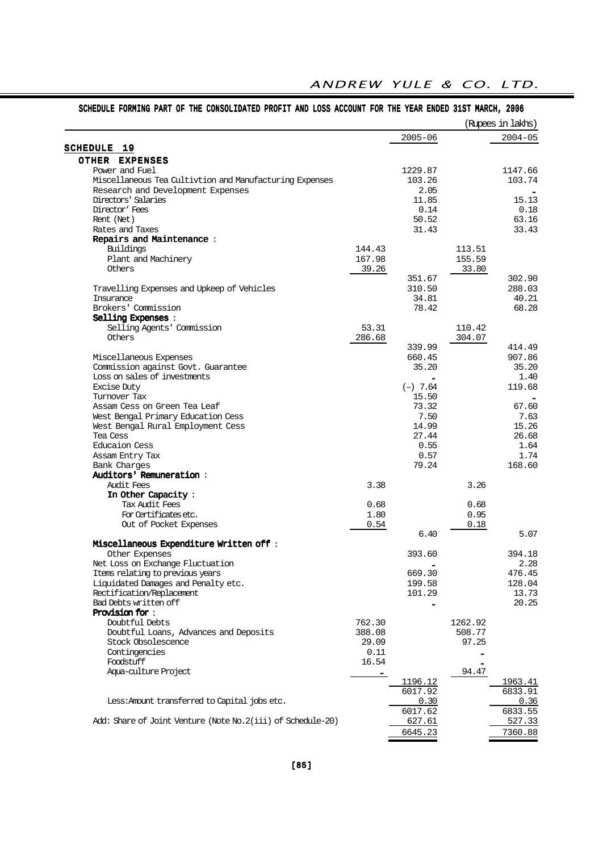|                                                              |        |                  |         | (Rupees in lakhs) |
|--------------------------------------------------------------|--------|------------------|---------|-------------------|
|                                                              |        | $2005 - 06$      |         | $2004 - 05$       |
| SCHEDULE 19                                                  |        |                  |         |                   |
| OTHER EXPENSES                                               |        |                  |         |                   |
| Power and Fuel                                               |        | 1229.87          |         | 1147.66           |
| Miscellaneous Tea Cultivtion and Manufacturing Expenses      |        | 103.26           |         | 103.74            |
| Research and Development Expenses                            |        | 2.05             |         |                   |
| Directors' Salaries                                          |        | 11.85            |         | 15.13             |
| Director' Fees                                               |        | 0.14             |         | 0.18              |
| Rent (Net)                                                   |        | 50.52            |         | 63.16             |
| Rates and Taxes                                              |        | 31.43            |         | 33.43             |
| Repairs and Maintenance:                                     |        |                  |         |                   |
| Buildings                                                    | 144.43 |                  | 113.51  |                   |
| Plant and Machinery                                          | 167.98 |                  | 155.59  |                   |
| Others                                                       | 39.26  |                  | 33.80   |                   |
|                                                              |        | 351.67           |         | 302.90            |
| Travelling Expenses and Upkeep of Vehicles                   |        | 310.50           |         | 288.03            |
| <b>Insurance</b>                                             |        | 34.81            |         | 40.21             |
| Brokers' Commission                                          |        | 78.42            |         | 68.28             |
| Selling Expenses:                                            |        |                  |         |                   |
| Selling Agents' Commission                                   | 53.31  |                  | 110.42  |                   |
| Others                                                       | 286.68 |                  | 304.07  |                   |
|                                                              |        | 339.99<br>660.45 |         | 414.49<br>907.86  |
| Miscellaneous Expenses<br>Commission against Govt. Guarantee |        | 35.20            |         | 35.20             |
| Loss on sales of investments                                 |        |                  |         | 1.40              |
| <b>Excise Duty</b>                                           |        | $(-)$ 7.64       |         | 119.68            |
| Turnover Tax                                                 |        | 15.50            |         |                   |
| Assam Cess on Green Tea Leaf                                 |        | 73.32            |         | 67.60             |
| West Bengal Primary Education Cess                           |        | 7.50             |         | 7.63              |
| West Bengal Rural Employment Cess                            |        | 14.99            |         | 15.26             |
| Tea Cess                                                     |        | 27.44            |         | 26.68             |
| Educaion Cess                                                |        | 0.55             |         | 1.64              |
| Assam Entry Tax                                              |        | 0.57             |         | 1.74              |
| Bank Charges                                                 |        | 79.24            |         | 168.60            |
| Auditors' Remuneration:                                      |        |                  |         |                   |
| Audit Fees                                                   | 3.38   |                  | 3.26    |                   |
| In Other Capacity:                                           |        |                  |         |                   |
| Tax Audit, Fees                                              | 0.68   |                  | 0.68    |                   |
| For Certificates etc.                                        | 1.80   |                  | 0.95    |                   |
| Out of Pocket Expenses                                       | 0.54   |                  | 0.18    |                   |
|                                                              |        | 6.40             |         | 5.07              |
| Miscellaneous Expenditure Written off:                       |        |                  |         |                   |
| Other Expenses                                               |        | 393.60           |         | 394.18            |
| Net Loss on Exchange Fluctuation                             |        |                  |         | 2.28              |
| Items relating to previous years                             |        | 669.30           |         | 476.45            |
| Liquidated Damages and Penalty etc.                          |        | 199.58           |         | 128.04            |
| Rectification/Replacement                                    |        | 101.29           |         | 13.73             |
| Bad Debts written off                                        |        |                  |         | 20.25             |
| <b>Provision for:</b>                                        |        |                  |         |                   |
| Doubtful Debts                                               | 762.30 |                  | 1262.92 |                   |
| Doubtful Loans, Advances and Deposits                        | 388.08 |                  | 508.77  |                   |
| Stock Obsolescence                                           | 29.09  |                  | 97.25   |                   |
| Contingencies                                                | 0.11   |                  |         |                   |
| Foodstuff                                                    | 16.54  |                  |         |                   |
| Aqua-culture Project                                         |        |                  | 94.47   |                   |
|                                                              |        | 1196.12          |         | 1963.41           |
|                                                              |        | 6017.92          |         | 6833.91           |
| Less: Amount transferred to Capital jobs etc.                |        | 0.30             |         | 0.36              |
|                                                              |        | 6017.62          |         | 6833.55           |
| Add: Share of Joint Venture (Note No. 2(iii) of Schedule-20) |        | 627.61           |         | 527.33            |
|                                                              |        |                  |         |                   |

 $\overline{\phantom{a}}$ 

 $\sim$ 

Ξ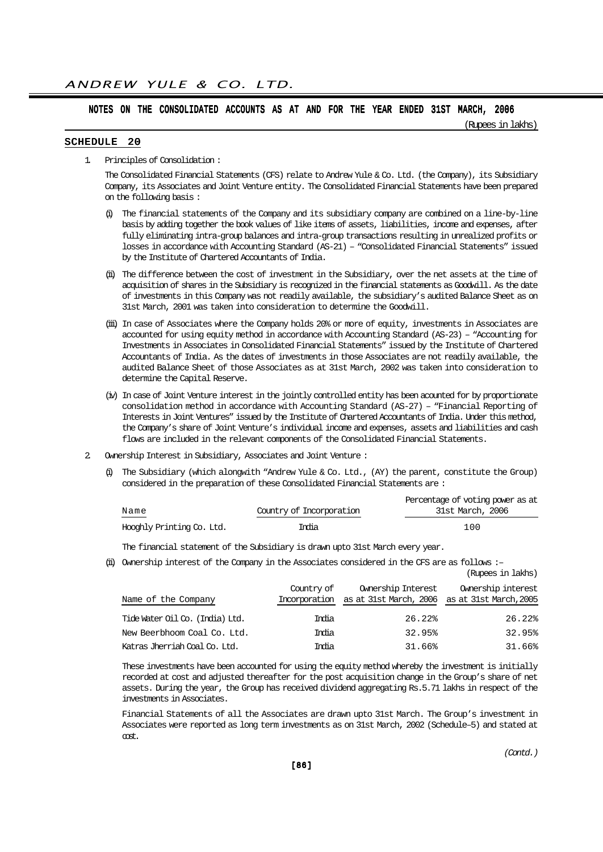(Rupees in lakhs)

#### SCHEDULE 20

1. Principles of Consolidation :

The Consolidated Financial Statements (CFS) relate to Andrew Yule & Co. Ltd. (the Company), its Subsidiary Company, its Associates and Joint Venture entity. The Consolidated Financial Statements have been prepared on the following basis :

- (i) The financial statements of the Company and its subsidiary company are combined on a line-by-line basis by adding together the book values of like items of assets, liabilities, income and expenses, after fully eliminating intra-group balances and intra-group transactions resulting in unrealized profits or losses in accordance with Accounting Standard (AS-21) – "Consolidated Financial Statements" issued by the Institute of Chartered Accountants of India.
- (ii) The difference between the cost of investment in the Subsidiary, over the net assets at the time of acquisition of shares in the Subsidiary is recognized in the financial statements as Goodwill. As the date of investments in this Company was not readily available, the subsidiary's audited Balance Sheet as on 31st March, 2001 was taken into consideration to determine the Goodwill.
- (iii) In case of Associates where the Company holds 20% or more of equity, investments in Associates are accounted for using equity method in accordance with Accounting Standard (AS-23) – "Accounting for Investments in Associates in Consolidated Financial Statements" issued by the Institute of Chartered Accountants of India. As the dates of investments in those Associates are not readily available, the audited Balance Sheet of those Associates as at 31st March, 2002 was taken into consideration to determine the Capital Reserve.
- (iv) In case of Joint Venture interest in the jointly controlled entity has been acounted for by proportionate consolidation method in accordance with Accounting Standard (AS-27) – "Financial Reporting of Interests in Joint Ventures" issued by the Institute of Chartered Accountants of India. Under this method, the Company's share of Joint Venture's individual income and expenses, assets and liabilities and cash flows are included in the relevant components of the Consolidated Financial Statements.
- 2. Ownership Interest in Subsidiary, Associates and Joint Venture :
	- (i) The Subsidiary (which alongwith "Andrew Yule & Co. Ltd., (AY) the parent, constitute the Group) considered in the preparation of these Consolidated Financial Statements are :

|                           |                          | Percentage of voting power as at |
|---------------------------|--------------------------|----------------------------------|
| Name<br>______            | Country of Incorporation | 31st March, 2006                 |
| Hooghly Printing Co. Ltd. | India                    | 100                              |

The financial statement of the Subsidiary is drawn upto 31st March every year.

(ii) Ownership interest of the Company in the Associates considered in the CFS are as follows :–

|                                 |                             |                                                                     | (Rupees in lakhs)  |
|---------------------------------|-----------------------------|---------------------------------------------------------------------|--------------------|
| Name of the Company             | Country of<br>Incorporation | Ownership Interest<br>as at 31st March, 2006 as at 31st March, 2005 | Ownership interest |
| Tide Water Oil Co. (India) Ltd. | India                       | 26.22%                                                              | 26.22%             |
| New Beerbhoom Coal Co. Ltd.     | India                       | 32.95%                                                              | 32.95%             |
| Katras Jherriah Coal Co. Ltd.   | India                       | 31.66%                                                              | 31.66%             |

These investments have been accounted for using the equity method whereby the investment is initially recorded at cost and adjusted thereafter for the post acquisition change in the Group's share of net assets. During the year, the Group has received dividend aggregating Rs.5.71 lakhs in respect of the investments in Associates.

Financial Statements of all the Associates are drawn upto 31st March. The Group's investment in Associates were reported as long term investments as on 31st March, 2002 (Schedule–5) and stated at cost.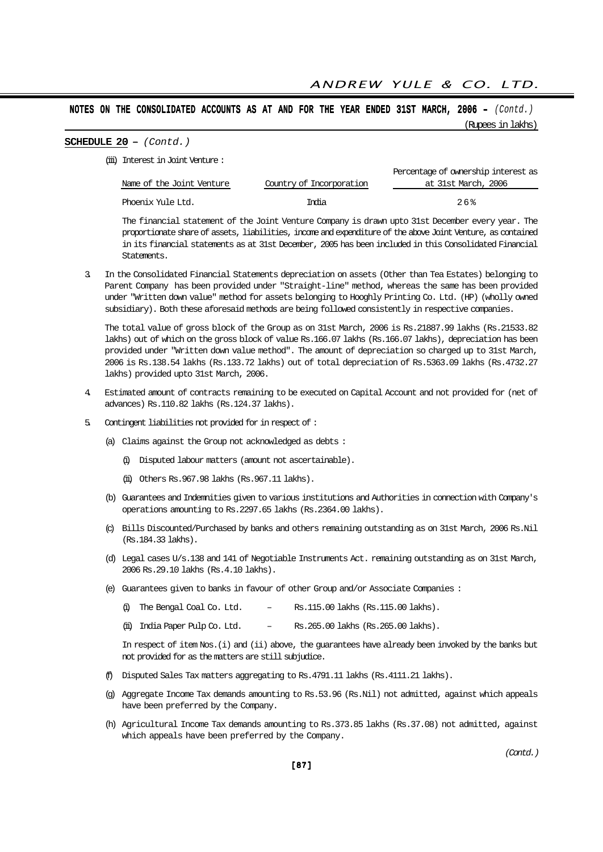#### SCHEDULE 20 - (Contd.)

(iii) Interest in Joint Venture :

|                           |                          | Percentage of ownership interest as |
|---------------------------|--------------------------|-------------------------------------|
| Name of the Joint Venture | Country of Incorporation | at 31st March, 2006                 |
| Phoenix Yule Ltd.         | India                    | 2.6%                                |
|                           |                          |                                     |

The financial statement of the Joint Venture Company is drawn upto 31st December every year. The proportionate share of assets, liabilities, income and expenditure of the above Joint Venture, as contained in its financial statements as at 31st December, 2005 has been included in this Consolidated Financial Statements.

3. In the Consolidated Financial Statements depreciation on assets (Other than Tea Estates) belonging to Parent Company has been provided under "Straight-line" method, whereas the same has been provided under "Written down value" method for assets belonging to Hooghly Printing Co. Ltd. (HP) (wholly owned subsidiary). Both these aforesaid methods are being followed consistently in respective companies.

The total value of gross block of the Group as on 31st March, 2006 is Rs.21887.99 lakhs (Rs.21533.82 lakhs) out of which on the gross block of value Rs.166.07 lakhs (Rs.166.07 lakhs), depreciation has been provided under "Written down value method". The amount of depreciation so charged up to 31st March, 2006 is Rs.138.54 lakhs (Rs.133.72 lakhs) out of total depreciation of Rs.5363.09 lakhs (Rs.4732.27 lakhs) provided upto 31st March, 2006.

- 4. Estimated amount of contracts remaining to be executed on Capital Account and not provided for (net of advances) Rs.110.82 lakhs (Rs.124.37 lakhs).
- 5. Contingent liabilities not provided for in respect of :
	- (a) Claims against the Group not acknowledged as debts :
		- (i) Disputed labour matters (amount not ascertainable).
		- (ii) Others Rs.967.98 lakhs (Rs.967.11 lakhs).
	- (b) Guarantees and Indemnities given to various institutions and Authorities in connection with Company's operations amounting to Rs.2297.65 lakhs (Rs.2364.00 lakhs).
	- (c) Bills Discounted/Purchased by banks and others remaining outstanding as on 31st March, 2006 Rs.Nil (Rs.184.33 lakhs).
	- (d) Legal cases U/s.138 and 141 of Negotiable Instruments Act. remaining outstanding as on 31st March, 2006 Rs.29.10 lakhs (Rs.4.10 lakhs).
	- (e) Guarantees given to banks in favour of other Group and/or Associate Companies :
		- (i) The Bengal Coal Co. Ltd.  $-$  Rs.115.00 lakhs (Rs.115.00 lakhs).
		- (ii) India Paper Pulp Co. Ltd. Rs.265.00 lakhs (Rs.265.00 lakhs).

In respect of item Nos.(i) and (ii) above, the guarantees have already been invoked by the banks but not provided for as the matters are still subjudice.

- (f) Disputed Sales Tax matters aggregating to Rs.4791.11 lakhs (Rs.4111.21 lakhs).
- (g) Aggregate Income Tax demands amounting to Rs.53.96 (Rs.Nil) not admitted, against which appeals have been preferred by the Company.
- (h) Agricultural Income Tax demands amounting to Rs.373.85 lakhs (Rs.37.08) not admitted, against which appeals have been preferred by the Company.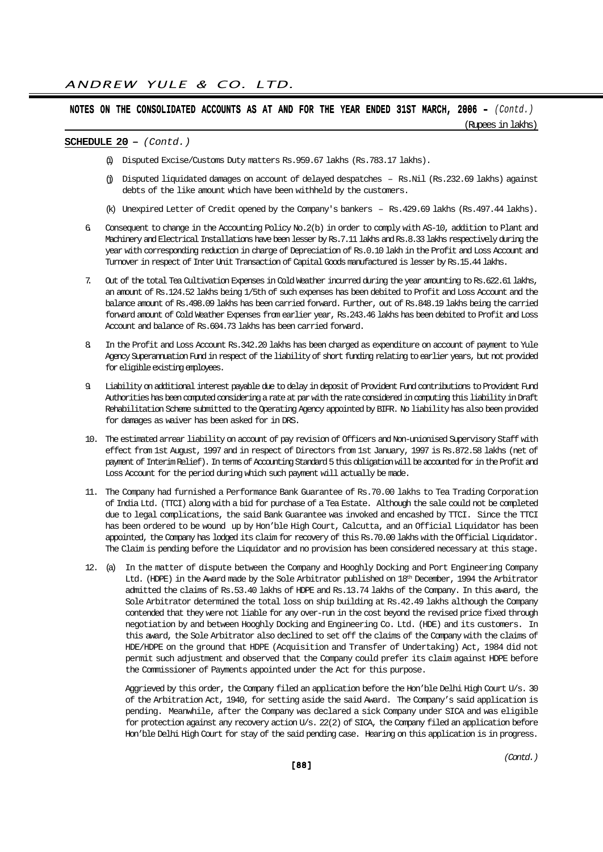(Rupees in lakhs)

## SCHEDULE  $20 - (Contd.)$

- (i) Disputed Excise/Customs Duty matters Rs.959.67 lakhs (Rs.783.17 lakhs).
- (j) Disputed liquidated damages on account of delayed despatches Rs.Nil (Rs.232.69 lakhs) against debts of the like amount which have been withheld by the customers.
- (k) Unexpired Letter of Credit opened by the Company's bankers Rs.429.69 lakhs (Rs.497.44 lakhs).
- 6. Consequent to change in the Accounting Policy No.2(b) in order to comply with AS-10, addition to Plant and Machinery and Electrical Installations have been lesser by Rs.7.11 lakhs and Rs.8.33 lakhs respectively during the year with corresponding reduction in charge of Depreciation of Rs.0.10 lakh in the Profit and Loss Account and Turnover in respect of Inter Unit Transaction of Capital Goods manufactured is lesser by Rs.15.44 lakhs.
- 7. Out of the total Tea Cultivation Expenses in Cold Weather incurred during the year amounting to Rs.622.61 lakhs, an amount of Rs.124.52 lakhs being 1/5th of such expenses has been debited to Profit and Loss Account and the balance amount of Rs.498.09 lakhs has been carried forward. Further, out of Rs.848.19 lakhs being the carried forward amount of Cold Weather Expenses from earlier year, Rs.243.46 lakhs has been debited to Profit and Loss Account and balance of Rs.604.73 lakhs has been carried forward.
- 8. In the Profit and Loss Account Rs.342.20 lakhs has been charged as expenditure on account of payment to Yule Agency Superannuation Fund in respect of the liability of short funding relating to earlier years, but not provided for eligible existing employees.
- 9. Liability on additional interest payable due to delay in deposit of Provident Fund contributions to Provident Fund Authorities has been computed considering a rate at par with the rate considered in computing this liability in Draft Rehabilitation Scheme submitted to the Operating Agency appointed by BIFR. No liability has also been provided for damages as waiver has been asked for in DRS.
- 10. The estimated arrear liability on account of pay revision of Officers and Non-unionised Supervisory Staff with effect from 1st August, 1997 and in respect of Directors from 1st January, 1997 is Rs.872.58 lakhs (net of payment of Interim Relief). In terms of Accounting Standard 5 this obligation will be accounted for in the Profit and Loss Account for the period during which such payment will actually be made.
- 11. The Company had furnished a Performance Bank Guarantee of Rs.70.00 lakhs to Tea Trading Corporation of India Ltd. (TTCI) along with a bid for purchase of a Tea Estate. Although the sale could not be completed due to legal complications, the said Bank Guarantee was invoked and encashed by TTCI. Since the TTCI has been ordered to be wound up by Hon'ble High Court, Calcutta, and an Official Liquidator has been appointed, the Company has lodged its claim for recovery of this Rs.70.00 lakhs with the Official Liquidator. The Claim is pending before the Liquidator and no provision has been considered necessary at this stage.
- 12. (a) In the matter of dispute between the Company and Hooghly Docking and Port Engineering Company Ltd. (HDPE) in the Award made by the Sole Arbitrator published on 18<sup>th</sup> December, 1994 the Arbitrator admitted the claims of Rs.53.40 lakhs of HDPE and Rs.13.74 lakhs of the Company. In this award, the Sole Arbitrator determined the total loss on ship building at Rs.42.49 lakhs although the Company contended that they were not liable for any over-run in the cost beyond the revised price fixed through negotiation by and between Hooghly Docking and Engineering Co. Ltd. (HDE) and its customers. In this award, the Sole Arbitrator also declined to set off the claims of the Company with the claims of HDE/HDPE on the ground that HDPE (Acquisition and Transfer of Undertaking) Act, 1984 did not permit such adjustment and observed that the Company could prefer its claim against HDPE before the Commissioner of Payments appointed under the Act for this purpose.

Aggrieved by this order, the Company filed an application before the Hon'ble Delhi High Court U/s. 30 of the Arbitration Act, 1940, for setting aside the said Award. The Company's said application is pending. Meanwhile, after the Company was declared a sick Company under SICA and was eligible for protection against any recovery action U/s. 22(2) of SICA, the Company filed an application before Hon'ble Delhi High Court for stay of the said pending case. Hearing on this application is in progress.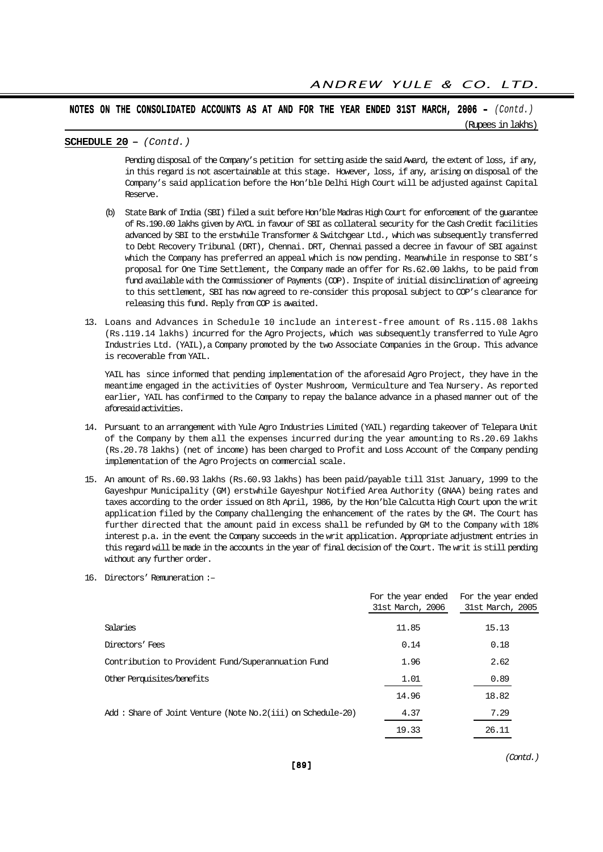#### SCHEDULE  $20 - (Contd.)$

Pending disposal of the Company's petition for setting aside the said Award, the extent of loss, if any, in this regard is not ascertainable at this stage. However, loss, if any, arising on disposal of the Company's said application before the Hon'ble Delhi High Court will be adjusted against Capital Reserve.

- (b) State Bank of India (SBI) filed a suit before Hon'ble Madras High Court for enforcement of the guarantee of Rs.190.00 lakhs given by AYCL in favour of SBI as collateral security for the Cash Credit facilities advanced by SBI to the erstwhile Transformer & Switchgear Ltd., which was subsequently transferred to Debt Recovery Tribunal (DRT), Chennai. DRT, Chennai passed a decree in favour of SBI against which the Company has preferred an appeal which is now pending. Meanwhile in response to SBI's proposal for One Time Settlement, the Company made an offer for Rs.62.00 lakhs, to be paid from fund available with the Commissioner of Payments (COP). Inspite of initial disinclination of agreeing to this settlement, SBI has now agreed to re-consider this proposal subject to COP's clearance for releasing this fund. Reply from COP is awaited.
- 13. Loans and Advances in Schedule 10 include an interest-free amount of Rs.115.08 lakhs (Rs.119.14 lakhs) incurred for the Agro Projects, which was subsequently transferred to Yule Agro Industries Ltd. (YAIL), a Company promoted by the two Associate Companies in the Group. This advance is recoverable from YAIL.

YAIL has since informed that pending implementation of the aforesaid Agro Project, they have in the meantime engaged in the activities of Oyster Mushroom, Vermiculture and Tea Nursery. As reported earlier, YAIL has confirmed to the Company to repay the balance advance in a phased manner out of the aforesaid activities.

- 14. Pursuant to an arrangement with Yule Agro Industries Limited (YAIL) regarding takeover of Telepara Unit of the Company by them all the expenses incurred during the year amounting to Rs.20.69 lakhs (Rs.20.78 lakhs) (net of income) has been charged to Profit and Loss Account of the Company pending implementation of the Agro Projects on commercial scale.
- 15. An amount of Rs.60.93 lakhs (Rs.60.93 lakhs) has been paid/payable till 31st January, 1999 to the Gayeshpur Municipality (GM) erstwhile Gayeshpur Notified Area Authority (GNAA) being rates and taxes according to the order issued on 8th April, 1986, by the Hon'ble Calcutta High Court upon the writ application filed by the Company challenging the enhancement of the rates by the GM. The Court has further directed that the amount paid in excess shall be refunded by GM to the Company with 18% interest p.a. in the event the Company succeeds in the writ application. Appropriate adjustment entries in this regard will be made in the accounts in the year of final decision of the Court. The writ is still pending without any further order.
- 16. Directors' Remuneration :–

|                                                              | For the year ended<br>31st March, 2006 | For the year ended<br>31st March, 2005 |
|--------------------------------------------------------------|----------------------------------------|----------------------------------------|
| Salaries                                                     | 11.85                                  | 15.13                                  |
| Directors' Fees                                              | 0.14                                   | 0.18                                   |
| Contribution to Provident Fund/Superannuation Fund           | 1.96                                   | 2.62                                   |
| Other Perquisites/benefits                                   | 1.01                                   | 0.89                                   |
|                                                              | 14.96                                  | 18.82                                  |
| Add: Share of Joint Venture (Note No. 2(iii) on Schedule-20) | 4.37                                   | 7.29                                   |
|                                                              | 19.33                                  | 26.11                                  |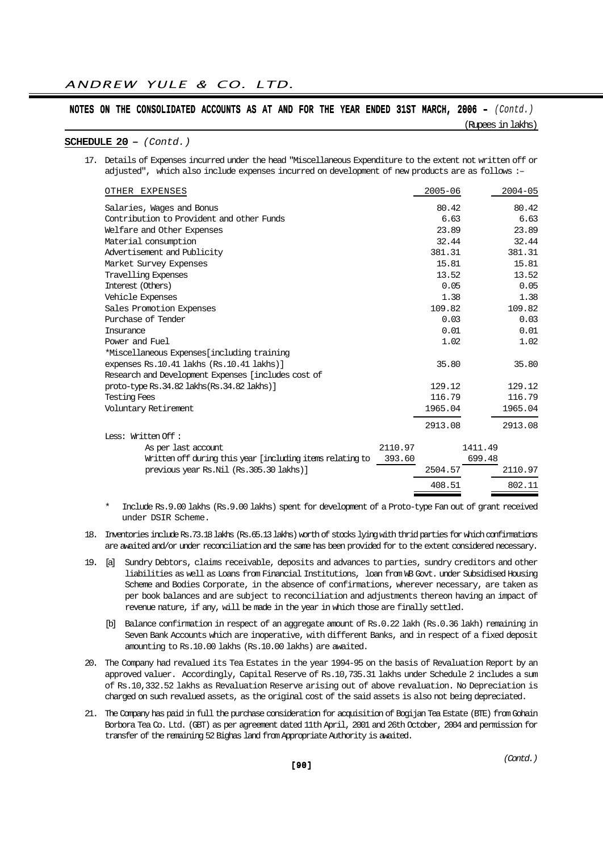(Rupees in lakhs)

#### SCHEDULE  $20 - (Contd.)$

17. Details of Expenses incurred under the head "Miscellaneous Expenditure to the extent not written off or adjusted", which also include expenses incurred on development of new products are as follows :-

| OTHER EXPENSES                                                      | $2005 - 06$ | $2004 - 05$ |  |  |  |
|---------------------------------------------------------------------|-------------|-------------|--|--|--|
| Salaries, Wages and Bonus                                           | 80.42       | 80.42       |  |  |  |
| Contribution to Provident and other Funds                           | 6.63        | 6.63        |  |  |  |
| Welfare and Other Expenses                                          | 23.89       | 23.89       |  |  |  |
| Material consumption                                                | 32.44       | 32.44       |  |  |  |
| Advertisement and Publicity                                         | 381.31      | 381.31      |  |  |  |
| Market Survey Expenses                                              | 15.81       | 15.81       |  |  |  |
| Travelling Expenses                                                 | 13.52       | 13.52       |  |  |  |
| Interest (Others)                                                   | 0.05        | 0.05        |  |  |  |
| Vehicle Expenses                                                    | 1.38        | 1.38        |  |  |  |
| Sales Promotion Expenses                                            | 109.82      | 109.82      |  |  |  |
| Purchase of Tender                                                  | 0.03        | 0.03        |  |  |  |
| Insurance                                                           | 0.01        | 0.01        |  |  |  |
| Power and Fuel                                                      | 1.02        | 1.02        |  |  |  |
| *Miscellaneous Expenses[including training                          |             |             |  |  |  |
| expenses Rs.10.41 lakhs (Rs.10.41 lakhs)]                           | 35.80       | 35.80       |  |  |  |
| Research and Development Expenses [includes cost of                 |             |             |  |  |  |
| proto-type Rs. 34.82 lakhs (Rs. 34.82 lakhs)]                       | 129.12      | 129.12      |  |  |  |
| <b>Testing Fees</b>                                                 | 116.79      | 116.79      |  |  |  |
| Voluntary Retirement                                                | 1965.04     | 1965.04     |  |  |  |
|                                                                     | 2913.08     | 2913.08     |  |  |  |
| Less: Written Off :                                                 |             |             |  |  |  |
| 2110.97<br>As per last account                                      |             | 1411.49     |  |  |  |
| Written off during this year [including items relating to<br>393.60 |             | 699.48      |  |  |  |
| previous year Rs.Nil (Rs.305.30 lakhs)]                             | 2504.57     | 2110.97     |  |  |  |
|                                                                     | 408.51      | 802.11      |  |  |  |

- \* Include Rs.9.00 lakhs (Rs.9.00 lakhs) spent for development of a Proto-type Fan out of grant received under DSIR Scheme.
- 18. Inventories include Rs.73.18 lakhs (Rs.65.13 lakhs) worth of stocks lying with thrid parties for which confirmations are awaited and/or under reconciliation and the same has been provided for to the extent considered necessary.
- 19. [a] Sundry Debtors, claims receivable, deposits and advances to parties, sundry creditors and other liabilities as well as Loans from Financial Institutions, loan from WB Govt. under Subsidised Housing Scheme and Bodies Corporate, in the absence of confirmations, wherever necessary, are taken as per book balances and are subject to reconciliation and adjustments thereon having an impact of revenue nature, if any, will be made in the year in which those are finally settled.
	- [b] Balance confirmation in respect of an aggregate amount of Rs.0.22 lakh (Rs.0.36 lakh) remaining in Seven Bank Accounts which are inoperative, with different Banks, and in respect of a fixed deposit amounting to Rs.10.00 lakhs (Rs.10.00 lakhs) are awaited.
- 20. The Company had revalued its Tea Estates in the year 1994-95 on the basis of Revaluation Report by an approved valuer. Accordingly, Capital Reserve of Rs.10,735.31 lakhs under Schedule 2 includes a sum of Rs.10,332.52 lakhs as Revaluation Reserve arising out of above revaluation. No Depreciation is charged on such revalued assets, as the original cost of the said assets is also not being depreciated.
- 21. The Company has paid in full the purchase consideration for acquisition of Bogijan Tea Estate (BTE) from Gohain Borbora Tea Co. Ltd. (GBT) as per agreement dated 11th April, 2001 and 26th October, 2004 and permission for transfer of the remaining 52 Bighas land from Appropriate Authority is awaited.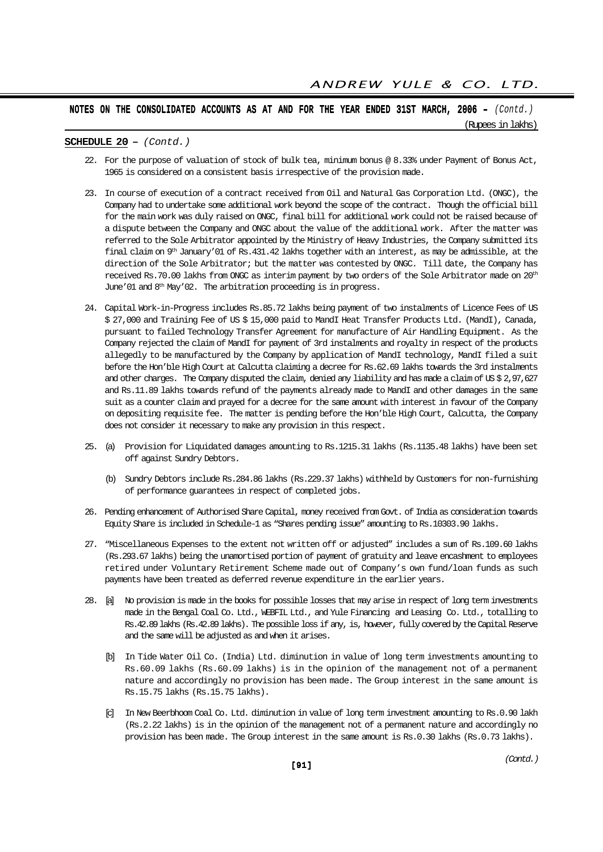(Rupees in lakhs)

#### SCHEDULE  $20 - (Contd.)$

- 22. For the purpose of valuation of stock of bulk tea, minimum bonus @ 8.33% under Payment of Bonus Act, 1965 is considered on a consistent basis irrespective of the provision made.
- 23. In course of execution of a contract received from Oil and Natural Gas Corporation Ltd. (ONGC), the Company had to undertake some additional work beyond the scope of the contract. Though the official bill for the main work was duly raised on ONGC, final bill for additional work could not be raised because of a dispute between the Company and ONGC about the value of the additional work. After the matter was referred to the Sole Arbitrator appointed by the Ministry of Heavy Industries, the Company submitted its final claim on 9th January'01 of Rs.431.42 lakhs together with an interest, as may be admissible, at the direction of the Sole Arbitrator; but the matter was contested by ONGC. Till date, the Company has received Rs.70.00 lakhs from ONGC as interim payment by two orders of the Sole Arbitrator made on 20th June'01 and 8<sup>th</sup> May'02. The arbitration proceeding is in progress.
- 24. Capital Work-in-Progress includes Rs.85.72 lakhs being payment of two instalments of Licence Fees of US \$ 27,000 and Training Fee of US \$ 15,000 paid to MandI Heat Transfer Products Ltd. (MandI), Canada, pursuant to failed Technology Transfer Agreement for manufacture of Air Handling Equipment. As the Company rejected the claim of MandI for payment of 3rd instalments and royalty in respect of the products allegedly to be manufactured by the Company by application of MandI technology, MandI filed a suit before the Hon'ble High Court at Calcutta claiming a decree for Rs.62.69 lakhs towards the 3rd instalments and other charges. The Company disputed the claim, denied any liability and has made a claim of US \$ 2,97,627 and Rs.11.89 lakhs towards refund of the payments already made to MandI and other damages in the same suit as a counter claim and prayed for a decree for the same amount with interest in favour of the Company on depositing requisite fee. The matter is pending before the Hon'ble High Court, Calcutta, the Company does not consider it necessary to make any provision in this respect.
- 25. (a) Provision for Liquidated damages amounting to Rs.1215.31 lakhs (Rs.1135.48 lakhs) have been set off against Sundry Debtors.
	- (b) Sundry Debtors include Rs.284.86 lakhs (Rs.229.37 lakhs) withheld by Customers for non-furnishing of performance guarantees in respect of completed jobs.
- 26. Pending enhancement of Authorised Share Capital, money received from Govt. of India as consideration towards Equity Share is included in Schedule-1 as "Shares pending issue" amounting to Rs.10303.90 lakhs.
- 27. "Miscellaneous Expenses to the extent not written off or adjusted" includes a sum of Rs.109.60 lakhs (Rs.293.67 lakhs) being the unamortised portion of payment of gratuity and leave encashment to employees retired under Voluntary Retirement Scheme made out of Company's own fund/loan funds as such payments have been treated as deferred revenue expenditure in the earlier years.
- 28. [a] No provision is made in the books for possible losses that may arise in respect of long term investments made in the Bengal Coal Co. Ltd., WEBFIL Ltd., and Yule Financing and Leasing Co. Ltd., totalling to Rs.42.89 lakhs (Rs.42.89 lakhs). The possible loss if any, is, however, fully covered by the Capital Reserve and the same will be adjusted as and when it arises.
	- [b] In Tide Water Oil Co. (India) Ltd. diminution in value of long term investments amounting to Rs.60.09 lakhs (Rs.60.09 lakhs) is in the opinion of the management not of a permanent nature and accordingly no provision has been made. The Group interest in the same amount is Rs.15.75 lakhs (Rs.15.75 lakhs).
	- [c] In New Beerbhoom Coal Co. Ltd. diminution in value of long term investment amounting to Rs.0.90 lakh (Rs.2.22 lakhs) is in the opinion of the management not of a permanent nature and accordingly no provision has been made. The Group interest in the same amount is Rs.0.30 lakhs (Rs.0.73 lakhs).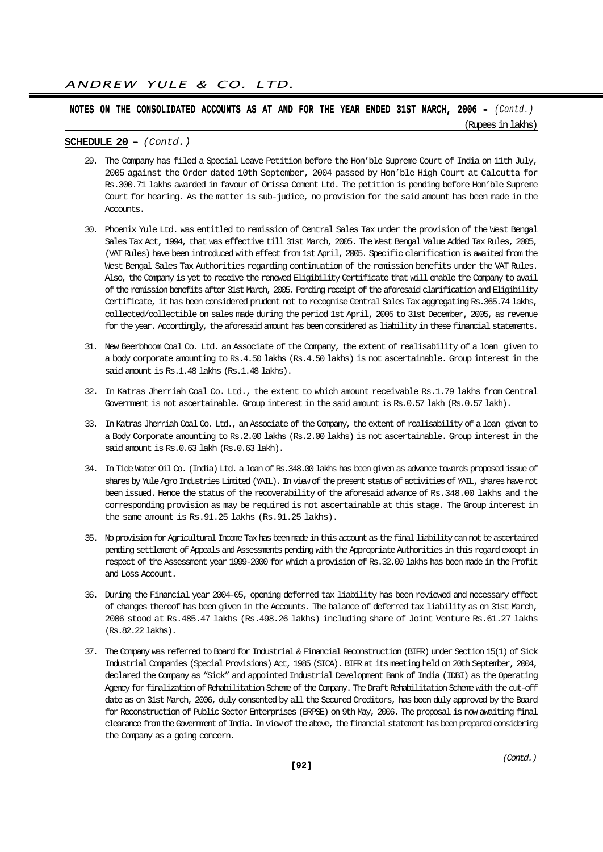(Rupees in lakhs)

#### SCHEDULE  $20 - (Contd.)$

- 29. The Company has filed a Special Leave Petition before the Hon'ble Supreme Court of India on 11th July, 2005 against the Order dated 10th September, 2004 passed by Hon'ble High Court at Calcutta for Rs.300.71 lakhs awarded in favour of Orissa Cement Ltd. The petition is pending before Hon'ble Supreme Court for hearing. As the matter is sub-judice, no provision for the said amount has been made in the Accounts.
- 30. Phoenix Yule Ltd. was entitled to remission of Central Sales Tax under the provision of the West Bengal Sales Tax Act, 1994, that was effective till 31st March, 2005. The West Bengal Value Added Tax Rules, 2005, (VAT Rules) have been introduced with effect from 1st April, 2005. Specific clarification is awaited from the West Bengal Sales Tax Authorities regarding continuation of the remission benefits under the VAT Rules. Also, the Company is yet to receive the renewed Eligibility Certificate that will enable the Company to avail of the remission benefits after 31st March, 2005. Pending receipt of the aforesaid clarification and Eligibility Certificate, it has been considered prudent not to recognise Central Sales Tax aggregating Rs.365.74 lakhs, collected/collectible on sales made during the period 1st April, 2005 to 31st December, 2005, as revenue for the year. Accordingly, the aforesaid amount has been considered as liability in these financial statements.
- 31. New Beerbhoom Coal Co. Ltd. an Associate of the Company, the extent of realisability of a loan given to a body corporate amounting to Rs.4.50 lakhs (Rs.4.50 lakhs) is not ascertainable. Group interest in the said amount is Rs.1.48 lakhs (Rs.1.48 lakhs).
- 32. In Katras Jherriah Coal Co. Ltd., the extent to which amount receivable Rs.1.79 lakhs from Central Government is not ascertainable. Group interest in the said amount is Rs.0.57 lakh (Rs.0.57 lakh).
- 33. In Katras Jherriah Coal Co. Ltd., an Associate of the Company, the extent of realisability of a loan given to a Body Corporate amounting to Rs.2.00 lakhs (Rs.2.00 lakhs) is not ascertainable. Group interest in the said amount is Rs.0.63 lakh (Rs.0.63 lakh).
- 34. In Tide Water Oil Co. (India) Ltd. a loan of Rs.348.00 lakhs has been given as advance towards proposed issue of shares by Yule Agro Industries Limited (YAIL). In view of the present status of activities of YAIL, shares have not been issued. Hence the status of the recoverability of the aforesaid advance of Rs.348.00 lakhs and the corresponding provision as may be required is not ascertainable at this stage. The Group interest in the same amount is Rs.91.25 lakhs (Rs.91.25 lakhs).
- 35. No provision for Agricultural Income Tax has been made in this account as the final liability can not be ascertained pending settlement of Appeals and Assessments pending with the Appropriate Authorities in this regard except in respect of the Assessment year 1999-2000 for which a provision of Rs.32.00 lakhs has been made in the Profit and Loss Account.
- 36. During the Financial year 2004-05, opening deferred tax liability has been reviewed and necessary effect of changes thereof has been given in the Accounts. The balance of deferred tax liability as on 31st March, 2006 stood at Rs.485.47 lakhs (Rs.498.26 lakhs) including share of Joint Venture Rs.61.27 lakhs (Rs.82.22 lakhs).
- 37. The Company was referred to Board for Industrial & Financial Reconstruction (BIFR) under Section 15(1) of Sick Industrial Companies (Special Provisions) Act, 1985 (SICA). BIFR at its meeting held on 20th September, 2004, declared the Company as "Sick" and appointed Industrial Development Bank of India (IDBI) as the Operating Agency for finalization of Rehabilitation Scheme of the Company. The Draft Rehabilitation Scheme with the cut-off date as on 31st March, 2006, duly consented by all the Secured Creditors, has been duly approved by the Board for Reconstruction of Public Sector Enterprises (BRPSE) on 9th May, 2006. The proposal is now awaiting final clearance from the Government of India. In view of the above, the financial statement has been prepared considering the Company as a going concern.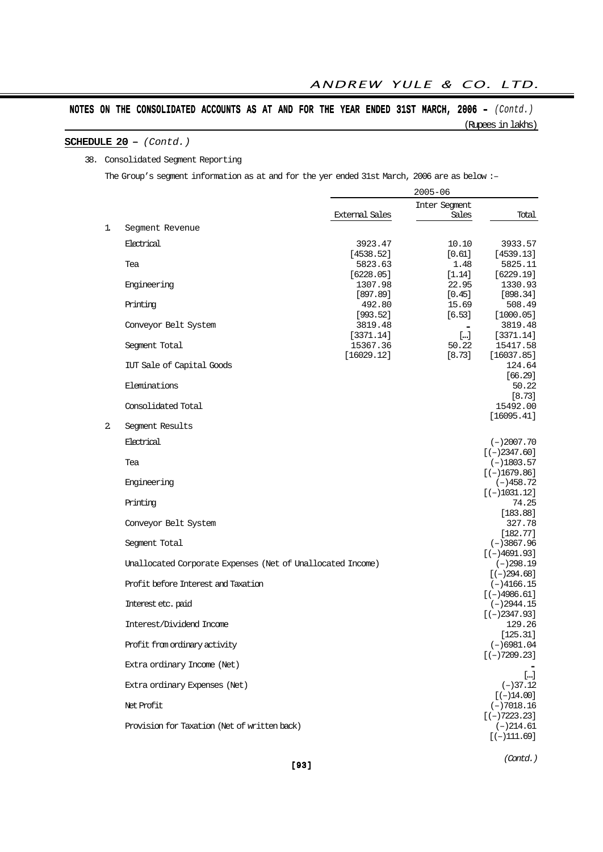## SCHEDULE  $20 - (Contd.)$

#### 38. Consolidated Segment Reporting

The Group's segment information as at and for the yer ended 31st March, 2006 are as below :-

|    |                                                            | $2005 - 06$           |                        |                                |
|----|------------------------------------------------------------|-----------------------|------------------------|--------------------------------|
|    |                                                            | <b>External Sales</b> | Inter Segment<br>Sales | Total                          |
| 1. | Segment Revenue                                            |                       |                        |                                |
|    | Electrical                                                 | 3923.47               | 10.10                  | 3933.57                        |
|    |                                                            | [4538.52]             | [0.61]                 | [4539.13]                      |
|    | Tea                                                        | 5823.63               | 1.48                   | 5825.11                        |
|    | Engineering                                                | [6228.05]<br>1307.98  | [1.14]<br>22.95        | [6229.19]<br>1330.93           |
|    |                                                            | [897.89]              | $[0.45]$               | [898.34]                       |
|    | Printing                                                   | 492.80                | 15.69                  | 508.49                         |
|    |                                                            | [993.52]              | [6.53]                 | [1000.05]                      |
|    | Conveyor Belt System                                       | 3819.48<br>[3371.14]  | $\blacksquare$<br>$[]$ | 3819.48<br>[3371.14]           |
|    | Segment Total                                              | 15367.36              | 50.22                  | 15417.58                       |
|    |                                                            | [16029.12]            | [8.73]                 | [16037.85]                     |
|    | IUT Sale of Capital Goods                                  |                       |                        | 124.64                         |
|    |                                                            |                       |                        | [66.29]                        |
|    | Eleminations                                               |                       |                        | 50.22<br>[8.73]                |
|    | Consolidated Total                                         |                       |                        | 15492.00                       |
|    |                                                            |                       |                        | [16095.41]                     |
| 2  | Segment Results                                            |                       |                        |                                |
|    | Electrical                                                 |                       |                        | $(-)2007.70$                   |
|    |                                                            |                       |                        | $[(-)2347.60]$                 |
|    | Tea                                                        |                       |                        | $(-)1803.57$                   |
|    | Engineering                                                |                       |                        | $[(-)1679.86]$<br>$(-)458.72$  |
|    |                                                            |                       |                        | $[(-)1031.12]$                 |
|    | Printing                                                   |                       |                        | 74.25                          |
|    |                                                            |                       |                        | [183.88]                       |
|    | Conveyor Belt System                                       |                       |                        | 327.78                         |
|    | Segment Total                                              |                       |                        | [182.77]<br>$(-)3867.96$       |
|    |                                                            |                       |                        | $[(-)4691.93]$                 |
|    | Unallocated Corporate Expenses (Net of Unallocated Income) |                       |                        | $(-)298.19$                    |
|    |                                                            |                       |                        | $[(-)294.68]$                  |
|    | Profit before Interest and Taxation                        |                       |                        | $(-)4166.15$                   |
|    | Interest etc. paid                                         |                       |                        | $[(-)4986.61]$<br>$(-)2944.15$ |
|    |                                                            |                       |                        | $[(-)2347.93]$                 |
|    | Interest/Dividend Income                                   |                       |                        | 129.26                         |
|    |                                                            |                       |                        | [125.31]                       |
|    | Profit from ordinary activity                              |                       |                        | $(-)6981.04$<br>$[(-)7209.23]$ |
|    | Extra ordinary Income (Net)                                |                       |                        |                                |
|    |                                                            |                       |                        | $[]$                           |
|    | Extra ordinary Expenses (Net)                              |                       |                        | $(-)37.12$                     |
|    | Net Profit                                                 |                       |                        | $[(-)14.00]$                   |
|    |                                                            |                       |                        | $(-)7018.16$<br>$[(-)7223.23]$ |
|    | Provision for Taxation (Net of written back)               |                       |                        | $(-)214.61$                    |
|    |                                                            |                       |                        | $[(-)111.69]$                  |
|    |                                                            |                       |                        |                                |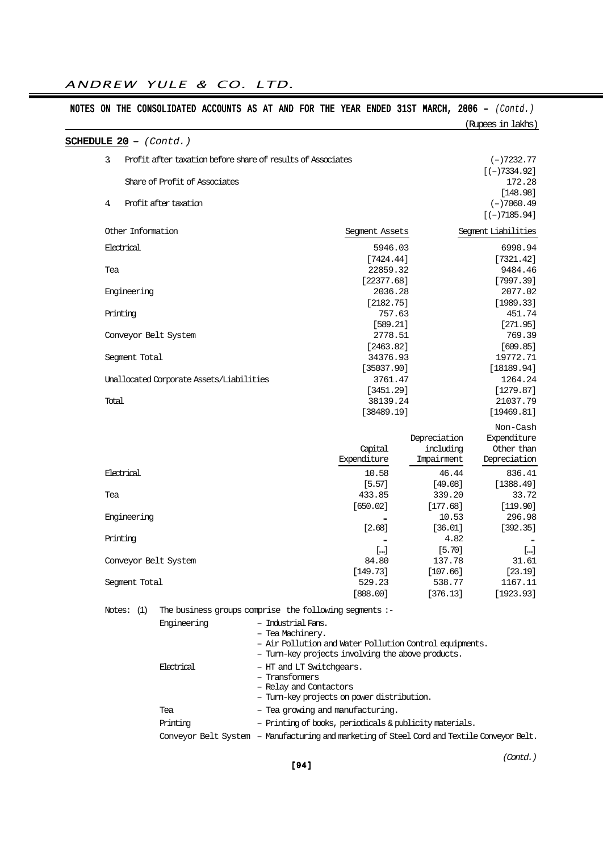|                                |                                                             |                                                                             |                      |                    | (Rupees in lakhs)    |
|--------------------------------|-------------------------------------------------------------|-----------------------------------------------------------------------------|----------------------|--------------------|----------------------|
| <b>SCHEDULE 20</b> - $(Cond.)$ |                                                             |                                                                             |                      |                    |                      |
| 3.                             | Profit after taxation before share of results of Associates |                                                                             |                      |                    | $(-)7232.77$         |
|                                |                                                             |                                                                             |                      |                    | $[(-)7334.92]$       |
|                                | Share of Profit of Associates                               |                                                                             |                      |                    | 172.28               |
|                                |                                                             |                                                                             |                      |                    | [148.98]             |
| 4                              | Profit after taxation                                       |                                                                             |                      |                    | $(-)7060.49$         |
|                                |                                                             |                                                                             |                      |                    | $[(-)7185.94]$       |
| Other Information              |                                                             |                                                                             | Segment Assets       |                    | Sequent Liabilities  |
| Electrical                     |                                                             |                                                                             | 5946.03              |                    | 6990.94              |
|                                |                                                             |                                                                             | [7424.44]            |                    | [7321.42]            |
| Tea                            |                                                             |                                                                             | 22859.32             |                    | 9484.46              |
|                                |                                                             |                                                                             | [22377.68]           |                    | [7997.39]            |
| Engineering                    |                                                             |                                                                             | 2036.28              |                    | 2077.02              |
|                                |                                                             |                                                                             | [2182.75]            |                    | [1989.33]            |
| Printing                       |                                                             |                                                                             | 757.63               |                    | 451.74               |
|                                |                                                             |                                                                             | [589.21]             |                    | [271.95]             |
| Conveyor Belt System           |                                                             |                                                                             | 2778.51<br>[2463.82] |                    | 769.39<br>[609.85]   |
| Segment Total                  |                                                             |                                                                             | 34376.93             |                    | 19772.71             |
|                                |                                                             |                                                                             | [35037.90]           |                    | [18189.94]           |
|                                | Unallocated Corporate Assets/Liabilities                    |                                                                             | 3761.47              |                    | 1264.24              |
|                                |                                                             |                                                                             | [3451.29]            |                    | [1279.87]            |
| Total                          |                                                             |                                                                             | 38139.24             |                    | 21037.79             |
|                                |                                                             |                                                                             | [38489.19]           |                    | [19469.81]           |
|                                |                                                             |                                                                             |                      |                    | Non-Cash             |
|                                |                                                             |                                                                             |                      | Depreciation       | Expenditure          |
|                                |                                                             |                                                                             | Capital              | including          | Other than           |
|                                |                                                             |                                                                             | Expenditure          | Impairment         | Depreciation         |
| Electrical                     |                                                             |                                                                             | 10.58                | 46.44              | 836.41               |
|                                |                                                             |                                                                             | [5.57]               | [49.08]            | [1388.49]            |
| Tea                            |                                                             |                                                                             | 433.85               | 339.20             | 33.72                |
|                                |                                                             |                                                                             | [650.02]             | [177.68]           | [119.90]             |
| Engineering                    |                                                             |                                                                             |                      | 10.53              | 296.98               |
|                                |                                                             |                                                                             | [2.68]               | [36.01]            | [392.35]             |
| Printing                       |                                                             |                                                                             |                      | 4.82               |                      |
|                                |                                                             |                                                                             | []                   | [5.70]             | $[]$                 |
| Conveyor Belt System           |                                                             |                                                                             | 84.80                | 137.78             | 31.61                |
|                                |                                                             |                                                                             | [149.73]             | [107.66]           | [23.19]              |
| Segment Total                  |                                                             |                                                                             | 529.23<br>[808.00]   | 538.77<br>[376.13] | 1167.11<br>[1923.93] |
|                                |                                                             |                                                                             |                      |                    |                      |
| Notes: $(1)$                   | The business groups comprise the following segments :-      |                                                                             |                      |                    |                      |
|                                | Engineering                                                 | – Industrial Fans.                                                          |                      |                    |                      |
|                                |                                                             | - Tea Machinery.<br>- Air Pollution and Water Pollution Control equipments. |                      |                    |                      |
|                                |                                                             |                                                                             |                      |                    |                      |
|                                |                                                             |                                                                             |                      |                    |                      |
|                                |                                                             | - Turn-key projects involving the above products.                           |                      |                    |                      |
|                                | Electrical                                                  | - HT and LT Switchgears.<br>- Transformers                                  |                      |                    |                      |
|                                |                                                             | - Relay and Contactors                                                      |                      |                    |                      |
|                                |                                                             | - Turn-key projects on power distribution.                                  |                      |                    |                      |
|                                | Tea                                                         | - Tea growing and manufacturing.                                            |                      |                    |                      |
|                                | Printing                                                    | - Printing of books, periodicals & publicity materials.                     |                      |                    |                      |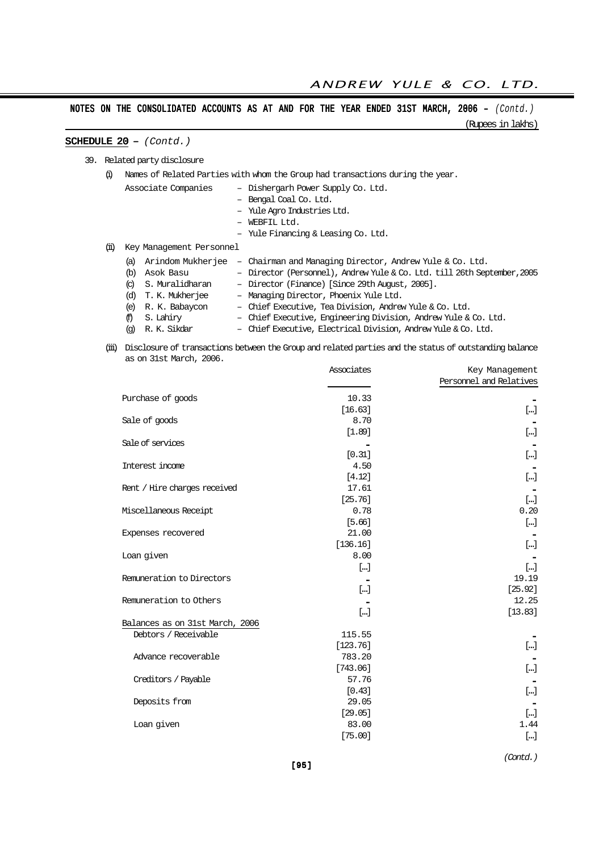(Rupees in lakhs)

# SCHEDULE  $20 - (Cond.)$

39. Related party disclosure

(i) Names of Related Parties with whom the Group had transactions during the year.

|      |                           | Associate Companies      | - Dishergarh Power Supply Co. Ltd.                                       |
|------|---------------------------|--------------------------|--------------------------------------------------------------------------|
|      |                           |                          | - Bengal Coal Co. Ltd.                                                   |
|      |                           |                          | - Yule Agro Industries Ltd.                                              |
|      |                           |                          | WEBFIL Ltd.                                                              |
|      |                           |                          | - Yule Financing & Leasing Co. Ltd.                                      |
| (ii) |                           | Key Management Personnel |                                                                          |
|      | (a)                       | Arindom Mukherjee        | - Chairman and Managing Director, Andrew Yule & Co. Ltd.                 |
|      | (b)                       | Asok Basu                | - Director (Personnel), Andrew Yule & Co. Ltd. till 26th September, 2005 |
|      | $\left( \text{c} \right)$ | S. Muralidharan          | - Director (Finance) [Since 29th August, 2005].                          |
|      | (d)                       | T. K. Mukherjee          | - Managing Director, Phoenix Yule Ltd.                                   |
|      | (e)                       | R. K. Babaycon           | - Chief Executive, Tea Division, Andrew Yule & Co. Ltd.                  |

- (f) S. Lahiry Chief Executive, Engineering Division, Andrew Yule & Co. Ltd. (g) R. K. Sikdar – Chief Executive, Electrical Division, Andrew Yule & Co. Ltd.
- (iii) Disclosure of transactions between the Group and related parties and the status of outstanding balance as on 31st March, 2006.

|                                 | Associates | Key Management          |
|---------------------------------|------------|-------------------------|
|                                 |            | Personnel and Relatives |
| Purchase of goods               | 10.33      |                         |
|                                 | [16.63]    | $[]$                    |
| Sale of goods                   | 8.70       |                         |
|                                 | [1.89]     | $[]$                    |
| Sale of services                |            |                         |
|                                 | [0.31]     | $[]$                    |
| Interest income                 | 4.50       |                         |
|                                 | [4.12]     | $[]$                    |
| Rent / Hire charges received    | 17.61      |                         |
|                                 | [25.76]    | $[ \ldots ]$            |
| Miscellaneous Receipt           | 0.78       | 0.20                    |
|                                 | [5.66]     | $[]$                    |
| Expenses recovered              | 21.00      |                         |
|                                 | [136.16]   | $[]$                    |
| Loan given                      | 8.00       |                         |
|                                 | $[]$       | $[]$                    |
| Remuneration to Directors       |            | 19.19                   |
|                                 | $\lceil$ ] | [25.92]                 |
| Remuneration to Others          |            | 12.25                   |
|                                 | []         | [13.83]                 |
| Balances as on 31st March, 2006 |            |                         |
| Debtors / Receivable            | 115.55     |                         |
|                                 | [123.76]   | $[]$                    |
| Advance recoverable             | 783.20     |                         |
|                                 | [743.06]   | $[]$                    |
| Creditors / Payable             | 57.76      |                         |
|                                 | [0.43]     | $[]$                    |
| Deposits from                   | 29.05      |                         |
|                                 | [29.05]    | $[]$                    |
| Loan given                      | 83.00      | 1.44                    |
|                                 | [75.00]    | $[]$                    |
|                                 |            |                         |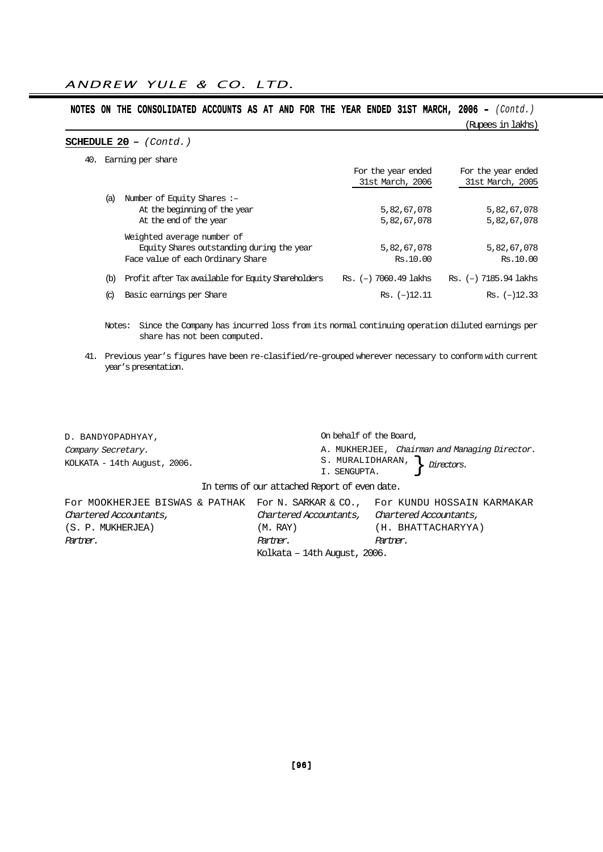(Rupees in lakhs)

## SCHEDULE  $20 - (Contd.)$

40.

|                           | Earning per share                                  |                           |                       |
|---------------------------|----------------------------------------------------|---------------------------|-----------------------|
|                           |                                                    | For the year ended        | For the year ended    |
|                           |                                                    | 31st March, 2006          | 31st March, 2005      |
| (a)                       | Number of Equity Shares:-                          |                           |                       |
|                           | At the beginning of the year                       | 5,82,67,078               | 5,82,67,078           |
|                           | At the end of the year                             | 5,82,67,078               | 5,82,67,078           |
|                           | Weighted average number of                         |                           |                       |
|                           | Equity Shares outstanding during the year          | 5,82,67,078               | 5,82,67,078           |
|                           | Face value of each Ordinary Share                  | Rs.10.00                  | Rs.10.00              |
| (b)                       | Profit after Tax available for Equity Shareholders | $Rs.$ (-) $7060.49$ lakhs | Rs. (-) 7185.94 lakhs |
| $\left( \text{c} \right)$ | Basic earnings per Share                           | $Rs.$ $(-)12.11$          | $Rs.$ $(-)12.33$      |

Notes: Since the Company has incurred loss from its normal continuing operation diluted earnings per share has not been computed.

41. Previous year's figures have been re-clasified/re-grouped wherever necessary to conform with current year's presentation.

| D. BANDYOPADHYAY,                                                              | On behalf of the Board,                       |                                                             |  |
|--------------------------------------------------------------------------------|-----------------------------------------------|-------------------------------------------------------------|--|
| Company Secretary.<br>KOLKATA - 14th August, 2006.                             | S. MURALIDHARAN,<br>I. SENGUPTA.              | A. MUKHERJEE, Chairman and Managing Director.<br>Directors. |  |
| In terms of our attached Report of even date.                                  |                                               |                                                             |  |
| FOR MOOKHERJEE BISWAS & PATHAK FOR N. SARKAR & CO., FOR KUNDU HOSSAIN KARMAKAR |                                               |                                                             |  |
| Chartered Accountants,                                                         | Chartered Accountants, Chartered Accountants, |                                                             |  |
| (S. P. MUKHERJEA)                                                              | (M. RAY)                                      | (H. BHATTACHARYYA)                                          |  |
| Partner.                                                                       | Partner.                                      | Partner.                                                    |  |
|                                                                                | Kolkata – 14th August, 2006.                  |                                                             |  |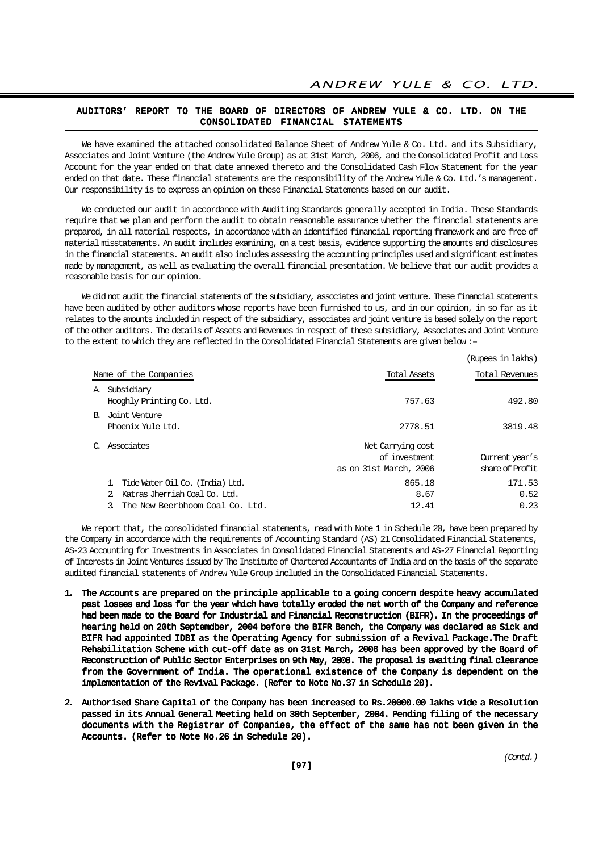#### AUDITORS' REPORT TO THE BOARD OF DIRECTORS OF ANDREW YULE & CO. LTD. ON THE CONSOLIDATED FINANCIAL STATEMENTS

We have examined the attached consolidated Balance Sheet of Andrew Yule & Co. Ltd. and its Subsidiary, Associates and Joint Venture (the Andrew Yule Group) as at 31st March, 2006, and the Consolidated Profit and Loss Account for the year ended on that date annexed thereto and the Consolidated Cash Flow Statement for the year ended on that date. These financial statements are the responsibility of the Andrew Yule & Co. Ltd.'s management. Our responsibility is to express an opinion on these Financial Statements based on our audit.

We conducted our audit in accordance with Auditing Standards generally accepted in India. These Standards require that we plan and perform the audit to obtain reasonable assurance whether the financial statements are prepared, in all material respects, in accordance with an identified financial reporting framework and are free of material misstatements. An audit includes examining, on a test basis, evidence supporting the amounts and disclosures in the financial statements. An audit also includes assessing the accounting principles used and significant estimates made by management, as well as evaluating the overall financial presentation. We believe that our audit provides a reasonable basis for our opinion.

We did not audit the financial statements of the subsidiary, associates and joint venture. These financial statements have been audited by other auditors whose reports have been furnished to us, and in our opinion, in so far as it relates to the amounts included in respect of the subsidiary, associates and joint venture is based solely on the report of the other auditors. The details of Assets and Revenues in respect of these subsidiary, Associates and Joint Venture to the extent to which they are reflected in the Consolidated Financial Statements are given below :–

|               |                                                                                                     |                                                               | (Rupees in lakhs)                 |
|---------------|-----------------------------------------------------------------------------------------------------|---------------------------------------------------------------|-----------------------------------|
|               | Name of the Companies                                                                               | <b>Total Assets</b>                                           | Total Revenues                    |
|               | A. Subsidiary<br>Hooghly Printing Co. Ltd.                                                          | 757.63                                                        | 492.80                            |
|               | B. Joint Venture<br>Phoenix Yule Ltd.                                                               | 2778.51                                                       | 3819.48                           |
| $\mathcal{C}$ | Associates                                                                                          | Net Carrying cost<br>of investment.<br>as on 31st March, 2006 | Current year's<br>share of Profit |
|               | Tide Water Oil Co. (India) Ltd.<br>Katras Jherriah Coal Co. Ltd.<br>The New Beerbhoom Coal Co. Ltd. | 865.18<br>8.67<br>12.41                                       | 171.53<br>0.52<br>0.23            |

We report that, the consolidated financial statements, read with Note 1 in Schedule 20, have been prepared by the Company in accordance with the requirements of Accounting Standard (AS) 21 Consolidated Financial Statements, AS-23 Accounting for Investments in Associates in Consolidated Financial Statements and AS-27 Financial Reporting of Interests in Joint Ventures issued by The Institute of Chartered Accountants of India and on the basis of the separate audited financial statements of Andrew Yule Group included in the Consolidated Financial Statements.

- 1. The Accounts are prepared on the principle applicable to a going concern despite heavy accumulated past losses and loss for the year which have totally eroded the net worth of the Company and reference had been made to the Board for Industrial and Financial Reconstruction (BIFR). In the proceedings of hearing held on 20th Septemdber, 2004 before the BIFR Bench, the Company was declared as Sick and BIFR had appointed IDBI as the Operating Agency for submission of a Revival Package.The Draft Rehabilitation Scheme with cut-off date as on 31st March, 2006 has been approved by the Board of Reconstruction of Public Sector Enterprises on 9th May, 2006. The proposal is awaiting final clearance from the Government of India. The operational existence of the Company is dependent on the implementation of the Revival Package. (Refer to Note No.37 in Schedule 20).
- 2. Authorised Share Capital of the Company has been increased to Rs.20000.00 lakhs vide a Resolution passed in its Annual General Meeting held on 30th September, 2004. Pending filing of the necessary documents with the Registrar of Companies, the effect of the same has not been given in the Accounts. (Refer to Note No.26 in Schedule 20).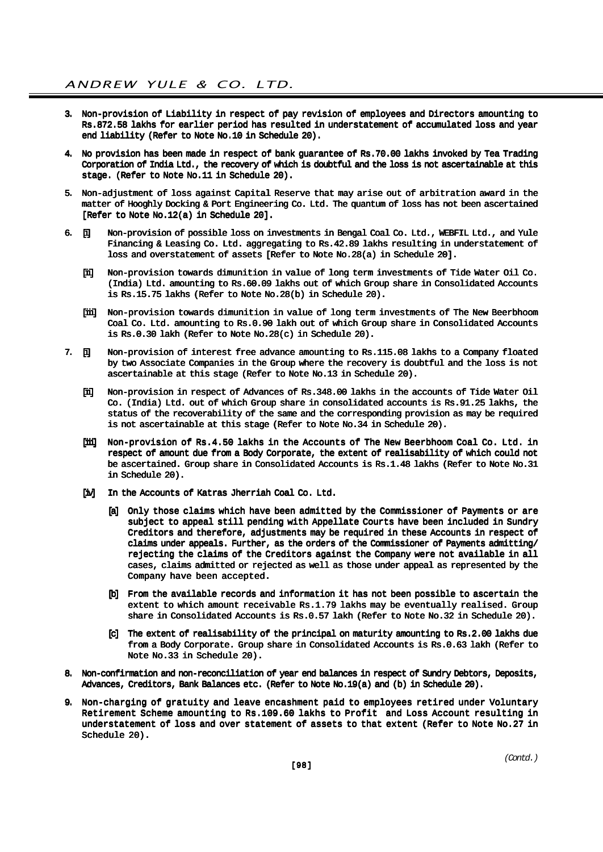- 3. Non-provision of Liability in respect of pay revision of employees and Directors amounting to Rs.872.58 lakhs for earlier period has resulted in understatement of accumulated loss and year end liability (Refer to Note No.10 in Schedule 20).
- 4. No provision has been made in respect of bank guarantee of Rs.70.00 lakhs invoked by Tea Trading Corporation of India Ltd., the recovery of which is doubtful and the loss is not ascertainable at this stage. (Refer to Note No.11 in Schedule 20).
- 5. Non-adjustment of loss against Capital Reserve that may arise out of arbitration award in the matter of Hooghly Docking & Port Engineering Co. Ltd. The quantum of loss has not been ascertained [Refer to Note No.12(a) in Schedule 20].
- 6. [i] Non-provision of possible loss on investments in Bengal Coal Co. Ltd., WEBFIL Ltd., and Yule Financing & Leasing Co. Ltd. aggregating to Rs.42.89 lakhs resulting in understatement of loss and overstatement of assets [Refer to Note No.28(a) in Schedule 20].
	- [ii] Non-provision towards dimunition in value of long term investments of Tide Water Oil Co. (India) Ltd. amounting to Rs.60.09 lakhs out of which Group share in Consolidated Accounts is Rs.15.75 lakhs (Refer to Note No.28(b) in Schedule 20).
	- [iii] Non-provision towards dimunition in value of long term investments of The New Beerbhoom Coal Co. Ltd. amounting to Rs.0.90 lakh out of which Group share in Consolidated Accounts is Rs.0.30 lakh (Refer to Note No.28(c) in Schedule 20).
- 7. [i] Non-provision of interest free advance amounting to Rs.115.08 lakhs to a Company floated by two Associate Companies in the Group where the recovery is doubtful and the loss is not ascertainable at this stage (Refer to Note No.13 in Schedule 20).
	- [ii] Non-provision in respect of Advances of Rs.348.00 lakhs in the accounts of Tide Water Oil Co. (India) Ltd. out of which Group share in consolidated accounts is Rs.91.25 lakhs, the status of the recoverability of the same and the corresponding provision as may be required is not ascertainable at this stage (Refer to Note No.34 in Schedule 20).
	- [iii] Non-provision of Rs.4.50 lakhs in the Accounts of The New Beerbhoom Coal Co. Ltd. in respect of amount due from a Body Corporate, the extent of realisability of which could not be ascertained. Group share in Consolidated Accounts is Rs.1.48 lakhs (Refer to Note No.31 in Schedule 20).
	- [iv] In the Accounts of Katras Jherriah Coal Co. Ltd.
		- [a] Only those claims which have been admitted by the Commissioner of Payments or are subject to appeal still pending with Appellate Courts have been included in Sundry Creditors and therefore, adjustments may be required in these Accounts in respect of claims under appeals. Further, as the orders of the Commissioner of Payments admitting/ rejecting the claims of the Creditors against the Company were not available in all cases, claims admitted or rejected as well as those under appeal as represented by the Company have been accepted.
		- [b] From the available records and information it has not been possible to ascertain the extent to which amount receivable Rs.1.79 lakhs may be eventually realised. Group share in Consolidated Accounts is Rs.0.57 lakh (Refer to Note No.32 in Schedule 20).
		- [c] The extent of realisability of the principal on maturity amounting to Rs.2.00 lakhs due from a Body Corporate. Group share in Consolidated Accounts is Rs.0.63 lakh (Refer to Note No.33 in Schedule 20).
- 8. Non-confirmation and non-reconciliation of year end balances in respect of Sundry Debtors, Deposits, Advances, Creditors, Bank Balances etc. (Refer to Note No.19(a) and (b) in Schedule 20).
- 9. Non-charging of gratuity and leave encashment paid to employees retired under Voluntary Retirement Scheme amounting to Rs.109.60 lakhs to Profit and Loss Account resulting in understatement of loss and over statement of assets to that extent (Refer to Note No.27 in Schedule 20).